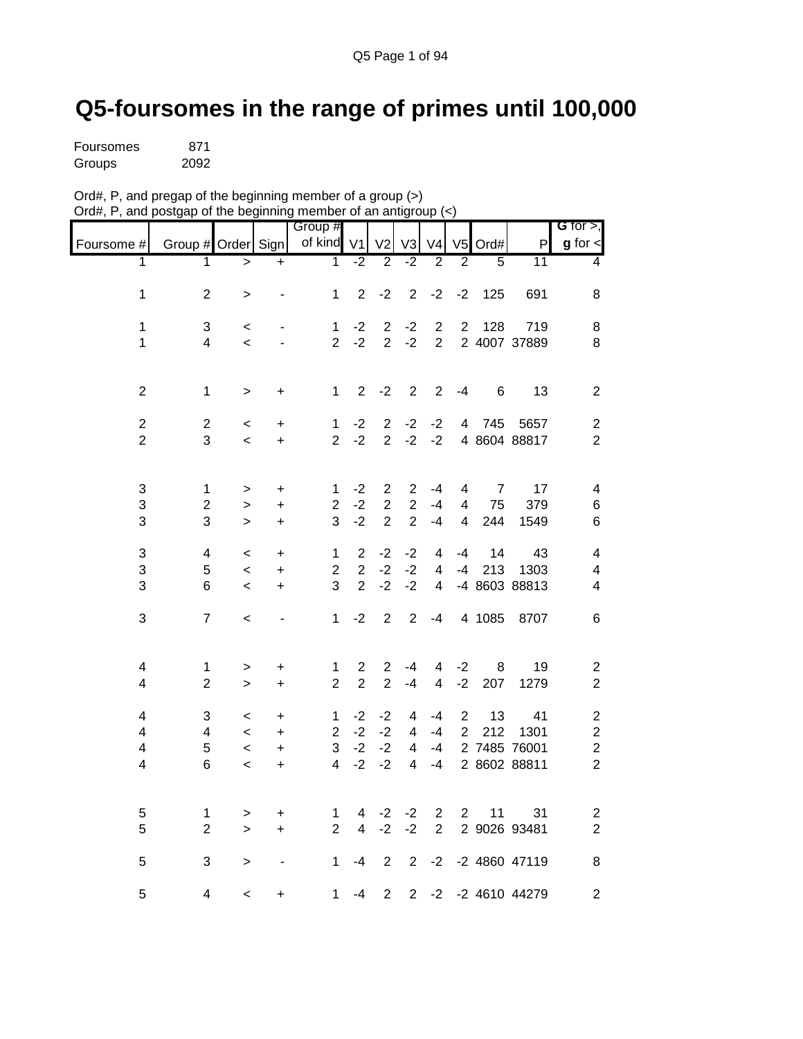## **Q5-foursomes in the range of primes until 100,000**

| <b>Foursomes</b> | 871  |
|------------------|------|
| Groups           | 2092 |

| Ord#, P, and pregap of the beginning member of a group (>)       |  |
|------------------------------------------------------------------|--|
| Ord#, P, and postgap of the beginning member of an antigroup (<) |  |

|                          |                          |           |                | Group #                 |                         |                |                |                  |                |                |               | G for $>$ ,             |
|--------------------------|--------------------------|-----------|----------------|-------------------------|-------------------------|----------------|----------------|------------------|----------------|----------------|---------------|-------------------------|
| Foursome #               | Group # Order Sign       |           |                | of kind                 | V <sub>1</sub>          | V <sub>2</sub> | V <sub>3</sub> | V <sub>4</sub>   | V <sub>5</sub> | Ord#           | P             | $g$ for $\leq$          |
| 1                        | 1                        | $\geq$    | $+$            | $\mathbf{1}$            | $-2$                    | $\overline{2}$ | $-2$           | $\overline{2}$   | $\overline{2}$ | $\overline{5}$ | 11            | 4                       |
| 1                        | $\boldsymbol{2}$         | $\,$      |                | 1                       | $\overline{2}$          | $-2$           | $\overline{2}$ | $-2$             | $-2$           | 125            | 691           | 8                       |
|                          |                          |           |                |                         |                         |                |                |                  |                |                |               |                         |
| $\mathbf 1$              | 3                        | $\,<$     |                | $\mathbf{1}$            | $-2$                    | $\overline{c}$ | $-2$           | $\boldsymbol{2}$ | $\sqrt{2}$     | 128            | 719           | 8                       |
| $\mathbf 1$              | $\overline{\mathbf{4}}$  | $\,<$     | $\overline{a}$ | $\overline{2}$          | $-2$                    | $\overline{2}$ | $-2$           | $\overline{2}$   |                |                | 2 4007 37889  | 8                       |
|                          |                          |           |                |                         |                         |                |                |                  |                |                |               |                         |
| $\overline{c}$           | $\mathbf 1$              | $\,$      | $\ddot{}$      | $\mathbf{1}$            | $\overline{2}$          | $-2$           | $\mathbf{2}$   | $\overline{2}$   | $-4$           | 6              | 13            | $\overline{c}$          |
| $\overline{2}$           | $\mathbf 2$              | $\,<$     | +              | $\mathbf{1}$            | $-2$                    | $\overline{2}$ | $-2$           | $-2$             | 4              | 745            | 5657          | $\overline{c}$          |
| $\overline{2}$           | 3                        | $\,<\,$   | $\ddot{}$      | $\overline{2}$          | $-2$                    | $\overline{2}$ | $-2$           | $-2$             |                |                | 4 8604 88817  | $\overline{2}$          |
|                          |                          |           |                |                         |                         |                |                |                  |                |                |               |                         |
| 3                        | $\mathbf{1}$             | >         | $\ddot{}$      | 1                       | $-2$                    | $\overline{2}$ | 2              | $-4$             | 4              | 7              | 17            | 4                       |
| 3                        | $\overline{2}$           | $\, > \,$ | $\ddot{}$      | $\overline{2}$          | $-2$                    | $\overline{2}$ | $\overline{2}$ | $-4$             | 4              | 75             | 379           | 6                       |
| 3                        | 3                        | $\geq$    | +              | 3                       | $-2$                    | $\overline{2}$ | $\overline{2}$ | $-4$             | 4              | 244            | 1549          | 6                       |
| 3                        | $\overline{\mathbf{4}}$  | $\prec$   | $\ddot{}$      | $\mathbf{1}$            | $\overline{2}$          | $-2$           | $-2$           | 4                | -4             | 14             | 43            | $\overline{\mathbf{4}}$ |
| 3                        | 5                        | $\prec$   | $\ddot{}$      | $\overline{2}$          | $\overline{2}$          | $-2$           | $-2$           | $\overline{4}$   | $-4$           | 213            | 1303          | $\overline{\mathbf{4}}$ |
| 3                        | 6                        | $\,<$     | +              | 3                       | $\overline{2}$          | $-2$           | $-2$           | 4                |                |                | -4 8603 88813 | 4                       |
| 3                        | $\overline{7}$           | $\,<\,$   |                | $\mathbf{1}$            | $-2$                    | $\overline{2}$ | $\overline{2}$ | $-4$             |                | 4 1085         | 8707          | 6                       |
|                          |                          |           |                |                         |                         |                |                |                  |                |                |               |                         |
| 4                        | $\mathbf{1}$             | $\, > \,$ | +              | 1                       | $\overline{\mathbf{c}}$ | $\overline{c}$ | -4             | 4                | $-2$           | 8              | 19            | $\overline{\mathbf{c}}$ |
| $\overline{\mathbf{4}}$  | $\overline{2}$           | $\geq$    | $\ddot{}$      | $\overline{2}$          | $\overline{2}$          | $\overline{2}$ | $-4$           | $\overline{4}$   | $-2$           | 207            | 1279          | $\overline{2}$          |
| 4                        | 3                        | $\,<$     | $\ddot{}$      | $\mathbf{1}$            | $-2$                    | $-2$           | 4              | $-4$             | $\overline{2}$ | 13             | 41            | $\boldsymbol{2}$        |
| $\overline{\mathcal{A}}$ | $\overline{\mathcal{A}}$ | $\,<$     | +              | $\overline{2}$          | $-2$                    | $-2$           | 4              | -4               | $\overline{2}$ | 212            | 1301          | $\overline{c}$          |
| $\overline{\mathbf{4}}$  | 5                        | $\,<\,$   | +              | 3                       | $-2$                    | $-2$           | 4              | $-4$             |                |                | 2 7485 76001  | $\boldsymbol{2}$        |
| $\overline{\mathbf{4}}$  | 6                        | $\prec$   | $\ddot{}$      | $\overline{\mathbf{4}}$ | $-2$                    | $-2$           | 4              | $-4$             |                |                | 2 8602 88811  | $\overline{2}$          |
|                          |                          |           |                |                         |                         |                |                |                  |                |                |               |                         |
| 5                        | $\mathbf 1$              | >         | +              | 1                       | 4                       | $-2$           | $-2$           | $\overline{c}$   | $\overline{2}$ | 11             | 31            | $\overline{\mathbf{c}}$ |
| 5                        | $\overline{2}$           | $\geq$    | $\ddot{}$      | $\overline{2}$          | 4                       | $-2$           | $-2$           | $\overline{2}$   |                |                | 2 9026 93481  | $\overline{2}$          |
| 5                        | 3                        | >         |                | 1                       | $-4$                    | $\overline{2}$ | $\overline{2}$ | $-2$             |                |                | -2 4860 47119 | 8                       |
| 5                        | 4                        | $\,<$     | +              | 1                       | $-4$                    | $\overline{c}$ | $\overline{2}$ | $-2$             |                |                | -2 4610 44279 | $\overline{\mathbf{c}}$ |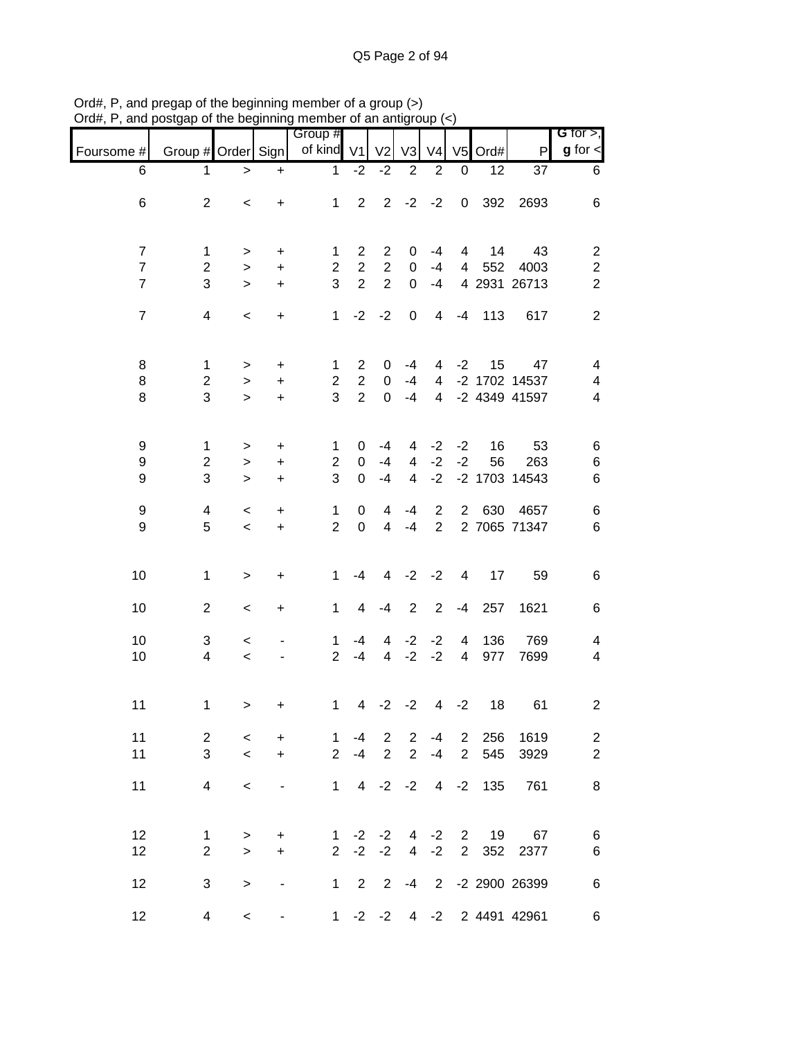|                                                    |                                              |                               |                                   | Group #                             |                                                    |                                       |                                       |                                       |                                  |            |                                      | G for $>$ ,                                                 |
|----------------------------------------------------|----------------------------------------------|-------------------------------|-----------------------------------|-------------------------------------|----------------------------------------------------|---------------------------------------|---------------------------------------|---------------------------------------|----------------------------------|------------|--------------------------------------|-------------------------------------------------------------|
| Foursome #                                         | Group # Order Sign                           |                               |                                   | of kind V1                          |                                                    | V <sub>2</sub>                        | V <sub>3</sub>                        | V <sub>4</sub>                        |                                  | $V5$ Ord#  | P                                    | $g$ for $\lt$                                               |
| 6                                                  | 1                                            | $\, > \,$                     | $\ddot{}$                         | $\mathbf{1}$                        | $-2$                                               | $-2$                                  | $\overline{c}$                        | $\overline{2}$                        | 0                                | 12         | 37                                   | 6                                                           |
| 6                                                  | $\overline{2}$                               | $\,<$                         | $\ddot{}$                         | $\mathbf{1}$                        | $\overline{2}$                                     | $\overline{2}$                        | $-2$                                  | $-2$                                  | $\mathbf 0$                      | 392        | 2693                                 | 6                                                           |
| $\overline{7}$<br>$\overline{7}$<br>$\overline{7}$ | 1<br>$\overline{c}$<br>3                     | $\, > \,$<br>$\geq$<br>$\geq$ | $\mathbf +$<br>$\ddot{}$<br>$\pm$ | 1<br>$\overline{2}$<br>3            | $\overline{2}$<br>$\overline{2}$<br>$\overline{2}$ | 2<br>$\overline{2}$<br>$\overline{2}$ | 0<br>0<br>0                           | $-4$<br>$-4$<br>$-4$                  | 4<br>4                           | 14<br>552  | 43<br>4003<br>4 2931 26713           | $\overline{c}$<br>$\overline{\mathbf{c}}$<br>$\overline{2}$ |
| $\overline{7}$                                     | $\overline{4}$                               | $\,<$                         | $\ddot{}$                         | $\mathbf{1}$                        | $-2$                                               | $-2$                                  | $\pmb{0}$                             | $\overline{4}$                        | $-4$                             | 113        | 617                                  | $\overline{2}$                                              |
| 8<br>8<br>8                                        | $\mathbf{1}$<br>$\overline{\mathbf{c}}$<br>3 | ><br>$\, > \,$<br>$\geq$      | +<br>$\ddot{}$<br>$\ddot{}$       | 1<br>$\overline{2}$<br>3            | $\overline{2}$<br>$\overline{2}$<br>$\overline{2}$ | 0<br>0<br>$\mathbf 0$                 | -4<br>$-4$<br>$-4$                    | 4<br>$\overline{4}$<br>$\overline{4}$ | $-2$                             | 15         | 47<br>-2 1702 14537<br>-2 4349 41597 | $\overline{\mathcal{A}}$<br>4<br>4                          |
| 9<br>$\boldsymbol{9}$<br>9                         | 1<br>$\boldsymbol{2}$<br>3                   | $\,>$<br>$\,>$<br>$\geq$      | +<br>$\ddot{}$<br>$\ddot{}$       | $\mathbf{1}$<br>$\overline{2}$<br>3 | 0<br>0<br>$\overline{0}$                           | $-4$<br>$-4$<br>$-4$                  | 4<br>$\overline{4}$<br>$\overline{4}$ | $-2$<br>$-2$<br>$-2$                  | $-2$<br>$-2$                     | 16<br>56   | 53<br>263<br>-2 1703 14543           | 6<br>6<br>6                                                 |
| 9<br>9                                             | 4<br>5                                       | $\,<\,$<br>$\,<$              | +<br>$\ddot{}$                    | $\mathbf{1}$<br>$\overline{2}$      | 0<br>$\mathbf 0$                                   | 4<br>$\overline{4}$                   | $-4$<br>$-4$                          | $\overline{c}$<br>$\overline{2}$      | $\overline{2}$                   | 630        | 4657<br>2 7065 71347                 | 6<br>6                                                      |
| 10                                                 | $\mathbf{1}$                                 | $\, >$                        | +                                 | $\mathbf 1$                         | $-4$                                               | $\overline{4}$                        | $-2$                                  | $-2$                                  | $\overline{4}$                   | 17         | 59                                   | 6                                                           |
| 10                                                 | $\overline{2}$                               | $\,<$                         | +                                 | $\mathbf{1}$                        | $\overline{4}$                                     | $-4$                                  | $\overline{2}$                        | $\overline{2}$                        | $-4$                             | 257        | 1621                                 | 6                                                           |
| 10<br>10                                           | 3<br>4                                       | $\,<\,$<br>$\,<$              |                                   | 1<br>$\overline{2}$                 | $-4$<br>$-4$                                       | 4<br>$\overline{4}$                   | $-2$<br>$-2$                          | $-2$<br>$-2$                          | 4<br>$\overline{\mathbf{4}}$     | 136<br>977 | 769<br>7699                          | 4<br>4                                                      |
| 11                                                 | 1                                            | $\,$                          | +                                 | $\mathbf{1}$                        | $\overline{4}$                                     | $-2$                                  | $-2$                                  | $\overline{4}$                        | $-2$                             | 18         | 61                                   | $\overline{\mathbf{c}}$                                     |
| 11<br>11                                           | $\overline{2}$<br>3                          | $\prec$<br>$\prec$            | $\ddot{}$<br>$+$                  | $\overline{1}$<br>$\overline{2}$    | $-4$<br>$-4$                                       | $\overline{2}$<br>$\overline{2}$      | $\overline{2}$<br>$\overline{2}$      | $-4$<br>$-4$                          | $\overline{2}$<br>$\overline{2}$ | 256<br>545 | 1619<br>3929                         | $\overline{\mathbf{c}}$<br>$\overline{2}$                   |
| 11                                                 | $\overline{4}$                               | $\prec$                       | $\overline{\phantom{a}}$          |                                     |                                                    |                                       |                                       | $1 \t4 \t-2 \t-2 \t4 \t-2$            |                                  | 135        | 761                                  | 8                                                           |
| 12<br>12                                           | $\mathbf 1$<br>$\overline{2}$                | $\geq$<br>$\geq$              | $+$<br>$+$                        | $\mathbf{1}$<br>$2^{\circ}$         | $-2$                                               | $-2 -2$<br>$-2$                       |                                       | $4 -2$                                | $2^{\circ}$                      | 4 -2 2 19  | 67<br>352 2377                       | 6<br>6                                                      |
| 12                                                 | 3                                            | $\, > \,$                     | $\blacksquare$                    |                                     | $1\quad 2$                                         |                                       |                                       |                                       |                                  |            | 2 -4 2 -2 2900 26399                 | 6                                                           |
| 12                                                 | 4                                            | $\,<\,$                       | $\overline{\phantom{a}}$          |                                     |                                                    |                                       |                                       |                                       |                                  |            | 1 -2 -2 4 -2 2 4491 42961            | 6                                                           |

Ord#, P, and pregap of the beginning member of a group (>) Ord#, P, and postgap of the beginning member of an antigroup (<)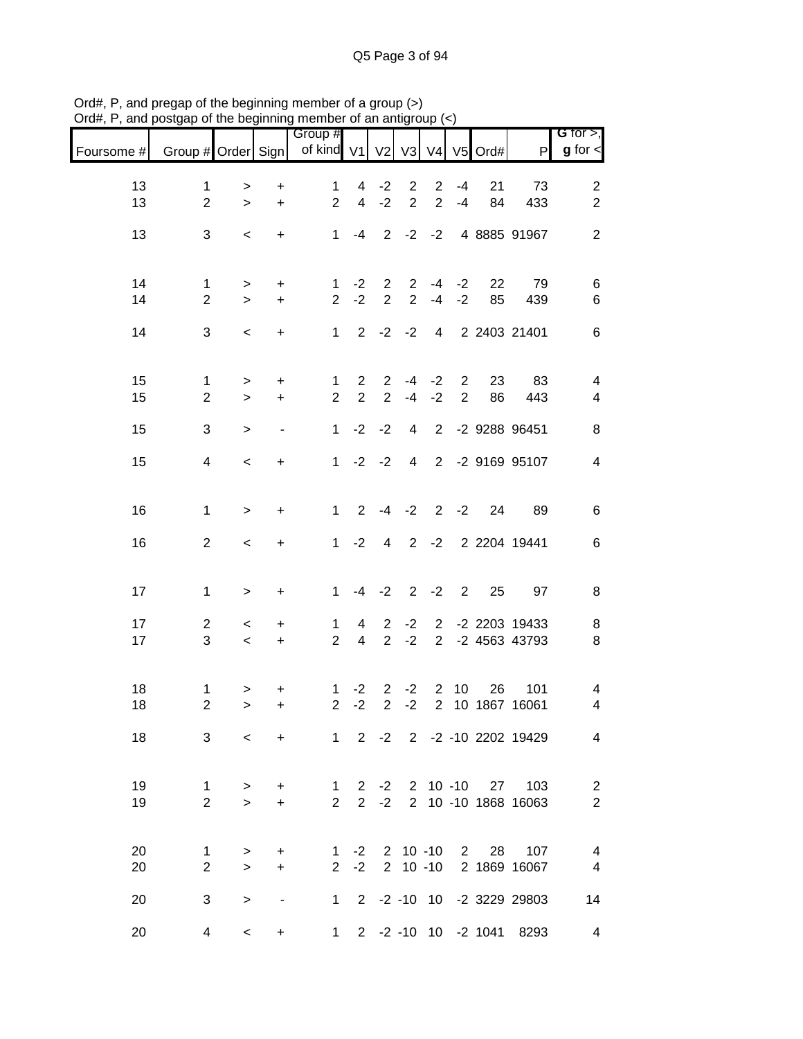|            |                               |                          |                          | Group #                          |                                |                                  |                               |                                  |              |                    |                                        | G for $>$ ,                      |
|------------|-------------------------------|--------------------------|--------------------------|----------------------------------|--------------------------------|----------------------------------|-------------------------------|----------------------------------|--------------|--------------------|----------------------------------------|----------------------------------|
| Foursome # | Group # Order Sign            |                          |                          | of kind V1                       |                                |                                  | V2 V3                         |                                  |              | V4 V5 Ord#         | $\mathsf{P}$                           | $g$ for $\lt$                    |
| 13         | $\mathbf 1$                   | >                        | $\ddot{}$                | $\mathbf 1$                      | $\overline{4}$                 | $-2$                             | $\overline{2}$                | $\overline{2}$                   | -4           | 21                 | 73                                     | $\overline{c}$                   |
| 13         | $\overline{2}$                | $\geq$                   | $\ddot{}$                | $\overline{2}$                   | $\overline{4}$                 | $-2$                             | $\overline{2}$                | $\overline{2}$                   | $-4$         | 84                 | 433                                    | $\overline{2}$                   |
| 13         | 3                             | $\,<\,$                  | $\ddot{}$                | $\mathbf{1}$                     | -4                             | 2                                | $-2$                          | $-2$                             |              |                    | 4 8885 91967                           | 2                                |
|            |                               |                          |                          |                                  |                                |                                  |                               |                                  |              |                    |                                        |                                  |
| 14         | 1                             | >                        | $\ddot{}$                | 1                                | $-2$                           | $\overline{2}$                   | $\overline{2}$<br>$2^{\circ}$ | $-4$<br>$-4$                     | $-2$         | 22                 | 79                                     | 6                                |
| 14         | $\overline{2}$                | $\geq$                   | $\ddot{}$                | $\overline{2}$                   | $-2$                           | $\overline{2}$                   |                               |                                  | $-2$         | 85                 | 439                                    | 6                                |
| 14         | 3                             | $\,<$                    | $\ddot{}$                | 1                                |                                |                                  | $2 -2 -2$                     |                                  |              |                    | 4 2 2403 21401                         | 6                                |
| 15         | $\mathbf{1}$                  | $\, > \,$                | $\ddot{}$                | $\mathbf{1}$                     | $\mathbf{2}$                   | $\overline{2}$                   | -4                            | $-2$                             | $\mathbf{2}$ | 23                 | 83                                     | 4                                |
| 15         | $\overline{2}$                | $\geq$                   | $\ddot{}$                | $\overline{2}$                   | $\overline{2}$                 | $\overline{2}$                   | $-4$                          | $-2$                             | 2            | 86                 | 443                                    | 4                                |
| 15         | 3                             | $\geq$                   | $\overline{\phantom{a}}$ | $\mathbf{1}$                     | $-2$                           | $-2$                             | $\overline{4}$                |                                  |              |                    | 2 -2 9288 96451                        | 8                                |
| 15         | 4                             | $\prec$                  | $\ddot{}$                | 1                                |                                | $-2 -2$                          |                               |                                  |              |                    | 4 2 -2 9169 95107                      | $\overline{4}$                   |
|            |                               |                          |                          |                                  |                                |                                  |                               |                                  |              |                    |                                        |                                  |
| 16         | $\mathbf{1}$                  | $\, >$                   | $\ddot{}$                | 1                                | $\mathbf{2}$                   |                                  | $-4 -2$                       |                                  | $2 -2$       | 24                 | 89                                     | 6                                |
| 16         | $\overline{2}$                | $\,<$                    | $\ddot{}$                |                                  | $1 -2$                         | $\overline{4}$                   |                               | $2 -2$                           |              |                    | 2 2204 19441                           | 6                                |
|            |                               |                          |                          |                                  |                                |                                  |                               |                                  |              |                    |                                        |                                  |
| 17         | $\mathbf 1$                   | $\,>$                    | $\ddot{}$                | $\mathbf{1}$                     |                                | $-4 -2$                          |                               | $2 -2 2$                         |              | 25                 | 97                                     | 8                                |
| 17<br>17   | $\overline{2}$<br>3           | $\,<\,$<br>$\,<$         | $\ddot{}$<br>$\ddot{}$   | 1<br>$\overline{2}$              | 4<br>$\overline{4}$            | $\overline{2}$<br>$\overline{2}$ | $-2$<br>$-2$                  | $\overline{2}$<br>$\overline{2}$ |              |                    | -2 2203 19433<br>-2 4563 43793         | 8<br>8                           |
|            |                               |                          |                          |                                  |                                |                                  |                               |                                  |              |                    |                                        |                                  |
| 18         | 1                             | >                        | +                        | $\mathbf 1$                      | $-2$                           | $\overline{2}$                   | $-2$                          | 2                                | 10           | 26                 | 101                                    | 4                                |
| 18         | $\overline{2}$                | $\geq$                   | $\ddot{}$                | $\overline{2}$                   | $-2$                           | $\overline{2}$                   | $-2$                          | $\overline{2}$                   |              |                    | 10 1867 16061                          | 4                                |
| 18         | 3                             | $\prec$                  |                          | + 1 2 -2 2 -2 -10 2202 19429     |                                |                                  |                               |                                  |              |                    |                                        | $\overline{4}$                   |
|            |                               |                          |                          |                                  |                                |                                  |                               |                                  |              |                    |                                        |                                  |
| 19<br>19   | $\mathbf 1$<br>$\overline{2}$ | $\, > \,$<br>$\geq$      | $+$<br>$+$               | $\overline{1}$<br>$\overline{2}$ | $\mathbf{2}$<br>$\overline{2}$ | $-2$<br>$-2$                     |                               |                                  |              |                    | 2 10 -10 27 103<br>2 10 -10 1868 16063 | $\overline{c}$<br>$\overline{2}$ |
|            |                               |                          |                          |                                  |                                |                                  |                               |                                  |              |                    |                                        |                                  |
| 20         | $\mathbf 1$                   | >                        | $\ddot{}$                |                                  |                                |                                  |                               |                                  |              | 1 -2 2 10 -10 2 28 | 107                                    | $\overline{\mathcal{A}}$         |
| 20         | $\overline{2}$                | $\geq$                   | $+$                      | 2 <sup>1</sup>                   | $-2$                           |                                  |                               |                                  |              |                    | 2 10 -10 2 1869 16067                  | $\overline{4}$                   |
| 20         | 3                             | >                        | $\blacksquare$           | $1 \quad$                        |                                |                                  |                               |                                  |              |                    | 2 -2 -10 10 -2 3229 29803              | 14                               |
| 20         | $\overline{4}$                | $\overline{\phantom{0}}$ | $\ddot{}$                | 1                                |                                |                                  |                               |                                  |              |                    | 2 -2 -10 10 -2 1041 8293               | $\overline{4}$                   |

Ord#, P, and pregap of the beginning member of a group (>) Ord#, P, and postgap of the beginning member of an antigroup (<)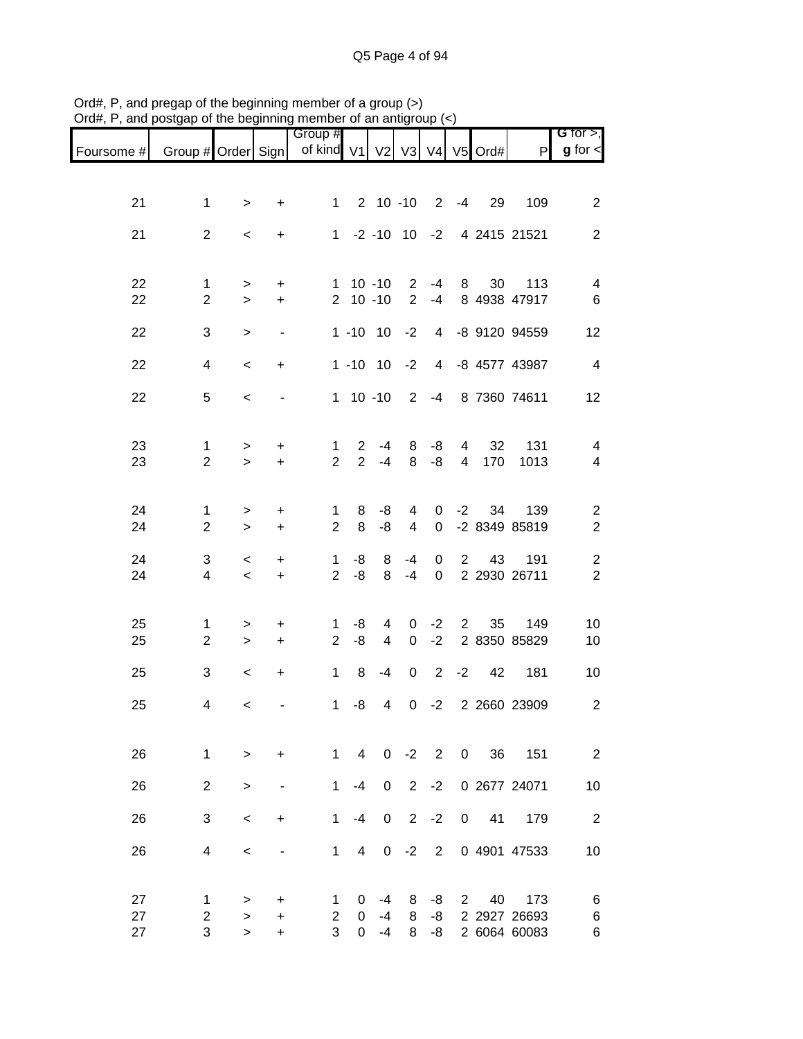|            |                                |                          |                          | Group #                        |                            |                     |                                  |                            |                |                      |                           | G for $>$ ,                      |
|------------|--------------------------------|--------------------------|--------------------------|--------------------------------|----------------------------|---------------------|----------------------------------|----------------------------|----------------|----------------------|---------------------------|----------------------------------|
| Foursome # | Group # Order Sign             |                          |                          | of kind V1 V2 V3 V4 V5 Ord#    |                            |                     |                                  |                            |                |                      | P                         | $g$ for $\leq$                   |
|            |                                |                          |                          |                                |                            |                     |                                  |                            |                |                      |                           |                                  |
| 21         | $\mathbf{1}$                   | $\,>$                    | +                        | 1                              |                            | $2 10 - 10$         |                                  |                            | $2 - 4$        | 29                   | 109                       | $\mathbf{2}$                     |
| 21         | $\overline{2}$                 | $\,<\,$                  | $\ddot{}$                | 1                              |                            |                     |                                  |                            |                |                      | -2 -10 10 -2 4 2415 21521 | $\overline{2}$                   |
|            |                                |                          |                          |                                |                            |                     |                                  |                            |                |                      |                           |                                  |
| 22<br>22   | 1<br>$\overline{2}$            | ><br>$\geq$              | +<br>$\ddot{}$           |                                | $1 10 - 10$<br>$2 10 - 10$ |                     | $\overline{2}$<br>$\overline{2}$ | $-4$<br>$-4$               | 8              | 30                   | 113<br>8 4938 47917       | 4<br>6                           |
| 22         | 3                              | $\, > \,$                | $\overline{\phantom{a}}$ |                                | $1 - 10$ 10                |                     | $-2$                             |                            |                |                      | 4 -8 9120 94559           | 12                               |
|            |                                |                          |                          |                                |                            |                     |                                  |                            |                |                      |                           |                                  |
| 22         | 4                              | $\,<\,$                  | $\ddot{}$                |                                |                            | $1 - 10$ 10         | $-2$                             |                            |                |                      | 4 -8 4577 43987           | $\overline{4}$                   |
| 22         | 5                              | $\,<\,$                  | $\blacksquare$           |                                |                            | $1 10 - 10$         |                                  |                            |                |                      | 2 -4 8 7360 74611         | 12                               |
| 23         | $\mathbf 1$                    |                          | $\ddot{}$                | $\mathbf{1}$                   | $\overline{2}$             | $-4$                | 8                                | -8                         | 4              | 32                   | 131                       | 4                                |
| 23         | $\overline{2}$                 | $\,>$<br>$\geq$          | $\ddot{}$                | $\overline{2}$                 | $\overline{2}$             | $-4$                | 8                                | -8                         | $\overline{4}$ | 170                  | 1013                      | 4                                |
|            |                                |                          |                          |                                |                            |                     |                                  |                            |                |                      |                           |                                  |
| 24<br>24   | $\mathbf{1}$<br>$\overline{2}$ | $\geq$<br>$\geq$         | $\ddot{}$<br>$+$         | $\mathbf{1}$<br>$\overline{2}$ | 8<br>8                     | -8<br>-8            | $\overline{4}$<br>$\overline{4}$ | $\mathbf 0$                | $0 -2$         | 34                   | 139<br>-2 8349 85819      | $\overline{c}$<br>$\mathbf{2}$   |
|            |                                |                          |                          |                                |                            |                     |                                  |                            |                |                      |                           |                                  |
| 24<br>24   | 3<br>$\overline{4}$            | $\,<\,$<br>$\,<$         | $\ddot{}$<br>$\ddot{}$   | $\mathbf{1}$<br>$\overline{2}$ | -8<br>-8                   | 8<br>8              | -4<br>$-4$                       | $\mathbf 0$<br>$\mathbf 0$ | $\overline{2}$ | 43                   | 191<br>2 2930 26711       | $\overline{c}$<br>$\overline{2}$ |
|            |                                |                          |                          |                                |                            |                     |                                  |                            |                |                      |                           |                                  |
| 25<br>25   | 1<br>$\overline{2}$            | ><br>$\geq$              | +<br>$\ddot{}$           | 1<br>$\overline{2}$            | -8<br>-8                   | 4<br>$\overline{4}$ | 0<br>$\mathbf 0$                 | $-2$<br>$-2$               | $\overline{2}$ | 35                   | 149<br>2 8350 85829       | 10<br>10                         |
|            |                                |                          |                          |                                |                            |                     |                                  |                            |                |                      |                           |                                  |
| 25         | 3                              | $\,<\,$                  | $\ddot{}$                | 1                              | 8                          | $-4$                | $\mathbf 0$                      | $2^{\circ}$                | $-2$           | 42                   | 181                       | 10                               |
| 25         | 4                              | $\,<\,$                  |                          | $\mathbf 1$                    | -8                         | 4                   | $\mathsf{O}$                     | $-2$                       |                |                      | 2 2660 23909              | $\overline{\mathbf{c}}$          |
| 26         | $\mathbf{1}$                   | $\geq$                   | $+$                      |                                | 1<br>$\overline{4}$        | $\overline{0}$      | $-2$                             | $2^{\circ}$                |                | 36<br>$\overline{0}$ | 151                       | $\overline{2}$                   |
| 26         | $\overline{2}$                 | >                        | $\overline{\phantom{a}}$ | 1                              | $-4$                       | 0                   | $2^{\circ}$                      | $-2$                       |                |                      | 0 2677 24071              | 10                               |
|            |                                |                          |                          |                                |                            |                     |                                  |                            |                |                      |                           |                                  |
| 26         | 3                              | $\overline{\phantom{a}}$ | $\ddot{}$                | $\mathbf{1}$                   | $-4$                       | $\mathbf 0$         | $\overline{2}$                   | $-2$                       |                | $\overline{0}$<br>41 | 179                       | 2                                |
| 26         | 4                              | $\,<\,$                  | $\overline{\phantom{a}}$ | $\mathbf{1}$                   | $\overline{4}$             | $\mathbf 0$         | $-2$                             | 2                          |                |                      | 0 4901 47533              | 10                               |
|            |                                |                          |                          |                                |                            |                     |                                  |                            |                |                      |                           |                                  |
| 27<br>27   | 1<br>$\overline{2}$            | ><br>$\geq$              | +<br>+                   | 1.<br>$\overline{2}$           | 0<br>0                     | $-4$<br>$-4$        | 8<br>8                           | -8<br>-8                   | $\overline{2}$ | 40                   | 173<br>2 2927 26693       | 6<br>6                           |
| 27         | 3                              | $\geq$                   | $\ddot{}$                | 3                              | $\overline{0}$             | -4                  | 8                                | -8                         |                |                      | 2 6064 60083              | 6                                |

Ord#, P, and pregap of the beginning member of a group (>) Ord#, P, and postgap of the beginning member of an antigroup (<)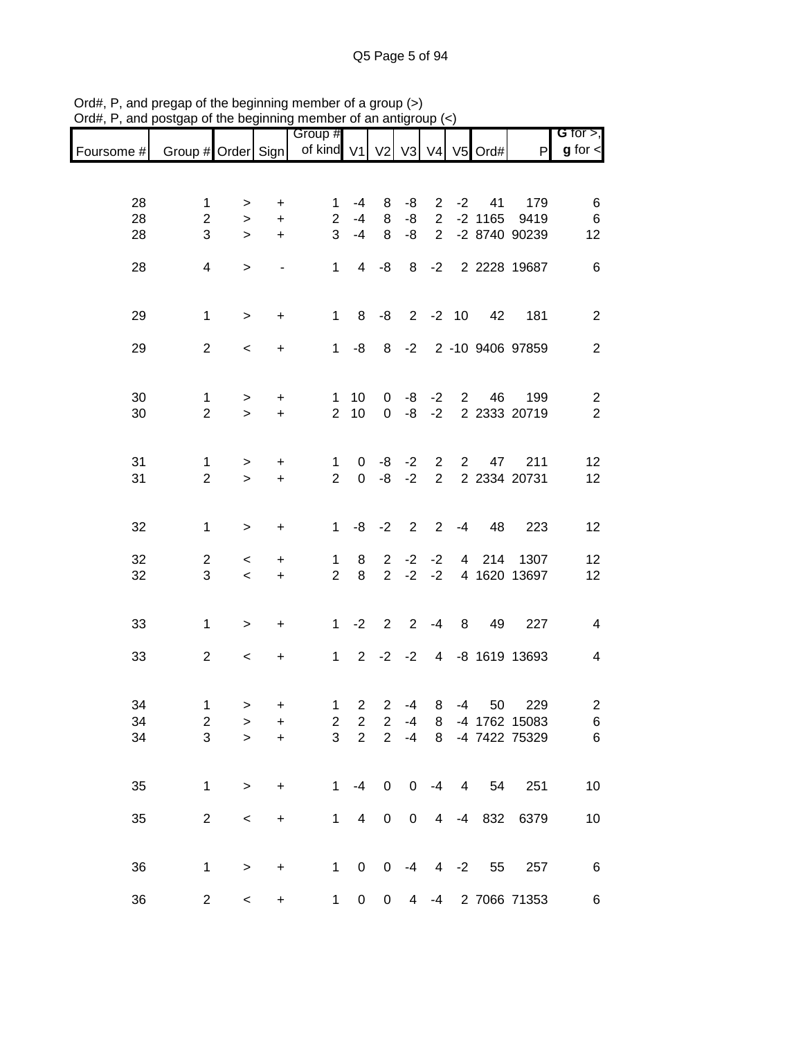|            |                         |              |                        | Group #             |                         |                |                |                                  |                |            |                     | G for $>$ ,     |
|------------|-------------------------|--------------|------------------------|---------------------|-------------------------|----------------|----------------|----------------------------------|----------------|------------|---------------------|-----------------|
| Foursome # | Group # Order Sign      |              |                        | of kind V1          |                         | V <sub>2</sub> | V3             |                                  |                | V4 V5 Ord# | $\mathsf{P}$        | $g$ for $\lt$   |
|            |                         |              |                        |                     |                         |                |                |                                  |                |            |                     |                 |
| 28         | 1                       | $\, > \,$    | +                      | 1                   | $-4$                    | 8              | -8             | $\overline{2}$                   | $-2$           | 41         | 179                 | 6               |
| 28         | $\overline{c}$          | $\, > \,$    | $\ddot{}$              | $\overline{2}$      | $-4$                    | 8              | -8             | $\overline{2}$                   |                | $-2$ 1165  | 9419                | 6               |
| 28         | 3                       | $\,>$        | $\ddot{}$              | 3                   | $-4$                    | 8              | -8             | $\overline{2}$                   |                |            | -2 8740 90239       | 12              |
|            |                         |              |                        |                     |                         |                |                |                                  |                |            |                     |                 |
| 28         | 4                       | $\, > \,$    |                        | 1                   | 4                       | -8             | 8              | $-2$                             |                |            | 2 2228 19687        | 6               |
|            |                         |              |                        |                     |                         |                |                |                                  |                |            |                     |                 |
|            |                         |              |                        |                     |                         |                |                |                                  |                |            |                     |                 |
| 29         | $\mathbf 1$             | $\, > \,$    | +                      | $\mathbf{1}$        | 8                       | -8             |                | $2 -2 10$                        |                | 42         | 181                 | $\overline{2}$  |
| 29         | $\overline{2}$          | $\,<\,$      | +                      | $\mathbf{1}$        | -8                      |                | $8 - 2$        |                                  |                |            | 2 -10 9406 97859    | $\mathbf{2}$    |
|            |                         |              |                        |                     |                         |                |                |                                  |                |            |                     |                 |
|            |                         |              |                        |                     |                         |                |                |                                  |                |            |                     |                 |
| 30         | 1                       | >            | +                      | 1                   | 10                      | 0              | -8             | $-2$                             | $2^{\circ}$    | 46         | 199                 | 2               |
| 30         | $\overline{2}$          | $\geq$       | +                      | $\overline{2}$      | 10                      | 0              | -8             | $-2$                             |                |            | 2 2333 20719        | $\mathbf{2}$    |
|            |                         |              |                        |                     |                         |                |                |                                  |                |            |                     |                 |
|            |                         |              |                        |                     |                         |                |                |                                  |                |            |                     |                 |
| 31<br>31   | 1<br>$\overline{2}$     | ><br>$\geq$  | $\ddot{}$<br>$\ddot{}$ | 1<br>$\overline{2}$ | 0<br>$\mathbf 0$        | -8<br>-8       | $-2$<br>$-2$   | $\overline{2}$<br>$\overline{2}$ | $\mathbf{2}$   | 47         | 211<br>2 2334 20731 | 12<br>12        |
|            |                         |              |                        |                     |                         |                |                |                                  |                |            |                     |                 |
|            |                         |              |                        |                     |                         |                |                |                                  |                |            |                     |                 |
| 32         | $\mathbf{1}$            | $\,$         | $\ddot{}$              | $\mathbf{1}$        | -8                      | $-2$           | $\overline{2}$ | $\overline{2}$                   | $-4$           | 48         | 223                 | 12              |
|            |                         |              |                        |                     |                         |                |                |                                  |                |            |                     |                 |
| 32         | $\overline{2}$          | $\,<\,$      | +                      | $\mathbf{1}$        | 8                       | $\overline{2}$ | $-2$           | $-2$                             | $\overline{4}$ | 214        | 1307                | 12              |
| 32         | 3                       | $\prec$      | $\ddot{}$              | $\overline{2}$      | 8                       | $\overline{2}$ | $-2$           | $-2$                             |                |            | 4 1620 13697        | 12              |
|            |                         |              |                        |                     |                         |                |                |                                  |                |            |                     |                 |
| 33         | 1                       | $\geq$       | +                      | $\mathbf{1}$        | $-2$                    | $\overline{2}$ | $\overline{2}$ | $-4$                             | 8              | 49         | 227                 | $\overline{4}$  |
|            |                         |              |                        |                     |                         |                |                |                                  |                |            |                     |                 |
| 33         | $\overline{2}$          | $\,<\,$      | $\ddot{}$              | $\mathbf{1}$        | $\overline{2}$          |                | $-2 -2$        | $\overline{4}$                   |                |            | -8 1619 13693       | 4               |
|            |                         |              |                        |                     |                         |                |                |                                  |                |            |                     |                 |
|            |                         |              |                        |                     |                         |                |                |                                  |                |            |                     |                 |
| 34         | 1                       | $\,$         | $\pmb{+}$              | $\mathbf{1}$        | $\overline{2}$          |                | $2 - 4$        | 8                                | -4             | 50         | 229                 | $\overline{c}$  |
| 34         | $\overline{\mathbf{c}}$ | >            | +                      | $\overline{c}$      | $\boldsymbol{2}$        | $\overline{2}$ | -4             | 8                                |                |            | -4 1762 15083       | 6               |
| 34         | 3                       | $\mathbf{I}$ | $\ddot{}$              | 3                   | $\overline{2}$          | $\overline{2}$ | $-4$           | 8                                |                |            | -4 7422 75329       | 6               |
|            |                         |              |                        |                     |                         |                |                |                                  |                |            |                     |                 |
| 35         | 1                       | $\geq$       | $\ddot{}$              | $\mathbf{1}$        | $-4$                    | $\mathbf 0$    | $\mathbf 0$    | $-4$                             | $\overline{4}$ | 54         | 251                 | 10              |
|            |                         |              |                        |                     |                         |                |                |                                  |                |            |                     |                 |
| 35         | $\overline{2}$          | $\,<$        | $\ddot{}$              | $\mathbf{1}$        | $\overline{\mathbf{4}}$ | $\pmb{0}$      | $\mathsf 0$    | $\overline{4}$                   |                |            | -4 832 6379         | 10              |
|            |                         |              |                        |                     |                         |                |                |                                  |                |            |                     |                 |
|            |                         |              |                        |                     |                         |                |                |                                  |                |            |                     |                 |
| 36         | 1                       | $\,$         | $\ddot{}$              | $\mathbf 1$         | $\mathbf 0$             | 0              | $-4$           | $\overline{4}$                   | $-2$           | 55         | 257                 | $6\phantom{1}6$ |
|            |                         |              |                        |                     |                         |                |                |                                  |                |            |                     |                 |
| 36         | $\overline{c}$          | $\,<$        | $\pmb{+}$              | $\mathbf{1}$        | 0                       | 0              | 4              | $-4$                             |                |            | 2 7066 71353        | 6               |

Ord#, P, and pregap of the beginning member of a group (>) Ord#, P, and postgap of the beginning member of an antigroup (<)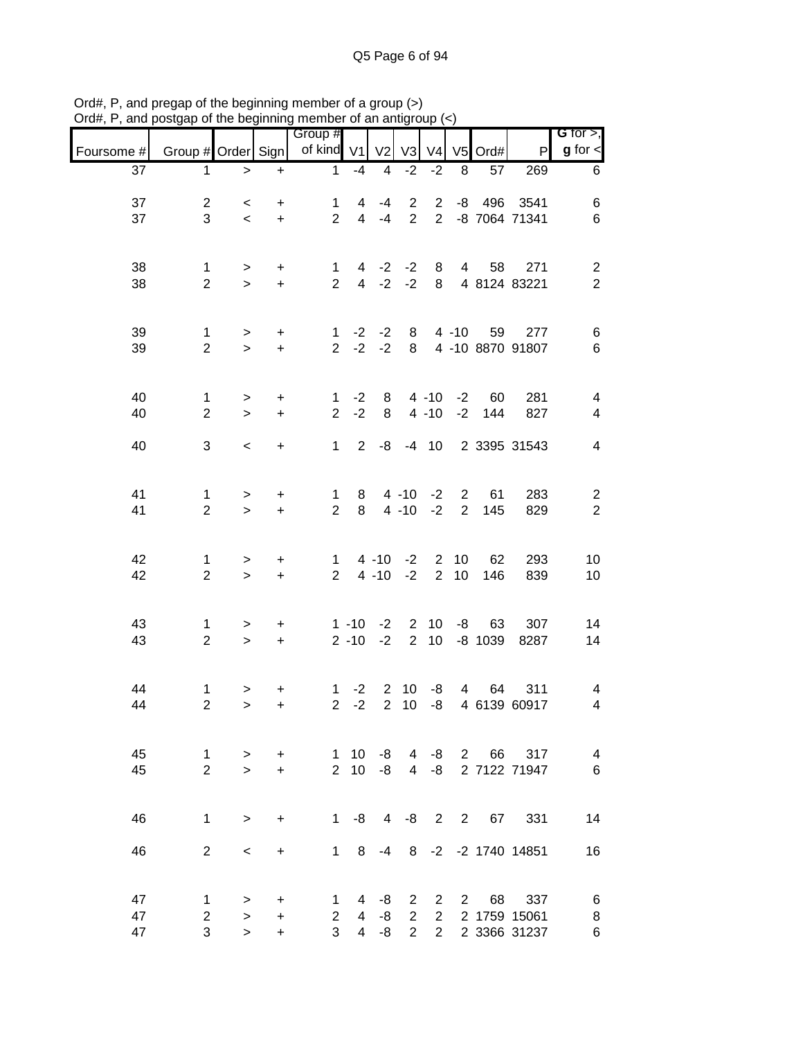|            |                     |                     |                        | Group #                       |                     |                |                |                      |                |           |                         | G for $>$ ,                               |
|------------|---------------------|---------------------|------------------------|-------------------------------|---------------------|----------------|----------------|----------------------|----------------|-----------|-------------------------|-------------------------------------------|
| Foursome # | Group # Order Sign  |                     |                        | of kind V1                    |                     | V <sub>2</sub> | V <sub>3</sub> | V <sub>4</sub>       | V <sub>5</sub> | Ord#      | P                       | $g$ for $\lt$                             |
| 37         | 1                   | $\,>$               | $\ddot{}$              | $\mathbf{1}$                  | $-4$                | $\overline{4}$ | $-2$           | $-2$                 | 8              | 57        | 269                     | 6                                         |
| 37         | $\overline{2}$      |                     |                        | 1                             | 4                   | $-4$           | $\overline{2}$ | 2                    | -8             | 496       | 3541                    | 6                                         |
| 37         | 3                   | $\,<\,$<br>$\,<$    | +<br>$\ddot{}$         | $\overline{2}$                | $\overline{4}$      | $-4$           | $\overline{2}$ | $\overline{2}$       |                |           | -8 7064 71341           | $\,6$                                     |
|            |                     |                     |                        |                               |                     |                |                |                      |                |           |                         |                                           |
|            |                     |                     |                        |                               |                     |                |                |                      |                |           |                         |                                           |
| 38<br>38   | 1<br>$\overline{2}$ | ><br>$\geq$         | +<br>$\ddot{}$         | 1<br>$\overline{2}$           | 4<br>$\overline{4}$ | $-2$<br>$-2$   | $-2$<br>$-2$   | 8<br>8               | $\overline{4}$ | 58        | 271<br>4 8124 83221     | $\overline{\mathbf{c}}$<br>$\overline{2}$ |
|            |                     |                     |                        |                               |                     |                |                |                      |                |           |                         |                                           |
|            |                     |                     |                        |                               |                     |                |                |                      |                |           |                         |                                           |
| 39<br>39   | 1<br>$\overline{2}$ | $\, > \,$<br>$\geq$ | $\ddot{}$<br>$\ddot{}$ | $\mathbf 1$<br>$\overline{2}$ | $-2$<br>$-2$        | $-2$<br>$-2$   | 8<br>8         |                      | $4 - 10$       | 59        | 277<br>4 -10 8870 91807 | 6<br>6                                    |
|            |                     |                     |                        |                               |                     |                |                |                      |                |           |                         |                                           |
|            |                     |                     |                        |                               |                     |                |                |                      |                |           |                         |                                           |
| 40<br>40   | 1<br>$\overline{2}$ | $\,>$<br>$\geq$     | $\ddot{}$<br>$+$       | 1<br>$\overline{2}$           | $-2$<br>$-2$        | 8<br>8         |                | $4 - 10$<br>$4 - 10$ | $-2$<br>$-2$   | 60<br>144 | 281<br>827              | 4<br>4                                    |
|            |                     |                     |                        |                               |                     |                |                |                      |                |           |                         |                                           |
| 40         | 3                   | $\,<\,$             | +                      | $\mathbf{1}$                  | $\overline{2}$      | -8             | $-4$           | 10                   |                |           | 2 3395 31543            | $\overline{4}$                            |
|            |                     |                     |                        |                               |                     |                |                |                      |                |           |                         |                                           |
| 41         | 1                   | >                   | $\ddot{}$              | $\mathbf{1}$                  | 8                   |                | $4 - 10$       | $-2$                 | $\overline{2}$ | 61        | 283                     | $\overline{c}$                            |
| 41         | $\overline{2}$      | $\geq$              | $\ddot{}$              | $\overline{2}$                | 8                   |                | $4 - 10$       | $-2$                 | $\overline{2}$ | 145       | 829                     | $\overline{2}$                            |
|            |                     |                     |                        |                               |                     |                |                |                      |                |           |                         |                                           |
| 42         | 1                   | >                   | +                      | 1                             |                     | $4 - 10$       | $-2$           | $\overline{2}$       | 10             | 62        | 293                     | 10                                        |
| 42         | $\overline{2}$      | $\geq$              | $\ddot{}$              | $\overline{2}$                |                     | $4 - 10$       | $-2$           | $\overline{2}$       | 10             | 146       | 839                     | 10                                        |
|            |                     |                     |                        |                               |                     |                |                |                      |                |           |                         |                                           |
| 43         | 1                   | >                   | $\ddot{}$              |                               | $1 - 10$            | $-2$           | $\overline{2}$ | 10                   | -8             | 63        | 307                     | 14                                        |
| 43         | $\overline{2}$      | $\geq$              | $\ddot{}$              |                               | $2 - 10$            | $-2$           | $\overline{2}$ | 10                   |                | $-8$ 1039 | 8287                    | 14                                        |
|            |                     |                     |                        |                               |                     |                |                |                      |                |           |                         |                                           |
| 44         | 1                   | >                   | +                      | 1                             | $-2$                | $\overline{2}$ | 10             | -8                   | 4              | 64        | 311                     | 4                                         |
| 44         | $\overline{2}$      | $\geq$              | $\ddot{}$              | $\overline{2}$                | $-2$                | $\overline{2}$ | 10             | -8                   |                |           | 4 6139 60917            | 4                                         |
|            |                     |                     |                        |                               |                     |                |                |                      |                |           |                         |                                           |
| 45         | $\mathbf{1}$        | $\geq$              | $\ddot{}$              | $\mathbf{1}$                  | 10                  | -8             | $\overline{4}$ |                      |                |           | -8 2 66 317             | $\overline{4}$                            |
| 45         | $\overline{2}$      | $\geq$              | $+$                    |                               | $2 \t10$            | -8             | $\overline{4}$ | $-8$                 |                |           | 2 7122 71947            | 6                                         |
|            |                     |                     |                        |                               |                     |                |                |                      |                |           |                         |                                           |
| 46         | $\mathbf{1}$        | $\geq$              | $\ddot{}$              |                               |                     | $1 - 8$ 4      |                |                      |                |           | -8 2 2 67 331           | 14                                        |
|            |                     |                     |                        |                               |                     |                |                |                      |                |           |                         |                                           |
| 46         | $\overline{2}$      | $\,<\,$             | $\ddot{}$              |                               | $1 \quad 8$         | $-4$           |                |                      |                |           | 8 -2 -2 1740 14851      | 16                                        |
|            |                     |                     |                        |                               |                     |                |                |                      |                |           |                         |                                           |
| 47         | 1                   | $\, > \,$           | +                      | 1.                            | 4                   | -8             | $\mathbf{2}$   | $\overline{2}$       | $2^{\circ}$    | 68        | 337                     | 6                                         |
| 47         | $\overline{c}$      | $\geq$              | $\ddot{}$              | $\mathbf{2}^{\circ}$          | $\overline{4}$      | -8             | $\overline{2}$ | $\overline{2}$       |                |           | 2 1759 15061            | 8                                         |
| 47         | 3                   | $\geq$              | $\ddot{}$              | 3                             | $\overline{4}$      | -8             | $2^{\circ}$    | $2^{\circ}$          |                |           | 2 3366 31237            | 6                                         |

Ord#, P, and pregap of the beginning member of a group (>) Ord#, P, and postgap of the beginning member of an antigroup (<)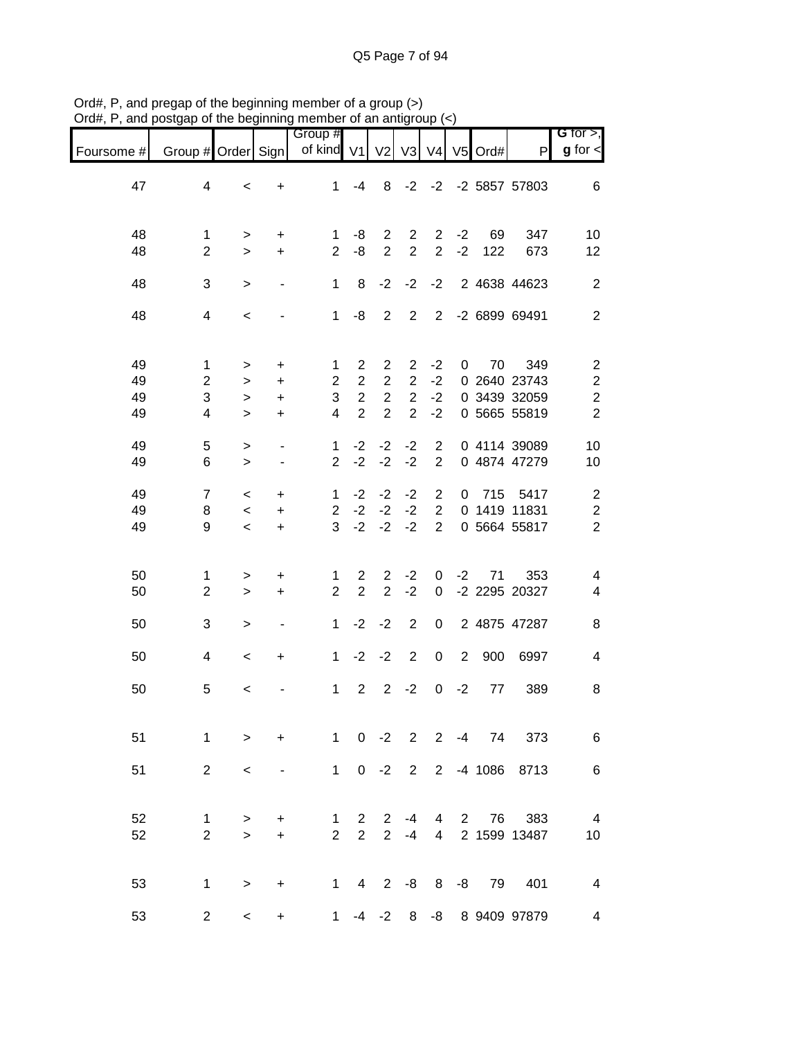|            |                     |                     |                                            | Group #             |                                  |                                    |                                  |                                  |              |            |                              | G for $>$ ,                               |
|------------|---------------------|---------------------|--------------------------------------------|---------------------|----------------------------------|------------------------------------|----------------------------------|----------------------------------|--------------|------------|------------------------------|-------------------------------------------|
| Foursome # | Group # Order Sign  |                     |                                            | of kind V1          |                                  | V <sub>2</sub>                     | V <sub>3</sub>                   | V <sub>4</sub>                   |              | $V5$ Ord#  | P                            | $g$ for $\lt$                             |
| 47         | 4                   | $\,<$               | +                                          | 1                   | $-4$                             | 8                                  |                                  |                                  |              |            | $-2$ $-2$ $-2$ 5857 57803    | 6                                         |
| 48<br>48   | 1<br>$\overline{2}$ | ><br>$\geq$         | +<br>$\ddot{}$                             | 1<br>$\overline{2}$ | -8<br>-8                         | $\overline{2}$<br>$\overline{2}$   | 2<br>$\overline{2}$              | $\overline{2}$<br>$\overline{2}$ | $-2$<br>$-2$ | 69<br>122  | 347<br>673                   | 10<br>12                                  |
| 48         | 3                   | $\geq$              | $\qquad \qquad \blacksquare$               | 1                   | 8                                | $-2$                               | $-2$                             | $-2$                             |              |            | 2 4638 44623                 | $\mathbf{2}$                              |
| 48         | $\overline{4}$      | $\,<$               |                                            | $\mathbf 1$         | -8                               | $\overline{2}$                     | $\overline{2}$                   | $2^{\circ}$                      |              |            | -2 6899 69491                | $\mathbf{2}$                              |
| 49         | 1                   | >                   | +                                          | 1                   | $\overline{2}$                   | $\overline{c}$                     | $\overline{2}$                   | $-2$                             | 0            | 70         | 349                          | $\overline{\mathbf{c}}$                   |
| 49         | $\overline{c}$      | $\geq$              | $\ddot{}$                                  | $\overline{2}$      | $\overline{2}$                   | $\overline{2}$                     | $\overline{2}$                   | $-2$                             |              |            | 0 2640 23743                 | $\overline{\mathbf{c}}$                   |
| 49<br>49   | 3<br>4              | $\geq$<br>$\geq$    | $\ddot{}$<br>$\ddot{}$                     | 3<br>4              | $\overline{2}$<br>$\overline{2}$ | $\boldsymbol{2}$<br>$\overline{2}$ | $\overline{2}$<br>$\overline{2}$ | $-2$<br>$-2$                     |              |            | 0 3439 32059<br>0 5665 55819 | $\overline{\mathbf{c}}$<br>$\overline{2}$ |
| 49<br>49   | 5<br>6              | $\, > \,$<br>$\geq$ | $\overline{\phantom{a}}$<br>$\blacksquare$ | 1<br>$\overline{2}$ | $-2$<br>$-2$                     | $-2$<br>$-2$                       | $-2$<br>$-2$                     | $\overline{2}$<br>$\overline{2}$ |              |            | 0 4114 39089<br>0 4874 47279 | 10<br>10                                  |
| 49         | $\overline{7}$      | $\,<\,$             | $\ddot{}$                                  | $\mathbf{1}$        | $-2$                             | $-2$                               | $-2$                             | $\overline{2}$                   | $\mathbf 0$  | 715        | 5417                         | $\overline{\mathbf{c}}$                   |
| 49         | 8                   | $\,<$               | $\ddot{}$                                  | $\overline{2}$      | $-2$                             | $-2$                               | $-2$                             | $\overline{2}$                   |              |            | 0 1419 11831                 | $\boldsymbol{2}$                          |
| 49         | 9                   | $\,<$               | $\ddot{}$                                  | 3                   | $-2$                             | $-2$                               | $-2$                             | $\overline{2}$                   |              |            | 0 5664 55817                 | $\overline{c}$                            |
| 50<br>50   | 1<br>$\overline{2}$ | ><br>$\, >$         | +<br>+                                     | 1<br>$\overline{2}$ | $\overline{2}$<br>$\overline{2}$ | 2<br>$\overline{2}$                | $-2$<br>$-2$                     | 0<br>0                           | $-2$         | 71         | 353<br>-2 2295 20327         | 4<br>4                                    |
|            |                     |                     |                                            |                     |                                  |                                    |                                  |                                  |              |            |                              |                                           |
| 50         | 3                   | >                   | $\overline{\phantom{a}}$                   | 1                   | $-2$                             | $-2$                               | $\overline{2}$                   | 0                                |              |            | 2 4875 47287                 | 8                                         |
| 50         | 4                   | $\,<$               | +                                          | 1                   | $-2$                             | $-2$                               | $\overline{2}$                   | $\pmb{0}$                        | 2            | 900        | 6997                         | 4                                         |
| 50         | 5                   | $\,<$               |                                            | 1                   | 2                                | $\overline{2}$                     | $-2$                             | 0                                | $-2$         | 77         | 389                          | 8                                         |
| 51         | $\mathbf{1}$        | $\geq$              | $+$                                        |                     |                                  |                                    |                                  |                                  |              |            | 1 0 -2 2 2 -4 74 373         | 6                                         |
| 51         | $2^{\circ}$         | $\prec$             | $\overline{\phantom{a}}$                   |                     |                                  |                                    |                                  |                                  |              |            | 1 0 -2 2 2 -4 1086 8713      | 6                                         |
| 52         | $\mathbf{1}$        | $\, > \,$           | $\ddot{}$                                  | $\mathbf 1$         | $\overline{2}$                   | $\overline{2}$                     | $-4$                             | 4                                | $2^{\circ}$  | 76         | 383                          | $\overline{4}$                            |
| 52         | $\overline{2}$      | $\geq$              | $+$                                        | $\overline{2}$      | $\overline{2}$                   | $\overline{2}$                     | $-4$                             | $\overline{4}$                   |              |            | 2 1599 13487                 | 10                                        |
| 53         | $\mathbf{1}$        | $\geq$              | $\ddot{}$                                  |                     | $1 \quad 4$                      | $2^{\circ}$                        |                                  |                                  |              | -8 8 -8 79 | 401                          | 4                                         |
| 53         | $\overline{2}$      | $\,<\,$             | $+$                                        | $1 \quad$           |                                  | $-4$ $-2$ 8                        |                                  |                                  |              |            | -8 8 9409 97879              | 4                                         |

Ord#, P, and pregap of the beginning member of a group (>) Ord#, P, and postgap of the beginning member of an antigroup (<)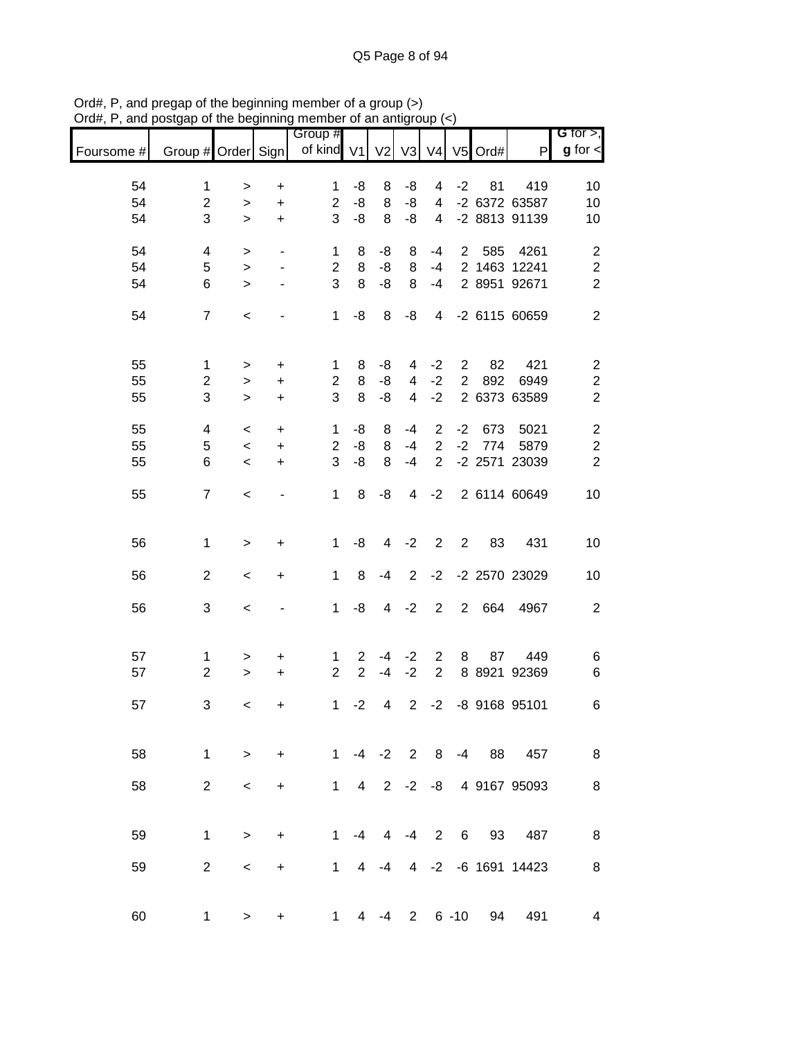|            |                    |                          |                          | Group #        |                |                  |                |                |                 |         |                       | G for $>$ ,             |
|------------|--------------------|--------------------------|--------------------------|----------------|----------------|------------------|----------------|----------------|-----------------|---------|-----------------------|-------------------------|
| Foursome # | Group # Order Sign |                          |                          | of kind V1     |                | V <sub>2</sub>   | V3             | V <sub>4</sub> |                 | V5 Ord# | P                     | $g$ for $\lt$           |
| 54         | $\mathbf{1}$       | >                        | +                        | 1              | -8             | 8                | -8             | 4              | $-2$            | 81      | 419                   | 10                      |
| 54         | $\overline{c}$     | >                        | $\ddot{}$                | $\overline{c}$ | -8             | 8                | -8             | 4              |                 |         | -2 6372 63587         | 10                      |
| 54         | 3                  | $\geq$                   | $\ddot{}$                | 3              | -8             | 8                | -8             | 4              |                 |         | -2 8813 91139         | 10                      |
|            |                    |                          |                          |                |                |                  |                |                |                 |         |                       |                         |
| 54         | 4                  | >                        | $\overline{\phantom{a}}$ | $\mathbf{1}$   | 8              | -8               | 8              | $-4$           | $\overline{2}$  | 585     | 4261                  | $\overline{\mathbf{c}}$ |
| 54         | 5                  | $\, > \,$                | $\blacksquare$           | $\overline{c}$ | 8              | -8               | 8              | $-4$           |                 |         | 2 1463 12241          | $\overline{c}$          |
| 54         | 6                  | $\geq$                   |                          | 3              | 8              | -8               | 8              | $-4$           |                 |         | 2 8951 92671          | $\overline{2}$          |
| 54         | $\overline{7}$     | $\,<$                    |                          | $\mathbf{1}$   | -8             | 8                | -8             | 4              |                 |         | -2 6115 60659         | $\overline{2}$          |
| 55         | 1                  |                          | $\ddot{}$                | 1              | 8              | -8               | 4              | $-2$           | $\overline{2}$  | 82      | 421                   | $\overline{\mathbf{c}}$ |
|            |                    | >                        |                          |                |                |                  |                |                |                 |         |                       |                         |
| 55         | $\overline{c}$     | $\, > \,$                | $\ddot{}$                | $\overline{c}$ | 8              | -8               | 4              | $-2$           | $\overline{2}$  | 892     | 6949                  | $\boldsymbol{2}$        |
| 55         | 3                  | $\, > \,$                | $\ddot{}$                | 3              | 8              | -8               | 4              | $-2$           |                 |         | 2 6373 63589          | $\overline{2}$          |
| 55         | 4                  | $\,<$                    | $\ddot{}$                | 1              | -8             | 8                | $-4$           | $\overline{2}$ | $-2$            | 673     | 5021                  | $\overline{\mathbf{c}}$ |
| 55         | 5                  | $\,<$                    | $\ddot{}$                | $\overline{c}$ | -8             | 8                | $-4$           | $\overline{2}$ | $-2$            | 774     | 5879                  | $\overline{c}$          |
| 55         | 6                  | $\,<$                    | $\ddot{}$                | 3              | -8             | 8                | $-4$           | $\overline{2}$ |                 |         | -2 2571 23039         | $\overline{2}$          |
|            |                    |                          |                          |                |                |                  |                |                |                 |         |                       |                         |
| 55         | $\overline{7}$     | $\,<$                    |                          | 1              | 8              | -8               | 4              | $-2$           |                 |         | 2 6114 60649          | 10                      |
|            |                    |                          |                          |                |                |                  |                |                |                 |         |                       |                         |
| 56         | 1                  | >                        | +                        | 1              | -8             | 4                | $-2$           | 2              | $\overline{2}$  | 83      | 431                   | 10                      |
| 56         | $\overline{2}$     | $\,<$                    | +                        | 1              | 8              | -4               | $\overline{2}$ | $-2$           |                 |         | -2 2570 23029         | 10                      |
| 56         | 3                  |                          |                          | $\mathbf{1}$   | -8             | 4                | $-2$           | $\overline{2}$ | $\overline{2}$  | 664     | 4967                  | $\boldsymbol{2}$        |
|            |                    | $\,<$                    |                          |                |                |                  |                |                |                 |         |                       |                         |
| 57         | 1                  | >                        | +                        | 1              | $\overline{2}$ | $-4$             | $-2$           | $\overline{2}$ | 8               | 87      | 449                   | 6                       |
| 57         | $\overline{2}$     | $\, > \,$                | $\ddot{}$                | $\overline{2}$ | $\overline{2}$ | $-4$             | $-2$           | $\overline{2}$ |                 |         | 8 8921 92369          | 6                       |
|            |                    |                          |                          |                |                |                  |                |                |                 |         |                       |                         |
| 57         | 3                  | $\,<$                    | +                        | 1              | $-2$           | 4                | $\overline{2}$ | $-2$           |                 |         | -8 9168 95101         | 6                       |
|            |                    |                          |                          |                |                |                  |                |                |                 |         |                       |                         |
| 58         |                    | $1 \quad \Box$<br>$\geq$ | $+$                      |                |                |                  |                |                |                 |         | 1 -4 -2 2 8 -4 88 457 | 8                       |
| 58         | $\overline{2}$     | $\,<\,$                  | $\ddot{}$                |                |                | $1 \t4 \t2 \t-2$ |                |                |                 |         | -8 4 9167 95093       | 8                       |
|            |                    |                          |                          |                |                |                  |                |                |                 |         |                       |                         |
| 59         | $\mathbf{1}$       | $\geq$                   | $\ddot{}$                | 1              | $-4$           | $\overline{4}$   | $-4$           | 2              | $6\overline{6}$ | 93      | 487                   | 8                       |
|            |                    |                          |                          |                |                |                  |                |                |                 |         |                       |                         |
| 59         | $\overline{2}$     | $\,<$                    | $\ddot{}$                | 1              | 4              | -4               |                |                |                 |         | 4 -2 -6 1691 14423    | 8                       |
|            |                    |                          |                          |                |                |                  |                |                |                 |         |                       |                         |
| 60         | 1.                 | $\,>$                    | +                        | 1              | 4              | $-4$             |                | $2 \t 6 -10$   |                 | 94      | 491                   | 4                       |

Ord#, P, and pregap of the beginning member of a group (>) Ord#, P, and postgap of the beginning member of an antigroup (<)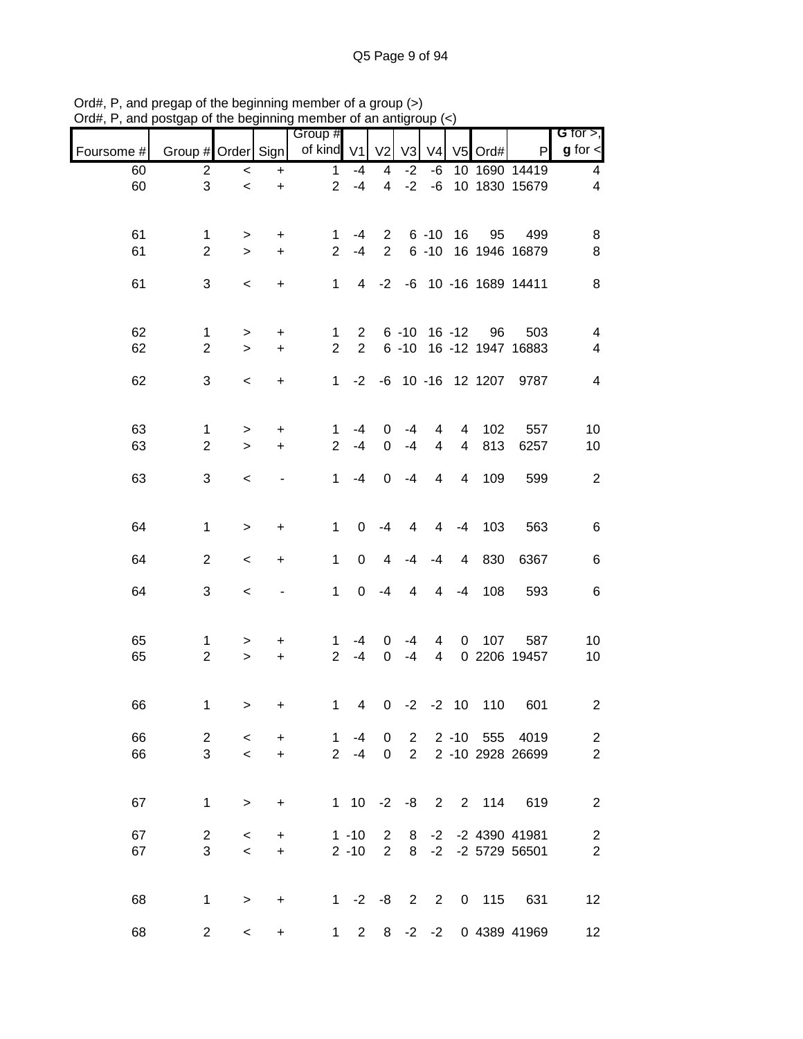|            |                     |           |           | Group #        |                                  |                         |                      |                |                |      |                                            | G for $>$ ,             |
|------------|---------------------|-----------|-----------|----------------|----------------------------------|-------------------------|----------------------|----------------|----------------|------|--------------------------------------------|-------------------------|
| Foursome # | Group # Order Sign  |           |           | of kind V1     |                                  | V <sub>2</sub>          | V <sub>3</sub>       | V <sub>4</sub> | V <sub>5</sub> | Ord# | P                                          | $g$ for $\lt$           |
| 60         | 2                   | $\,<\,$   | $\ddot{}$ | $\mathbf{1}$   | $-4$                             | 4                       | $-2$                 | -6             |                |      | 10 1690 14419                              | 4                       |
| 60         | 3                   | $\,<$     | $\ddot{}$ | $\overline{2}$ | $-4$                             | $\overline{\mathbf{4}}$ | $-2$                 | $-6$           |                |      | 10 1830 15679                              | 4                       |
|            |                     |           |           |                |                                  |                         |                      |                |                |      |                                            |                         |
| 61         | 1                   | >         | +         | 1              | -4                               | $\overline{2}$          |                      | $6 - 10$       | 16             | 95   | 499                                        | 8                       |
| 61         | $\overline{2}$      | $\geq$    | $\ddot{}$ | $\overline{2}$ | $-4$                             | $\overline{2}$          |                      | $6 - 10$       |                |      | 16 1946 16879                              | 8                       |
| 61         | 3                   | $\,<$     | +         | $\mathbf{1}$   | 4                                | $-2$                    | -6                   |                |                |      | 10 -16 1689 14411                          | 8                       |
|            |                     |           |           |                |                                  |                         |                      |                |                |      |                                            |                         |
|            |                     |           |           |                |                                  |                         |                      |                |                |      |                                            |                         |
| 62<br>62   | 1<br>$\overline{2}$ | >         | +         | 1<br>2         | $\overline{2}$<br>$\overline{2}$ |                         | $6 - 10$<br>$6 - 10$ |                | $16 - 12$      | 96   | 503<br>16 -12 1947 16883                   | 4<br>4                  |
|            |                     | $\geq$    | $\ddot{}$ |                |                                  |                         |                      |                |                |      |                                            |                         |
| 62         | 3                   | $\,<$     | +         | $\mathbf{1}$   | $-2$                             |                         |                      |                |                |      | -6 10 -16 12 1207 9787                     | 4                       |
|            |                     |           |           |                |                                  |                         |                      |                |                |      |                                            |                         |
| 63         | 1                   | $\, > \,$ | +         | 1              | $-4$                             | 0                       | $-4$                 | 4              | 4              | 102  | 557                                        | 10                      |
| 63         | $\overline{2}$      | $\geq$    | $+$       | $\overline{2}$ | $-4$                             | $\mathbf 0$             | $-4$                 | 4              | 4              | 813  | 6257                                       | 10                      |
|            |                     |           |           |                |                                  |                         |                      |                |                |      |                                            |                         |
| 63         | 3                   | $\,<\,$   |           | $\mathbf 1$    | $-4$                             | $\mathbf 0$             | $-4$                 | 4              | 4              | 109  | 599                                        | $\overline{2}$          |
|            |                     |           |           |                |                                  |                         |                      |                |                |      |                                            |                         |
| 64         | $\mathbf 1$         | $\geq$    | $\ddot{}$ | 1              | 0                                | $-4$                    | 4                    | $\overline{4}$ | $-4$           | 103  | 563                                        | 6                       |
|            |                     |           |           |                |                                  |                         |                      |                |                |      |                                            |                         |
| 64         | $\overline{2}$      | $\,<\,$   | +         | $\mathbf{1}$   | 0                                | 4                       | -4                   | $-4$           | 4              | 830  | 6367                                       | 6                       |
| 64         | 3                   | $\,<\,$   |           | $\mathbf{1}$   | 0                                | $-4$                    | 4                    | 4              | $-4$           | 108  | 593                                        | 6                       |
|            |                     |           |           |                |                                  |                         |                      |                |                |      |                                            |                         |
| 65         | 1                   | >         | +         | 1              | -4                               | 0                       | -4                   | 4              | 0              | 107  | 587                                        | 10                      |
| 65         | $\overline{c}$      | $\,>$     | $\ddot{}$ | $\overline{2}$ | $-4$                             | $\boldsymbol{0}$        | $-4$                 | 4              |                |      | 0 2206 19457                               | 10                      |
|            |                     |           |           |                |                                  |                         |                      |                |                |      |                                            |                         |
| 66         | 1                   |           |           | 1              | 4                                | 0                       | $-2$                 |                | $-2$ 10        | 110  | 601                                        | $\overline{\mathbf{c}}$ |
|            |                     | >         | +         |                |                                  |                         |                      |                |                |      |                                            |                         |
| 66         | $\overline{2}$      | $\prec$   | $\ddot{}$ |                | $1 - 4$                          | 0                       |                      |                |                |      | 2 2 -10 555 4019                           | $\overline{c}$          |
| 66         | 3                   | $\prec$   | $+$       |                | $2 - 4$                          | $\mathbf 0$             | 2                    |                |                |      | 2 -10 2928 26699                           | $\overline{2}$          |
|            |                     |           |           |                |                                  |                         |                      |                |                |      |                                            |                         |
| 67         | $\mathbf{1}$        | $\geq$    | $\ddot{}$ |                | $1 \t10 \t-2$                    |                         |                      |                |                |      | -8 2 2 114 619                             | $\overline{c}$          |
|            |                     |           |           |                |                                  |                         |                      |                |                |      |                                            |                         |
| 67         | $\overline{2}$<br>3 | $\,<\,$   | $\ddot{}$ |                | $1 - 10$<br>$2 - 10$             | $\overline{2}$          |                      |                |                |      | 8 -2 -2 4390 41981<br>2 8 -2 -2 5729 56501 | $\overline{\mathbf{c}}$ |
| 67         |                     | $\prec$   | $+$       |                |                                  |                         |                      |                |                |      |                                            | $\overline{2}$          |
|            |                     |           |           |                |                                  |                         |                      |                |                |      |                                            |                         |
| 68         | $\mathbf{1}$        | $\geq$    | $\ddot{}$ |                |                                  |                         |                      |                |                |      | 1 -2 -8 2 2 0 115 631                      | 12                      |
| 68         | $\overline{2}$      | $\,<\,$   | $\ddot{}$ |                |                                  |                         |                      |                |                |      | 1 2 8 -2 -2 0 4389 41969                   | 12 <sub>2</sub>         |

Ord#, P, and pregap of the beginning member of a group (>) Ord#, P, and postgap of the beginning member of an antigroup (<)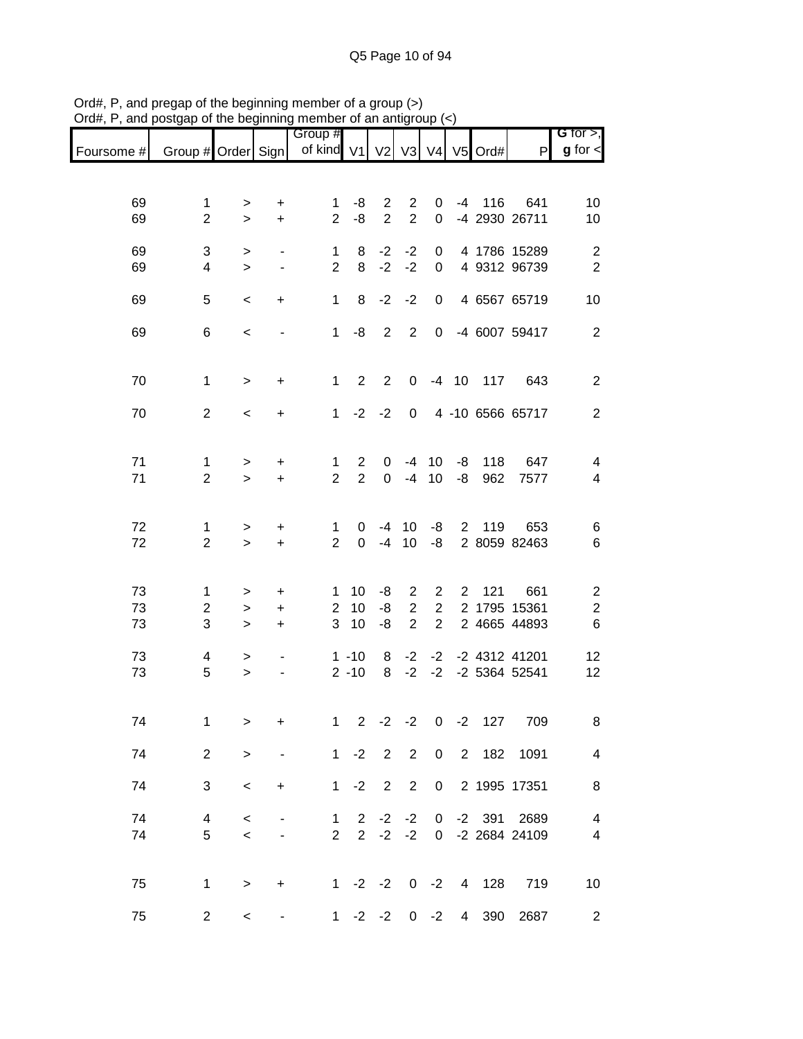|            |                           |              |                          | Group #             |                  |                |                |                |                |               |                     | G for $>$ ,             |
|------------|---------------------------|--------------|--------------------------|---------------------|------------------|----------------|----------------|----------------|----------------|---------------|---------------------|-------------------------|
| Foursome # | Group # Order Sign        |              |                          | of kind V1 V2       |                  |                |                |                |                | V3 V4 V5 Ord# | P                   | $g$ for $\lt$           |
|            |                           |              |                          |                     |                  |                |                |                |                |               |                     |                         |
| 69         | 1                         | >            | $\ddot{}$                | 1                   | -8               | $\overline{2}$ | $\overline{2}$ | 0              | -4             | 116           | 641                 | 10                      |
| 69         | $\overline{2}$            | $\,>$        | $\ddot{}$                | $\overline{2}$      | -8               | $\overline{2}$ | $\overline{2}$ | 0              |                |               | -4 2930 26711       | 10                      |
| 69         | 3                         | >            | $\overline{\phantom{a}}$ | 1                   | 8                | $-2$           | $-2$           | 0              |                |               | 4 1786 15289        | $\overline{2}$          |
| 69         | $\overline{\mathbf{4}}$   | $\,>$        | $\blacksquare$           | $\overline{2}$      | 8                | $-2$           | $-2$           | $\pmb{0}$      |                |               | 4 9312 96739        | $\overline{2}$          |
| 69         | 5                         | $\,<$        | +                        | $\mathbf 1$         | 8                | $-2$           | $-2$           | 0              |                |               | 4 6567 65719        | 10                      |
| 69         | 6                         | $\,<\,$      |                          | $\mathbf{1}$        | -8               | 2              | $\overline{2}$ | $\mathbf 0$    |                |               | -4 6007 59417       | $\overline{2}$          |
|            |                           |              |                          |                     |                  |                |                |                |                |               |                     |                         |
| 70         | 1                         | $\, > \,$    | +                        | 1                   | 2                | $\overline{2}$ | 0              |                | $-4$ 10        | 117           | 643                 | $\overline{2}$          |
| 70         | $\overline{2}$            | $\,<\,$      | +                        | $\mathbf{1}$        | $-2$             | $-2$           | $\mathbf 0$    |                |                |               | 4 -10 6566 65717    | $\overline{2}$          |
|            |                           |              |                          |                     |                  |                |                |                |                |               |                     |                         |
| 71         | 1                         | $\, > \,$    | $\ddot{}$                | 1                   | $\overline{2}$   | 0              | -4             | 10             | -8             | 118           | 647                 | 4                       |
| 71         | $\overline{2}$            | $\geq$       | $\ddot{}$                | $\overline{2}$      | $\overline{2}$   | $\Omega$       | $-4$           | 10             | -8             | 962           | 7577                | $\overline{\mathbf{4}}$ |
|            |                           |              |                          |                     |                  |                |                |                |                |               |                     |                         |
| 72<br>72   | 1<br>$\overline{2}$       | ><br>$\,>$   | $\ddot{}$<br>$\ddot{}$   | 1<br>$\overline{2}$ | 0<br>$\mathbf 0$ | $-4$<br>$-4$   | 10<br>10       | -8<br>-8       | $2^{\circ}$    | 119           | 653<br>2 8059 82463 | 6<br>$\,6$              |
|            |                           |              |                          |                     |                  |                |                |                |                |               |                     |                         |
| 73         | 1                         | >            | $\mathbf +$              | 1                   | 10               | -8             | $\overline{c}$ | $\overline{2}$ | $\overline{2}$ | 121           | 661                 | $\overline{\mathbf{c}}$ |
| 73         | $\overline{c}$            | $\, > \,$    | $\ddot{}$                | $\overline{c}$      | 10               | -8             | $\sqrt{2}$     | $\overline{2}$ |                |               | 2 1795 15361        | $\overline{\mathbf{c}}$ |
| 73         | $\ensuremath{\mathsf{3}}$ | >            | +                        | 3                   | 10               | -8             | $\overline{2}$ | $\overline{2}$ |                |               | 2 4665 44893        | $6\phantom{1}6$         |
| 73         | 4                         | >            | $\overline{\phantom{a}}$ |                     | $1 - 10$         | 8              | $-2$           | $-2$           |                |               | -2 4312 41201       | 12                      |
| 73         | 5                         | $\,$         | $\overline{\phantom{a}}$ |                     | $2 - 10$         | 8              | $-2$           | $-2$           |                |               | -2 5364 52541       | 12                      |
|            |                           |              |                          |                     |                  |                |                |                |                |               |                     |                         |
| 74         | 1                         | $\mathbf{I}$ | $\ddot{}$                | $\mathbf{1}$        | $\overline{2}$   | $-2 -2$        |                | $\mathbf 0$    | $-2$           | 127           | 709                 | 8                       |
| 74         | $\overline{2}$            | $\, > \,$    |                          |                     | $1 -2$           | $\overline{2}$ | $\overline{2}$ | 0              |                | 2 182         | 1091                | $\overline{4}$          |
| 74         | 3                         | $\,<\,$      | +                        | $1 -$               | $-2$             | $\overline{2}$ | 2              | 0              |                |               | 2 1995 17351        | 8                       |
| 74         | 4                         | $\,<$        |                          | 1                   | $\overline{2}$   | $-2$           | $-2$           | $\overline{0}$ |                | $-2$ 391      | 2689                | $\overline{4}$          |
| 74         | 5                         | $\,<$        |                          | $\overline{2}$      | $\overline{2}$   | $-2$           | $-2$           | $\mathbf 0$    |                |               | -2 2684 24109       | $\overline{\mathbf{4}}$ |
|            |                           |              |                          |                     |                  |                |                |                |                |               |                     |                         |
| 75         | 1                         | $\, > \,$    | +                        |                     | $1 -2 -2$        |                |                | $0 -2$         |                | 4 128         | 719                 | 10                      |
| 75         | $\overline{c}$            | $\,<\,$      |                          | $1 \quad$           |                  | $-2$ $-2$      | 0              | $-2$           | 4              | 390           | 2687                | $\overline{2}$          |

Ord#, P, and pregap of the beginning member of a group (>) Ord#, P, and postgap of the beginning member of an antigroup (<)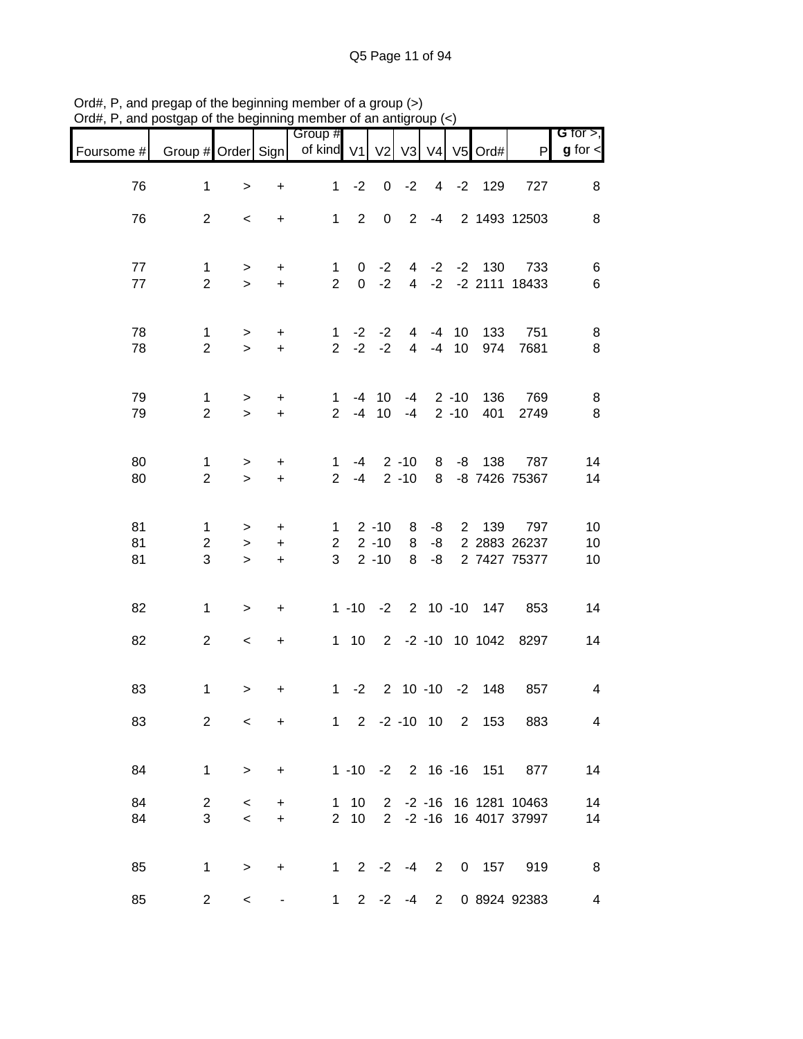| $71$ u $\pi,1$ | , and posigap or the beginning member or an antigroup $(\leq)$ |                            |                               |                                     |                |                                  |                      |                |                          |                       |                                                  |                              |
|----------------|----------------------------------------------------------------|----------------------------|-------------------------------|-------------------------------------|----------------|----------------------------------|----------------------|----------------|--------------------------|-----------------------|--------------------------------------------------|------------------------------|
| Foursome #     | Group # Order Sign                                             |                            |                               | Group #<br>of kind V1               |                | V <sub>2</sub>                   |                      | V3 V4          |                          | V5 Ord#               | P                                                | G for $>$ ,<br>$g$ for $\lt$ |
| 76             | $\mathbf 1$                                                    | $\geq$                     | $\ddot{}$                     | 1                                   | $-2$           | $\mathbf 0$                      | $-2$                 |                |                          | 4 -2 129              | 727                                              | 8                            |
| 76             | $\overline{2}$                                                 | $\,<\,$                    | $\ddot{}$                     |                                     |                |                                  |                      |                |                          |                       | 1 2 0 2 -4 2 1493 12503                          | 8                            |
| 77<br>77       | $\mathbf{1}$<br>$\overline{2}$                                 | $\geq$<br>$\geq$           | $\ddot{}$<br>$+$              | $\mathbf{1}$<br>$\overline{2}$      | $\overline{0}$ | $0 -2$<br>$-2$                   |                      |                |                          | 4 -2 -2 130           | 733<br>4 -2 -2 2111 18433                        | 6<br>6                       |
| 78<br>78       | $\mathbf 1$<br>$\overline{2}$                                  | $\geq$<br>$\geq$           | $\ddot{}$<br>$\ddot{}$        | $\mathbf{1}$<br>$2^{\circ}$         |                | $-2$ $-2$<br>$-2 -2$             |                      |                | 4 -4 10<br>4 -4 10       | 133<br>974            | 751<br>7681                                      | 8<br>8                       |
| 79<br>79       | $\mathbf{1}$<br>$\overline{2}$                                 | $\, > \,$<br>$\geq$        | $\ddot{}$<br>$+$              | $\mathbf 1$<br>$\overline{2}$       | $-4$           | $-4$ 10<br>10                    | $-4$                 |                | $-4$ 2 $-10$<br>$2 - 10$ | 136<br>401            | 769<br>2749                                      | 8<br>8                       |
| 80<br>80       | 1<br>$\overline{2}$                                            | $\, > \,$<br>$\geq$        | $\ddot{}$<br>$\ddot{}$        | $\mathbf 1$<br>$\overline{2}$       | -4<br>$-4$     |                                  | $2 - 10$<br>$2 - 10$ | 8              | $8 - 8$                  | 138                   | 787<br>-8 7426 75367                             | 14<br>14                     |
| 81<br>81<br>81 | $\mathbf 1$<br>$\overline{2}$<br>3                             | $\geq$<br>$\geq$<br>$\geq$ | $\ddot{}$<br>$\ddot{}$<br>$+$ | $\mathbf{1}$<br>$\overline{2}$<br>3 |                | $2 - 10$<br>$2 - 10$<br>$2 - 10$ | 8<br>8<br>8          | -8<br>-8<br>-8 | $\overline{2}$           | 139                   | 797<br>2 2883 26237<br>2 7427 75377              | 10<br>10<br>10               |
| 82             | $\mathbf{1}$                                                   | $\geq$                     | $\ddot{}$                     |                                     |                |                                  |                      |                |                          | 1 -10 -2 2 10 -10 147 | 853                                              | 14                           |
| 82             | $\overline{2}$                                                 | $\,<\,$                    | $\ddot{}$                     |                                     |                |                                  |                      |                |                          |                       | 1 10 2 -2 -10 10 1042 8297                       | 14                           |
| 83             | $\mathbf{1}$                                                   | $\, > \,$                  | +                             |                                     |                |                                  |                      |                |                          | 1 -2 2 10 -10 -2 148  | 857                                              | $\overline{\mathbf{4}}$      |
| 83             | $\overline{2}$                                                 | $\,<\,$                    | $\ddot{}$                     |                                     |                |                                  |                      |                |                          | 1 2 -2 -10 10 2 153   | 883                                              | 4                            |
| 84             | $\mathbf 1$                                                    | $\geq$                     | $\ddot{}$                     |                                     |                |                                  |                      |                | $1 - 10 - 2$ 2 16 -16    | 151                   | 877                                              | 14                           |
| 84<br>84       | $\overline{2}$<br>3                                            | $\,<\,$<br>$\prec$         | $\ddot{}$<br>$+$              | $2^{\circ}$                         | $1 10$<br>10   |                                  |                      |                |                          |                       | 2 -2 -16 16 1281 10463<br>2 -2 -16 16 4017 37997 | 14<br>14                     |
| 85             | $\mathbf{1}$                                                   | $\,>$                      | $\ddot{}$                     |                                     |                |                                  |                      |                |                          | 1 2 -2 -4 2 0 157     | 919                                              | 8                            |
| 85             | $\overline{2}$                                                 | $\,<\,$                    |                               | 1                                   |                |                                  |                      |                |                          |                       | 2 -2 -4 2 0 8924 92383                           | 4                            |

Ord#, P, and pregap of the beginning member of a group (>) Ord#, P, and postgap of the beginning member of an antigroup (<)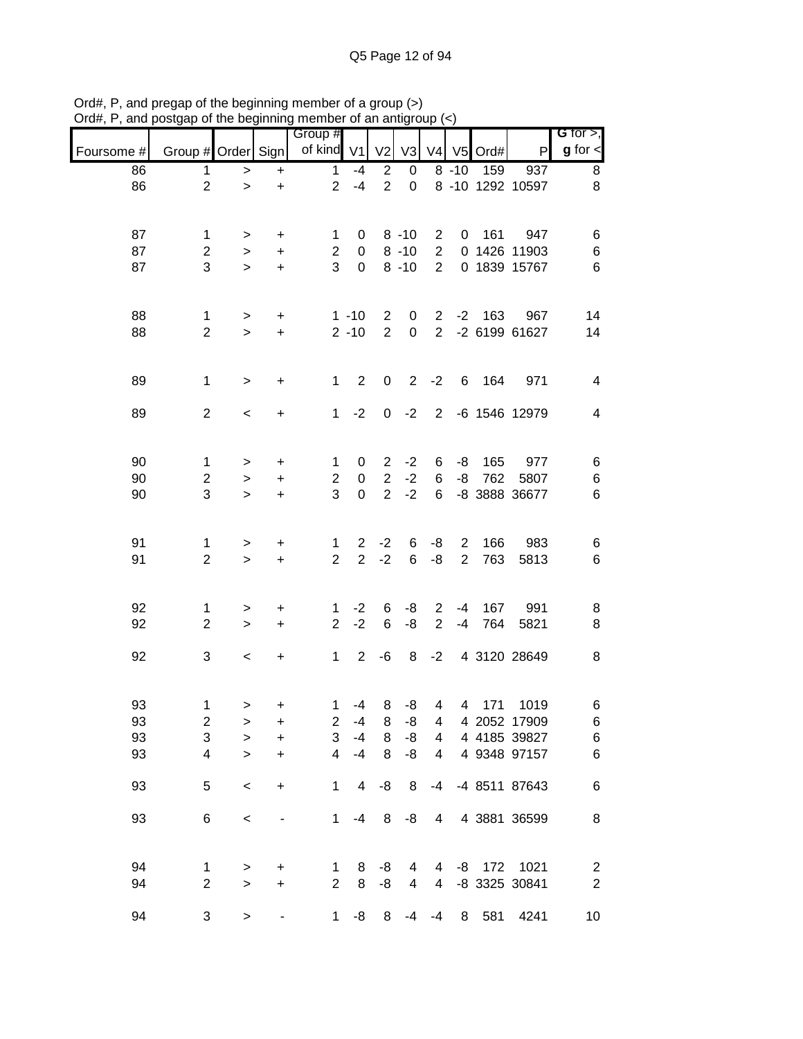|            |                         |           |                        | Group #                 |                                  |                |                |                 |                     |            |                  | <b>G</b> for $>$ ,      |
|------------|-------------------------|-----------|------------------------|-------------------------|----------------------------------|----------------|----------------|-----------------|---------------------|------------|------------------|-------------------------|
| Foursome # | Group # Order Sign      |           |                        | of kind V1              |                                  | V <sub>2</sub> | V <sub>3</sub> | V <sub>4</sub>  | V <sub>5</sub>      | Ord#       | P                | $g$ for $\textsf{I}$    |
| 86         | 1                       | >         | $\ddot{}$              | $\mathbf{1}$            | $-4$                             | $\overline{2}$ | $\pmb{0}$      |                 | $8 - 10$            | 159        | 937              | 8                       |
| 86         | $\overline{2}$          | $\, > \,$ | $\ddot{}$              | $\overline{2}$          | $-4$                             | $\overline{2}$ | $\mathbf 0$    |                 |                     |            | 8 -10 1292 10597 | 8                       |
|            |                         |           |                        |                         |                                  |                |                |                 |                     |            |                  |                         |
| 87         | 1                       |           |                        | 1                       | 0                                |                | $8 - 10$       | 2               | 0                   | 161        | 947              | 6                       |
| 87         | $\overline{c}$          | ><br>>    | $\ddot{}$<br>$\ddot{}$ | $\overline{\mathbf{c}}$ | $\pmb{0}$                        |                | $8 - 10$       | $\sqrt{2}$      |                     |            | 0 1426 11903     | $\,6$                   |
| 87         | 3                       | $\geq$    | $\ddot{}$              | 3                       | $\mathbf 0$                      |                | $8 - 10$       | $\overline{2}$  |                     |            | 0 1839 15767     | $\,6$                   |
|            |                         |           |                        |                         |                                  |                |                |                 |                     |            |                  |                         |
|            |                         |           |                        |                         |                                  |                |                |                 |                     |            |                  |                         |
| 88         | 1                       | >         | $\mathbf +$            |                         | $1 - 10$                         | $\overline{2}$ | 0              | $\overline{2}$  | $-2$                | 163        | 967              | 14                      |
| 88         | $\overline{2}$          | $\,>$     | $\ddot{}$              |                         | $2 - 10$                         | $\overline{2}$ | $\mathbf 0$    | $\overline{2}$  |                     |            | -2 6199 61627    | 14                      |
|            |                         |           |                        |                         |                                  |                |                |                 |                     |            |                  |                         |
| 89         | 1                       | $\, > \,$ | $\ddot{}$              | 1                       | $\overline{2}$                   | $\pmb{0}$      | $\overline{2}$ | $-2$            | 6                   | 164        | 971              | $\overline{\mathbf{4}}$ |
|            |                         |           |                        |                         |                                  |                |                |                 |                     |            |                  |                         |
| 89         | $\overline{2}$          | $\,<\,$   | $\ddot{}$              | $\mathbf{1}$            | $-2$                             | $\mathbf 0$    | $-2$           | $\overline{2}$  |                     |            | -6 1546 12979    | 4                       |
|            |                         |           |                        |                         |                                  |                |                |                 |                     |            |                  |                         |
| 90         | 1                       | >         | $\mathbf +$            | 1                       | 0                                | $\overline{c}$ | $-2$           | 6               | -8                  | 165        | 977              | 6                       |
| 90         | $\overline{2}$          | $\, > \,$ | $\ddot{}$              | $\overline{c}$          | $\pmb{0}$                        | $\overline{2}$ | $-2$           | $\,6$           | -8                  | 762        | 5807             | $\,6$                   |
| 90         | 3                       | $\geq$    | $\ddot{}$              | 3                       | $\mathbf 0$                      | $\overline{2}$ | $-2$           | $6\phantom{1}6$ |                     |            | -8 3888 36677    | $\,6$                   |
|            |                         |           |                        |                         |                                  |                |                |                 |                     |            |                  |                         |
|            |                         |           |                        |                         |                                  |                |                |                 |                     |            |                  |                         |
| 91<br>91   | 1<br>$\overline{c}$     | >         | $\mathbf +$            | 1<br>$\overline{2}$     | $\overline{2}$<br>$\overline{2}$ | $-2$<br>$-2$   | 6<br>6         | -8<br>-8        | 2<br>$\overline{2}$ | 166<br>763 | 983              | 6<br>$\,6$              |
|            |                         | $\, > \,$ | $\ddot{}$              |                         |                                  |                |                |                 |                     |            | 5813             |                         |
|            |                         |           |                        |                         |                                  |                |                |                 |                     |            |                  |                         |
| 92         | 1                       | >         | $\ddot{}$              | 1                       | $-2$                             | 6              | -8             | $\overline{2}$  | -4                  | 167        | 991              | 8                       |
| 92         | $\overline{c}$          | $\,>$     | $\ddot{}$              | $\overline{2}$          | $-2$                             | $\,6$          | -8             | $\overline{2}$  | $-4$                | 764        | 5821             | 8                       |
|            |                         |           |                        |                         |                                  |                |                |                 |                     |            |                  |                         |
| 92         | 3                       | $\,<$     | +                      | $\mathbf{1}$            | $\overline{2}$                   | -6             | 8              | $-2$            |                     |            | 4 3120 28649     | 8                       |
|            |                         |           |                        |                         |                                  |                |                |                 |                     |            |                  |                         |
| 93         | 1                       | >         | +                      | 1                       | $-4$                             | 8              | -8             | 4               | 4                   | 171        | 1019             | 6                       |
| 93         | $\overline{\mathbf{c}}$ | >         | $\ddot{}$              | $\overline{2}$          | $-4$                             | 8              | -8             | 4               |                     |            | 4 2052 17909     | 6                       |
| 93         | 3                       | $\geq$    | $\ddot{}$              | 3                       | $-4$                             | 8              | -8             | 4               |                     |            | 4 4185 39827     | $\,6$                   |
| 93         | $\overline{\mathbf{4}}$ | $\geq$    | $\ddot{}$              | $\overline{4}$          | $-4$                             | 8              | -8             | $\overline{4}$  |                     |            | 4 9348 97157     | $\,6$                   |
| 93         | 5                       |           | $\ddot{}$              | $\mathbf{1}$            | 4                                | -8             | 8              | $-4$            |                     |            | -4 8511 87643    | $\,6$                   |
|            |                         | $\,<$     |                        |                         |                                  |                |                |                 |                     |            |                  |                         |
| 93         | 6                       | $\,<$     |                        | 1                       | $-4$                             | 8              | -8             | 4               |                     |            | 4 3881 36599     | 8                       |
|            |                         |           |                        |                         |                                  |                |                |                 |                     |            |                  |                         |
|            |                         |           |                        |                         |                                  |                |                |                 |                     |            |                  |                         |
| 94         | 1                       | >         | $\mathbf +$            | $\mathbf{1}$            | 8                                | -8             | 4              | 4               |                     | -8 172     | 1021             | $\overline{\mathbf{c}}$ |
| 94         | $\overline{2}$          | $\geq$    | $\ddot{}$              | $\overline{2}$          | 8                                | -8             | 4              | $\overline{4}$  |                     |            | -8 3325 30841    | $\overline{2}$          |
| 94         | 3                       | $\, >$    |                        | $\mathbf{1}$            | -8                               | 8              | -4             | $-4$            | 8                   | 581        | 4241             | 10                      |

Ord#, P, and pregap of the beginning member of a group (>) Ord#, P, and postgap of the beginning member of an antigroup (<)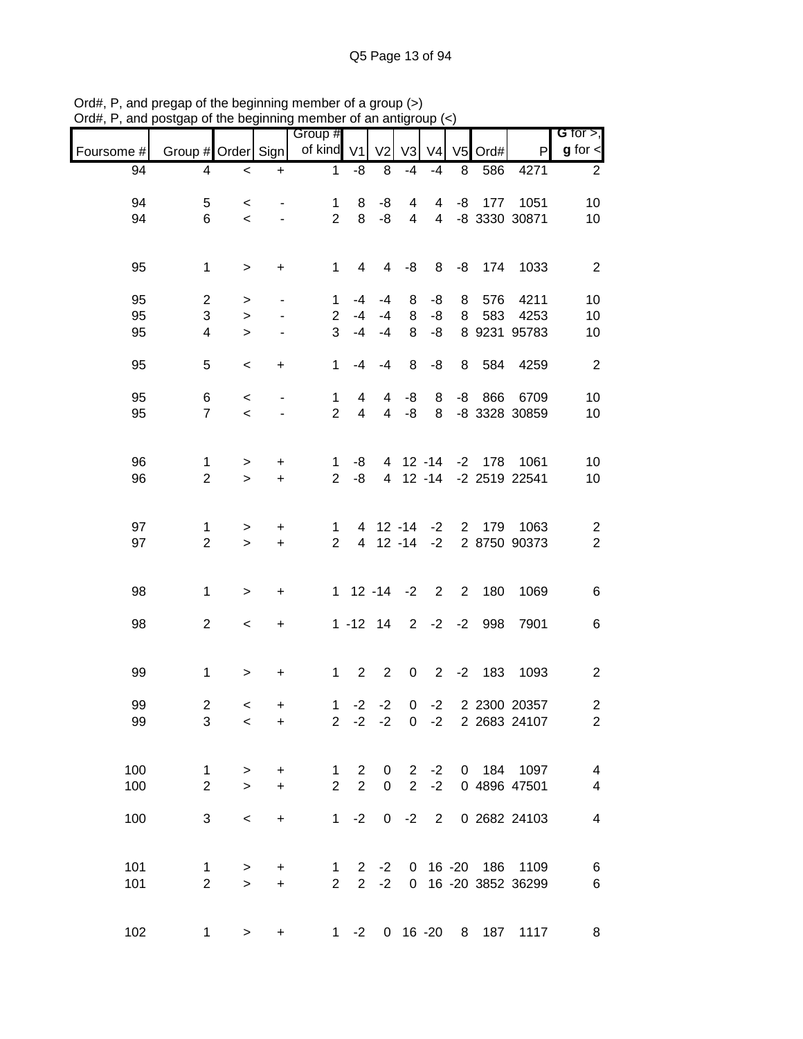|            |                     |                        |                              | Group #                        |                |                  |                         |                |                |          |                                        | <b>G</b> for $>$ ,       |
|------------|---------------------|------------------------|------------------------------|--------------------------------|----------------|------------------|-------------------------|----------------|----------------|----------|----------------------------------------|--------------------------|
| Foursome # | Group # Order Sign  |                        |                              | of kind                        | V <sub>1</sub> | V <sub>2</sub>   | V <sub>3</sub>          | V <sub>4</sub> | V <sub>5</sub> | Ord#     | P                                      | $g$ for $\lt$            |
| 94         | 4                   | $\,<\,$                | $\ddot{}$                    | $\mathbf{1}$                   | -8             | 8                | $-4$                    | $-4$           | 8              | 586      | 4271                                   | 2                        |
| 94         | 5                   | $\,<\,$                |                              | 1                              | 8              | -8               | 4                       | 4              | -8             | 177      | 1051                                   | 10                       |
| 94         | 6                   | $\prec$                |                              | $\overline{2}$                 | 8              | -8               | $\overline{\mathbf{4}}$ | $\overline{4}$ |                |          | -8 3330 30871                          | 10                       |
|            |                     |                        |                              |                                |                |                  |                         |                |                |          |                                        |                          |
| 95         | $\mathbf{1}$        | $\, > \,$              | +                            | $\mathbf{1}$                   | 4              | 4                | -8                      | 8              | -8             | 174      | 1033                                   | $\overline{2}$           |
| 95         | $\overline{2}$      | >                      | $\overline{\phantom{a}}$     | 1                              | -4             | $-4$             | 8                       | -8             | 8              | 576      | 4211                                   | 10                       |
| 95         | 3                   | $\,>$                  | $\overline{\phantom{a}}$     | $\overline{2}$                 | $-4$           | $-4$             | 8                       | -8             | 8              | 583      | 4253                                   | 10                       |
| 95         | 4                   | $\geq$                 | $\frac{1}{2}$                | 3                              | $-4$           | $-4$             | 8                       | -8             |                |          | 8 9231 95783                           | 10                       |
|            |                     |                        |                              |                                |                |                  |                         |                |                |          |                                        |                          |
| 95         | 5                   | $\,<$                  | $\ddot{}$                    | 1                              | -4             | $-4$             | 8                       | -8             | 8              | 584      | 4259                                   | $\overline{2}$           |
| 95         | 6                   | $\,<\,$                | $\qquad \qquad \blacksquare$ | $\mathbf{1}$                   | 4              | $\overline{4}$   | -8                      | 8              | -8             | 866      | 6709                                   | 10                       |
| 95         | $\overline{7}$      | $\prec$                |                              | $\overline{2}$                 | 4              | $\overline{4}$   | -8                      | 8              |                |          | -8 3328 30859                          | 10                       |
|            |                     |                        |                              |                                |                |                  |                         |                |                |          |                                        |                          |
| 96         | $\mathbf{1}$        | >                      | $\ddot{}$                    | 1                              | -8             |                  |                         | 4 12 -14       |                | $-2$ 178 | 1061                                   | 10                       |
| 96         | $\overline{2}$      | $\geq$                 | $\ddot{}$                    | $\overline{2}$                 | -8             |                  |                         | 4 12 -14       |                |          | -2 2519 22541                          | 10                       |
|            |                     |                        |                              |                                |                |                  |                         |                |                |          |                                        |                          |
| 97         | 1                   | >                      | +                            | 1                              |                | 4 12 -14         |                         | $-2$           | $2^{\circ}$    | 179      | 1063                                   | $\overline{c}$           |
| 97         | $\overline{2}$      | $\geq$                 | $\ddot{}$                    | $\overline{2}$                 | $\overline{4}$ |                  | $12 - 14$               | $-2$           |                |          | 2 8750 90373                           | $\overline{2}$           |
|            |                     |                        |                              |                                |                |                  |                         |                |                |          |                                        |                          |
| 98         | $\mathbf{1}$        | $\,$                   | +                            | 1                              |                | $12 - 14$        | $-2$                    | 2              | $2^{\circ}$    | 180      | 1069                                   | 6                        |
|            |                     |                        |                              |                                |                |                  |                         |                |                |          |                                        |                          |
| 98         | $\overline{c}$      | $\,<\,$                | +                            |                                | $1 - 12$ 14    |                  | $\overline{2}$          | $-2$           | $-2$           | 998      | 7901                                   | 6                        |
|            |                     |                        |                              |                                |                |                  |                         |                |                |          |                                        |                          |
| 99         | 1                   | $\, > \,$              | +                            | $\mathbf{1}$                   | $\overline{2}$ | $\overline{2}$   | $\pmb{0}$               | $\overline{2}$ | $-2$           | 183      | 1093                                   | $\overline{c}$           |
| 99         | $\overline{c}$      | $\,<$                  | +                            | $\mathbf{1}$                   | $-2$           | $-2$             | 0                       | $-2$           |                |          | 2 2300 20357                           | $\overline{c}$           |
| 99         | 3                   | $\,<\,$                | $\ddot{}$                    |                                |                |                  |                         |                |                |          | 2 -2 -2 0 -2 2 2683 24107              | $\overline{2}$           |
|            |                     |                        |                              |                                |                |                  |                         |                |                |          |                                        |                          |
| 100        | 1                   | $\, > \,$              | $\ddot{}$                    | $\mathbf 1$                    | 2              | 0                | $\overline{2}$          | $-2$           |                |          | 0 184 1097                             | $\overline{\mathcal{A}}$ |
| 100        | $\overline{2}$      | $\geq$                 | $\ddot{}$                    | $\overline{2}$                 | $\overline{2}$ | $\pmb{0}$        | 2                       | $-2$           |                |          | 0 4896 47501                           | $\overline{\mathbf{4}}$  |
| 100        | 3                   | $\,<\,$                | $\ddot{}$                    | 1                              | $-2$           |                  | $0 -2$                  | $2^{\circ}$    |                |          | 0 2682 24103                           | $\overline{4}$           |
|            |                     |                        |                              |                                |                |                  |                         |                |                |          |                                        |                          |
|            |                     |                        |                              |                                |                |                  |                         |                |                |          |                                        |                          |
| 101<br>101 | 1<br>$\overline{2}$ | $\, > \,$<br>$\,$      | +<br>$+$                     | $\mathbf{1}$<br>$\overline{2}$ |                | $2 -2$<br>$2 -2$ | $\overline{0}$          |                |                |          | 0 16 -20 186 1109<br>16 -20 3852 36299 | 6<br>$\,6$               |
|            |                     |                        |                              |                                |                |                  |                         |                |                |          |                                        |                          |
| 102        |                     |                        |                              |                                |                |                  |                         |                |                |          | 1 -2 0 16 -20 8 187 1117               | 8                        |
|            |                     | $1 \quad$<br>$\, > \,$ | +                            |                                |                |                  |                         |                |                |          |                                        |                          |

Ord#, P, and pregap of the beginning member of a group (>) Ord#, P, and postgap of the beginning member of an antigroup (<)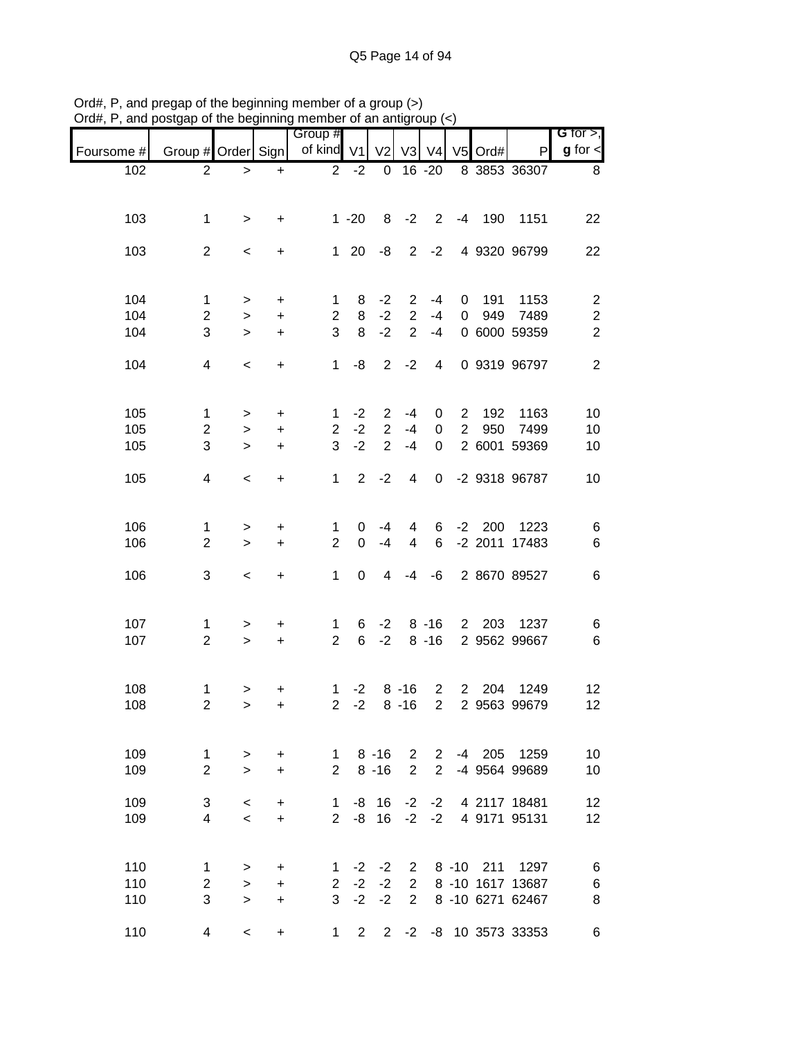| $\alpha$ , r, and posigap or the beginning member or an antigroup $(\gamma)$ |                         |                |                | Group #                        |                |                |                          |                |                |          |                            | G for $>$ ,             |
|------------------------------------------------------------------------------|-------------------------|----------------|----------------|--------------------------------|----------------|----------------|--------------------------|----------------|----------------|----------|----------------------------|-------------------------|
| Foursome #                                                                   | Group # Order Sign      |                |                | of kind V1                     |                | V <sub>2</sub> |                          | V3 V4          |                | V5 Ord#  | P                          | $g$ for $\lt$           |
| 102                                                                          | $\overline{2}$          | $\,>$          | $+$            | $\overline{2}$                 | $-2$           | $\mathbf 0$    |                          | $16 - 20$      |                |          | 8 3853 36307               | 8                       |
|                                                                              |                         |                |                |                                |                |                |                          |                |                |          |                            |                         |
| 103                                                                          | 1                       | $\geq$         | $\ddot{}$      |                                | $1 - 20$       | 8              | $-2$                     | $2^{\circ}$    |                | $-4$ 190 | 1151                       | 22                      |
| 103                                                                          | $\overline{2}$          | $\,<$          | $\ddot{}$      |                                | $1 \quad 20$   | -8             |                          | $2 -2$         |                |          | 4 9320 96799               | 22                      |
|                                                                              |                         |                |                |                                |                |                |                          |                |                |          |                            |                         |
| 104                                                                          | 1                       | $\, > \,$      | +              | $\mathbf 1$                    | 8              | $-2$           | $\overline{2}$           | $-4$           | $\overline{0}$ | 191      | 1153                       | $\overline{\mathbf{c}}$ |
| 104                                                                          | $\overline{c}$          | $\, > \,$      | $\ddot{}$      | $\overline{2}$                 | 8              | $-2$           | $\overline{2}$           | $-4$           | $\overline{0}$ |          | 949 7489                   | $\boldsymbol{2}$        |
| 104                                                                          | 3                       | $\geq$         | $\ddot{}$      | 3                              | 8              | $-2$           | $\overline{2}$           | $-4$           |                |          | 0 6000 59359               | $\overline{2}$          |
| 104                                                                          | $\overline{\mathbf{4}}$ | $\,<$          | $\ddot{}$      | $\mathbf{1}$                   | -8             | $\overline{2}$ | $-2$                     | 4              |                |          | 0 9319 96797               | $\overline{2}$          |
|                                                                              |                         |                |                |                                |                |                |                          |                |                |          |                            |                         |
| 105                                                                          | $\mathbf{1}$            | >              | +              | 1                              | $-2$           | $\overline{2}$ | $-4$                     | 0              | $\mathbf{2}$   | 192      | 1163                       | 10                      |
| 105                                                                          | $\overline{2}$          | $\, > \,$      | $\ddot{}$      | $\overline{c}$                 | $-2$           | $\overline{2}$ | $-4$                     | $\overline{0}$ | $2^{\circ}$    | 950      | 7499                       | 10                      |
| 105                                                                          | 3                       | $\geq$         | $\ddot{}$      | 3                              | $-2$           | $\overline{2}$ | $-4$                     | $\mathbf 0$    |                |          | 2 6001 59369               | 10                      |
| 105                                                                          | $\overline{4}$          | $\,<$          | $\ddot{}$      | $\mathbf 1$                    | $\overline{2}$ | $-2$           | $\overline{\mathcal{A}}$ | $\mathbf 0$    |                |          | -2 9318 96787              | 10                      |
|                                                                              |                         |                |                |                                |                |                |                          |                |                |          |                            |                         |
| 106                                                                          | 1                       | $\, > \,$      | +              | 1                              | 0              | $-4$           | 4                        | 6              |                | $-2$ 200 | 1223                       | 6                       |
| 106                                                                          | $\overline{2}$          | $\geq$         | $\ddot{}$      | $\overline{2}$                 | $\mathbf 0$    | $-4$           | 4                        | 6              |                |          | -2 2011 17483              | $\,6$                   |
| 106                                                                          | 3                       | $\,<$          | $\ddot{}$      | $\mathbf{1}$                   | 0              | 4              | -4                       | -6             |                |          | 2 8670 89527               | 6                       |
|                                                                              |                         |                |                |                                |                |                |                          |                |                |          |                            |                         |
| 107                                                                          | 1                       | $\, > \,$      | $\ddot{}$      | $\mathbf{1}$                   | 6              | $-2$           |                          | $8 - 16$       |                |          | 2 203 1237                 | 6                       |
| 107                                                                          | $\overline{2}$          | $\geq$         | $\ddot{}$      | $\overline{2}$                 | 6              | $-2$           |                          | $8 - 16$       |                |          | 2 9562 99667               | $\,6$                   |
|                                                                              |                         |                |                |                                |                |                |                          |                |                |          |                            |                         |
| 108<br>108                                                                   | 1<br>$\overline{a}$     | ><br>$\, > \,$ | $\ddot{}$<br>+ | $\mathbf{1}$<br>$\overline{2}$ | $-2$<br>$-2$   |                | $8 - 16$<br>$8 - 16$     | $\overline{2}$ | $2^{\circ}$    |          | 2 204 1249<br>2 9563 99679 | 12<br>$12 \,$           |
|                                                                              |                         |                |                |                                |                |                |                          |                |                |          |                            |                         |
| 109                                                                          | 1                       | >              | +              | 1                              |                | $8 - 16$       |                          | $2 \quad 2$    |                |          | -4 205 1259                | 10                      |
| 109                                                                          | $\overline{2}$          | $\geq$         | $\ddot{}$      | $\overline{2}$                 |                | $8 - 16$       | $\overline{2}$           | $\overline{2}$ |                |          | -4 9564 99689              | 10                      |
| 109                                                                          | 3                       | $\,<\,$        | +              | 1                              |                | $-8$ 16        | $-2$                     | $-2$           |                |          | 4 2117 18481               | 12                      |
| 109                                                                          | 4                       | $\prec$        | $\ddot{}$      | $\overline{2}$                 | -8             | 16             | $-2$                     | $-2$           |                |          | 4 9171 95131               | 12                      |
|                                                                              |                         |                |                |                                |                |                |                          |                |                |          |                            |                         |
| 110                                                                          | 1                       | $\,>$          | +              | 1                              |                | $-2 -2$        |                          |                |                |          | 2 8 -10 211 1297           | 6                       |
| 110                                                                          | $\overline{c}$          | $\geq$         | $\ddot{}$      | $\overline{2}$                 |                | $-2 -2$        | $\overline{2}$           |                |                |          | 8 -10 1617 13687           | 6                       |
| 110                                                                          | 3                       | $\geq$         | $\ddot{}$      |                                |                | $3 -2 -2$      | $\overline{2}$           |                |                |          | 8 -10 6271 62467           | 8                       |
| 110                                                                          | 4                       | $\,<\,$        | $\ddot{}$      | 1                              | $\overline{2}$ |                |                          |                |                |          | 2 -2 -8 10 3573 33353      | 6                       |

Ord#, P, and pregap of the beginning member of a group (>) Ord#, P, and postgap of the beginning member of an antigroup (<)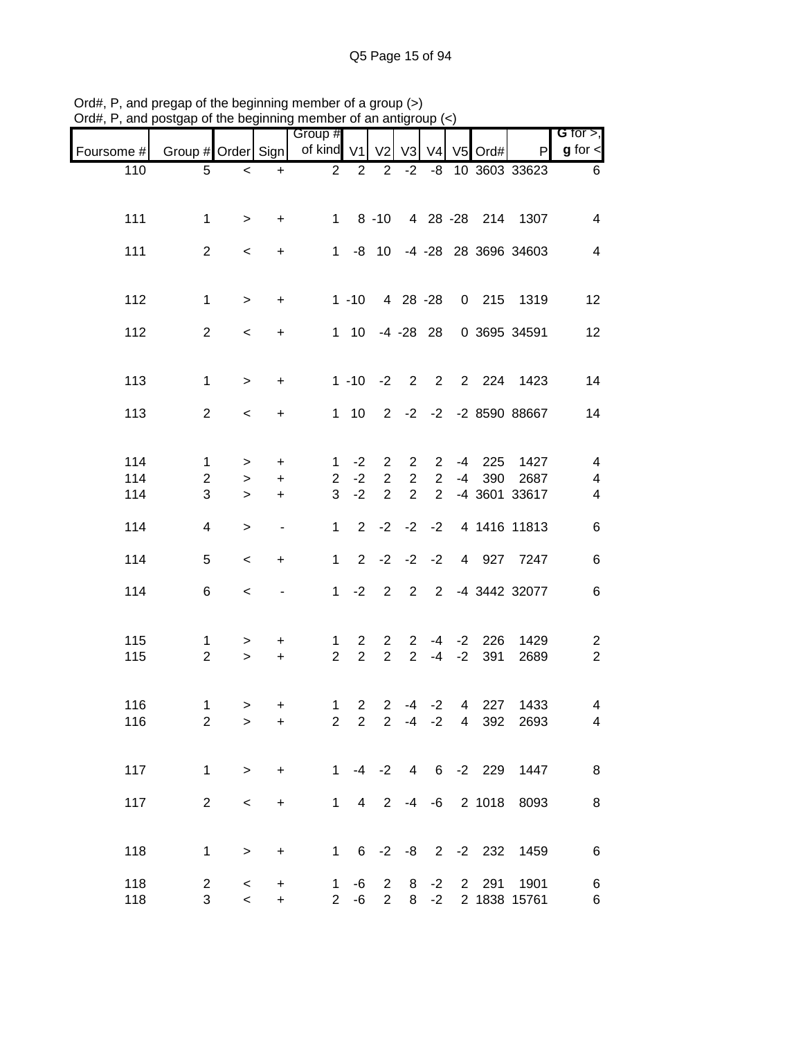| $D($ u $\pi$ , $\tau$ , and posigap or the beginning member or an antigroup $\langle \cdot \rangle$ |                     |                            |                          |                               |                                  |                                  |                                              |                 |      |                          |                                              |                                  |
|-----------------------------------------------------------------------------------------------------|---------------------|----------------------------|--------------------------|-------------------------------|----------------------------------|----------------------------------|----------------------------------------------|-----------------|------|--------------------------|----------------------------------------------|----------------------------------|
| Foursome #                                                                                          | Group # Order Sign  |                            |                          | Group #<br>of kind V1         |                                  |                                  | V <sub>2</sub> V <sub>3</sub> V <sub>4</sub> |                 |      | V5 Ord#                  | $\mathsf{P}$                                 | G for $>$ ,<br>$g$ for $\lt$     |
| 110                                                                                                 | 5                   | $\,<$                      | $\ddot{}$                | $\overline{2}$                | 2                                | $\overline{2}$                   | $-2$                                         |                 |      |                          | -8 10 3603 33623                             | 6                                |
|                                                                                                     |                     |                            |                          |                               |                                  |                                  |                                              |                 |      |                          |                                              |                                  |
| 111                                                                                                 | $\mathbf{1}$        | $\geq$                     | $\ddot{}$                | $1 \quad$                     |                                  | $8 - 10$                         |                                              |                 |      |                          | 4 28 -28 214 1307                            | 4                                |
| 111                                                                                                 | $\overline{2}$      | $\,<\,$                    | $\ddot{}$                | $1 -$                         |                                  | $-8$ 10                          |                                              |                 |      |                          | -4 -28 28 3696 34603                         | 4                                |
| 112                                                                                                 | $\mathbf{1}$        | $\,$                       | $\ddot{}$                |                               | $1 - 10$                         |                                  | 4 28 -28                                     |                 |      |                          | 0 215 1319                                   | 12                               |
| 112                                                                                                 | $\overline{2}$      | $\prec$                    | $\ddot{}$                |                               |                                  | 1 10 -4 -28 28                   |                                              |                 |      |                          | 0 3695 34591                                 | 12                               |
| 113                                                                                                 | $\mathbf{1}$        | $\, >$                     | $\ddot{}$                |                               | $1 - 10$                         | $-2$                             | $\overline{2}$                               |                 |      |                          | 2 2 224 1423                                 | 14                               |
| 113                                                                                                 | $\overline{2}$      | $\,<$                      | $\ddot{}$                |                               | $1 \quad 10$                     |                                  |                                              |                 |      |                          | 2 -2 -2 -2 8590 88667                        | 14                               |
| 114                                                                                                 | 1                   | $\, > \,$                  | $\ddot{}$                | 1                             | $-2$                             | $\overline{2}$                   | $\overline{2}$                               | $2^{\circ}$     | $-4$ | 225                      | 1427                                         | 4                                |
| 114                                                                                                 | $\overline{2}$      | $\, > \,$                  | $\ddot{}$                | $\overline{2}$                | $-2$                             | $\overline{2}$                   | $\overline{2}$                               | $\overline{2}$  | -4   | 390                      | 2687                                         | 4                                |
| 114                                                                                                 | 3                   | $\geq$                     | $+$                      | 3                             | $-2$                             | $\overline{2}$                   | $\overline{2}$                               | $\overline{2}$  |      |                          | -4 3601 33617                                | 4                                |
| 114                                                                                                 | 4                   | $\,>$                      | $\overline{\phantom{a}}$ | $\mathbf{1}$                  | $\overline{2}$                   | $-2$                             | $-2$ $-2$                                    |                 |      |                          | 4 1416 11813                                 | 6                                |
| 114                                                                                                 | 5                   | $\,<$                      | $\ddot{}$                | $\mathbf{1}$                  | $2^{\circ}$                      |                                  | $-2$ $-2$ $-2$                               |                 |      |                          | 4 927 7247                                   | 6                                |
| 114                                                                                                 | 6                   | $\,<\,$                    |                          | 1                             | $-2$                             | $\overline{2}$                   | $2^{\circ}$                                  |                 |      |                          | 2 -4 3442 32077                              | 6                                |
| 115<br>115                                                                                          | 1<br>$\overline{2}$ | ><br>$\geq$                | $\ddot{}$<br>$+$         | $\mathbf 1$<br>$\overline{2}$ | $\overline{2}$<br>$\overline{2}$ | $\overline{2}$<br>$\overline{2}$ | $\overline{2}$<br>$\overline{2}$             | $-4$            | $-2$ | $-4$ $-2$ 226<br>391     | 1429<br>2689                                 | $\overline{c}$<br>$\overline{2}$ |
|                                                                                                     |                     |                            |                          |                               |                                  |                                  |                                              |                 |      |                          |                                              |                                  |
| 116<br>116                                                                                          | 1<br>$\overline{2}$ | $\rightarrow$<br>$\, > \,$ | $+$<br>$\ddot{}$         | $2^{\circ}$                   | $2^{\circ}$                      |                                  |                                              |                 |      |                          | 1 2 2 -4 -2 4 227 1433<br>2 -4 -2 4 392 2693 | 4<br>4                           |
| 117                                                                                                 | $\mathbf{1}$        | $\,$                       | $\ddot{}$                | 1                             |                                  |                                  |                                              |                 |      | $-4$ $-2$ $4$ 6 $-2$ 229 | 1447                                         | 8                                |
| 117                                                                                                 | $\overline{2}$      | $\,<\,$                    | $\ddot{}$                | $\mathbf{1}$                  | $\overline{4}$                   | $\overline{2}$                   |                                              |                 |      | $-4$ $-6$ 2 1018         | 8093                                         | 8                                |
| 118                                                                                                 | 1                   | >                          | $\ddot{}$                |                               |                                  |                                  |                                              |                 |      |                          | 1 6 -2 -8 2 -2 232 1459                      | $\,6$                            |
| 118<br>118                                                                                          | $\overline{2}$<br>3 | $\,<\,$<br>$\,<$           | $\ddot{}$<br>$\ddot{}$   | $\mathbf{1}$<br>$2^{\circ}$   | -6<br>$-6$                       | $\overline{2}$<br>$\overline{2}$ | 8                                            | $-2$<br>$8 - 2$ |      | 2 291                    | 1901<br>2 1838 15761                         | 6<br>6                           |

Ord#, P, and pregap of the beginning member of a group (>) Ord#, P, and postgap of the beginning member of an antigroup (<)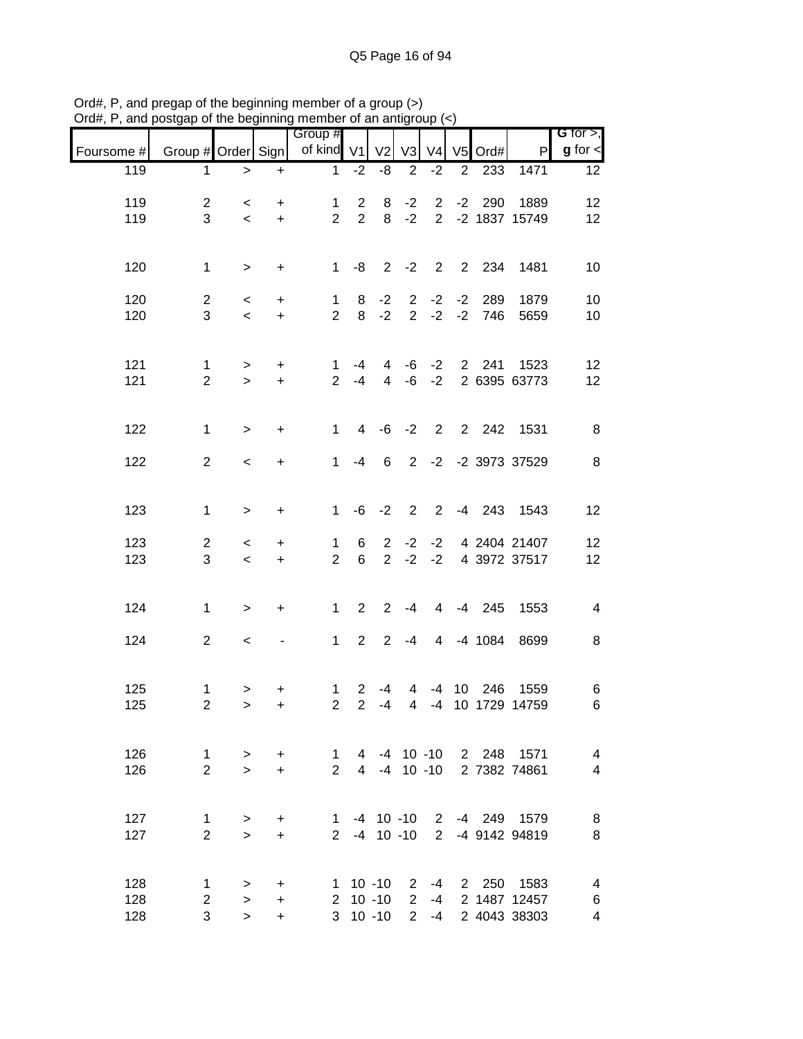|            |                         | ບ⊢ດເບ ມບນາມມາ            |           | יטוווטווין<br>Group #   |                 | ,, or un unu   |                |                   |   |               |                           | G for $>$ ,     |
|------------|-------------------------|--------------------------|-----------|-------------------------|-----------------|----------------|----------------|-------------------|---|---------------|---------------------------|-----------------|
| Foursome # | Group # Order Sign      |                          |           | of kind V1              |                 | V <sub>2</sub> | V3             | V <sub>4</sub>    |   | V5 Ord#       | $\mathsf{P}$              | $g$ for $\leq$  |
| 119        | 1                       | $\geq$                   | $+$       | $\mathbf{1}$            | $-2$            | -8             | $\overline{2}$ | $-2$              | 2 | 233           | 1471                      | 12 <sup>2</sup> |
| 119        | $\overline{2}$          | $\prec$                  | $+$       | $\mathbf{1}$            | $\mathbf{2}$    | 8              | $-2$           | $2^{\circ}$       |   | $-2$ 290      | 1889                      | 12              |
| 119        | 3                       | $\prec$                  | $+$       | $2^{\circ}$             | $2^{\circ}$     |                | $8 - 2$        |                   |   |               | 2 -2 1837 15749           | 12              |
|            |                         |                          |           |                         |                 |                |                |                   |   |               |                           |                 |
| 120        | $\mathbf{1}$            | $\geq$                   | $+$       |                         |                 |                |                |                   |   |               | 1 -8 2 -2 2 2 2 234 1481  | 10              |
| 120        | $\overline{2}$          | $\lt$                    | $+$       | $\mathbf{1}$            | 8               | $-2$           |                |                   |   | $2 -2 -2 289$ | 1879                      | 10              |
| 120        | 3                       | $\,<\,$                  | $+$       | 2 <sup>1</sup>          |                 | $8 - 2$        |                |                   |   | $2 -2 -2 746$ | 5659                      | 10              |
|            |                         |                          |           |                         |                 |                |                |                   |   |               |                           |                 |
| 121        | $\mathbf 1$             | $\geq$                   | $+$       | $\mathbf{1}$            | -4              | $\overline{4}$ |                |                   |   |               | -6 -2 2 241 1523          | 12              |
| 121        | $\overline{2}$          | $\geq$                   | $+$       |                         | $2 - 4$         |                |                | $4 - 6 - 2$       |   |               | 2 6395 63773              | 12              |
|            |                         |                          |           |                         |                 |                |                |                   |   |               |                           |                 |
| 122        | $\mathbf{1}$            | $\geq$                   | $\ddot{}$ | 1                       |                 |                |                |                   |   |               | 4 -6 -2 2 2 242 1531      | 8               |
| 122        | $\overline{2}$          | $\,<$                    | $+$       | 1                       | $-4$            | $6^{\circ}$    |                |                   |   |               | 2 -2 -2 3973 37529        | 8               |
|            |                         |                          |           |                         |                 |                |                |                   |   |               |                           |                 |
| 123        | $\mathbf{1}$            | $\geq$                   | $\ddot{}$ | 1                       |                 | $-6 -2$        |                |                   |   |               | 2 2 -4 243 1543           | 12              |
|            |                         |                          |           |                         |                 |                |                |                   |   |               |                           |                 |
| 123        | $\mathbf{2}$            | $\,<\,$                  | $+$       | 1                       | 6               |                |                | $2 -2 -2$         |   |               | 4 2404 21407              | 12              |
| 123        | 3                       | $\prec$                  | $+$       | $\overline{2}$          | $6\overline{6}$ |                |                | $2 -2 -2$         |   |               | 4 3972 37517              | 12              |
|            |                         |                          |           |                         |                 |                |                |                   |   |               |                           |                 |
| 124        | $\mathbf{1}$            | $\geq$                   | $\ddot{}$ | 1                       | $2^{\circ}$     | $\overline{2}$ | -4             |                   |   |               | 4 -4 245 1553             | $\overline{4}$  |
| 124        | $\overline{2}$          | $\overline{\phantom{0}}$ |           | 1                       |                 | $2 \t2 \t-4$   |                |                   |   | 4 -4 1084     | 8699                      | 8               |
|            |                         |                          |           |                         |                 |                |                |                   |   |               |                           |                 |
| 125        | 1                       | $\geq$                   | $\ddot{}$ | $\mathbf{1}$            | $\overline{2}$  | $-4$           |                |                   |   |               | 4 -4 10 246 1559          | 6               |
| 125        | $\overline{\mathbf{c}}$ | $\,>$                    | +         | $\overline{\mathbf{c}}$ | $\overline{2}$  | $-4$           | $\overline{4}$ |                   |   |               | -4 10 1729 14759          | 6               |
|            |                         |                          |           |                         |                 |                |                |                   |   |               |                           |                 |
| 126        | $\mathbf{1}$            | $\geq$                   | $+$       | $\sim$ 1                |                 |                |                |                   |   |               | 4 -4 10 -10 2 248 1571    | 4               |
| 126        | $\overline{2}$          | $\geq$                   | $+$       | $\overline{2}$          |                 |                |                |                   |   |               | 4 -4 10 -10 2 7382 74861  | 4               |
|            |                         |                          |           |                         |                 |                |                |                   |   |               |                           |                 |
| 127        | 1                       | $\, > \,$                | $\ddot{}$ |                         |                 |                |                |                   |   |               | 1 -4 10 -10 2 -4 249 1579 | 8               |
| 127        | $\overline{2}$          | $\geq$                   | $\ddot{}$ |                         |                 |                |                | $2 - 4 10 - 10 2$ |   |               | -4 9142 94819             | 8               |
|            |                         |                          |           |                         |                 |                |                |                   |   |               |                           |                 |
| 128        | $\mathbf 1$             | $\geq$                   | $\ddot{}$ |                         |                 | $1 \t10 \t-10$ | $\mathbf{2}$   | -4                |   |               | 2 250 1583                | 4               |
| 128        | $\overline{2}$          | $\,>$                    | $\ddot{}$ |                         |                 | $2 10 - 10$    | $2^{\circ}$    | -4                |   |               | 2 1487 12457              | 6               |
| 128        | 3                       | $\geq$                   | $+$       |                         |                 | $3 \t10 \t-10$ |                | $2 - 4$           |   |               | 2 4043 38303              | 4               |

Ord#, P, and pregap of the beginning member of a group (>) Ord#, P, and postgap of the beginning member of an antigroup (<)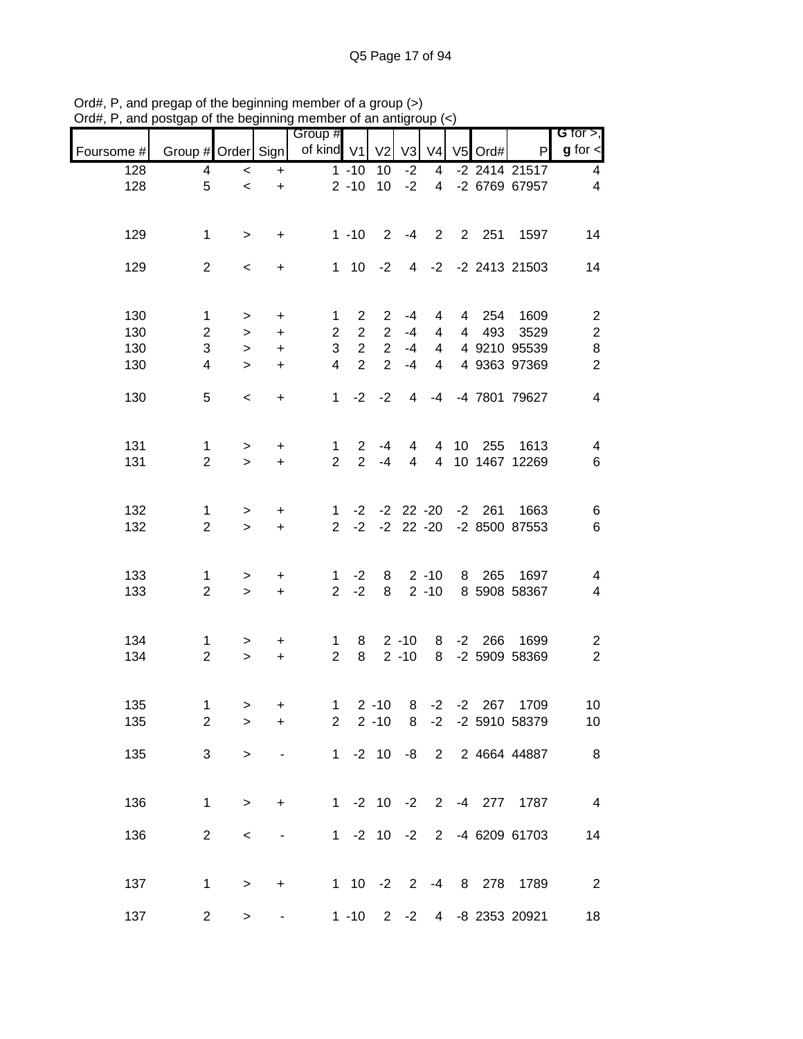|                  |                    |                          |                          | Group #        |                |                |                |                |                 |             |                           | G for $>$ ,             |
|------------------|--------------------|--------------------------|--------------------------|----------------|----------------|----------------|----------------|----------------|-----------------|-------------|---------------------------|-------------------------|
| Foursome #       | Group # Order Sign |                          |                          | of kind V1     |                | V <sub>2</sub> | V <sub>3</sub> | V <sub>4</sub> |                 | V5 Ord#     | $\mathsf{P}$              | $g$ for $\lt$           |
| $\overline{128}$ | 4                  | $\,<$                    | $\ddot{}$                |                | $1 - 10$       | 10             | $-2$           | $\overline{4}$ |                 |             | $-2$ 2414 21517           | 4                       |
| 128              | 5                  | $\overline{\phantom{a}}$ | $\ddot{}$                |                | $2 - 10$       | 10             | $-2$           | $\overline{4}$ |                 |             | -2 6769 67957             | $\overline{4}$          |
| 129              | $\mathbf 1$        | $\,>$                    | $\ddot{}$                |                | $1 - 10$       | 2              | -4             | $2^{\circ}$    |                 | 2 251       | 1597                      | 14                      |
| 129              | $\overline{2}$     | $\,<\,$                  | $\ddot{}$                |                | $1 \quad 10$   | $-2$           |                |                |                 |             | 4 -2 -2 2413 21503        | 14                      |
| 130              | 1                  | $\, > \,$                | +                        | 1              | $\overline{2}$ | $\overline{2}$ | $-4$           | 4              | $\overline{4}$  | 254         | 1609                      | $\overline{c}$          |
| 130              | $\overline{c}$     | $\, > \,$                | $\ddot{}$                | $\overline{2}$ | $\overline{2}$ | $\overline{2}$ | $-4$           | 4              | $\overline{4}$  | 493         | 3529                      | $\boldsymbol{2}$        |
| 130              | 3                  | $\geq$                   | $\ddot{}$                | 3              | $\overline{2}$ | $\overline{2}$ | $-4$           | $\overline{4}$ |                 |             | 4 9210 95539              | $\bf 8$                 |
| 130              | 4                  | $\geq$                   | $+$                      | $\overline{4}$ | $\overline{2}$ | $\overline{2}$ | $-4$           | 4              |                 |             | 4 9363 97369              | $\overline{2}$          |
| 130              | 5                  | $\,<\,$                  | $\ddot{}$                | $\mathbf{1}$   | $-2$           | $-2$           | 4              | -4             |                 |             | -4 7801 79627             | $\overline{4}$          |
| 131              | $\mathbf{1}$       | $\, >$                   | +                        | $\mathbf 1$    | $\mathbf{2}$   | $-4$           | 4              | 4              | 10 <sup>1</sup> | 255         | 1613                      | 4                       |
| 131              | $\overline{2}$     | $\geq$                   | $\ddot{}$                | $\overline{2}$ | $\overline{2}$ | $-4$           | 4              | $\overline{4}$ |                 |             | 10 1467 12269             | 6                       |
| 132              | 1                  | >                        | $\ddot{}$                | 1              | $-2$           |                | $-2$ 22 $-20$  |                |                 | $-2$ 261    | 1663                      | 6                       |
| 132              | $\overline{2}$     | $\geq$                   | $\ddot{}$                | $\overline{2}$ | $-2$           |                | $-2$ 22 $-20$  |                |                 |             | -2 8500 87553             | 6                       |
| 133              | 1                  | $\, > \,$                | +                        | $\mathbf{1}$   | $-2$           | 8              |                | $2 - 10$       | 8               | 265         | 1697                      | 4                       |
| 133              | $\overline{2}$     | $\, >$                   | $\ddot{}$                | $\overline{2}$ | $-2$           | 8              |                | $2 - 10$       |                 |             | 8 5908 58367              | 4                       |
| 134              | $\mathbf{1}$       | >                        | $\ddot{}$                | $\mathbf{1}$   | 8              |                | $2 - 10$       |                |                 | 8 -2 266    | 1699                      | 2                       |
| 134              | $\overline{2}$     | $\, >$                   | $\ddot{}$                | $\overline{2}$ | 8              |                | $2 - 10$       | 8              |                 |             | -2 5909 58369             | $\overline{c}$          |
| 135              | 1                  | >                        | $\ddot{}$                | $\mathbf{1}$   |                | $2 - 10$       |                |                |                 | 8 -2 -2 267 | 1709                      | 10                      |
| 135              | $\overline{2}$     | >                        | +                        |                | $2^{\circ}$    | $2 - 10$       |                |                |                 |             | 8 -2 -2 5910 58379        | 10                      |
| 135              | 3                  | >                        |                          |                |                |                |                |                |                 |             | 1 -2 10 -8 2 2 4664 44887 | 8                       |
| 136              | 1                  | $\mathbf{I}$             | +                        |                |                |                |                |                |                 |             | 1 -2 10 -2 2 -4 277 1787  | $\overline{\mathbf{4}}$ |
| 136              | $\overline{2}$     | $\,<$                    | $\overline{\phantom{a}}$ |                |                | $1 - 2 10 - 2$ |                |                |                 |             | 2 -4 6209 61703           | 14                      |
| 137              | $\mathbf{1}$       | $\, > \,$                | +                        |                |                |                |                |                |                 |             | 1 10 -2 2 -4 8 278 1789   | $\overline{2}$          |
| 137              | $\overline{2}$     | >                        |                          |                | $1 - 10$       |                |                |                |                 |             | 2 -2 4 -8 2353 20921      | 18                      |

Ord#, P, and pregap of the beginning member of a group (>) Ord#, P, and postgap of the beginning member of an antigroup (<)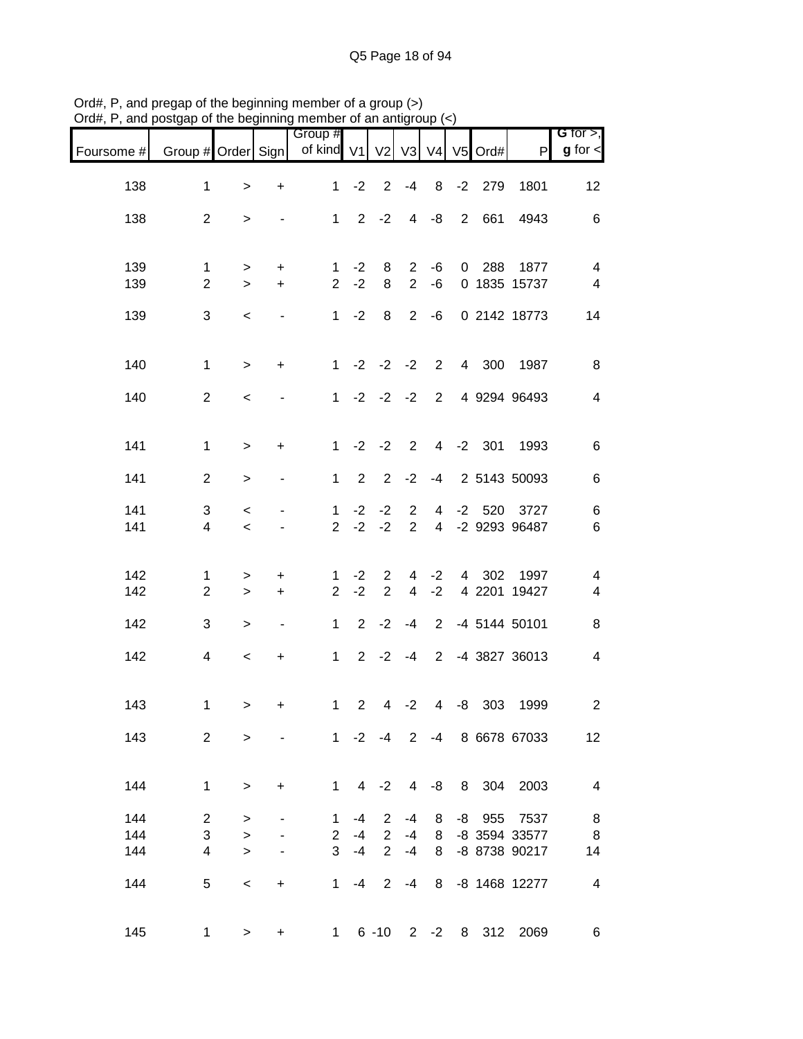| $O(n\pi)$ , $\Gamma$ , and postgap or the beginning member or an antigroup ( $\varsigma$ ) |                                |                     |                          |                                        |              |                                  |                                  |                                  |                |          |                           |                               |
|--------------------------------------------------------------------------------------------|--------------------------------|---------------------|--------------------------|----------------------------------------|--------------|----------------------------------|----------------------------------|----------------------------------|----------------|----------|---------------------------|-------------------------------|
| Foursome #                                                                                 | Group # Order Sign             |                     |                          | Group #<br>of kind V1 V2 V3 V4 V5 Ord# |              |                                  |                                  |                                  |                |          | P                         | G for $>$ ,<br>$g$ for $\lt$  |
| 138                                                                                        | $\mathbf 1$                    | $\, > \,$           | +                        | $\mathbf{1}$                           | $-2$         | $\overline{2}$                   | $-4$                             | 8                                | $-2$           | 279      | 1801                      | 12                            |
| 138                                                                                        | $\overline{2}$                 | $\, > \,$           | $\overline{\phantom{a}}$ |                                        |              | $1 \t2 \t-2$                     | $\overline{4}$                   | -8                               | $\overline{2}$ | 661      | 4943                      | 6                             |
| 139                                                                                        | $\mathbf{1}$                   | $\,>$               | $\ddot{}$                | $\mathbf{1}$                           | $-2$         | 8                                | $\overline{2}$                   | -6                               | $\overline{0}$ | 288      | 1877                      | $\overline{\mathcal{A}}$      |
| 139                                                                                        | $\overline{2}$                 | $\geq$              | $+$                      | $\overline{2}$                         | $-2$         | 8                                | $\overline{2}$                   | -6                               |                |          | 0 1835 15737              | $\overline{\mathcal{A}}$      |
| 139                                                                                        | 3                              | $\,<$               |                          |                                        | $1 - 2$      | 8                                | $\overline{2}$                   | -6                               |                |          | 0 2142 18773              | 14                            |
| 140                                                                                        | $\mathbf 1$                    | $\,>$               | $\ddot{}$                | $1 \quad$                              |              | $-2$ $-2$ $-2$                   |                                  | $2^{\circ}$                      |                | 4 300    | 1987                      | 8                             |
| 140                                                                                        | $\overline{2}$                 | $\,<$               |                          |                                        |              | $1 -2 -2 -2$                     |                                  | $\overline{2}$                   |                |          | 4 9294 96493              | $\overline{\mathcal{A}}$      |
| 141                                                                                        | $\mathbf{1}$                   | $\, > \,$           | +                        | 1                                      |              | $-2$ $-2$ 2                      |                                  |                                  |                | 4 -2 301 | 1993                      | 6                             |
| 141                                                                                        | $\overline{2}$                 | $\,>$               | $\overline{\phantom{a}}$ | $\mathbf 1$                            | 2            | $2^{\circ}$                      | $-2$                             | $-4$                             |                |          | 2 5143 50093              | 6                             |
| 141<br>141                                                                                 | 3<br>$\overline{\mathbf{4}}$   | $\,<\,$<br>$\,<$    | $\blacksquare$           | 1.<br>$\overline{2}$                   | $-2$<br>$-2$ | $-2$<br>$-2$                     | $\overline{2}$<br>$\overline{2}$ | $\overline{4}$<br>$\overline{4}$ | $-2$           | 520      | 3727<br>-2 9293 96487     | 6<br>6                        |
|                                                                                            |                                |                     |                          |                                        |              |                                  |                                  |                                  |                |          |                           |                               |
| 142<br>142                                                                                 | $\mathbf{1}$<br>$\overline{2}$ | $\, > \,$<br>$\geq$ | $\ddot{}$<br>$+$         | 1<br>$\overline{2}$                    | $-2$<br>$-2$ | $\overline{2}$<br>$\overline{2}$ | $\overline{4}$<br>$\overline{4}$ | $-2$<br>$-2$                     | $\overline{4}$ |          | 302 1997<br>4 2201 19427  | 4<br>$\overline{\mathcal{A}}$ |
| 142                                                                                        | 3                              | >                   | $\blacksquare$           | $1 \quad$                              |              | $2 -2$                           | $-4$                             | $2^{\circ}$                      |                |          | -4 5144 50101             | 8                             |
| 142                                                                                        | 4                              | $\,<\,$             | +                        | 1 <sup>1</sup>                         |              | $2 -2 -4$                        |                                  | $2^{\circ}$                      |                |          | -4 3827 36013             | 4                             |
| 143                                                                                        | 1                              | >                   | $+$                      |                                        |              | $1 \t2 \t4 \t-2$                 |                                  |                                  |                | 4 -8 303 | 1999                      | 2                             |
| 143                                                                                        | $\overline{2}$                 | $\,>$               | $\sim 100$               |                                        |              |                                  |                                  |                                  |                |          | 1 -2 -4 2 -4 8 6678 67033 | 12                            |
| 144                                                                                        | $\mathbf 1$                    | $\,>$               | $+$                      |                                        |              |                                  |                                  |                                  |                |          | 1 4 -2 4 -8 8 304 2003    | $\overline{4}$                |
| 144                                                                                        | $\overline{2}$                 | $\, > \,$           |                          |                                        | $1 -4$       |                                  | $2 - 4$                          |                                  |                |          | 8 -8 955 7537             | 8                             |
| 144                                                                                        | 3                              | $\geq$              | $\sim$                   |                                        | $2 - 4$      |                                  |                                  |                                  |                |          | 2 -4 8 -8 3594 33577      | 8                             |
| 144                                                                                        | $\overline{4}$                 | $\geq$              | $\blacksquare$           |                                        | $3 - 4$      |                                  | $2 -4 8$                         |                                  |                |          | -8 8738 90217             | 14                            |
| 144                                                                                        | 5                              | $\,<$               | $+$                      |                                        |              |                                  |                                  |                                  |                |          | 1 -4 2 -4 8 -8 1468 12277 | $\overline{4}$                |
| 145                                                                                        | 1                              | $\, >$              |                          | + 1 6 -10 2 -2 8 312 2069              |              |                                  |                                  |                                  |                |          |                           | 6                             |

Ord#, P, and pregap of the beginning member of a group (>) Ord#, P, and postgap of the beginning member of an antigroup (<)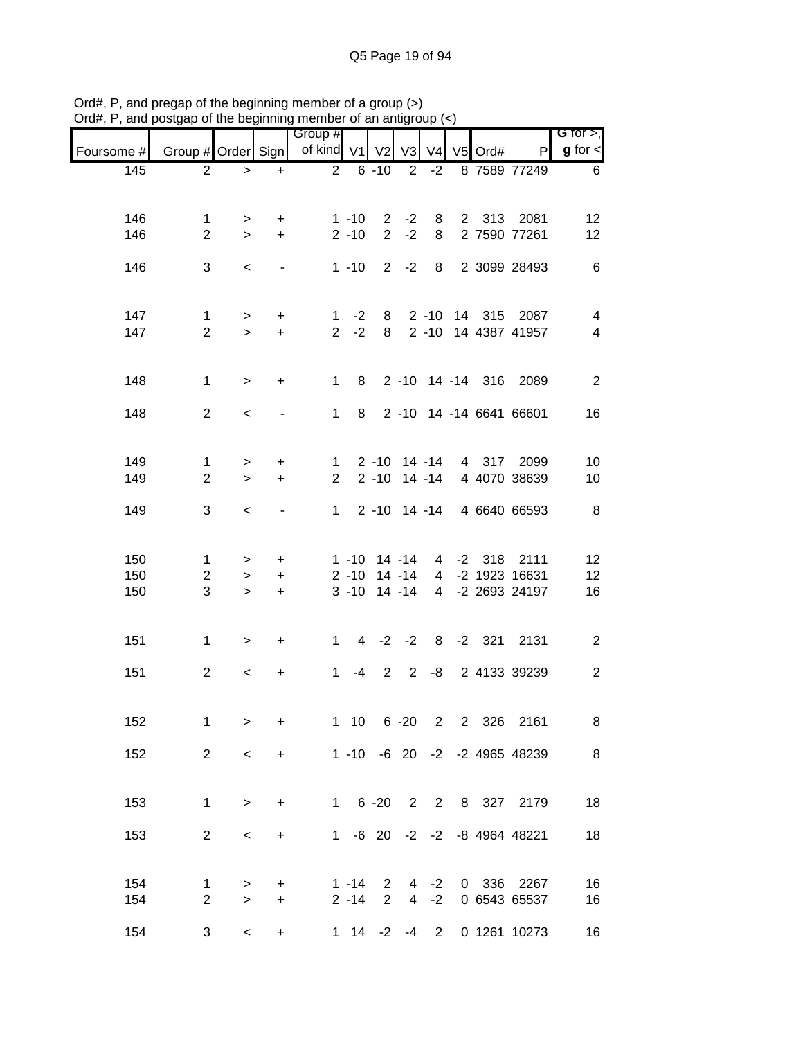|            |                                           | $100$ $100$ $101$        |                | <b>THOMAS OF OLIMPING</b><br>Group # |                      |                                         |                |                |           |                                                            | $G$ for $>$ ,      |
|------------|-------------------------------------------|--------------------------|----------------|--------------------------------------|----------------------|-----------------------------------------|----------------|----------------|-----------|------------------------------------------------------------|--------------------|
| Foursome # | Group # Order Sign   of kind V1   V2   V3 |                          |                |                                      |                      |                                         |                | V <sub>4</sub> | $V5$ Ord# | P                                                          | <b>g</b> for $\le$ |
| 145        | $\overline{2}$                            | $\geq$                   | $+$            |                                      | $2 \t 6 -10 \t 2 -2$ |                                         |                |                |           | 8 7589 77249                                               | $6\overline{6}$    |
|            |                                           |                          |                |                                      |                      |                                         |                |                |           |                                                            |                    |
| 146        | $\mathbf{1}$                              | $\geq$                   | $+$            |                                      | $1 - 10$             |                                         |                |                |           | 2 -2 8 2 313 2081                                          | 12                 |
| 146        | $\overline{2}$                            | $\geq$                   | $+$            |                                      | $2 - 10$             |                                         | $2 -2$         | 8              |           | 2 7590 77261                                               | 12                 |
| 146        | 3                                         | $\overline{\phantom{0}}$ | $\sim$         |                                      |                      |                                         |                |                |           | 1 -10 2 -2 8 2 3099 28493                                  | 6                  |
|            |                                           |                          |                |                                      |                      |                                         |                |                |           |                                                            |                    |
| 147        | $\mathbf{1}$                              | $\geq$                   | $+$            |                                      |                      |                                         |                |                |           | 1 -2 8 2 -10 14 315 2087                                   | 4                  |
| 147        | $\overline{2}$                            | $\geq$                   | $+$            |                                      |                      |                                         |                |                |           | 2 -2 8 2 -10 14 4387 41957                                 | $\overline{4}$     |
|            |                                           |                          |                |                                      |                      |                                         |                |                |           |                                                            |                    |
| 148        | $\mathbf{1}$                              | $\geq$                   | $+$            |                                      |                      |                                         |                |                |           | 1 8 2 -10 14 -14 316 2089                                  | 2                  |
| 148        | $\overline{2}$                            | $\overline{\phantom{0}}$ | $\blacksquare$ |                                      |                      |                                         |                |                |           | 1 8 2 -10 14 -14 6641 66601                                | 16                 |
|            |                                           |                          |                |                                      |                      |                                         |                |                |           |                                                            |                    |
| 149        | $\mathbf{1}$                              |                          |                | 1                                    |                      |                                         |                |                |           | 2 -10 14 -14 4 317 2099                                    | 10                 |
| 149        | $\overline{2}$                            | $\geq$<br>$\geq$         | $+$<br>$+$     | $2^{\circ}$                          |                      |                                         |                |                |           | 2 -10 14 -14 4 4070 38639                                  | 10                 |
|            |                                           |                          |                |                                      |                      |                                         |                |                |           |                                                            |                    |
| 149        | 3                                         | $\overline{\phantom{0}}$ | $\blacksquare$ | 1                                    |                      |                                         |                |                |           | 2 -10 14 -14 4 6640 66593                                  | 8 <sup>8</sup>     |
|            |                                           |                          |                |                                      |                      |                                         |                |                |           |                                                            |                    |
| 150<br>150 | $\mathbf{1}$<br>$\overline{2}$            | $\geq$<br>$\, >$         | $+$<br>$+$     |                                      |                      |                                         |                |                |           | 1 -10 14 -14 4 -2 318 2111<br>2 -10 14 -14 4 -2 1923 16631 | 12<br>12           |
| 150        | 3                                         | $\geq$                   | $+$            |                                      |                      |                                         |                |                |           | 3 -10 14 -14 4 -2 2693 24197                               | 16                 |
|            |                                           |                          |                |                                      |                      |                                         |                |                |           |                                                            |                    |
| 151        | $\mathbf{1}$                              | >                        | $+$            |                                      |                      |                                         |                |                |           | 1 4 -2 -2 8 -2 321 2131                                    | $\overline{2}$     |
|            |                                           |                          |                |                                      |                      |                                         |                |                |           |                                                            |                    |
| 151        | $\overline{2}$                            | $\prec$                  | $+$            | 1                                    |                      |                                         |                |                |           | -4 2 2 -8 2 4133 39239                                     | 2                  |
|            |                                           |                          |                |                                      |                      |                                         |                |                |           |                                                            |                    |
| 152        | 1                                         | >                        | +              |                                      | $1 \quad 10$         |                                         | $6 - 20$       | $2^{\circ}$    | 2 326     | 2161                                                       | 8                  |
| 152        | $\overline{2}$                            | $\,<\,$                  | $\ddot{}$      |                                      |                      |                                         |                |                |           | 1 -10 -6 20 -2 -2 4965 48239                               | 8                  |
|            |                                           |                          |                |                                      |                      |                                         |                |                |           |                                                            |                    |
| 153        | $\mathbf{1}$                              | $\geq$                   | $\ddot{}$      |                                      | $1 \quad$            | $6 - 20$                                |                |                |           | 2 2 8 327 2179                                             | 18                 |
|            |                                           |                          |                |                                      |                      |                                         |                |                |           |                                                            |                    |
| 153        | $\overline{2}$                            | $\,<\,$                  | +              | $1 \quad$                            |                      |                                         |                |                |           | -6 20 -2 -2 -8 4964 48221                                  | 18                 |
|            |                                           |                          |                |                                      |                      |                                         |                |                |           |                                                            |                    |
| 154<br>154 | $\mathbf 1$<br>$\overline{2}$             | ><br>$\, > \,$           | +<br>$\ddot{}$ |                                      | $1 - 14$<br>$2 - 14$ | $\mathbf{2}^{\prime}$<br>$\overline{2}$ | $\overline{4}$ | $4 -2$<br>$-2$ |           | 0 336 2267<br>0 6543 65537                                 | 16<br>16           |
|            |                                           |                          |                |                                      |                      |                                         |                |                |           |                                                            |                    |
| 154        | 3                                         | $\,<\,$                  | +              |                                      | $1 \t14 \t-2 \t-4$   |                                         |                | $2^{\circ}$    |           | 0 1261 10273                                               | 16                 |

Ord#, P, and pregap of the beginning member of a group (>) Ord#, P, and postgap of the beginning member of an antigroup (<)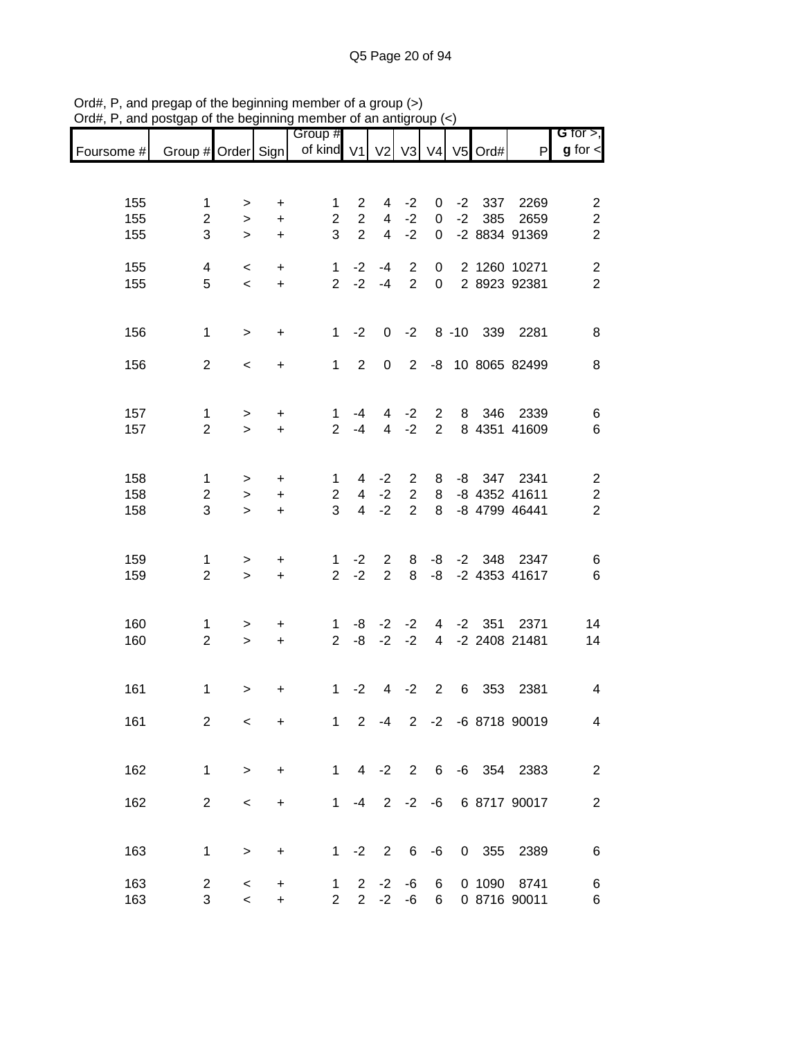|                                                                       |                              |                          |                    | Group #                     |                |                          |                                  |                  |      |          |                              | G for $>$ ,                        |
|-----------------------------------------------------------------------|------------------------------|--------------------------|--------------------|-----------------------------|----------------|--------------------------|----------------------------------|------------------|------|----------|------------------------------|------------------------------------|
| Foursome # Group # Order Sign   of kind V1   V2   V3   V4   V5   Ord# |                              |                          |                    |                             |                |                          |                                  |                  |      |          | P                            | $g$ for $\lt$                      |
|                                                                       |                              |                          |                    |                             |                |                          |                                  |                  |      |          |                              |                                    |
| 155                                                                   | 1                            | >                        | $\mathbf +$        | 1                           | $\overline{2}$ | 4                        | $-2$                             | 0                | $-2$ | 337      | 2269                         | $\overline{\mathbf{c}}$            |
| 155                                                                   | $\overline{2}$               | $\,>$                    | $\ddot{}$          | $\overline{2}$              | $\overline{2}$ | 4                        | $-2$                             | $\mathbf 0$      | $-2$ | 385      | 2659                         | $\overline{\mathbf{c}}$            |
| 155                                                                   | 3                            | $\geq$                   | $\ddot{}$          | 3                           | $\overline{2}$ | 4                        | $-2$                             | $\mathbf 0$      |      |          | -2 8834 91369                | $\overline{2}$                     |
|                                                                       |                              |                          |                    |                             |                |                          |                                  |                  |      |          |                              |                                    |
| 155<br>155                                                            | $\overline{\mathbf{4}}$<br>5 | $\,<$                    | $\ddot{}$          | $\mathbf{1}$<br>$2^{\circ}$ | $-2$<br>$-2$   | $-4$<br>$-4$             | $\overline{2}$<br>$\overline{2}$ | 0<br>$\mathbf 0$ |      |          | 2 1260 10271<br>2 8923 92381 | $\boldsymbol{2}$<br>$\overline{2}$ |
|                                                                       |                              | $\,<$                    | $\pm$              |                             |                |                          |                                  |                  |      |          |                              |                                    |
|                                                                       |                              |                          |                    |                             |                |                          |                                  |                  |      |          |                              |                                    |
| 156                                                                   | $\mathbf{1}$                 | $\, > \,$                | $\ddot{}$          | $\mathbf{1}$                | $-2$           | 0                        |                                  |                  |      |          | -2 8 -10 339 2281            | 8                                  |
|                                                                       |                              |                          |                    |                             |                |                          |                                  |                  |      |          |                              |                                    |
| 156                                                                   | $\overline{2}$               | $\,<\,$                  | $\ddot{}$          | $\mathbf{1}$                | 2              | 0                        | $\overline{2}$                   |                  |      |          | -8 10 8065 82499             | 8                                  |
|                                                                       |                              |                          |                    |                             |                |                          |                                  |                  |      |          |                              |                                    |
| 157                                                                   | 1                            | $\geq$                   | $\ddot{}$          | $\mathbf 1$                 | -4             | $\overline{4}$           | $-2$                             | $2^{\circ}$      |      |          | 8 346 2339                   | 6                                  |
| 157                                                                   | $\overline{2}$               | $\geq$                   | $\ddot{}$          | $\overline{2}$              | $-4$           | $\overline{4}$           | $-2$                             | $\overline{2}$   |      |          | 8 4351 41609                 | $\,6$                              |
|                                                                       |                              |                          |                    |                             |                |                          |                                  |                  |      |          |                              |                                    |
|                                                                       |                              |                          |                    |                             |                |                          |                                  |                  |      |          |                              |                                    |
| 158<br>158                                                            | 1<br>$\overline{2}$          | ><br>$\,>$               | $\ddot{}$<br>$\pm$ | 1<br>$\overline{2}$         | 4<br>4         | $-2$<br>$-2$             | $\mathbf{2}$<br>$\overline{2}$   | 8<br>8           |      |          | -8 347 2341<br>-8 4352 41611 | $\overline{c}$<br>$\overline{c}$   |
| 158                                                                   | 3                            | $\geq$                   | $\ddot{}$          | 3                           | $\overline{4}$ | $-2$                     | $\overline{2}$                   | 8                |      |          | -8 4799 46441                | $\overline{2}$                     |
|                                                                       |                              |                          |                    |                             |                |                          |                                  |                  |      |          |                              |                                    |
|                                                                       |                              |                          |                    |                             |                |                          |                                  |                  |      |          |                              |                                    |
| 159                                                                   | 1                            | $\geq$                   | $\boldsymbol{+}$   | $\mathbf{1}$                | $-2$           | $\overline{2}$           | 8                                |                  |      |          | -8 -2 348 2347               | 6                                  |
| 159                                                                   | $\overline{2}$               | $\geq$                   | $\pm$              | $\overline{2}$              | $-2$           | $\overline{2}$           | 8                                | -8               |      |          | -2 4353 41617                | $6\phantom{1}6$                    |
|                                                                       |                              |                          |                    |                             |                |                          |                                  |                  |      |          |                              |                                    |
| 160                                                                   | 1                            | >                        | $\ddot{}$          | $\mathbf{1}$                | -8             | $-2$                     | $-2$                             | $\overline{4}$   |      | $-2$ 351 | 2371                         | 14                                 |
| 160                                                                   | $\overline{2}$               | $\geq$                   | $\pm$              | $\overline{2}$              | -8             | $-2$                     | $-2$                             | $\overline{4}$   |      |          | -2 2408 21481                | 14                                 |
|                                                                       |                              |                          |                    |                             |                |                          |                                  |                  |      |          |                              |                                    |
|                                                                       |                              |                          |                    |                             |                |                          |                                  |                  |      |          |                              |                                    |
| 161                                                                   | $\mathbf{1}$                 | $\, > \,$                | $\ddot{}$          | 1                           | $-2$           | $4\overline{ }$          | $-2$                             | $\overline{2}$   | 6    | 353      | 2381                         | 4                                  |
| 161                                                                   | $\overline{c}$               | $\,<$                    | $\boldsymbol{+}$   | $1 -$                       | $2^{\circ}$    | $-4$                     |                                  |                  |      |          | 2 -2 -6 8718 90019           | 4                                  |
|                                                                       |                              |                          |                    |                             |                |                          |                                  |                  |      |          |                              |                                    |
|                                                                       |                              |                          |                    |                             |                |                          |                                  |                  |      |          |                              |                                    |
| 162                                                                   | $\mathbf{1}$                 | $\geq$                   | $\ddot{}$          | $1 \quad$                   |                | $4 -2$                   |                                  |                  |      |          | 2 6 -6 354 2383              | $\overline{2}$                     |
|                                                                       |                              |                          |                    |                             |                |                          |                                  |                  |      |          |                              |                                    |
| 162                                                                   | $\overline{2}$               | $\overline{\phantom{a}}$ | $\ddot{}$          |                             | $1 - 4$        |                          |                                  |                  |      |          | 2 -2 -6 6 8717 90017         | $\overline{2}$                     |
|                                                                       |                              |                          |                    |                             |                |                          |                                  |                  |      |          |                              |                                    |
| 163                                                                   | $\mathbf{1}$                 | $\,$                     | $\ddot{}$          |                             | $1 -2$         | $\overline{\phantom{a}}$ | $6\overline{6}$                  | $-6$             |      |          | 0 355 2389                   | 6                                  |
|                                                                       |                              |                          |                    |                             |                |                          |                                  |                  |      |          |                              |                                    |
| 163                                                                   | $\overline{c}$               | $\,<$                    | $\ddot{}$          | $\mathbf{1}$                | $\overline{2}$ | $-2$                     | -6                               | 6                |      | 0 1090   | 8741                         | 6                                  |
| 163                                                                   | 3                            | $\,<\,$                  | $\ddot{}$          | $\overline{2}$              | $\overline{2}$ | $-2$                     | -6                               | 6                |      |          | 0 8716 90011                 | 6                                  |

Ord#, P, and pregap of the beginning member of a group (>) Ord#, P, and postgap of the beginning member of an antigroup (<)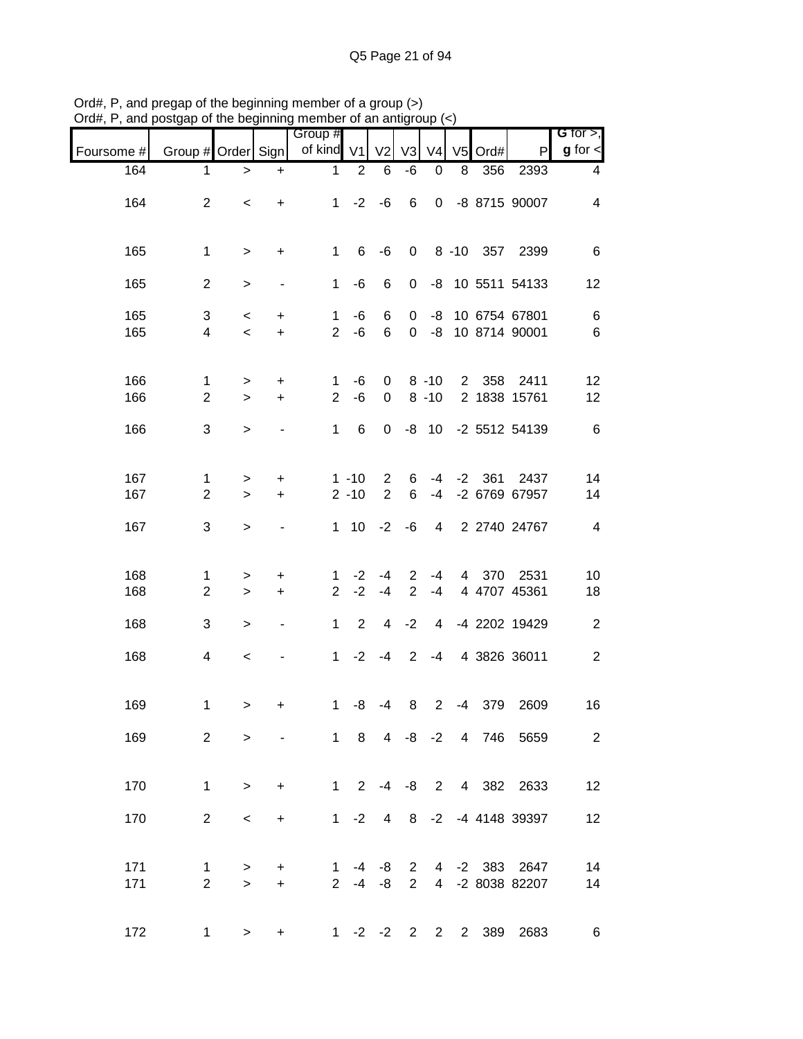| 21 un , 1 , un u | $\sim$ and $\sim$ and $\sim$ and $\sim$ and $\sim$ and $\sim$ and $\sim$ and $\sim$ and $\sim$ and $\sim$ and $\sim$ and $\sim$ and $\sim$ and $\sim$ and $\sim$ and $\sim$ and $\sim$ and $\sim$ and $\sim$ and $\sim$ and $\sim$ and $\sim$ and $\sim$ and $\sim$ and $\sim$ |                                   |                          |                                |                      |                                  |                                  |                      |    |               |                                        |                              |
|------------------|--------------------------------------------------------------------------------------------------------------------------------------------------------------------------------------------------------------------------------------------------------------------------------|-----------------------------------|--------------------------|--------------------------------|----------------------|----------------------------------|----------------------------------|----------------------|----|---------------|----------------------------------------|------------------------------|
| Foursome #       | Group # Order Sign                                                                                                                                                                                                                                                             |                                   |                          | Group #<br>of kind V1          |                      | V <sub>2</sub>                   | V <sub>3</sub>                   | V <sub>4</sub>       |    | V5 Ord#       | $\mathsf{P}$                           | G for $>$ ,<br>$g$ for $\lt$ |
| 164              | $\mathbf 1$                                                                                                                                                                                                                                                                    | $\,>$                             | $\ddot{}$                | $\mathbf{1}$                   | $\overline{2}$       | 6                                | -6                               | $\boldsymbol{0}$     | 8  | 356           | 2393                                   | 4                            |
| 164              | $\overline{2}$                                                                                                                                                                                                                                                                 | $\,<$                             | $+$                      |                                | $1 -2 -6$            |                                  | 6                                |                      |    |               | 0 -8 8715 90007                        | 4                            |
| 165              | $\mathbf{1}$                                                                                                                                                                                                                                                                   | $\, >$                            | $\ddot{}$                | 1                              | 6                    | -6                               | $\mathbf 0$                      |                      |    |               | 8 -10 357 2399                         | 6                            |
| 165              | $\overline{2}$                                                                                                                                                                                                                                                                 | $\, > \,$                         | $\overline{\phantom{a}}$ | 1                              | -6                   | 6                                | 0                                |                      |    |               | -8 10 5511 54133                       | 12                           |
| 165<br>165       | 3<br>$\overline{\mathbf{4}}$                                                                                                                                                                                                                                                   | $\,<$<br>$\overline{\phantom{a}}$ | $\ddot{}$<br>$\pm$       | $\mathbf{1}$<br>$\overline{2}$ | -6<br>-6             | 6<br>6                           | 0                                |                      |    |               | -8 10 6754 67801<br>0 -8 10 8714 90001 | 6<br>6                       |
| 166<br>166       | $\mathbf{1}$<br>$\overline{c}$                                                                                                                                                                                                                                                 | $\, > \,$<br>$\,>$                | $\ddot{}$<br>$\ddot{}$   | $\mathbf{1}$<br>$\overline{2}$ | -6<br>-6             | $\mathbf 0$<br>$\mathbf 0$       |                                  | $8 - 10$<br>$8 - 10$ |    |               | 2 358 2411<br>2 1838 15761             | 12<br>12                     |
| 166              | 3                                                                                                                                                                                                                                                                              | $\geq$                            | $\overline{\phantom{a}}$ | $\mathbf{1}$                   | 6                    | $\mathbf 0$                      |                                  | $-8$ 10              |    |               | -2 5512 54139                          | 6                            |
| 167<br>167       | 1<br>$\overline{c}$                                                                                                                                                                                                                                                            | $\, > \,$<br>$\geq$               | $+$<br>$+$               |                                | $1 - 10$<br>$2 - 10$ | $\overline{2}$<br>$\overline{2}$ | 6<br>6                           | $-4$                 |    | $-4$ $-2$ 361 | 2437<br>-2 6769 67957                  | 14<br>14                     |
| 167              | $\sqrt{3}$                                                                                                                                                                                                                                                                     | $\, >$                            | $\overline{\phantom{a}}$ |                                | $1 \quad 10$         | $-2$                             | -6                               | $\overline{4}$       |    |               | 2 2740 24767                           | $\overline{4}$               |
| 168<br>168       | 1<br>$\overline{c}$                                                                                                                                                                                                                                                            | ><br>$\,>$                        | $\ddot{}$<br>$\ddot{}$   | 1.<br>$\overline{2}$           | $-2$<br>$-2$         | $-4$<br>$-4$                     | $\overline{2}$<br>$\overline{2}$ | -4<br>$-4$           |    |               | 4 370 2531<br>4 4707 45361             | 10<br>18                     |
| 168              | 3                                                                                                                                                                                                                                                                              | $\, > \,$                         | $\overline{\phantom{a}}$ | 1                              | $\overline{2}$       |                                  | $4 -2$                           |                      |    |               | 4 -4 2202 19429                        | $\boldsymbol{2}$             |
| 168              | 4                                                                                                                                                                                                                                                                              | $\,<$                             |                          |                                | $1 -2 -4$            |                                  | $2^{\circ}$                      | $-4$                 |    |               | 4 3826 36011                           | $\overline{c}$               |
| 169              | 1                                                                                                                                                                                                                                                                              | >                                 | +                        | $\mathbf{1}$                   | -8                   | -4                               | 8                                | $\overline{2}$       | -4 |               | 379 2609                               | 16                           |
| 169              | $\overline{2}$                                                                                                                                                                                                                                                                 | $\geq$                            | $\overline{\phantom{a}}$ |                                |                      |                                  |                                  |                      |    |               | 1 8 4 -8 -2 4 746 5659                 | $\overline{2}$               |
| 170              | $\mathbf{1}$                                                                                                                                                                                                                                                                   | $\geq$                            | $\ddot{}$                |                                |                      |                                  |                                  |                      |    |               | 1 2 -4 -8 2 4 382 2633                 | 12                           |
| 170              | $\overline{2}$                                                                                                                                                                                                                                                                 | $\,<\,$                           | $\ddot{}$                |                                | $1 -2$               | $\overline{4}$                   |                                  |                      |    |               | 8 -2 -4 4148 39397                     | 12                           |
| 171<br>171       | $\mathbf{1}$<br>$\overline{2}$                                                                                                                                                                                                                                                 | $\geq$<br>$\geq$                  | $\ddot{}$<br>$+$         | 1                              | $2 -4 -8$            | -4 -8                            | $\mathbf{2}$<br>$2^{\circ}$      |                      |    |               | 4 -2 383 2647<br>4 -2 8038 82207       | 14<br>14                     |
| 172              | 1                                                                                                                                                                                                                                                                              | $\, > \,$                         | +                        |                                |                      |                                  |                                  |                      |    |               | 1 -2 -2 2 2 2 389 2683                 | 6                            |

Ord#, P, and pregap of the beginning member of a group (>) Ord#, P, and postgap of the beginning member of an antigroup (<)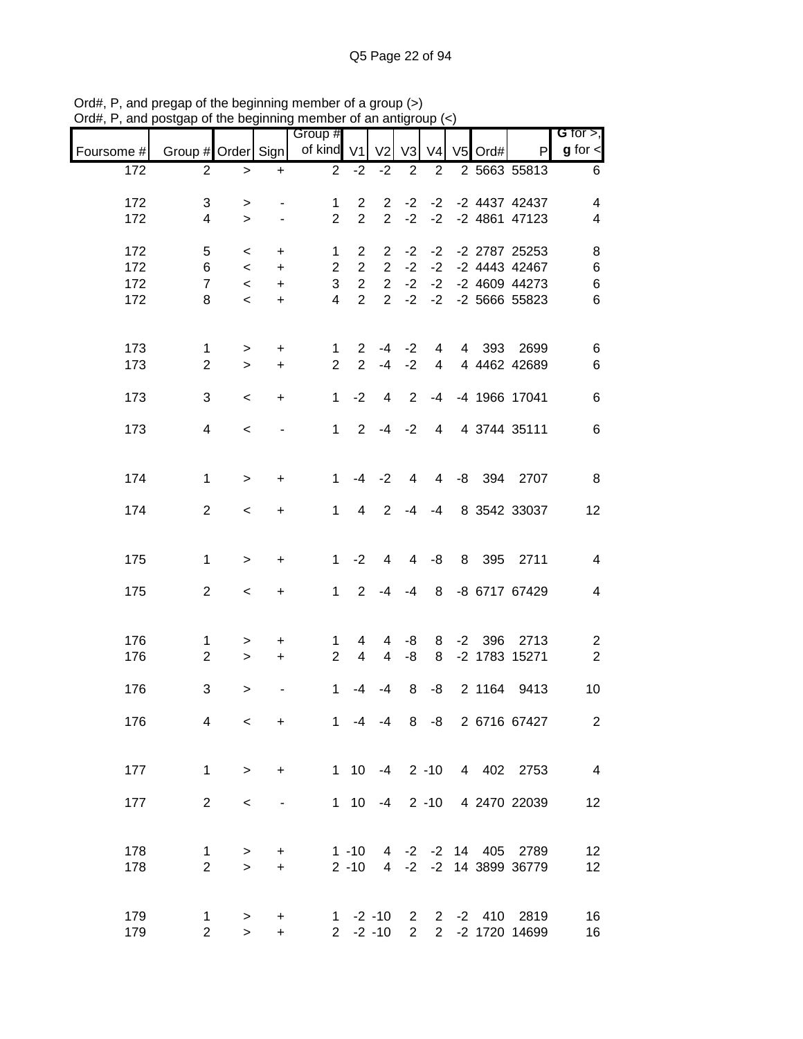|            |                    | or are pogmanny          |                          | 111011100<br>Group # |                | ,, or an anno  |                 |                |           |                          | G for $>$ ,              |
|------------|--------------------|--------------------------|--------------------------|----------------------|----------------|----------------|-----------------|----------------|-----------|--------------------------|--------------------------|
| Foursome # | Group # Order Sign |                          |                          | of kind V1           |                | V2 V3          |                 | V <sub>4</sub> | $V5$ Ord# | P                        | $g$ for $\lt$            |
| 172        | $\overline{2}$     | $\,>$                    | $\ddot{}$                | $\overline{2}$       | $-2$           | $-2$           | 2               | $\overline{2}$ |           | 2 5663 55813             | 6                        |
| 172        | 3                  | $\, > \,$                | $\overline{\phantom{a}}$ | $\mathbf{1}$         | $\overline{2}$ | $\overline{2}$ |                 |                |           | -2 -2 -2 4437 42437      | 4                        |
| 172        | 4                  | $\geq$                   | $\overline{\phantom{a}}$ | $\overline{2}$       | $\overline{2}$ |                |                 |                |           | 2 -2 -2 -2 4861 47123    | 4                        |
| 172        | 5                  | $\prec$                  | $\ddot{}$                | 1                    | $\overline{2}$ |                |                 |                |           | 2 -2 -2 -2 2787 25253    | 8                        |
| 172        | 6                  | $\overline{\phantom{0}}$ | $+$                      | $\overline{2}$       | $\overline{2}$ | $\overline{2}$ | $-2$            | $-2$           |           | -2 4443 42467            | $\,6$                    |
| 172        | $\overline{7}$     | $\prec$                  | $+$                      | 3                    | $\overline{2}$ | $\overline{2}$ | $-2$            | $-2$           |           | -2 4609 44273            | $\,6$                    |
| 172        | 8                  | $\prec$                  | $\ddot{}$                | $\overline{4}$       | $\overline{2}$ |                |                 |                |           | 2 -2 -2 -2 5666 55823    | $6\phantom{1}6$          |
| 173        | 1                  | $\geq$                   | $\ddot{}$                | 1                    | $\overline{2}$ | $-4$           | $-2$            | $\overline{4}$ |           | 4 393 2699               | 6                        |
| 173        | $\overline{2}$     | $\geq$                   | $+$                      | $\overline{2}$       | $\overline{2}$ | $-4 -2$        |                 |                |           | 4 4 4462 42689           | $\,6$                    |
| 173        | 3                  | $\prec$                  | $\ddot{}$                | $\mathbf{1}$         | $-2$           | $\overline{4}$ | 2               | $-4$           |           | -4 1966 17041            | $\,6$                    |
| 173        | 4                  | $\overline{\phantom{a}}$ | $\overline{\phantom{a}}$ | 1                    |                | $2 - 4 - 2$    |                 |                |           | 4 4 3744 35111           | 6                        |
| 174        | $\mathbf{1}$       | $\geq$                   | $\ddot{}$                | $\mathbf{1}$         | $-4$           | $-2$           | $4\overline{ }$ |                |           | 4 -8 394 2707            | 8                        |
| 174        | $\overline{a}$     | $\overline{\phantom{a}}$ | $\ddot{}$                |                      | $1 \quad 4$    | 2              |                 | $-4 - 4$       |           | 8 3542 33037             | 12                       |
| 175        | $\mathbf{1}$       | $\geq$                   | $\ddot{}$                | 1                    | $-2$           | 4              |                 | $4 - 8$        |           | 8 395 2711               | $\overline{4}$           |
| 175        | $\overline{2}$     | $\lt$                    | $+$                      | 1                    | 2              | -4             | -4              |                |           | 8 -8 6717 67429          | $\overline{\mathcal{A}}$ |
|            |                    |                          |                          |                      |                |                |                 |                |           |                          |                          |
| 176        | 1                  | >                        | $\ddot{}$                | $\mathbf{1}$         | 4              | 4              | -8              |                |           | 8 -2 396 2713            | $\overline{c}$           |
| 176        | $\overline{2}$     | $\geq$                   | $+$                      | 2 <sup>1</sup>       | $\overline{4}$ | $\overline{4}$ | -8              |                |           | 8 -2 1783 15271          | $\overline{2}$           |
| 176        | 3                  | >                        |                          | $\mathbf 1$          | -4             | $-4$           | 8               | -8             |           | 2 1164 9413              | 10                       |
| 176        | 4                  | $\,<\,$                  | $\ddot{}$                | 1                    |                | $-4 - 4$       |                 |                |           | 8 -8 2 6716 67427        | $\overline{2}$           |
| 177        | 1                  | $\geq$                   | $\ddot{}$                |                      |                |                |                 |                |           | 1 10 -4 2 -10 4 402 2753 | $\overline{4}$           |
| 177        | $\overline{2}$     | $\,<$                    | $\overline{\phantom{a}}$ |                      |                | $1 \t10 \t-4$  |                 |                |           | 2 -10 4 2470 22039       | 12                       |
| 178        | 1                  | $\, > \,$                | $\ddot{}$                |                      | $1 - 10$       |                |                 |                |           | 4 -2 -2 14 405 2789      | 12                       |
| 178        | $\overline{2}$     | $\geq$                   | $+$                      |                      | $2 - 10$       |                |                 |                |           | 4 -2 -2 14 3899 36779    | 12                       |
| 179        | 1                  | >                        | +                        |                      |                | $1 - 2 - 10$   | $2^{\circ}$     |                |           | 2 -2 410 2819            | 16                       |
| 179        | $\overline{c}$     | $\geq$                   | $+$                      |                      |                | $2 -2 -10$     | $\overline{2}$  |                |           | 2 -2 1720 14699          | 16                       |

Ord#, P, and pregap of the beginning member of a group (>) Ord#, P, and postgap of the beginning member of an antigroup (<)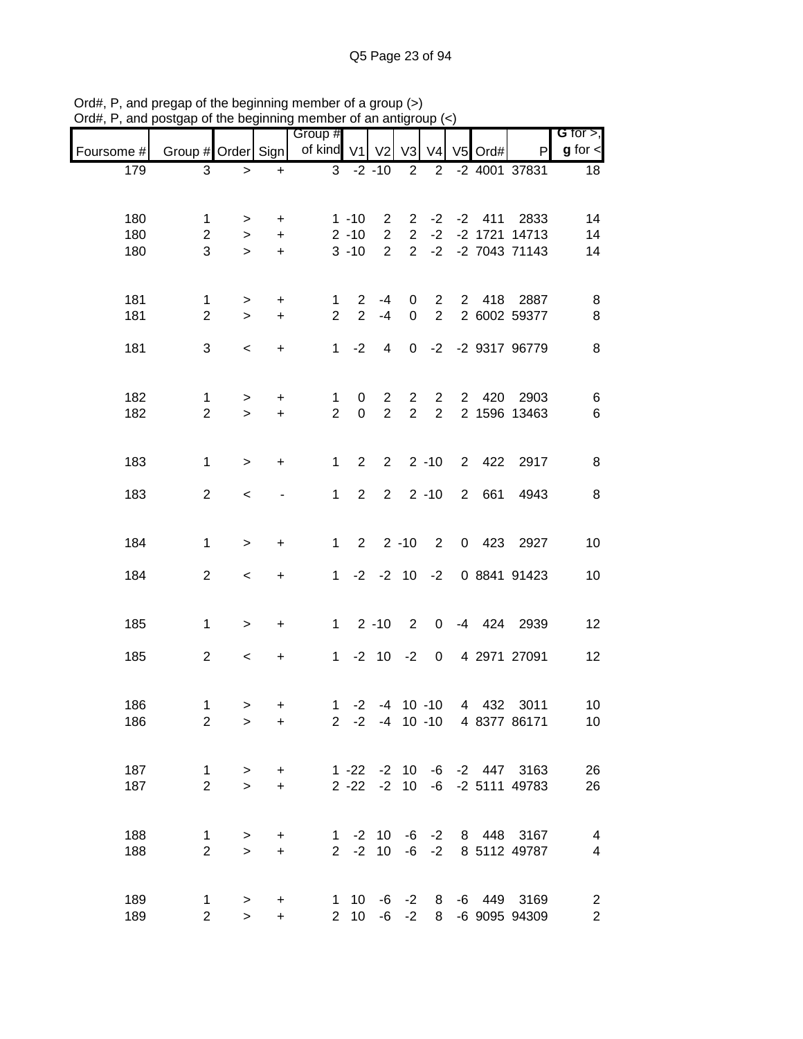| $\alpha$ , $\alpha$ , and poolgap of the beginning momber of an antigroup $\langle \gamma \rangle$ |                    |           |           | Group #        |                |                         |                |                |           |                             | G for $>$ ,             |
|----------------------------------------------------------------------------------------------------|--------------------|-----------|-----------|----------------|----------------|-------------------------|----------------|----------------|-----------|-----------------------------|-------------------------|
| Foursome #                                                                                         | Group # Order Sign |           |           | of kind V1 V2  |                |                         | V3             | V <sub>4</sub> | $V5$ Ord# | P                           | $g$ for $\leq$          |
| 179                                                                                                | 3                  | $\geq$    | $+$       |                |                | $3 - 2 - 10$            | $\overline{2}$ | $2^{\circ}$    |           | -2 4001 37831               | 18                      |
|                                                                                                    |                    |           |           |                |                |                         |                |                |           |                             |                         |
| 180                                                                                                | 1                  | $\geq$    | $+$       |                | $1 - 10$       | $\mathbf{2}$            |                |                |           | 2 -2 -2 411 2833            | 14                      |
| 180                                                                                                | $\overline{2}$     | $\,>$     | $+$       |                | $2 - 10$       | $2^{\circ}$             | $2^{\circ}$    |                |           | $-2$ $-2$ 1721 14713        | 14                      |
| 180                                                                                                | 3                  | $\geq$    | $+$       |                | $3 - 10$       | $2^{\circ}$             |                |                |           | 2 -2 -2 7043 71143          | 14                      |
|                                                                                                    |                    |           |           |                |                |                         |                |                |           |                             |                         |
| 181                                                                                                | $\mathbf{1}$       | $\, > \,$ | $\ddot{}$ | 1              | $\overline{2}$ | $-4$                    | $\mathbf{0}$   | $\overline{2}$ |           | 2 418 2887                  | 8                       |
| 181                                                                                                | $\overline{2}$     | $\geq$    | $+$       | $\overline{2}$ | $\overline{2}$ | $-4$                    | $\mathbf 0$    | $\overline{2}$ |           | 2 6002 59377                | 8                       |
|                                                                                                    |                    |           |           |                |                |                         |                |                |           |                             |                         |
| 181                                                                                                | 3                  | $\,<$     | $\ddot{}$ | 1              | $-2$           | $\overline{4}$          |                |                |           | 0 -2 -2 9317 96779          | 8                       |
|                                                                                                    |                    |           |           |                |                |                         |                |                |           |                             |                         |
| 182                                                                                                | $\mathbf{1}$       | $\, > \,$ | $\ddot{}$ | $\mathbf 1$    | 0              | $\overline{2}$          | $\overline{2}$ | $\overline{2}$ |           | 2 420 2903                  | 6                       |
| 182                                                                                                | $\overline{2}$     | $\geq$    | $\ddot{}$ | $\overline{2}$ | $\mathbf 0$    | $\overline{2}$          | $\overline{2}$ | $\overline{2}$ |           | 2 1596 13463                | $\,6$                   |
|                                                                                                    |                    |           |           |                |                |                         |                |                |           |                             |                         |
| 183                                                                                                | 1                  | $\geq$    | $\ddot{}$ | $\mathbf{1}$   | $\overline{2}$ | $\overline{\mathbf{2}}$ |                | $2 - 10$       |           | 2 422 2917                  | 8                       |
|                                                                                                    |                    |           |           |                |                |                         |                |                |           |                             |                         |
| 183                                                                                                | $\overline{2}$     | $\,<\,$   |           | 1              | $2^{\circ}$    |                         |                | $2 \t2 \t-10$  | 2 661     | 4943                        | 8                       |
|                                                                                                    |                    |           |           |                |                |                         |                |                |           |                             |                         |
| 184                                                                                                | $\mathbf{1}$       | $\,$      | $\ddot{}$ | $1 \quad$      |                | $2 \t2 \t-10 \t2$       |                |                |           | 0 423 2927                  | 10                      |
|                                                                                                    |                    |           |           |                |                |                         |                |                |           |                             |                         |
| 184                                                                                                | $\overline{2}$     | $\,<\,$   | $\ddot{}$ |                |                | $1 -2 -2 10 -2$         |                |                |           | 0 8841 91423                | 10                      |
|                                                                                                    |                    |           |           |                |                |                         |                |                |           |                             |                         |
| 185                                                                                                | $\mathbf{1}$       | $\, > \,$ | $\ddot{}$ |                |                |                         |                |                |           | 1 2 -10 2 0 -4 424 2939     | 12                      |
| 185                                                                                                | $\overline{2}$     | $\,<$     | $\ddot{}$ |                |                |                         |                |                |           | 1 -2 10 -2 0 4 2971 27091   | 12                      |
|                                                                                                    |                    |           |           |                |                |                         |                |                |           |                             |                         |
|                                                                                                    |                    |           |           |                |                |                         |                |                |           |                             |                         |
| 186                                                                                                | 1                  | >         | +         |                |                | $1 -2 -4 10 -10$        |                |                |           | 4 432 3011                  | 10 <sub>1</sub>         |
| 186                                                                                                | $\overline{2}$     | $\,>$     | $\ddot{}$ |                |                |                         |                |                |           | 2 -2 -4 10 -10 4 8377 86171 | 10                      |
|                                                                                                    |                    |           |           |                |                |                         |                |                |           |                             |                         |
| 187                                                                                                | 1                  | >         | $\ddot{}$ |                |                | $1 - 22 - 210$          |                |                |           | $-6$ $-2$ $447$ $3163$      | 26                      |
| 187                                                                                                | $\overline{2}$     | $\geq$    | $\ddot{}$ |                |                | $2 - 22 - 2 10$         |                |                |           | $-6$ $-2$ 5111 49783        | 26                      |
|                                                                                                    |                    |           |           |                |                |                         |                |                |           |                             |                         |
| 188                                                                                                | $\mathbf 1$        | $\, > \,$ | $\ddot{}$ |                |                | $1 - 2 10$              |                | $-6 -2$        |           | 8 448 3167                  | 4                       |
| 188                                                                                                | $\overline{2}$     | $\, >$    | $\ddot{}$ |                |                | $2 -2 10$               |                | $-6 -2$        |           | 8 5112 49787                | $\overline{\mathbf{4}}$ |
|                                                                                                    |                    |           |           |                |                |                         |                |                |           |                             |                         |
| 189                                                                                                | $\mathbf 1$        | >         | +         |                |                | $1 \t10 \t-6$           |                |                |           | -2 8 -6 449 3169            | $\overline{c}$          |
| 189                                                                                                | $\overline{2}$     | $\geq$    | $+$       |                | $2 \quad 10$   | -6                      | $-2$           |                |           | 8 -6 9095 94309             | $\overline{2}$          |

Ord#, P, and pregap of the beginning member of a group (>) Ord#, P, and postgap of the beginning member of an antigroup (<)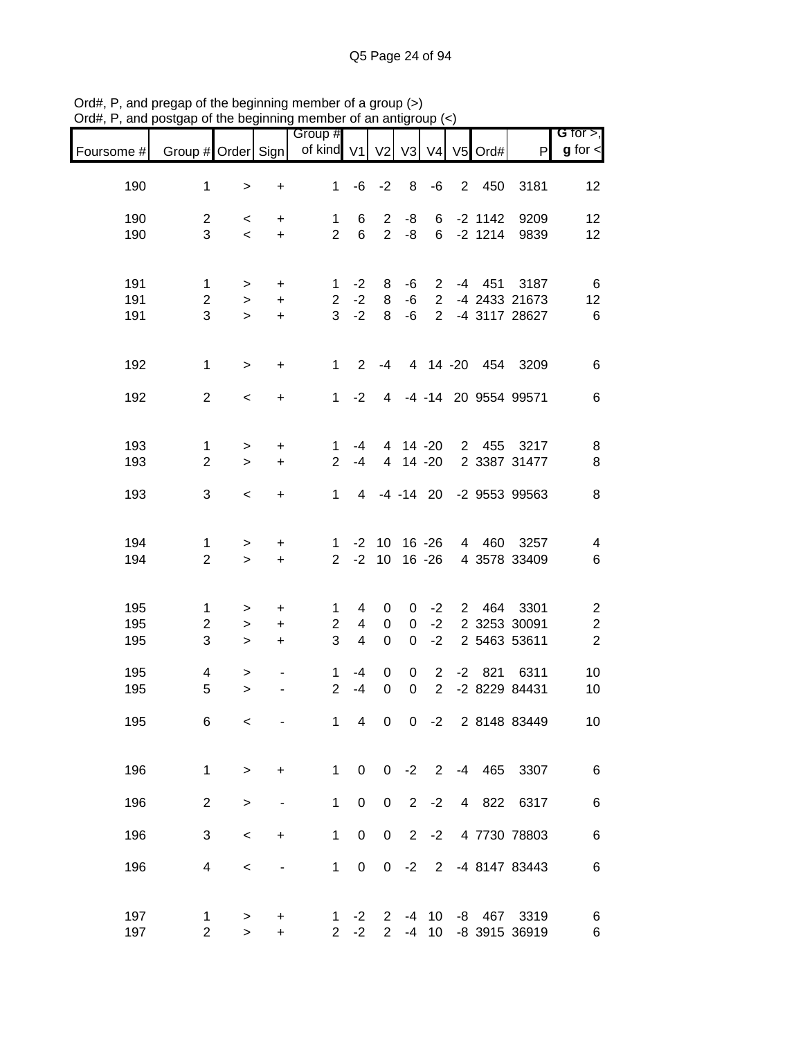| Group #<br>of kind V1<br>Group # Order Sign<br>V3<br>V4 V5 Ord#<br>V <sub>2</sub><br>Foursome #<br>$\mathsf{P}$<br>190<br>$\mathbf 1$<br>-6<br>$-2$<br>8<br>-6<br>$2^{\circ}$<br>450<br>3181<br>1<br>$\ddot{}$<br>$\mathbf{I}$<br>190<br>$\overline{2}$<br>6<br>$\overline{2}$<br>-8<br>6<br>$-2$ 1142<br>9209<br>1<br>+<br>$\,<\,$<br>$\overline{2}$<br>$\overline{2}$<br>3<br>$6\phantom{1}$<br>-8<br>$-2$ 1214<br>190<br>6<br>9839<br>$\ddot{}$<br>$\overline{\phantom{a}}$ | G for $>$ ,<br>$g$ for $\lt$<br>12<br>12<br>12<br>6<br>12 |
|--------------------------------------------------------------------------------------------------------------------------------------------------------------------------------------------------------------------------------------------------------------------------------------------------------------------------------------------------------------------------------------------------------------------------------------------------------------------------------|-----------------------------------------------------------|
|                                                                                                                                                                                                                                                                                                                                                                                                                                                                                |                                                           |
|                                                                                                                                                                                                                                                                                                                                                                                                                                                                                |                                                           |
|                                                                                                                                                                                                                                                                                                                                                                                                                                                                                |                                                           |
|                                                                                                                                                                                                                                                                                                                                                                                                                                                                                |                                                           |
| 191<br>$-2$<br>$-4$<br>451<br>3187<br>1<br>8<br>-6<br>$\overline{2}$<br>1<br>+<br>>                                                                                                                                                                                                                                                                                                                                                                                            |                                                           |
| $\overline{c}$<br>$-2$<br>$\overline{2}$<br>191<br>$\overline{c}$<br>8<br>-6<br>-4 2433 21673<br>$\ddot{}$<br>$\,>$<br>$\mathbf{3}$<br>$-2$<br>3<br>$\overline{2}$<br>8<br>-6<br>191<br>-4 3117 28627<br>$\ddot{}$<br>$\geq$                                                                                                                                                                                                                                                   | $6\phantom{1}6$                                           |
| 192<br>4 14 -20 454 3209<br>$\mathbf{1}$<br>$\mathbf 1$<br>$\overline{2}$<br>$-4$<br>$\ddot{}$<br>$\, > \,$                                                                                                                                                                                                                                                                                                                                                                    | 6                                                         |
| $\overline{2}$<br>-4 -14 20 9554 99571<br>192<br>1<br>$-2$<br>$\overline{4}$<br>$\,<$<br>$\ddot{}$                                                                                                                                                                                                                                                                                                                                                                             | 6                                                         |
| 193<br>4 14 -20<br>2 455 3217<br>1<br>-4<br>$\begin{array}{c} + \end{array}$<br>1<br>$\,$                                                                                                                                                                                                                                                                                                                                                                                      | 8                                                         |
| $14 - 20$<br>2 3387 31477<br>193<br>$\overline{2}$<br>$\overline{2}$<br>$\ddot{}$<br>$-4$<br>$\overline{4}$<br>$\geq$                                                                                                                                                                                                                                                                                                                                                          | 8                                                         |
| 3<br>$-4$ $-14$ 20<br>193<br>$\mathbf 1$<br>-2 9553 99563<br>4<br>$\ddot{}$<br>$\,<\,$                                                                                                                                                                                                                                                                                                                                                                                         | 8                                                         |
| 194<br>$16 - 26$<br>4 460 3257<br>$-2$<br>10<br>1<br>$\mathbf{1}$<br>$\ddot{}$<br>>                                                                                                                                                                                                                                                                                                                                                                                            | 4                                                         |
| $-2$<br>$\overline{2}$<br>$\overline{2}$<br>10<br>$16 - 26$<br>194<br>4 3578 33409<br>$\ddot{}$<br>$\geq$                                                                                                                                                                                                                                                                                                                                                                      | $\,6$                                                     |
| 195<br>3301<br>$2^{\circ}$<br>464<br>1<br>4<br>0<br>$-2$<br>1<br>0<br>><br>+                                                                                                                                                                                                                                                                                                                                                                                                   | $\overline{\mathbf{c}}$                                   |
| 195<br>$\boldsymbol{0}$<br>$-2$<br>2 3253 30091<br>$\overline{2}$<br>2<br>4<br>$\mathbf 0$<br>+<br>><br>3<br>$-2$<br>195<br>3<br>4<br>$\boldsymbol{0}$<br>$\mathbf 0$<br>2 5463 53611<br>$\ddot{}$<br>$\,>$                                                                                                                                                                                                                                                                    | $\boldsymbol{2}$<br>$\sqrt{2}$                            |
| 195<br>$\overline{\mathbf{4}}$<br>$\boldsymbol{0}$<br>2<br>$-2$ 821<br>6311<br>-4<br>0<br>1<br>$\,$<br>-                                                                                                                                                                                                                                                                                                                                                                       | 10                                                        |
| $\overline{2}$<br>$\overline{2}$<br>$\mathbf 0$<br>$\mathbf 0$<br>-2 8229 84431<br>195<br>5<br>$-4$<br>$\mathbf{I}$                                                                                                                                                                                                                                                                                                                                                            | 10                                                        |
| $\overline{\mathbf{4}}$<br>$\boldsymbol{0}$<br>$-2$<br>2 8148 83449<br>195<br>$\mathbf 1$<br>0<br>6<br>$\,<$                                                                                                                                                                                                                                                                                                                                                                   | 10                                                        |
| 196<br>$\mathbf{1}$<br>$\mathbf 0$<br>$-2$ 2<br>-4 465 3307<br>$\mathbf{1}$<br>$\mathbf{0}$<br>$\ddot{}$<br>$\mathbf{I}$                                                                                                                                                                                                                                                                                                                                                       | $\,6$                                                     |
| $\pmb{0}$<br>$-2$<br>196<br>$\overline{2}$<br>$\mathbf 1$<br>$\mathsf 0$<br>$\overline{2}$<br>4 822 6317<br>$\,$<br>-                                                                                                                                                                                                                                                                                                                                                          | 6                                                         |
| 196<br>3<br>$\mathbf 1$<br>$\pmb{0}$<br>$\boldsymbol{0}$<br>$\overline{2}$<br>$-2$<br>4 7730 78803<br>$\,<$<br>+                                                                                                                                                                                                                                                                                                                                                               | 6                                                         |
| 196<br>$\mathbf{1}$<br>$\pmb{0}$<br>$\pmb{0}$<br>$-2$<br>$\overline{2}$<br>-4 8147 83443<br>4<br>$\,<$                                                                                                                                                                                                                                                                                                                                                                         | $\,6$                                                     |
| 197<br>10<br>467 3319<br>$-2$<br>$\mathbf{2}$<br>-8<br>-4<br>1<br>1<br>+<br>><br>197<br>$\overline{2}$<br>$-2$<br>$\overline{2}$<br>$\overline{2}$<br>-4<br>10<br>-8 3915 36919<br>$\geq$<br>$\ddot{}$                                                                                                                                                                                                                                                                         | 6<br>6                                                    |

Ord#, P, and pregap of the beginning member of a group (>) Ord#, P, and postgap of the beginning member of an antigroup (<)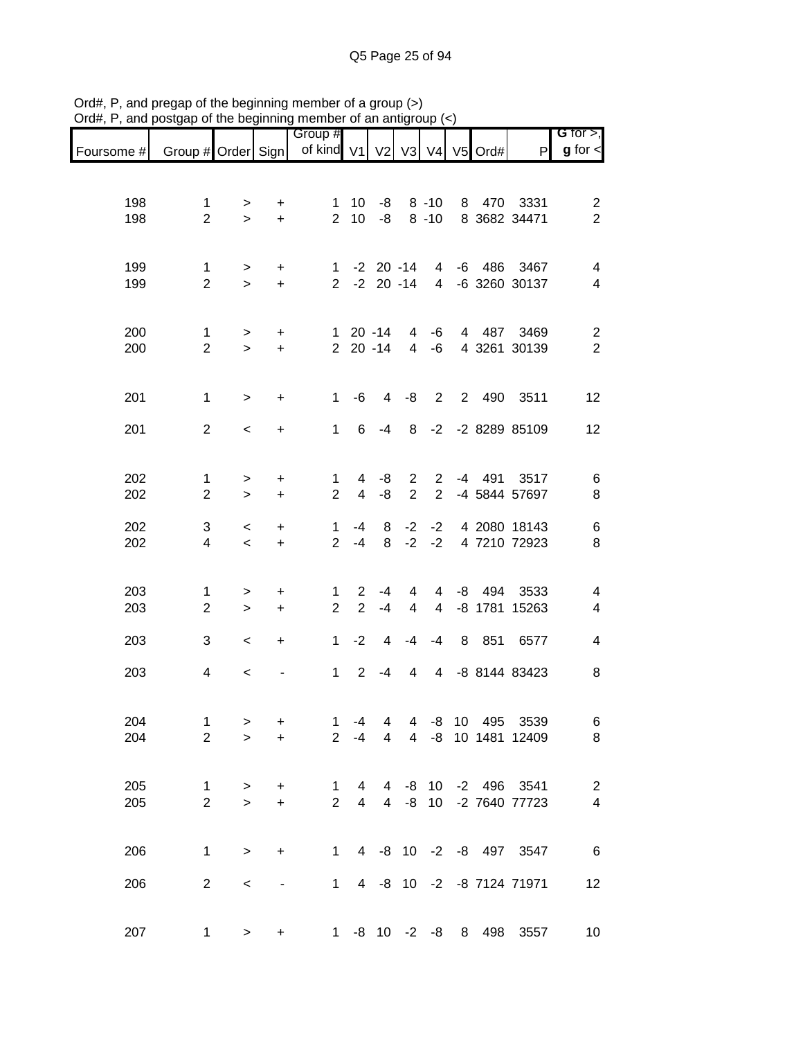|            |                         |             |                              | Group #                       |                     |                |                     |                      |   |          |                            | G for $>$ ,                               |
|------------|-------------------------|-------------|------------------------------|-------------------------------|---------------------|----------------|---------------------|----------------------|---|----------|----------------------------|-------------------------------------------|
| Foursome # | Group # Order Sign      |             |                              | of kind V1 V2 V3 V4 V5 Ord#   |                     |                |                     |                      |   |          | P                          | $g$ for $\lt$                             |
|            |                         |             |                              |                               |                     |                |                     |                      |   |          |                            |                                           |
|            |                         |             |                              |                               |                     |                |                     |                      |   |          |                            |                                           |
| 198<br>198 | 1<br>$\overline{2}$     | ><br>$\geq$ | $\ddot{}$<br>$\ddot{}$       | $\mathbf 1$<br>$\overline{2}$ | 10<br>10            | -8<br>-8       |                     | $8 - 10$<br>$8 - 10$ |   |          | 8 470 3331<br>8 3682 34471 | $\overline{\mathbf{c}}$<br>$\overline{2}$ |
|            |                         |             |                              |                               |                     |                |                     |                      |   |          |                            |                                           |
|            |                         |             |                              |                               |                     |                |                     |                      |   |          |                            |                                           |
| 199        | $\mathbf{1}$            | >           | +                            | 1                             |                     |                | $-2$ 20 $-14$       | $\overline{4}$       |   |          | -6 486 3467                | 4                                         |
| 199        | $\overline{2}$          | $\geq$      | $\ddot{}$                    | $\overline{2}$                |                     | $-2$ 20 $-14$  |                     | $\overline{4}$       |   |          | -6 3260 30137              | 4                                         |
|            |                         |             |                              |                               |                     |                |                     |                      |   |          |                            |                                           |
| 200        | 1                       | >           | +                            |                               |                     | $120 - 14$     | 4                   | -6                   |   |          | 4 487 3469                 | $\overline{\mathbf{c}}$                   |
| 200        | $\overline{2}$          | $\geq$      | $+$                          |                               |                     | $220 - 14$     | $\overline{4}$      | -6                   |   |          | 4 3261 30139               | $\sqrt{2}$                                |
|            |                         |             |                              |                               |                     |                |                     |                      |   |          |                            |                                           |
|            |                         |             |                              |                               |                     |                |                     |                      |   |          |                            |                                           |
| 201        | 1                       | $\geq$      | $\ddot{}$                    | $\mathbf 1$                   | -6                  | 4              | -8                  | $2^{\circ}$          |   |          | 2 490 3511                 | 12                                        |
| 201        | $\overline{2}$          | $\,<$       | +                            | $\mathbf{1}$                  | 6                   | $-4$           | 8                   | $-2$                 |   |          | -2 8289 85109              | 12                                        |
|            |                         |             |                              |                               |                     |                |                     |                      |   |          |                            |                                           |
|            |                         |             |                              |                               |                     |                |                     |                      |   |          |                            |                                           |
| 202        | $\mathbf{1}$            | $\, > \,$   | $\ddot{}$                    | $\mathbf{1}$                  | 4                   | -8             | $\overline{2}$      | $\overline{2}$       |   |          | -4 491 3517                | 6                                         |
| 202        | $\overline{2}$          | $\geq$      | $\ddot{}$                    | $\overline{2}$                | $\overline{4}$      | -8             | $\overline{2}$      | $\overline{2}$       |   |          | -4 5844 57697              | 8                                         |
| 202        | 3                       | $\,<\,$     | +                            | $\mathbf{1}$                  | -4                  | 8              | $-2$                | $-2$                 |   |          | 4 2080 18143               | 6                                         |
| 202        | $\overline{\mathbf{4}}$ | $\,<$       | $\ddot{}$                    | $\overline{2}$                | $-4$                | 8              | $-2$                | $-2$                 |   |          | 4 7210 72923               | 8                                         |
|            |                         |             |                              |                               |                     |                |                     |                      |   |          |                            |                                           |
|            |                         |             |                              |                               |                     |                |                     |                      |   |          |                            |                                           |
| 203<br>203 | 1<br>$\overline{2}$     | >           | +<br>$\ddot{}$               | 1<br>$\overline{2}$           | 2<br>$\overline{2}$ | $-4$<br>$-4$   | 4<br>$\overline{4}$ | 4<br>$\overline{4}$  |   | $-8$ 494 | 3533<br>-8 1781 15263      | 4<br>4                                    |
|            |                         | $\geq$      |                              |                               |                     |                |                     |                      |   |          |                            |                                           |
| 203        | 3                       | $\,<\,$     | +                            | 1                             | $-2$                | 4              | -4                  | $-4$                 | 8 | 851      | 6577                       | 4                                         |
|            |                         |             |                              |                               |                     |                |                     |                      |   |          |                            |                                           |
| 203        | 4                       | $\,<\,$     | $\qquad \qquad \blacksquare$ | $\mathbf{1}$                  | $\overline{2}$      | $-4$           | 4                   | 4                    |   |          | -8 8144 83423              | 8                                         |
|            |                         |             |                              |                               |                     |                |                     |                      |   |          |                            |                                           |
| 204        | 1                       | >           | +                            | 1                             | $-4$                | 4              |                     |                      |   |          | 4 -8 10 495 3539           | 6                                         |
| 204        | $\overline{2}$          | $\geq$      | $\ddot{}$                    | $\overline{2}$                | $-4$                | $\overline{4}$ |                     |                      |   |          | 4 -8 10 1481 12409         | 8                                         |
|            |                         |             |                              |                               |                     |                |                     |                      |   |          |                            |                                           |
|            |                         |             |                              |                               |                     |                |                     |                      |   |          |                            |                                           |
| 205        | $\mathbf{1}$            | $\geq$      | $+$                          | $\mathbf 1$                   | 4                   | $\overline{4}$ |                     |                      |   |          | -8 10 -2 496 3541          | $\overline{2}$                            |
| 205        | $\overline{2}$          | $\geq$      | $\ddot{}$                    | $\overline{2}$                | $\overline{4}$      | $\overline{4}$ |                     |                      |   |          | -8 10 -2 7640 77723        | $\overline{4}$                            |
|            |                         |             |                              |                               |                     |                |                     |                      |   |          |                            |                                           |
| 206        | $\mathbf{1}$            | $\, > \,$   | $+$                          | $1 \quad$                     |                     |                |                     |                      |   |          | 4 -8 10 -2 -8 497 3547     | $6\overline{6}$                           |
|            |                         |             |                              |                               |                     |                |                     |                      |   |          |                            |                                           |
| 206        | $\overline{2}$          | $\,<\,$     |                              | $1 \quad$                     |                     |                |                     |                      |   |          | 4 -8 10 -2 -8 7124 71971   | 12                                        |
|            |                         |             |                              |                               |                     |                |                     |                      |   |          |                            |                                           |
| 207        | 1                       | $\geq$      | $+$                          |                               |                     |                |                     | $1 - 8$ 10 $-2$ $-8$ | 8 |          | 498 3557                   | 10                                        |
|            |                         |             |                              |                               |                     |                |                     |                      |   |          |                            |                                           |

Ord#, P, and pregap of the beginning member of a group (>) Ord#, P, and postgap of the beginning member of an antigroup (<)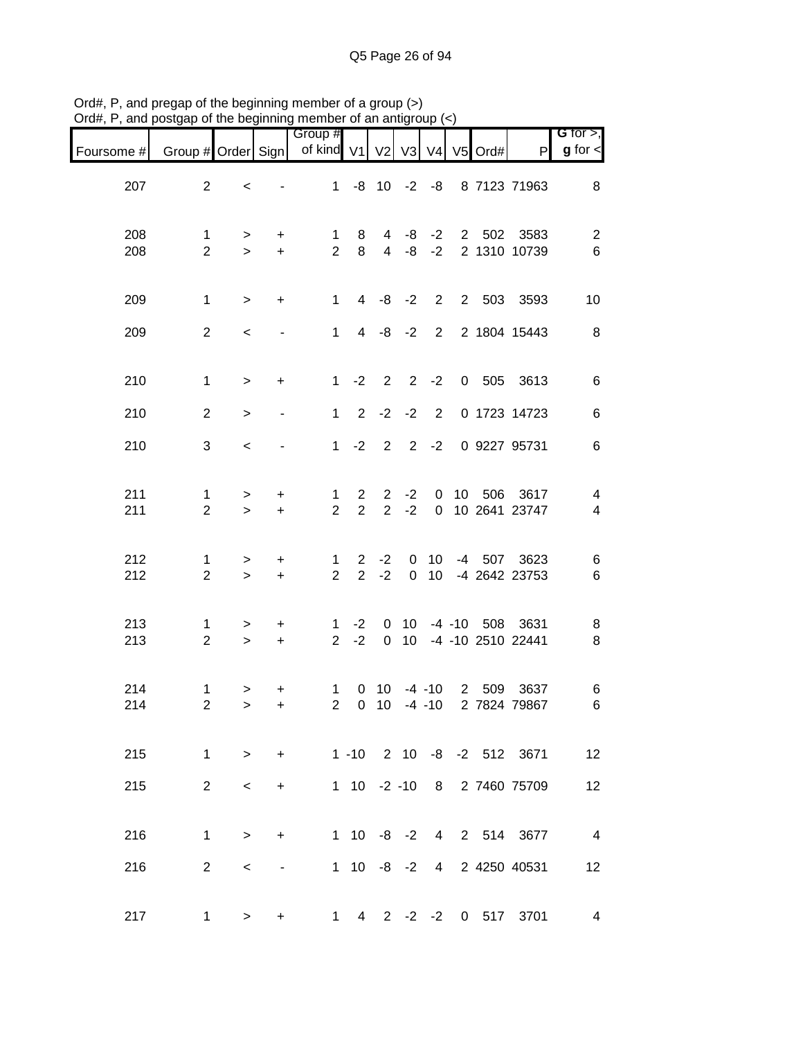| Foursome # | Group # Order Sign            |                          |                        | Group #<br>of kind V1          |                                  | V2                               | V3                         |                                    |      | V4 V5 Ord# | P                                    | G for $>$ ,<br>$g$ for $\lt$     |
|------------|-------------------------------|--------------------------|------------------------|--------------------------------|----------------------------------|----------------------------------|----------------------------|------------------------------------|------|------------|--------------------------------------|----------------------------------|
| 207        | $\overline{2}$                | $\,<$                    |                        | 1                              |                                  |                                  |                            |                                    |      |            | -8 10 -2 -8 8 7123 71963             | 8                                |
| 208<br>208 | $\mathbf 1$<br>$\overline{2}$ | $\, > \,$<br>$\geq$      | +<br>$+$               | $\mathbf{1}$<br>$\overline{2}$ | 8<br>8                           | $\overline{4}$                   | -8<br>$4 - 8$              | $-2$<br>$-2$                       |      | 2 502      | 3583<br>2 1310 10739                 | $\overline{\mathbf{c}}$<br>$\,6$ |
| 209        | $\mathbf{1}$                  | $\geq$                   | $+$                    | 1                              |                                  |                                  |                            |                                    |      |            | 4 -8 -2 2 2 503 3593                 | 10                               |
| 209        | $\overline{2}$                | $\,<$                    |                        | 1                              |                                  | $4 -8 -2$                        |                            |                                    |      |            | 2 2 1804 15443                       | 8                                |
| 210        | $\mathbf{1}$                  | $\geq$                   | $\ddot{}$              | 1                              | $-2$                             | $\overline{2}$                   | $2^{\circ}$                | $-2$                               |      |            | 0 505 3613                           | 6                                |
| 210        | $\overline{2}$                | $\geq$                   |                        | 1                              | $\overline{2}$                   |                                  | $-2 -2$                    | $\overline{2}$                     |      |            | 0 1723 14723                         | $\,6$                            |
| 210        | 3                             | $\prec$                  |                        | $\mathbf{1}$                   | $-2$                             | $\overline{2}$                   | $\overline{\phantom{a}}$ 2 | $-2$                               |      |            | 0 9227 95731                         | 6                                |
| 211<br>211 | 1<br>$\overline{2}$           | $\, > \,$<br>$\geq$      | +<br>$+$               | $\mathbf{1}$<br>$\overline{2}$ | $\overline{2}$<br>$\overline{2}$ | $\overline{2}$<br>$\overline{2}$ | $-2$<br>$-2$               | 0<br>$\overline{0}$                |      | 10 506     | 3617<br>10 2641 23747                | 4<br>$\overline{\mathcal{A}}$    |
| 212<br>212 | 1<br>$\overline{2}$           | $\, > \,$<br>$\geq$      | +<br>$+$               | 1<br>$\overline{2}$            | $\mathbf{2}$<br>$\overline{2}$   | $-2$<br>$-2$                     | $\mathbf 0$<br>$\mathbf 0$ | 10 <sup>1</sup><br>10 <sup>1</sup> | $-4$ |            | 507 3623<br>-4 2642 23753            | 6<br>6                           |
| 213<br>213 | 1<br>$\overline{2}$           | $\, > \,$<br>$\geq$      | $\ddot{}$<br>$\ddot{}$ | $\mathbf{1}$<br>$\overline{2}$ | $-2$<br>$-2$                     | 0<br>$\mathbf 0$                 | 10 <sup>°</sup><br>10      |                                    |      |            | -4 -10 508 3631<br>-4 -10 2510 22441 | 8<br>$\,8\,$                     |
| 214<br>214 | 1<br>$\overline{2}$           | ><br>$\geq$              | +<br>$\ddot{}$         | $\mathbf{1}$<br>$\overline{2}$ | 0<br>$\overline{0}$              | 10                               |                            | $-4 - 10$                          |      |            | 10 -4 -10 2 509 3637<br>2 7824 79867 | 6<br>6                           |
| 215        | $\mathbf{1}$                  | $\geq$                   |                        | + 1 -10 2 10 -8 -2 512 3671    |                                  |                                  |                            |                                    |      |            |                                      | 12                               |
| 215        | 2 <sup>1</sup>                | $\overline{\phantom{0}}$ | $+$                    |                                |                                  |                                  |                            |                                    |      |            | 1 10 -2 -10 8 2 7460 75709           | 12                               |
| 216        | $\mathbf{1}$                  | $\geq$                   | $+$                    |                                |                                  |                                  |                            |                                    |      |            | 1 10 -8 -2 4 2 514 3677              | $\overline{4}$                   |
| 216        | $\overline{2}$                | $\,<\,$                  | $\blacksquare$         |                                | $1 \t10 \t -8 \t -2$             |                                  |                            |                                    |      |            | 4 2 4250 40531                       | 12                               |
| 217        | $1 \quad$                     | $\geq$                   | +                      |                                | $1 \quad 4$                      |                                  |                            |                                    |      |            | 2 -2 -2 0 517 3701                   | $\overline{\mathcal{A}}$         |

Ord#, P, and pregap of the beginning member of a group (>) Ord#, P, and postgap of the beginning member of an antigroup (<)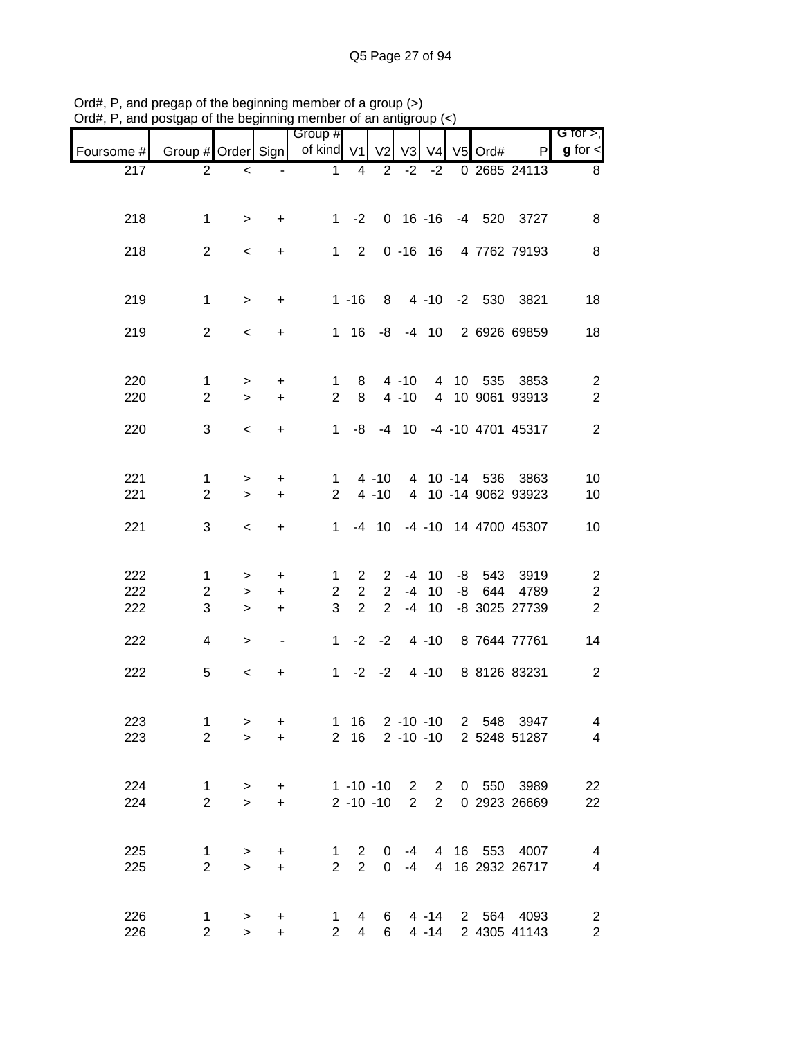| $71^{\circ}$ u $\pi,$ | and postgap or the beginning member or an antigroup |                     |                  |                       |                                  |                                  |                |                    |    |         |                                                |                                |
|-----------------------|-----------------------------------------------------|---------------------|------------------|-----------------------|----------------------------------|----------------------------------|----------------|--------------------|----|---------|------------------------------------------------|--------------------------------|
| Foursome #            | Group # Order Sign                                  |                     |                  | Group #<br>of kind V1 |                                  | V <sub>2</sub>                   |                | $V3$ $V4$          |    | V5 Ord# | P                                              | G for $>$ ,<br>$g$ for $\lt$   |
| 217                   | $\overline{2}$                                      | $\,<\,$             | $\blacksquare$   | $\mathbf 1$           | 4                                | $\overline{2}$                   |                | $-2 -2$            |    |         | 0 2685 24113                                   | 8                              |
|                       |                                                     |                     |                  |                       |                                  |                                  |                |                    |    |         |                                                |                                |
| 218                   | $\mathbf{1}$                                        | $\geq$              | $\ddot{}$        |                       |                                  |                                  |                |                    |    |         | 1 -2 0 16 -16 -4 520 3727                      | 8                              |
| 218                   | $\overline{2}$                                      | $\,<\,$             | $\ddot{}$        |                       | $1 \quad 2$                      |                                  |                |                    |    |         | 0 -16 16 4 7762 79193                          | 8                              |
|                       |                                                     |                     |                  |                       |                                  |                                  |                |                    |    |         |                                                |                                |
| 219                   | $\mathbf{1}$                                        | $\geq$              | $+$              |                       | $1 - 16$                         |                                  |                |                    |    |         | 8 4 -10 -2 530 3821                            | 18                             |
| 219                   | $\overline{2}$                                      | $\prec$             | $\ddot{}$        |                       |                                  |                                  |                |                    |    |         | 1 16 -8 -4 10 2 6926 69859                     | 18                             |
|                       |                                                     |                     |                  |                       |                                  |                                  |                |                    |    |         |                                                |                                |
| 220                   | $\mathbf{1}$                                        | >                   | $\ddot{}$        | 1                     | 8                                |                                  | $4 - 10$       |                    |    |         | 4 10 535 3853                                  | $\overline{2}$                 |
| 220                   | $\overline{2}$                                      | $\geq$              | $+$              | $\overline{2}$        | 8                                |                                  | $4 - 10$       |                    |    |         | 4 10 9061 93913                                | $\overline{2}$                 |
| 220                   | 3                                                   | $\prec$             | $\ddot{}$        | $\mathbf{1}$          | -8                               |                                  |                |                    |    |         | -4 10 -4 -10 4701 45317                        | $\overline{2}$                 |
|                       |                                                     |                     |                  |                       |                                  |                                  |                |                    |    |         |                                                |                                |
| 221                   | 1                                                   | $\,>$               | $\ddot{}$        | 1                     |                                  | $4 - 10$                         |                |                    |    |         | 4 10 -14 536 3863                              | 10                             |
| 221                   | $\overline{2}$                                      | $\geq$              | $+$              | $\overline{2}$        |                                  | $4 - 10$                         |                |                    |    |         | 4 10 -14 9062 93923                            | 10                             |
| 221                   | 3                                                   | $\,<\,$             | $\ddot{}$        | 1.                    |                                  | $-4$ 10                          |                |                    |    |         | -4 -10 14 4700 45307                           | 10                             |
|                       |                                                     |                     |                  |                       |                                  |                                  |                |                    |    |         |                                                |                                |
| 222                   | $\mathbf{1}$                                        | $\,>$               | $\ddot{}$        | $\mathbf{1}$          | $\overline{2}$                   | $\overline{2}$                   |                | -4 10              |    |         | -8 543 3919                                    | $\overline{c}$                 |
| 222<br>222            | $\overline{2}$<br>3                                 | $\,>$<br>$\geq$     | $\ddot{}$<br>$+$ | $\overline{2}$<br>3   | $\overline{2}$<br>$\overline{2}$ | $\overline{2}$<br>$\overline{2}$ |                | $-4$ 10<br>$-4$ 10 | -8 |         | 644 4789<br>-8 3025 27739                      | $\boldsymbol{2}$<br>$\sqrt{2}$ |
|                       |                                                     |                     |                  |                       |                                  |                                  |                |                    |    |         |                                                |                                |
| 222                   | 4                                                   | $\,>$               | $\blacksquare$   | $\mathbf 1$           |                                  |                                  |                |                    |    |         | $-2$ $-2$ $4$ $-10$ $8$ 7644 77761             | 14                             |
| 222                   | 5                                                   | $\,<\,$             | +                |                       |                                  |                                  |                |                    |    |         | 1 -2 -2 4 -10 8 8126 83231                     | $\overline{2}$                 |
|                       |                                                     |                     |                  |                       |                                  |                                  |                |                    |    |         |                                                |                                |
| 223<br>223            | 1<br>$\overline{2}$                                 | $\, > \,$<br>$\geq$ | $\ddot{}$<br>$+$ |                       | 1 16<br>2 16                     |                                  |                |                    |    |         | 2 -10 -10 2 548 3947<br>2 -10 -10 2 5248 51287 | 4<br>$\overline{4}$            |
|                       |                                                     |                     |                  |                       |                                  |                                  |                |                    |    |         |                                                |                                |
| 224                   | $\mathbf{1}$                                        | $\,$                | $\ddot{}$        |                       | $1 - 10 - 10$                    |                                  |                | $2\quad 2$         |    |         | 0 550 3989                                     | 22                             |
| 224                   | $\overline{2}$                                      | $\, >$              | $+$              |                       | $2 - 10 - 10$                    |                                  | $\overline{2}$ | $2^{\circ}$        |    |         | 0 2923 26669                                   | 22                             |
|                       |                                                     |                     |                  |                       |                                  |                                  |                |                    |    |         |                                                |                                |
| 225                   | $\mathbf{1}$<br>$\overline{2}$                      | $\, > \,$           | $\ddot{}$        | 1<br>$\overline{2}$   | $\mathbf{2}$<br>$\overline{2}$   | 0                                |                |                    |    |         | -4 4 16 553 4007                               | 4                              |
| 225                   |                                                     | $\geq$              | $+$              |                       |                                  | $\mathbf 0$                      |                |                    |    |         | -4 4 16 2932 26717                             | $\overline{4}$                 |
| 226                   | $\mathbf{1}$                                        | >                   | +                | $\mathbf{1}$          | $\overline{4}$                   |                                  |                |                    |    |         | 6 4 -14 2 564 4093                             | $\overline{c}$                 |
| 226                   | $\overline{2}$                                      | $\geq$              | $+$              | $\overline{2}$        | 4                                | $6 -$                            |                |                    |    |         | 4 -14 2 4305 41143                             | $\overline{c}$                 |

Ord#, P, and pregap of the beginning member of a group (>) Ord#, P, and postgap of the beginning member of an antigroup (<)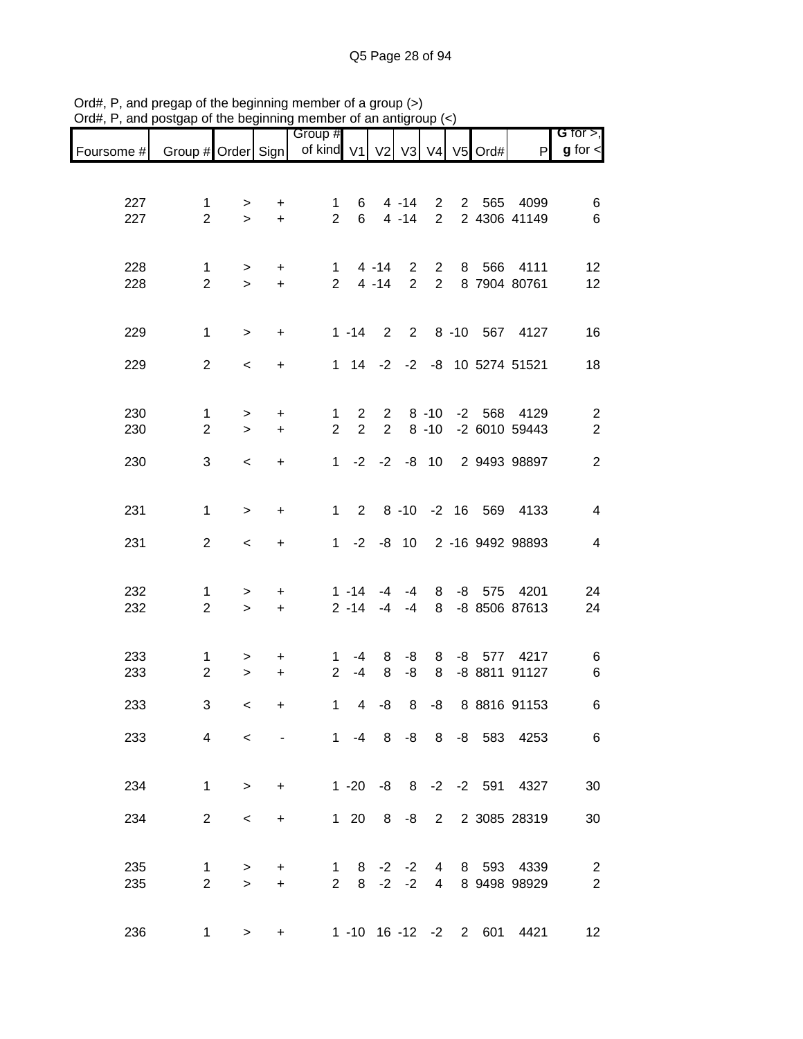|            |                     |                          |                                  | Group #             |                                |                               |                |                      |             |            |                              | G for $>$ ,                      |
|------------|---------------------|--------------------------|----------------------------------|---------------------|--------------------------------|-------------------------------|----------------|----------------------|-------------|------------|------------------------------|----------------------------------|
| Foursome # | Group # Order Sign  |                          |                                  | of kind V1 V2 V3    |                                |                               |                |                      |             | V4 V5 Ord# | P                            | $g$ for $\lt$                    |
|            |                     |                          |                                  |                     |                                |                               |                |                      |             |            |                              |                                  |
| 227        | 1                   | >                        | +                                | 1                   | 6                              |                               | $4 - 14$       | $\mathbf{2}$         | $2^{\circ}$ | 565        | 4099                         | 6                                |
| 227        | $\overline{2}$      | $\geq$                   | $\ddot{}$                        | $\overline{2}$      | 6                              |                               | $4 - 14$       | $\overline{2}$       |             |            | 2 4306 41149                 | 6                                |
|            |                     |                          |                                  |                     |                                |                               |                |                      |             |            |                              |                                  |
| 228        | $\mathbf 1$         | $\, > \,$                | $\ddot{}$                        | $\mathbf{1}$        |                                | $4 - 14$                      | $\overline{2}$ | $\overline{2}$       | 8           | 566        | 4111                         | 12                               |
| 228        | $\overline{2}$      | $\,$                     | $+$                              | 2 <sup>1</sup>      |                                | $4 - 14$                      | $\overline{2}$ | $\overline{2}$       |             |            | 8 7904 80761                 | 12                               |
|            |                     |                          |                                  |                     |                                |                               |                |                      |             |            |                              |                                  |
| 229        | $\mathbf{1}$        | $\geq$                   | $\ddot{}$                        |                     | $1 - 14$                       | 2                             |                |                      |             |            | 2 8 -10 567 4127             | 16                               |
| 229        | $\overline{2}$      | $\,<$                    | $\ddot{}$                        |                     |                                |                               |                |                      |             |            | 1 14 -2 -2 -8 10 5274 51521  | 18                               |
|            |                     |                          |                                  |                     |                                |                               |                |                      |             |            |                              |                                  |
|            |                     |                          |                                  |                     |                                |                               |                |                      |             |            |                              |                                  |
| 230<br>230 | 1<br>$\overline{2}$ | ><br>$\geq$              | $\ddot{}$<br>$\ddot{}$           | 1<br>$\overline{2}$ | $\mathbf{2}$<br>$\overline{2}$ | $2^{\circ}$<br>$\overline{2}$ |                | $8 - 10$<br>$8 - 10$ |             |            | -2 568 4129<br>-2 6010 59443 | $\overline{2}$<br>$\overline{2}$ |
|            |                     |                          |                                  |                     |                                |                               |                |                      |             |            |                              |                                  |
| 230        | 3                   | $\,<$                    | $\ddot{}$                        |                     | $1 -2 -2 -8 10$                |                               |                |                      |             |            | 2 9493 98897                 | $\overline{2}$                   |
|            |                     |                          |                                  |                     |                                |                               |                |                      |             |            |                              |                                  |
| 231        | $\mathbf 1$         | $\geq$                   | $\ddot{}$                        | $\mathbf{1}$        | 2                              |                               |                |                      |             |            | 8 -10 -2 16 569 4133         | $\overline{\mathbf{4}}$          |
| 231        | $\overline{2}$      | $\,<$                    | $\ddot{}$                        |                     | $1 -2$                         |                               |                |                      |             |            | -8 10 2 -16 9492 98893       | 4                                |
|            |                     |                          |                                  |                     |                                |                               |                |                      |             |            |                              |                                  |
|            |                     |                          |                                  |                     |                                |                               |                |                      |             |            |                              |                                  |
| 232<br>232 | 1<br>$\overline{2}$ | $\, > \,$<br>$\,$        | $\ddot{}$<br>$\ddot{}$           |                     | $1 - 14$<br>$2 - 14$           | -4<br>$-4$                    | $-4$<br>-4     | 8<br>8               |             |            | -8 575 4201<br>-8 8506 87613 | 24<br>24                         |
|            |                     |                          |                                  |                     |                                |                               |                |                      |             |            |                              |                                  |
| 233        | 1                   |                          |                                  | 1                   | -4                             | 8                             | -8             | 8                    |             |            | -8 577 4217                  |                                  |
| 233        | $\overline{2}$      | ><br>$\, > \,$           | $\ddot{}$<br>$\ddot{}$           | $\overline{2}$      | $-4$                           | 8                             | -8             | 8                    |             |            | -8 8811 91127                | 6<br>6                           |
|            |                     |                          |                                  |                     |                                |                               |                |                      |             |            |                              |                                  |
| 233        | 3                   | $\,<\,$                  | $\begin{array}{c} + \end{array}$ | 1                   | 4                              | -8                            | 8              | -8                   |             |            | 8 8816 91153                 | 6                                |
| 233        | $\overline{4}$      | $\overline{\phantom{0}}$ |                                  |                     | $1 - 4$                        |                               |                |                      |             |            | 8 -8 8 -8 583 4253           | 6                                |
|            |                     |                          |                                  |                     |                                |                               |                |                      |             |            |                              |                                  |
| 234        | $\mathbf{1}$        | $\geq$                   | $+$                              |                     | $1 - 20$                       |                               |                |                      |             |            | -8 8 -2 -2 591 4327          | 30                               |
|            |                     |                          |                                  |                     |                                |                               |                |                      |             |            |                              |                                  |
| 234        | $\overline{2}$      | $\overline{\phantom{0}}$ | $\ddot{}$                        |                     | $1 \quad 20$                   | 8                             |                |                      |             |            | -8 2 2 3085 28319            | 30                               |
|            |                     |                          |                                  |                     |                                |                               |                |                      |             |            |                              |                                  |
| 235        | 1                   | $\geq$                   | $\ddot{}$                        | 1                   | 8                              |                               | $-2$ $-2$      | $\overline{4}$       |             |            | 8 593 4339                   | $\overline{2}$                   |
| 235        | $\overline{2}$      | $\geq$                   | $\ddot{}$                        | $\overline{2}$      | 8                              | $-2$                          | $-2$           | $\overline{4}$       |             |            | 8 9498 98929                 | $\overline{2}$                   |
|            |                     |                          |                                  |                     |                                |                               |                |                      |             |            |                              |                                  |
| 236        | 1                   | $\geq$                   | $\ddot{}$                        |                     | $1 - 10$ $16 - 12$ $-2$        |                               |                |                      |             |            | 2 601 4421                   | 12                               |

Ord#, P, and pregap of the beginning member of a group (>) Ord#, P, and postgap of the beginning member of an antigroup (<)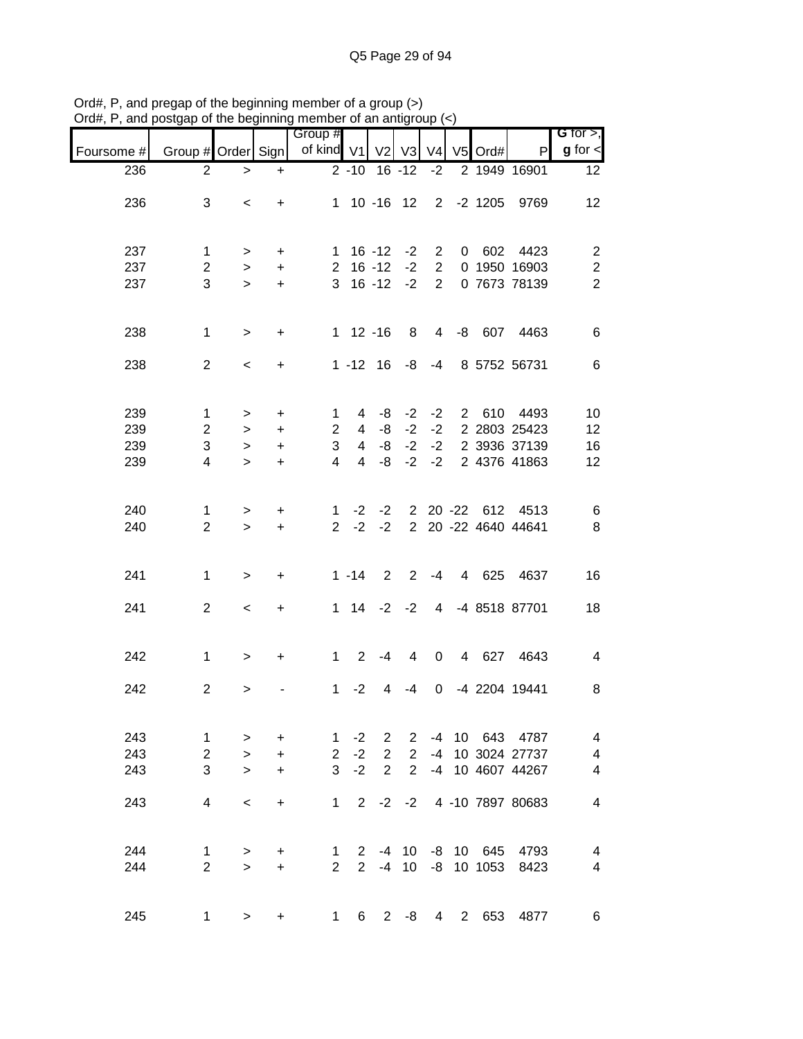| $71$ u $\pi,1$    | , and posigap or the beginning member or an analyticap $(\sim)$ |           |           |                       |                |                |                            |                |                |                       |                            |                               |
|-------------------|-----------------------------------------------------------------|-----------|-----------|-----------------------|----------------|----------------|----------------------------|----------------|----------------|-----------------------|----------------------------|-------------------------------|
|                   | Group # Order Sign                                              |           |           | Group #<br>of kind V1 |                |                |                            | V <sub>4</sub> |                | V5 Ord#               |                            | G for $>$ ,<br>$g$ for $\leq$ |
| Foursome #<br>236 | $\overline{2}$                                                  |           |           |                       |                |                | V2 V3<br>$2 - 10$ 16 $-12$ | $-2$           |                |                       | P<br>2 1949 16901          | 12 <sub>2</sub>               |
|                   |                                                                 | $\, > \,$ | $\ddot{}$ |                       |                |                |                            |                |                |                       |                            |                               |
| 236               | 3                                                               | $\,<\,$   | $\ddot{}$ |                       |                |                |                            |                |                | 1 10 -16 12 2 -2 1205 | 9769                       | 12                            |
|                   |                                                                 |           |           |                       |                |                |                            |                |                |                       |                            |                               |
|                   |                                                                 |           |           |                       |                |                |                            |                |                |                       |                            |                               |
| 237               | $\mathbf 1$                                                     | $\geq$    | $\ddot{}$ |                       | $1 \t16 - 12$  |                | $-2$                       | $\overline{2}$ |                |                       | 0 602 4423                 | $\overline{c}$                |
| 237               | $\overline{c}$                                                  | $\geq$    | $\ddot{}$ |                       | $2 16 - 12$    |                | $-2$                       | $\overline{2}$ |                |                       | 0 1950 16903               | $\boldsymbol{2}$              |
| 237               | 3                                                               | $\geq$    | $+$       |                       | $3 \t16 \t-12$ |                | $-2$                       | $2^{\circ}$    |                |                       | 0 7673 78139               | $\overline{2}$                |
|                   |                                                                 |           |           |                       |                |                |                            |                |                |                       |                            |                               |
| 238               | $\mathbf{1}$                                                    | $\, >$    | $\ddot{}$ |                       | $1 12 - 16$    |                | 8                          |                |                |                       | 4 -8 607 4463              | 6                             |
|                   |                                                                 |           |           |                       |                |                |                            |                |                |                       |                            |                               |
| 238               | $\overline{2}$                                                  | $\,<$     | $\ddot{}$ |                       | $1 - 12$ 16    |                |                            | $-8 - 4$       |                |                       | 8 5752 56731               | 6                             |
|                   |                                                                 |           |           |                       |                |                |                            |                |                |                       |                            |                               |
|                   |                                                                 |           |           |                       |                |                |                            |                |                |                       |                            |                               |
| 239               | 1                                                               | >         | $\ddot{}$ | 1                     | 4              | -8             | $-2$                       |                |                |                       | -2 2 610 4493              | 10                            |
| 239               | $\overline{2}$                                                  | $\, > \,$ | $\ddot{}$ | $\overline{2}$        | 4              | -8             | $-2$                       | $-2$           |                |                       | 2 2803 25423               | 12                            |
| 239               | 3                                                               | $\geq$    | $\ddot{}$ | 3                     | $\overline{4}$ | -8             | $-2$                       | $-2$           |                |                       | 2 3936 37139               | 16                            |
| 239               | 4                                                               | $\geq$    | $+$       | $\overline{4}$        | $\overline{4}$ | -8             | $-2$                       | $-2$           |                |                       | 2 4376 41863               | 12                            |
|                   |                                                                 |           |           |                       |                |                |                            |                |                |                       |                            |                               |
| 240               | 1                                                               | $\,>$     | $\ddot{}$ | $\mathbf{1}$          | $-2$           | $-2$           |                            |                |                |                       | 2 20 -22 612 4513          | 6                             |
| 240               | $\overline{2}$                                                  | $\geq$    | $\ddot{}$ | $2^{\circ}$           | $-2$           | $-2$           |                            |                |                |                       | 2 20 -22 4640 44641        | 8                             |
|                   |                                                                 |           |           |                       |                |                |                            |                |                |                       |                            |                               |
|                   |                                                                 |           |           |                       |                |                |                            |                |                |                       |                            |                               |
| 241               | $\mathbf{1}$                                                    | $\,>$     | $\ddot{}$ |                       | $1 - 14$       | $2^{\circ}$    |                            |                |                |                       | 2 -4 4 625 4637            | 16                            |
|                   |                                                                 |           |           |                       |                |                |                            |                |                |                       |                            |                               |
| 241               | $\overline{2}$                                                  | $\,<\,$   | $\ddot{}$ |                       |                |                |                            |                |                |                       | 1 14 -2 -2 4 -4 8518 87701 | 18                            |
|                   |                                                                 |           |           |                       |                |                |                            |                |                |                       |                            |                               |
| 242               | $\mathbf{1}$                                                    | $\geq$    | $\ddot{}$ | $1 \quad$             | $\overline{2}$ | -4             | 4                          | 0              |                |                       | 4 627 4643                 | 4                             |
|                   |                                                                 |           |           |                       |                |                |                            |                |                |                       |                            |                               |
| 242               | $\overline{2}$                                                  | >         |           | 1                     | $-2$           | 4              | -4                         | $\overline{0}$ |                |                       | -4 2204 19441              | 8                             |
|                   |                                                                 |           |           |                       |                |                |                            |                |                |                       |                            |                               |
|                   |                                                                 |           |           |                       |                |                |                            |                |                |                       |                            |                               |
| 243               | 1                                                               | >         | $\ddot{}$ | 1                     | $-2$           | $\overline{2}$ | $\mathbf{2}$               |                |                |                       | -4 10 643 4787             | $\overline{4}$                |
| 243               | $\overline{2}$                                                  | $\geq$    | $\ddot{}$ | $\overline{2}$        | $-2$           | $\overline{2}$ | 2                          | $-4$           |                |                       | 10 3024 27737              | $\overline{\mathbf{4}}$       |
| 243               | 3                                                               | $\geq$    | $\ddot{}$ | 3                     | $-2$           | $\overline{2}$ | $\overline{2}$             |                |                |                       | -4 10 4607 44267           | 4                             |
|                   |                                                                 |           |           |                       |                |                |                            |                |                |                       |                            |                               |
| 243               | 4                                                               | $\,<\,$   | $\ddot{}$ | $\mathbf{1}$          | $\overline{2}$ | $-2$           | $-2$                       |                |                |                       | 4 -10 7897 80683           | $\overline{\mathbf{4}}$       |
|                   |                                                                 |           |           |                       |                |                |                            |                |                |                       |                            |                               |
| 244               | 1                                                               | >         | +         | $\mathbf{1}$          |                |                |                            |                |                | 2 -4 10 -8 10 645     | 4793                       | 4                             |
| 244               | $\overline{2}$                                                  | $\geq$    | $+$       | $\overline{2}$        | 2 <sup>1</sup> | $-4$           | 10 <sup>°</sup>            |                |                | $-8$ 10 1053          | 8423                       | $\overline{4}$                |
|                   |                                                                 |           |           |                       |                |                |                            |                |                |                       |                            |                               |
|                   |                                                                 |           |           |                       |                |                |                            |                |                |                       |                            |                               |
| 245               | $\mathbf 1$                                                     | >         | $\ddot{}$ | $\mathbf{1}$          | 6              | $\overline{2}$ | -8                         | $\overline{4}$ | $\overline{2}$ | 653                   | 4877                       | $6\phantom{1}6$               |

Ord#, P, and pregap of the beginning member of a group (>) Ord#, P, and postgap of the beginning member of an antigroup (<)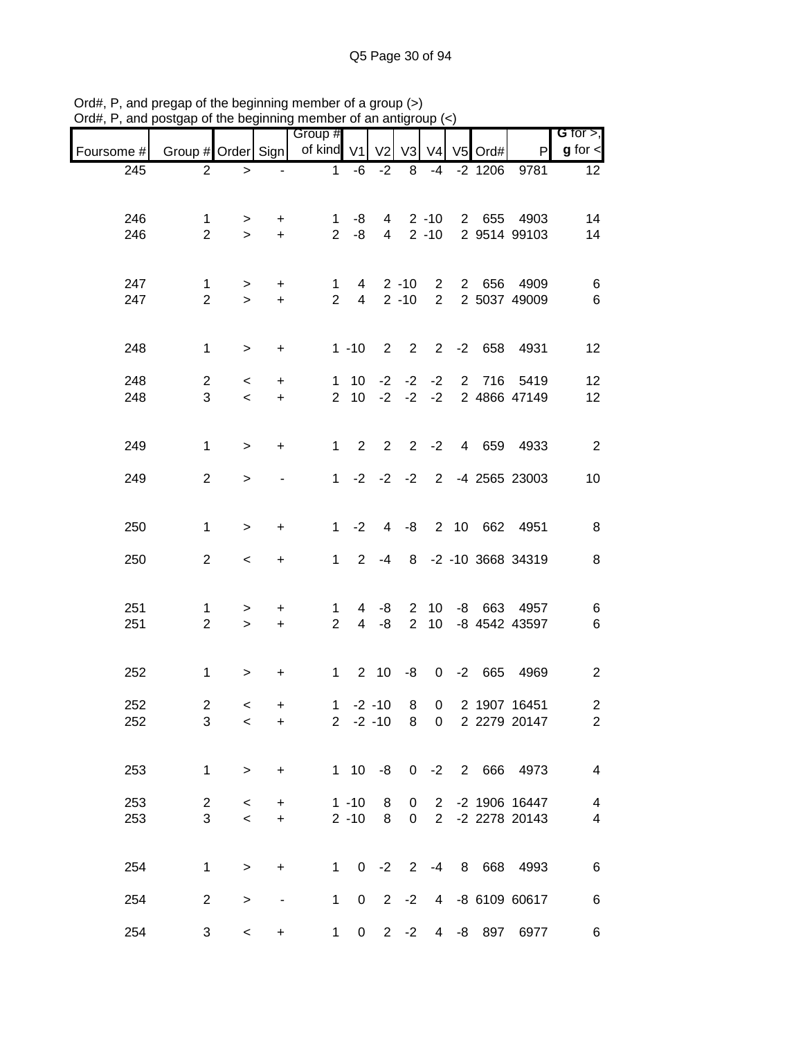|            |                     |           |                | $\sim$ and bogmmmight on the direction<br>Group # |              |                         |        |                             |                          |                              | G for $>$ ,                      |
|------------|---------------------|-----------|----------------|---------------------------------------------------|--------------|-------------------------|--------|-----------------------------|--------------------------|------------------------------|----------------------------------|
| Foursome # |                     |           |                | Group # Order Sign of kind V1 V2                  |              |                         | V3     |                             | $V4$ V <sub>5</sub> Ord# | P                            | $g$ for $\lt$                    |
| 245        | $\overline{2}$      | $\geq$    | $\blacksquare$ | 1                                                 |              | $-6 -2$                 | 8      | $-4$                        |                          | $-2$ 1206 9781               | 12 <sup>°</sup>                  |
|            |                     |           |                |                                                   |              |                         |        |                             |                          |                              |                                  |
| 246        | 1                   | $\geq$    | $+$            | 1                                                 | -8           |                         |        | $4 \quad 2 \quad -10$       |                          | 2 655 4903                   | 14                               |
| 246        | $\overline{2}$      | $\geq$    | $+$            |                                                   | $2 - 8$      |                         |        | $4 \quad 2 \quad -10$       |                          | 2 9514 99103                 | 14                               |
|            |                     |           |                |                                                   |              |                         |        |                             |                          |                              |                                  |
| 247        | $\mathbf 1$         | $\geq$    | $+$            | $1 \quad$                                         |              | 4 2 - 10 2              |        |                             |                          | 2 656 4909                   | 6                                |
| 247        | $\overline{2}$      | $\geq$    | $+$            | $2^{\circ}$                                       |              | 4 2 - 10 2              |        |                             |                          | 2 5037 49009                 | 6                                |
|            |                     |           |                |                                                   |              |                         |        |                             |                          |                              |                                  |
| 248        | $\mathbf{1}$        | $\geq$    | $+$            |                                                   | $1 - 10$     |                         |        |                             |                          | 2 2 2 -2 658 4931            | 12                               |
|            |                     |           |                |                                                   |              |                         |        |                             |                          |                              |                                  |
| 248        | $\overline{2}$      | $\prec$   | $+$            |                                                   |              |                         |        |                             |                          | 1 10 -2 -2 -2 2 716 5419     | 12                               |
| 248        | 3                   | $\prec$   | $+$            |                                                   |              | $2 \t10 \t-2 \t-2 \t-2$ |        |                             |                          | 2 4866 47149                 | 12                               |
|            |                     |           |                |                                                   |              |                         |        |                             |                          |                              |                                  |
| 249        | $\mathbf{1}$        | $\, > \,$ | $+$            | $1 \quad$                                         |              |                         |        |                             |                          | 2 2 2 -2 4 659 4933          | $\overline{2}$                   |
|            |                     |           |                |                                                   |              |                         |        |                             |                          |                              |                                  |
| 249        | $\overline{2}$      | $\geq$    |                |                                                   |              |                         |        |                             |                          | 1 -2 -2 -2 2 -4 2565 23003   | 10                               |
|            |                     |           |                |                                                   |              |                         |        |                             |                          |                              |                                  |
| 250        | $\mathbf{1}$        | $\,>$     | $\ddot{}$      |                                                   | $1 -2$       |                         |        |                             |                          | 4 -8 2 10 662 4951           | 8                                |
|            |                     |           |                |                                                   |              |                         |        |                             |                          |                              |                                  |
| 250        | $\overline{2}$      | $\,<$     | $+$            | $1 \quad$                                         |              | $2 - 4$                 |        |                             |                          | 8 -2 -10 3668 34319          | $\,8\,$                          |
|            |                     |           |                |                                                   |              |                         |        |                             |                          |                              |                                  |
| 251        | 1                   | $\geq$    | $+$            | $\mathbf 1$                                       |              | $4 - 8$                 |        |                             |                          | 2 10 -8 663 4957             | 6                                |
| 251        | $\overline{2}$      | $\geq$    | $+$            | $2^{\circ}$                                       |              | $4 - 8$                 |        |                             |                          | 2 10 -8 4542 43597           | $\,6$                            |
|            |                     |           |                |                                                   |              |                         |        |                             |                          |                              |                                  |
| 252        | $\mathbf{1}$        | $\geq$    | $\ddot{}$      | $1 -$                                             |              |                         |        |                             |                          | 2 10 -8 0 -2 665 4969        | $\overline{2}$                   |
|            |                     |           |                |                                                   |              |                         |        |                             |                          |                              |                                  |
| 252<br>252 | $\overline{c}$<br>3 | $\,<$     | +              | $\mathbf{1}$                                      | $2 -2 -10$   | $-2 - 10$ 8             | 8      | $\mathbf 0$<br>$\mathbf{0}$ |                          | 2 1907 16451<br>2 2279 20147 | $\overline{a}$<br>$\overline{2}$ |
|            |                     | $\,<$     | $\ddot{}$      |                                                   |              |                         |        |                             |                          |                              |                                  |
|            |                     |           |                |                                                   |              |                         |        |                             |                          |                              |                                  |
| 253        | $\mathbf{1}$        | $\,>$     | +              |                                                   | $1 \quad 10$ | $-8$                    |        | $0 -2$                      |                          | 2 666 4973                   | 4                                |
| 253        | $\overline{2}$      | $\,<\,$   | $\ddot{}$      |                                                   | $1 - 10$     | 8                       | 0      | $\overline{2}$              |                          | -2 1906 16447                | 4                                |
| 253        | 3                   | $\,<$     | $\ddot{}$      |                                                   | $2 - 10$     | 8                       | 0      | $\overline{2}$              |                          | -2 2278 20143                | $\overline{\mathbf{4}}$          |
|            |                     |           |                |                                                   |              |                         |        |                             |                          |                              |                                  |
| 254        | $\mathbf{1}$        |           | $\ddot{}$      | $\mathbf 1$                                       |              | $0 -2 2 -4$             |        |                             |                          | 8 668 4993                   | $\,6$                            |
|            |                     | $\, > \,$ |                |                                                   |              |                         |        |                             |                          |                              |                                  |
| 254        | $\overline{c}$      | >         | -              | $\mathbf 1$                                       | 0            | $2^{\circ}$             | $-2$   | $\overline{4}$              |                          | -8 6109 60617                | 6                                |
|            |                     |           |                |                                                   |              |                         |        |                             |                          |                              |                                  |
| 254        | 3                   | $\,<\,$   | +              | $\mathbf{1}$                                      | 0            |                         | $2 -2$ | $\overline{4}$              |                          | -8 897 6977                  | 6                                |

Ord#, P, and pregap of the beginning member of a group (>) Ord#, P, and postgap of the beginning member of an antigroup (<)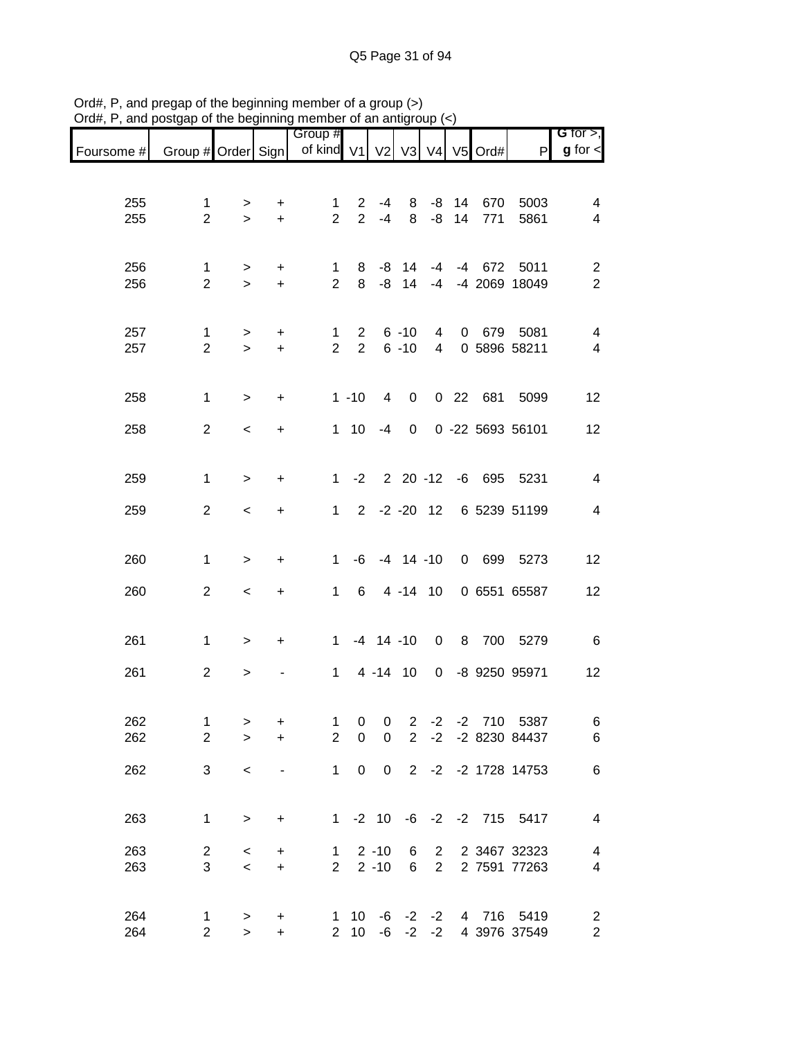|            |                     |             |                        | Group #                                                    |                                  |                  |                      |                     |    |          |                           | G for $>$ ,                  |
|------------|---------------------|-------------|------------------------|------------------------------------------------------------|----------------------------------|------------------|----------------------|---------------------|----|----------|---------------------------|------------------------------|
| Foursome # |                     |             |                        | Group # Order Sign   of kind V1   V2   V3   V4   V5   Ord# |                                  |                  |                      |                     |    |          | P                         | $g$ for $\lt$                |
|            |                     |             |                        |                                                            |                                  |                  |                      |                     |    |          |                           |                              |
| 255        | 1                   | >           | +                      | 1                                                          | $\overline{2}$                   | $-4$             | 8                    | -8                  | 14 | 670      | 5003                      | 4                            |
| 255        | $\overline{2}$      | $\geq$      | $\ddot{}$              | $\overline{2}$                                             | 2                                | $-4$             | 8                    | -8                  | 14 | 771      | 5861                      | $\overline{4}$               |
|            |                     |             |                        |                                                            |                                  |                  |                      |                     |    |          |                           |                              |
| 256        | 1                   |             |                        | $\mathbf 1$                                                | 8                                | -8               | 14                   | -4                  |    | $-4$ 672 | 5011                      | $\overline{2}$               |
| 256        | $\overline{2}$      | ><br>$\geq$ | $\ddot{}$<br>$\ddot{}$ | $\overline{2}$                                             | 8                                | -8               | 14                   | $-4$                |    |          | -4 2069 18049             | $\overline{2}$               |
|            |                     |             |                        |                                                            |                                  |                  |                      |                     |    |          |                           |                              |
|            |                     |             |                        |                                                            |                                  |                  |                      |                     |    |          |                           |                              |
| 257<br>257 | 1<br>$\overline{2}$ | ><br>$\geq$ | $\ddot{}$<br>$\ddot{}$ | 1<br>$\overline{2}$                                        | $\overline{2}$<br>$\overline{2}$ |                  | $6 - 10$<br>$6 - 10$ | 4<br>$\overline{4}$ |    | 0 679    | 5081<br>0 5896 58211      | 4<br>$\overline{\mathbf{4}}$ |
|            |                     |             |                        |                                                            |                                  |                  |                      |                     |    |          |                           |                              |
|            |                     |             |                        |                                                            |                                  |                  |                      |                     |    |          |                           |                              |
| 258        | 1                   | $\geq$      | $\ddot{}$              |                                                            | $1 - 10$                         | 4                | $\mathbf 0$          |                     |    |          | 0 22 681 5099             | 12                           |
| 258        | $\overline{2}$      | $\,<\,$     | $\ddot{}$              |                                                            | $1 \quad 10$                     | $-4$             | 0                    |                     |    |          | 0 -22 5693 56101          | 12                           |
|            |                     |             |                        |                                                            |                                  |                  |                      |                     |    |          |                           |                              |
|            |                     |             |                        |                                                            | $1 -2$                           |                  |                      | $2\ 20\ -12$        |    |          | -6 695 5231               |                              |
| 259        | 1                   | $\,>$       | $\ddot{}$              |                                                            |                                  |                  |                      |                     |    |          |                           | $\overline{4}$               |
| 259        | $\overline{2}$      | $\,<$       | +                      | $\mathbf{1}$                                               |                                  |                  |                      | $2 -2 -20 12$       |    |          | 6 5239 51199              | 4                            |
|            |                     |             |                        |                                                            |                                  |                  |                      |                     |    |          |                           |                              |
| 260        | 1                   | $\,$        | $\ddot{}$              | $\mathbf 1$                                                | -6                               |                  |                      | $-4$ 14 $-10$       |    |          | 0 699 5273                | 12                           |
|            |                     |             |                        |                                                            |                                  |                  |                      |                     |    |          |                           |                              |
| 260        | $\overline{2}$      | $\,<$       | +                      | $\mathbf{1}$                                               | 6                                |                  |                      | 4 -14 10            |    |          | 0 6551 65587              | 12                           |
|            |                     |             |                        |                                                            |                                  |                  |                      |                     |    |          |                           |                              |
| 261        | 1                   | $\, > \,$   | +                      | 1                                                          |                                  | $-4$ 14 $-10$    |                      | $\mathbf 0$         |    | 8 700    | 5279                      | 6                            |
|            |                     |             |                        |                                                            |                                  |                  |                      |                     |    |          |                           |                              |
| 261        | $\overline{2}$      | >           |                        | $\mathbf 1$                                                |                                  | 4 - 14 10        |                      | $\mathbf 0$         |    |          | -8 9250 95971             | 12                           |
|            |                     |             |                        |                                                            |                                  |                  |                      |                     |    |          |                           |                              |
| 262        | $\mathbf{1}$        | >           | $\ddot{}$              | $\mathbf{1}$                                               | $\pmb{0}$                        | 0                | $\overline{2}$       | $-2$                |    |          | -2 710 5387               | 6                            |
| 262        | $\overline{2}$      | $\geq$      | $+$                    | $\overline{2}$                                             | $\pmb{0}$                        | $\boldsymbol{0}$ | $2^{\circ}$          | $-2$                |    |          | -2 8230 84437             | $\,6$                        |
| 262        | 3                   | $\,<$       |                        | $\mathbf{1}$                                               | $\mathsf 0$                      |                  |                      |                     |    |          | 0 2 -2 -2 1728 14753      | $\,6$                        |
|            |                     |             |                        |                                                            |                                  |                  |                      |                     |    |          |                           |                              |
|            |                     |             |                        |                                                            |                                  |                  |                      |                     |    |          |                           |                              |
| 263        | $\mathbf{1}$        | $\,$        | $\ddot{}$              |                                                            |                                  |                  |                      |                     |    |          | 1 -2 10 -6 -2 -2 715 5417 | $\overline{\mathcal{A}}$     |
| 263        | $\overline{c}$      | $\,<\,$     | $+$                    | $1 \quad$                                                  |                                  | $2 - 10$         | 6                    | $\overline{2}$      |    |          | 2 3467 32323              | 4                            |
| 263        | 3                   | $\prec$     | $+$                    | $\overline{2}$                                             |                                  |                  |                      | $2 - 10$ 6 2        |    |          | 2 7591 77263              | $\overline{4}$               |
|            |                     |             |                        |                                                            |                                  |                  |                      |                     |    |          |                           |                              |
| 264        | 1                   | >           | $\ddot{}$              |                                                            | $1 \quad 10$                     |                  |                      | -6 -2 -2            |    |          | 4 716 5419                | 2                            |
| 264        | $\overline{2}$      | $\geq$      | $+$                    |                                                            | $2 \quad 10$                     |                  |                      | $-6$ $-2$ $-2$      |    |          | 4 3976 37549              | $\overline{2}$               |

Ord#, P, and pregap of the beginning member of a group (>) Ord#, P, and postgap of the beginning member of an antigroup (<)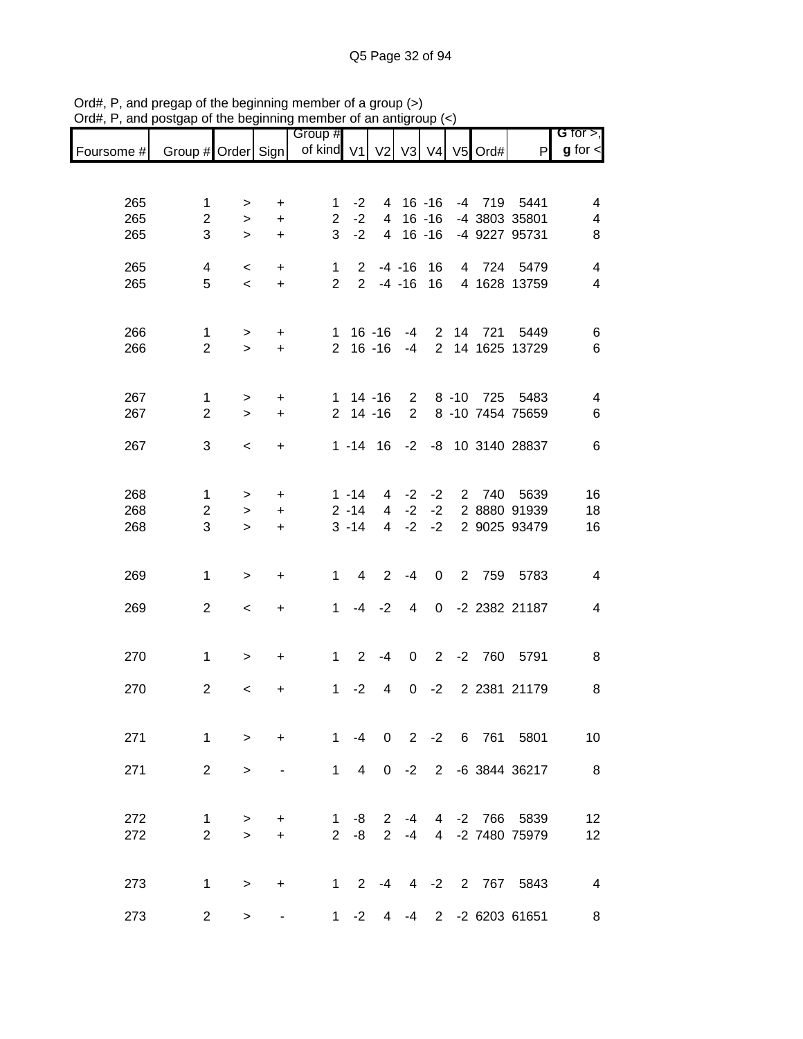|            |                         |                          |                        | Group #        |                |                |                |                |      |            |                              | G for $>$ ,             |
|------------|-------------------------|--------------------------|------------------------|----------------|----------------|----------------|----------------|----------------|------|------------|------------------------------|-------------------------|
| Foursome # | Group # Order Sign      |                          |                        | of kind V1     |                | V2 V3          |                |                |      | V4 V5 Ord# | ${\sf P}$                    | $g$ for $\textsf{I}$    |
|            |                         |                          |                        |                |                |                |                |                |      |            |                              |                         |
| 265        | 1                       |                          |                        | 1              | $-2$           | 4              |                | $16 - 16$      |      |            | -4 719 5441                  | 4                       |
| 265        | $\overline{c}$          | ><br>$\, > \,$           | $\ddot{}$<br>$\ddot{}$ | $\overline{2}$ | $-2$           | 4              |                | $16 - 16$      |      |            | -4 3803 35801                | 4                       |
| 265        | 3                       | $\, > \,$                | $\ddot{}$              | 3              | $-2$           | $\overline{4}$ |                | $16 - 16$      |      |            | -4 9227 95731                | 8                       |
|            |                         |                          |                        |                |                |                |                |                |      |            |                              |                         |
| 265        | $\overline{\mathbf{4}}$ | $\,<\,$                  | +                      | $\mathbf{1}$   | $\overline{2}$ |                | $-4 - 16$      | 16             |      |            | 4 724 5479                   | 4                       |
| 265        | 5                       | $\overline{\phantom{a}}$ | $\pm$                  | $\overline{2}$ | $\overline{2}$ |                | $-4 - 16$      | 16             |      |            | 4 1628 13759                 | $\overline{\mathbf{4}}$ |
|            |                         |                          |                        |                |                |                |                |                |      |            |                              |                         |
| 266        | 1                       | >                        | +                      | 1              |                | $16 - 16$      | -4             | $\overline{2}$ |      | 14 721     | 5449                         | 6                       |
| 266        | $\overline{2}$          | $\geq$                   | $+$                    | $\overline{2}$ |                | $16 - 16$      | -4             | 2              |      |            | 14 1625 13729                | $6\phantom{1}6$         |
|            |                         |                          |                        |                |                |                |                |                |      |            |                              |                         |
| 267        | 1                       | >                        | $\ddot{}$              |                | $1 14 - 16$    |                | $\mathbf{2}$   |                |      |            | 8 -10 725 5483               | 4                       |
| 267        | $\overline{2}$          | $\geq$                   | $\ddot{}$              |                | $2$ 14 -16     |                | $\overline{2}$ |                |      |            | 8 -10 7454 75659             | 6                       |
|            |                         |                          |                        |                |                |                |                |                |      |            |                              |                         |
| 267        | 3                       | $\,<$                    | $\ddot{}$              |                |                |                |                |                |      |            | 1 -14 16 -2 -8 10 3140 28837 | 6                       |
|            |                         |                          |                        |                |                |                |                |                |      |            |                              |                         |
| 268        | 1                       | >                        | $\ddot{}$              |                | $1 - 14$       | 4              | $-2$           | $-2$           |      | 2 740      | 5639                         | 16                      |
| 268        | $\overline{c}$          | $\, > \,$                | $\ddot{}$              |                | $2 - 14$       | $\overline{4}$ | $-2$           | $-2$           |      |            | 2 8880 91939                 | 18                      |
| 268        | 3                       | $\geq$                   | $\ddot{}$              |                | $3 - 14$       | 4              | $-2$           | $-2$           |      |            | 2 9025 93479                 | 16                      |
|            |                         |                          |                        |                |                |                |                |                |      |            |                              |                         |
| 269        | $\mathbf 1$             | $\,>$                    | $\ddot{}$              | $\mathbf{1}$   | 4              | $\overline{2}$ | $-4$           | $\mathbf 0$    |      |            | 2 759 5783                   | 4                       |
|            |                         |                          |                        |                |                |                |                |                |      |            |                              |                         |
| 269        | $\overline{2}$          | $\,<$                    | +                      | 1              | $-4$           | $-2$           | 4              | $\mathbf 0$    |      |            | -2 2382 21187                | 4                       |
|            |                         |                          |                        |                |                |                |                |                |      |            |                              |                         |
| 270        | 1                       | $\, > \,$                | $\ddot{}$              | $\mathbf 1$    | $\overline{2}$ | $-4$           | 0              | $\overline{2}$ | $-2$ | 760        | 5791                         | 8                       |
|            |                         |                          |                        |                |                |                |                |                |      |            |                              |                         |
| 270        | $\overline{c}$          | $\,<$                    | +                      | $\mathbf{1}$   | $-2$           | 4              | 0              | $-2$           |      |            | 2 2381 21179                 | 8                       |
|            |                         |                          |                        |                |                |                |                |                |      |            |                              |                         |
| 271        | 1                       | $\geq$                   | $\ddot{}$              | $1 \quad$      |                |                |                |                |      |            | -4 0 2 -2 6 761 5801         | 10                      |
|            |                         |                          |                        |                |                |                |                |                |      |            |                              |                         |
| 271        | $\overline{2}$          | $\geq$                   |                        |                |                |                |                |                |      |            | 1 4 0 -2 2 -6 3844 36217     | 8                       |
|            |                         |                          |                        |                |                |                |                |                |      |            |                              |                         |
| 272        | 1                       | $\, > \,$                | $+$                    | $\mathbf{1}$   | $-8$           | $\overline{2}$ |                |                |      |            | -4 4 -2 766 5839             | 12                      |
| 272        | $\overline{2}$          | $\geq$                   | $+$                    |                | $2 - 8$        | $2^{\circ}$    | $-4$           |                |      |            | 4 -2 7480 75979              | 12                      |
|            |                         |                          |                        |                |                |                |                |                |      |            |                              |                         |
|            |                         |                          |                        |                |                |                |                |                |      |            |                              |                         |
| 273        | $\mathbf 1$             | $\geq$                   | $\ddot{}$              |                | $1 \quad$<br>2 | $-4$           |                |                |      |            | 4 -2 2 767 5843              | $\overline{4}$          |
| 273        | $\overline{2}$          | $\,>$                    |                        | 1              | $-2$           | $\overline{4}$ | $-4$           | $2^{\circ}$    |      |            | -2 6203 61651                | 8                       |

Ord#, P, and pregap of the beginning member of a group (>) Ord#, P, and postgap of the beginning member of an antigroup (<)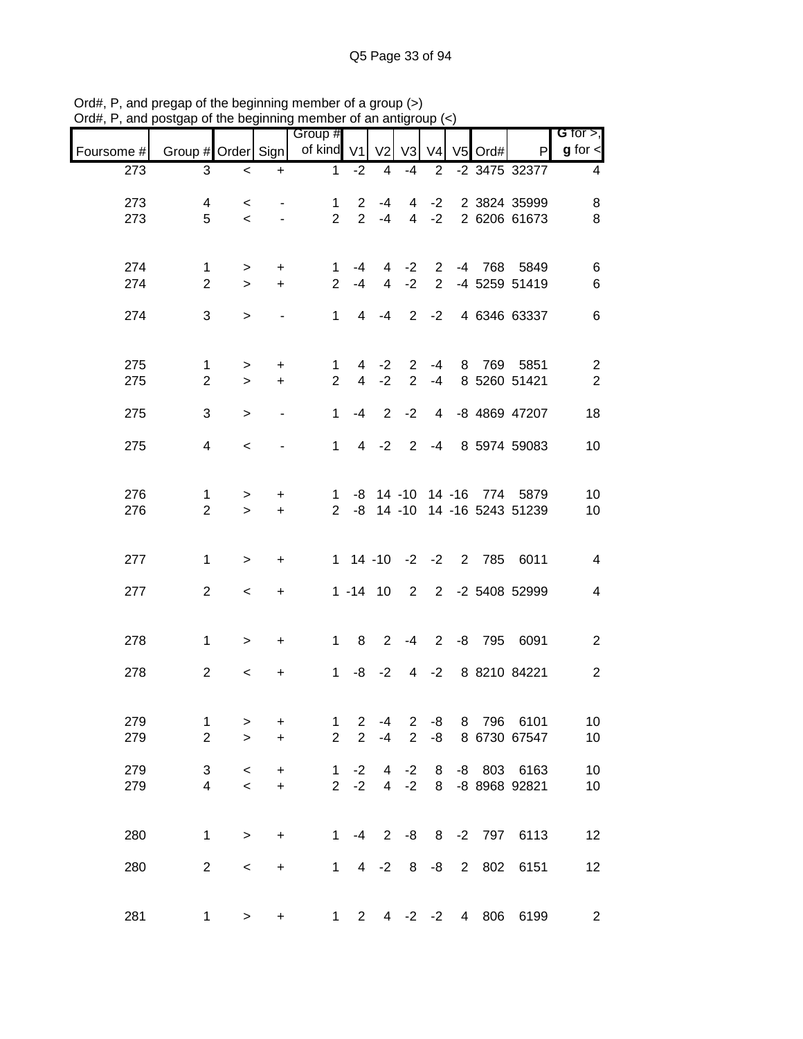| $max$ , $max$ , and poolgap or the beginning member or an antigroup $\left\langle \cdot \right\rangle$ |                    |                                     |                          |                             |                          |                |                  |                |                |         |                               |                              |
|--------------------------------------------------------------------------------------------------------|--------------------|-------------------------------------|--------------------------|-----------------------------|--------------------------|----------------|------------------|----------------|----------------|---------|-------------------------------|------------------------------|
| Foursome #                                                                                             | Group # Order Sign |                                     |                          | Group #<br>of kind V1       |                          | V <sub>2</sub> | V3               | V <sub>4</sub> |                | V5 Ord# | P                             | G for $>$ ,<br>$g$ for $\lt$ |
| 273                                                                                                    | 3                  | $\overline{\phantom{0}}$            | $\ddot{}$                | $\mathbf{1}$                | $-2$                     | 4              | -4               | $\overline{2}$ |                |         | -2 3475 32377                 | 4                            |
| 273                                                                                                    | 4                  | $\overline{\phantom{0}}$            | $\sim$                   | $\mathbf{1}$                | $\overline{2}$           | -4             |                  |                |                |         | 4 -2 2 3824 35999             | 8                            |
| 273                                                                                                    | 5                  | $\overline{\phantom{0}}$            | $\sim$                   | $2^{\circ}$                 |                          | $2 - 4$        |                  |                |                |         | 4 -2 2 6206 61673             | 8                            |
| 274                                                                                                    | 1                  | $\geq$                              | $+$                      | $\mathbf{1}$                | -4                       |                |                  |                |                |         | 4 -2 2 -4 768 5849            | 6                            |
| 274                                                                                                    | $\overline{2}$     | $\geq$                              | $+$                      | $\overline{2}$              | $-4$                     |                | $4 -2$           |                |                |         | 2 -4 5259 51419               | 6                            |
| 274                                                                                                    | 3                  | $\geq$                              | $\overline{\phantom{a}}$ |                             |                          |                |                  |                |                |         | 1 4 -4 2 -2 4 6346 63337      | $\,6$                        |
| 275                                                                                                    | $\mathbf{1}$       | $\geq$                              | $\ddot{}$                | $\mathbf{1}$                |                          |                |                  |                |                |         | 4 -2 2 -4 8 769 5851          | $\overline{c}$               |
| 275                                                                                                    | $\overline{2}$     | $\geq$                              | $+$                      | $\overline{2}$              | $\overline{4}$           | $-2$           | $\overline{2}$   |                |                |         | -4 8 5260 51421               | $\overline{2}$               |
| 275                                                                                                    | 3                  | $\geq$                              | $\overline{\phantom{a}}$ | $\mathbf 1$                 | $-4$                     | 2              | $-2$             | $\overline{4}$ |                |         | -8 4869 47207                 | 18                           |
| 275                                                                                                    | $\overline{4}$     | $\overline{\phantom{0}}$            |                          |                             | $1 \quad$                | $4 -2$         |                  |                |                |         | 2 -4 8 5974 59083             | 10                           |
| 276                                                                                                    | 1                  | >                                   | $\ddot{}$                |                             |                          |                |                  |                |                |         | 1 -8 14 -10 14 -16 774 5879   | 10                           |
| 276                                                                                                    | $\overline{2}$     | $\geq$                              | $+$                      |                             |                          |                |                  |                |                |         | 2 -8 14 -10 14 -16 5243 51239 | 10                           |
| 277                                                                                                    | $\mathbf{1}$       | $\geq$                              | $\ddot{}$                |                             |                          |                |                  |                |                |         | 1 14 -10 -2 -2 2 785 6011     | 4                            |
| 277                                                                                                    | $\overline{2}$     | $\prec$                             | $+$                      |                             |                          |                |                  |                |                |         | 1 -14 10 2 2 -2 5408 52999    | 4                            |
| 278                                                                                                    | $\mathbf{1}$       | $\geq$                              | $+$                      |                             |                          |                |                  |                |                |         | 1 8 2 -4 2 -8 795 6091        | $\overline{c}$               |
| 278                                                                                                    | $\overline{2}$     | $\,<\,$                             | $\ddot{}$                |                             |                          |                |                  |                |                |         | 1 -8 -2 4 -2 8 8210 84221     | $\sqrt{2}$                   |
| 279                                                                                                    | 1                  | >                                   | $\ddot{}$                | $\mathbf 1$                 | $\overline{c}$           | $-4$           | $\overline{2}$   | -8             |                | 8 796   | 6101                          | 10                           |
| 279                                                                                                    | $\overline{2}$     | $\geq$                              | $\ddot{}$                | $\overline{2}$              | $\overline{2}$           | $-4$           | $\overline{2}$   | -8             |                |         | 8 6730 67547                  | 10                           |
| 279<br>279                                                                                             | 3<br>4             | $\,<\,$<br>$\overline{\phantom{0}}$ | $\ddot{}$<br>$\pm$       | $\mathbf{1}$<br>$2^{\circ}$ | $-2$<br>$-2$             |                | $4 -2$<br>$4 -2$ | 8<br>8         |                |         | -8 803 6163<br>-8 8968 92821  | 10<br>10                     |
|                                                                                                        |                    |                                     |                          |                             |                          |                |                  |                |                |         |                               |                              |
| 280                                                                                                    | $\mathbf 1$        | $\geq$                              | $+$                      | $1 \quad$                   | $-4$                     | $2^{\circ}$    |                  |                |                |         | -8 8 -2 797 6113              | 12                           |
| 280                                                                                                    | $\overline{2}$     | $\,<$                               | $+$                      |                             | $1 \quad$                | $4 -2$         |                  | $8 - 8$        | $\overline{2}$ | 802     | 6151                          | 12                           |
| 281                                                                                                    | $\mathbf{1}$       | $\, > \,$                           | +                        |                             | $2^{\circ}$<br>$1 \quad$ |                | $4 -2 -2$        |                |                |         | 4 806 6199                    | $\overline{c}$               |

Ord#, P, and pregap of the beginning member of a group (>) Ord#, P, and postgap of the beginning member of an antigroup (<)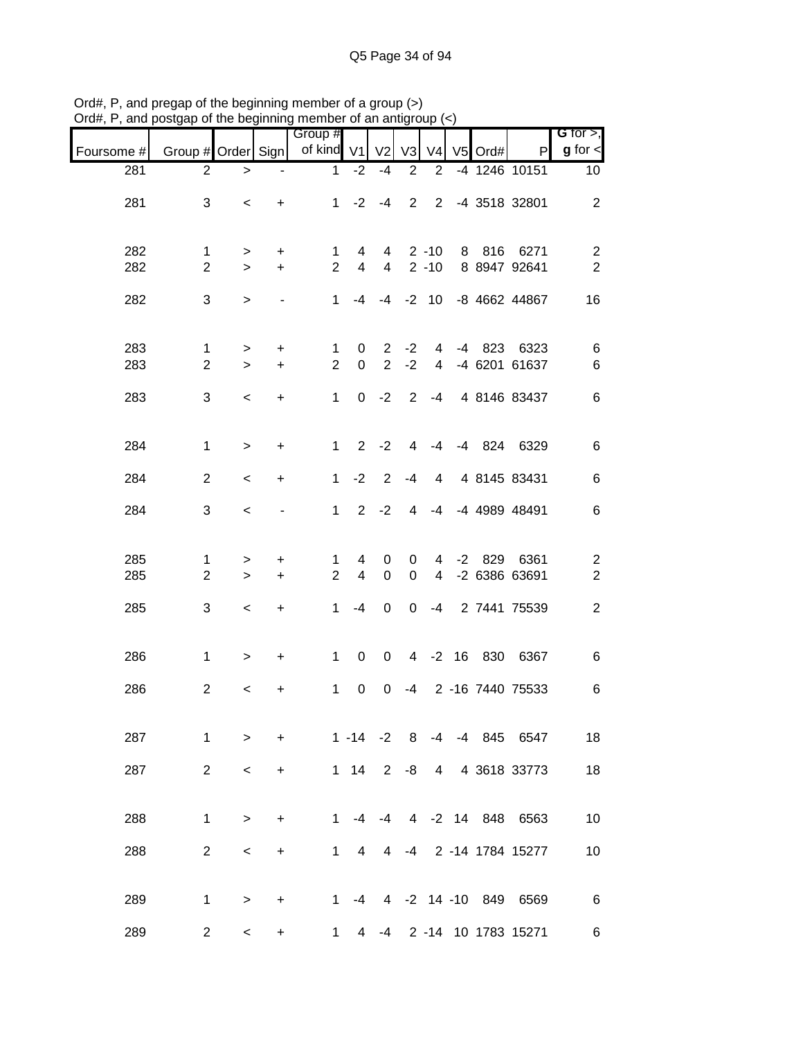|            |                                |                    |                          | sugap or the beginning member of an antigroup $(\gamma)$ |                            |                               |                  |                                    |            |                                |                                             |
|------------|--------------------------------|--------------------|--------------------------|----------------------------------------------------------|----------------------------|-------------------------------|------------------|------------------------------------|------------|--------------------------------|---------------------------------------------|
| Foursome # | Group # Order Sign             |                    |                          | Group #<br>of kind V1 V2                                 |                            |                               | V <sub>3</sub>   |                                    | V4 V5 Ord# | P                              | G for $>$ ,<br>$g$ for $\lt$                |
| 281        | $\overline{2}$                 | $\, >$             | $\overline{\phantom{a}}$ | $\mathbf{1}$                                             | $-2$                       | $-4$                          | $\overline{2}$   | $\overline{2}$                     |            | -4 1246 10151                  | 10 <sup>°</sup>                             |
| 281        | 3                              | $\,<$              | $+$                      |                                                          | $1 -2 -4$                  |                               |                  |                                    |            | 2 2 -4 3518 32801              | $\mathbf{2}$                                |
| 282<br>282 | 1<br>$\overline{2}$            | $\geq$<br>$\geq$   | $+$<br>$+$               | 1<br>$\overline{2}$                                      | 4<br>$4\overline{ }$       |                               |                  | $4 \quad 2 \quad -10$<br>$4$ 2 -10 |            | 8 816 6271<br>8 8947 92641     | $\overline{\mathbf{c}}$<br>$\boldsymbol{2}$ |
| 282        | 3                              | $\,>$              |                          | $\mathbf{1}$                                             |                            |                               |                  |                                    |            | -4 -4 -2 10 -8 4662 44867      | 16                                          |
| 283<br>283 | $\mathbf{1}$<br>$\overline{2}$ | $\geq$<br>$\,>$    | $\ddot{}$<br>$+$         | $\mathbf{1}$<br>$\overline{2}$                           | $\mathbf 0$<br>$\mathbf 0$ | $2^{\circ}$<br>$\overline{2}$ | $-2$<br>$-2$     | $\overline{4}$                     |            | 4 -4 823 6323<br>-4 6201 61637 | $\,6$<br>$\,6$                              |
| 283        | 3                              | $\,<$              | $\ddot{}$                | $\mathbf{1}$                                             |                            | $0 -2 2$                      |                  | $-4$                               |            | 4 8146 83437                   | $\,6$                                       |
| 284        | $\mathbf{1}$                   | $\geq$             | $\ddot{}$                |                                                          | $1 \quad$                  | $2 - 2$                       | 4                | -4                                 |            | -4 824 6329                    | $\,6$                                       |
| 284        | $\overline{2}$                 | $\,<$              | $\ddot{}$                | $\mathbf 1$                                              | $-2$                       | $\overline{2}$                | $-4$             | 4                                  |            | 4 8145 83431                   | $\,6$                                       |
| 284        | 3                              | $\prec$            | $\overline{\phantom{0}}$ |                                                          | $1 \quad$                  | $2 -2$                        | 4                | -4                                 |            | -4 4989 48491                  | $\,6$                                       |
| 285<br>285 | $\mathbf 1$<br>$\overline{2}$  | $\, > \,$<br>$\,>$ | $\ddot{}$<br>$+$         | 1<br>$\overline{2}$                                      | 4<br>$\overline{4}$        | 0<br>$\pmb{0}$                | 0<br>$\mathbf 0$ | $\overline{4}$                     |            | 4 -2 829 6361<br>-2 6386 63691 | $\overline{\mathbf{c}}$<br>$\sqrt{2}$       |
| 285        | 3                              | $\,<$              | $+$                      | $\mathbf 1$                                              | -4                         | $\boldsymbol{0}$              | $\mathbf 0$      |                                    |            | -4 2 7441 75539                | $\boldsymbol{2}$                            |
| 286        | $\mathbf{1}$                   | $\, >$             | $+$                      |                                                          | $1 \quad$<br>$\mathbf 0$   | $\overline{0}$                |                  |                                    |            | 4 -2 16 830 6367               | $\,6$                                       |
| 286        | $\overline{2}$                 | $\,<\,$            | +                        | 1                                                        | $\mathbf 0$                | 0                             | $-4$             |                                    |            | 2 -16 7440 75533               | $\,6$                                       |
| 287        | $\mathbf{1}$                   | $\geq$             | $\ddot{}$                |                                                          | $1 - 14 - 2$               |                               | 8                |                                    |            | -4 -4 845 6547                 | 18                                          |
| 287        | $\overline{2}$                 | $\,<$              | +                        |                                                          | $1 \quad 14$               | $2^{\circ}$                   | -8               | 4                                  |            | 4 3618 33773                   | 18                                          |
| 288        | $\mathbf{1}$                   | $\geq$             | $\ddot{}$                | $\mathbf 1$                                              |                            | -4 -4                         |                  |                                    |            | 4 -2 14 848 6563               | 10                                          |
| 288        | $\overline{2}$                 | $\,<$              | $\ddot{}$                |                                                          | $1 \quad$<br>4             | 4                             | $-4$             |                                    |            | 2 -14 1784 15277               | 10                                          |
| 289        | 1                              | $\geq$             | +                        |                                                          | 1 $-4$                     |                               |                  |                                    |            | 4 -2 14 -10 849 6569           | $\,6$                                       |
| 289        | $\overline{2}$                 | $\,<\,$            | +                        | $\mathbf 1$                                              | 4                          |                               |                  |                                    |            | -4 2 -14 10 1783 15271         | 6                                           |

Ord#, P, and pregap of the beginning member of a group (>) Ord#, P, and postgap of the beginning member of an antigroup (<)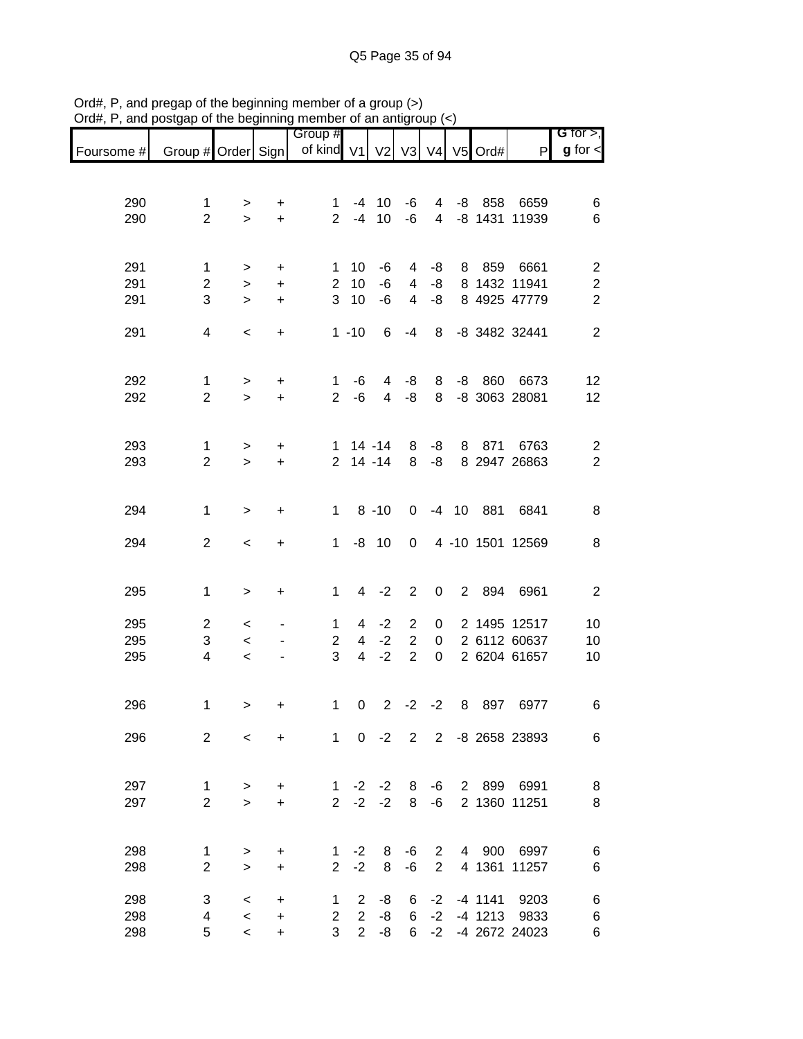|            |                                |                          |                        | Group #                        |                |                          |                     |                     |             |               |                            | G for $>$ ,                               |
|------------|--------------------------------|--------------------------|------------------------|--------------------------------|----------------|--------------------------|---------------------|---------------------|-------------|---------------|----------------------------|-------------------------------------------|
| Foursome # | Group # Order Sign             |                          |                        | of kind V1                     |                | V2                       |                     |                     |             | V3 V4 V5 Ord# | P                          | $g$ for $\lt$                             |
|            |                                |                          |                        |                                |                |                          |                     |                     |             |               |                            |                                           |
| 290        | 1                              | >                        | $\ddot{}$              | $\mathbf 1$                    | -4             | 10                       | -6                  | 4                   |             | $-8$ 858      | 6659                       | 6                                         |
| 290        | $\overline{2}$                 | $\geq$                   | $\ddot{}$              | $\overline{2}$                 | $-4$           | 10                       | -6                  | 4                   |             |               | -8 1431 11939              | 6                                         |
|            |                                |                          |                        |                                |                |                          |                     |                     |             |               |                            |                                           |
|            |                                |                          |                        |                                |                |                          |                     |                     |             |               |                            |                                           |
| 291<br>291 | $\mathbf{1}$<br>$\overline{2}$ | ><br>$\,>$               | $\ddot{}$<br>$\ddot{}$ | $\mathbf{1}$<br>$\overline{2}$ | 10<br>10       | -6<br>-6                 | 4<br>$\overline{4}$ | -8<br>-8            |             | 8 859         | 6661<br>8 1432 11941       | $\boldsymbol{2}$<br>$\boldsymbol{2}$      |
| 291        | 3                              | $\mathbf{I}$             | $\ddot{}$              | 3                              | 10             | $-6$                     | $\overline{4}$      | -8                  |             |               | 8 4925 47779               | $\overline{c}$                            |
|            |                                |                          |                        |                                |                |                          |                     |                     |             |               |                            |                                           |
| 291        | 4                              | $\,<\,$                  | $\ddot{}$              |                                | $1 - 10$       | 6                        | $-4$                | 8                   |             |               | -8 3482 32441              | $\overline{2}$                            |
|            |                                |                          |                        |                                |                |                          |                     |                     |             |               |                            |                                           |
| 292        | 1                              | >                        | $\ddot{}$              | 1                              | -6             | 4                        | -8                  | 8                   | -8          | 860           | 6673                       | 12                                        |
| 292        | $\overline{2}$                 | $\geq$                   | $\ddot{}$              | $\overline{2}$                 | $-6$           | $\overline{4}$           | -8                  | 8                   |             |               | -8 3063 28081              | 12                                        |
|            |                                |                          |                        |                                |                |                          |                     |                     |             |               |                            |                                           |
|            |                                |                          |                        |                                |                |                          |                     |                     |             |               |                            |                                           |
| 293<br>293 | 1<br>$\overline{2}$            | $\,$<br>$\geq$           | $\ddot{}$<br>$\ddot{}$ | 2 <sup>1</sup>                 |                | $1 14 - 14$<br>$14 - 14$ | 8<br>8              | -8<br>-8            | 8           | 871           | 6763<br>8 2947 26863       | $\overline{\mathbf{c}}$<br>$\overline{2}$ |
|            |                                |                          |                        |                                |                |                          |                     |                     |             |               |                            |                                           |
|            |                                |                          |                        |                                |                |                          |                     |                     |             |               |                            |                                           |
| 294        | $\mathbf{1}$                   | $\,>$                    | $\ddot{}$              | $\mathbf{1}$                   |                | $8 - 10$                 | 0                   |                     |             | -4 10 881     | 6841                       | 8                                         |
| 294        | $\overline{2}$                 | $\prec$                  | $\ddot{}$              | $\mathbf 1$                    |                | $-8$ 10                  | 0                   |                     |             |               | 4 -10 1501 12569           | 8                                         |
|            |                                |                          |                        |                                |                |                          |                     |                     |             |               |                            |                                           |
|            |                                |                          |                        |                                |                |                          |                     |                     |             |               |                            |                                           |
| 295        | $\mathbf 1$                    | $\,>$                    | +                      | $\mathbf{1}$                   | 4              | $-2$                     | $\overline{2}$      | 0                   | $2^{\circ}$ | 894           | 6961                       | $\mathbf{2}$                              |
| 295        | $\overline{2}$                 | $\,<$                    |                        | 1                              | 4              | $-2$                     | $\overline{c}$      | 0                   |             |               | 2 1495 12517               | 10                                        |
| 295        | 3                              | $\,<$                    |                        | $\overline{2}$                 | $\overline{4}$ | $-2$                     | $\overline{2}$      | $\mathbf 0$         |             |               | 2 6112 60637               | 10                                        |
| 295        | 4                              | $\,<$                    |                        | 3                              | $\overline{4}$ | $-2$                     | $\overline{2}$      | $\mathbf 0$         |             |               | 2 6204 61657               | 10                                        |
|            |                                |                          |                        |                                |                |                          |                     |                     |             |               |                            |                                           |
| 296        | 1                              | $\, > \,$                | $\ddot{}$              | 1                              | 0              | $2^{\circ}$              | $-2$                | $-2$                | 8           | 897           | 6977                       | 6                                         |
|            |                                |                          |                        |                                |                |                          |                     |                     |             |               |                            |                                           |
| 296        | $\overline{2}$                 | $\prec$                  | $+$                    | $1 \quad$                      |                | $0 -2$                   | $2^{\circ}$         |                     |             |               | 2 -8 2658 23893            | 6                                         |
|            |                                |                          |                        |                                |                |                          |                     |                     |             |               |                            |                                           |
| 297        | $\mathbf 1$                    | $\geq$                   | $+$                    |                                |                | $1 -2 -2$                | 8                   | -6                  |             |               | 2 899 6991                 | 8                                         |
| 297        | $\overline{2}$                 | $\geq$                   | $\ddot{}$              | $2^{\circ}$                    |                | $-2 -2$                  | 8                   | -6                  |             |               | 2 1360 11251               | 8                                         |
|            |                                |                          |                        |                                |                |                          |                     |                     |             |               |                            |                                           |
|            |                                |                          |                        |                                |                |                          |                     |                     |             |               |                            |                                           |
| 298<br>298 | 1<br>$\overline{2}$            | >                        | $\ddot{}$              | $\mathbf{1}$<br>$\overline{2}$ | $-2$<br>$-2$   | 8<br>8                   | -6<br>-6            | $\overline{2}$<br>2 |             |               | 4 900 6997<br>4 1361 11257 | 6<br>6                                    |
|            |                                | $\geq$                   | $\ddot{}$              |                                |                |                          |                     |                     |             |               |                            |                                           |
| 298        | 3                              | $\,<\,$                  | +                      | 1.                             | 2              | -8                       | 6                   | $-2$                |             |               | -4 1141 9203               | 6                                         |
| 298        | 4                              | $\,<\,$                  | +                      | $\overline{2}$                 | $\overline{2}$ | -8                       | 6                   | $-2$                |             |               | -4 1213 9833               | 6                                         |
| 298        | 5                              | $\overline{\phantom{a}}$ | +                      | 3                              |                | $2 - 8$                  | 6                   | $-2$                |             |               | -4 2672 24023              | 6                                         |

Ord#, P, and pregap of the beginning member of a group (>) Ord#, P, and postgap of the beginning member of an antigroup (<)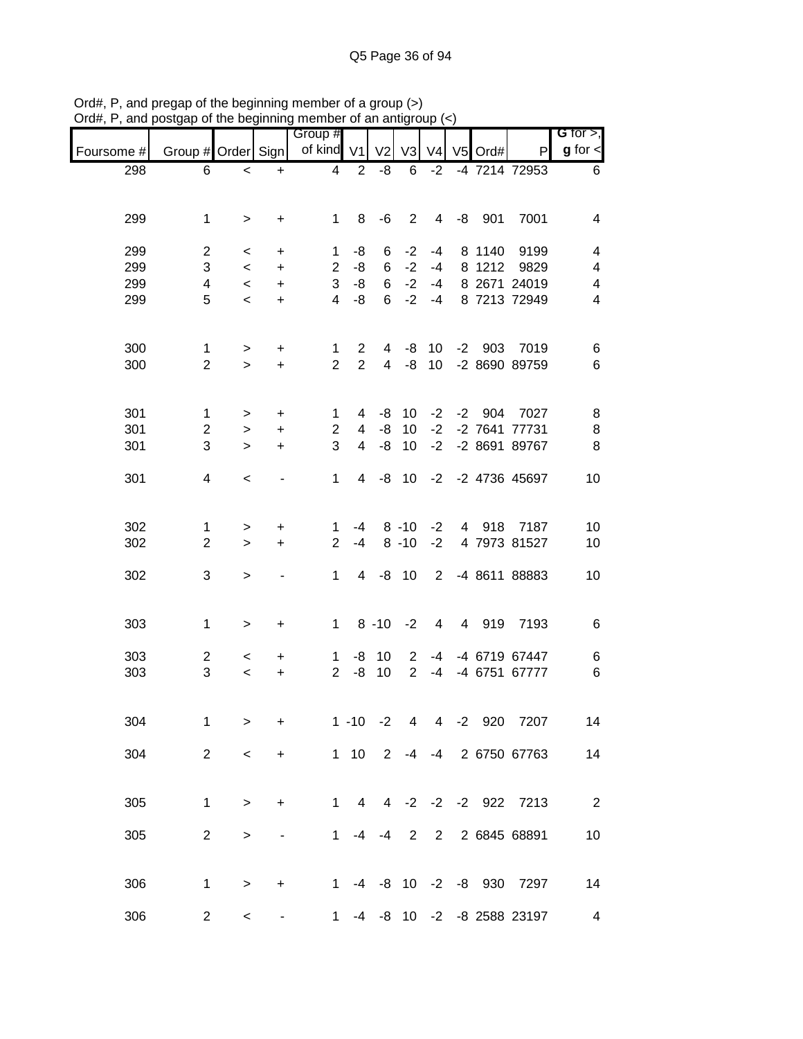|            | v.                 | $\sim$           |                  | <br>Group #    |                | יייש ושוט וכ   |                       |                 |           |                              | G for $>$ ,                               |
|------------|--------------------|------------------|------------------|----------------|----------------|----------------|-----------------------|-----------------|-----------|------------------------------|-------------------------------------------|
| Foursome # | Group # Order Sign |                  |                  | of kind V1     |                | V <sub>2</sub> | V <sub>3</sub>        | V <sub>4</sub>  | $V5$ Ord# | P                            | $g$ for $\leq$                            |
| 298        | 6                  | $\,<$            | $\ddot{}$        | 4              | $\overline{2}$ | -8             | 6                     | $-2$            |           | -4 7214 72953                | 6                                         |
|            |                    |                  |                  |                |                |                |                       |                 |           |                              |                                           |
| 299        | $\mathbf{1}$       | $\geq$           | $\ddot{}$        | $1 \quad$      | 8              | -6             | $\overline{2}$        | $\overline{4}$  | -8 901    | 7001                         | 4                                         |
|            |                    |                  |                  |                |                |                |                       |                 |           |                              |                                           |
| 299        | $\overline{c}$     | $\,<\,$          | $\ddot{}$        | 1              | -8             | 6              | $-2$                  | $-4$            |           | 8 1140 9199                  | 4                                         |
| 299        | 3                  | $\,<$            | $+$              | 3              | $2 - 8$<br>-8  | 6<br>6         | $-2$<br>$-2$          | $-4$<br>$-4$    |           | 8 1212 9829                  | $\overline{4}$                            |
| 299<br>299 | 4<br>5             | $\,<$<br>$\,<$   | $\ddot{}$<br>$+$ | $\overline{4}$ | $-8$           |                | $6 -2$                | $-4$            |           | 8 2671 24019<br>8 7213 72949 | $\overline{\mathbf{4}}$<br>$\overline{4}$ |
|            |                    |                  |                  |                |                |                |                       |                 |           |                              |                                           |
| 300        | $\mathbf{1}$       |                  | $+$              | 1              | $\overline{2}$ |                | 4 -8 10               |                 |           | -2 903 7019                  |                                           |
| 300        | $\overline{2}$     | $\geq$<br>$\geq$ | $+$              | $\overline{2}$ | $\overline{2}$ |                |                       |                 |           | 4 -8 10 -2 8690 89759        | 6<br>$6\phantom{1}6$                      |
|            |                    |                  |                  |                |                |                |                       |                 |           |                              |                                           |
| 301        | $\mathbf{1}$       | >                | $\ddot{}$        | $\mathbf{1}$   |                | $4 - 8$        | 10                    |                 |           | -2 -2 904 7027               | 8                                         |
| 301        | $\overline{2}$     | $\geq$           | $\ddot{}$        | $\overline{2}$ | $\overline{4}$ | $-8$           | 10 <sup>°</sup>       | $-2$            |           | -2 7641 77731                | 8                                         |
| 301        | 3                  | $\geq$           | $\ddot{}$        | 3              | $\overline{4}$ | -8             | 10                    | $-2$            |           | -2 8691 89767                | 8                                         |
| 301        | 4                  | $\prec$          |                  | $\mathbf{1}$   | $\overline{4}$ |                | $-8$ 10               |                 |           | -2 -2 4736 45697             | 10                                        |
|            |                    |                  |                  |                |                |                |                       |                 |           |                              |                                           |
| 302        | 1                  | >                | $\ddot{}$        | 1              |                |                | $-4$ 8 $-10$          | $-2$            |           | 4 918 7187                   | 10                                        |
| 302        | $\overline{2}$     | $\geq$           | $\ddot{}$        | $\overline{2}$ | $-4$           |                | $8 - 10$              | $-2$            |           | 4 7973 81527                 | 10                                        |
|            |                    |                  |                  |                |                |                |                       |                 |           |                              |                                           |
| 302        | 3                  | $\,$             |                  | $\mathbf 1$    |                | 4 -8 10        |                       | $\overline{2}$  |           | -4 8611 88883                | 10                                        |
|            |                    |                  |                  |                |                |                |                       |                 |           |                              |                                           |
| 303        | $\mathbf{1}$       | $\geq$           | $\ddot{}$        |                |                |                | $1 \t 8 \t -10 \t -2$ | $4\overline{ }$ |           | 4 919 7193                   | $\,6$                                     |
| 303        | $\overline{c}$     | $\,<\,$          | $\ddot{}$        |                | $1 - 8 10$     |                | $\mathbf{2}$          | -4              |           | -4 6719 67447                | 6                                         |
| 303        | 3                  | $\,<$            | $\ddot{}$        | $2^{\circ}$    | -8             | 10             | $\overline{2}$        | $-4$            |           | -4 6751 67777                | $6\phantom{1}6$                           |
|            |                    |                  |                  |                |                |                |                       |                 |           |                              |                                           |
| 304        | 1                  | >                | +                |                | $1 - 10$       | $-2$           | 4                     | $\overline{4}$  | $-2$ 920  | 7207                         | 14                                        |
| 304        | $\overline{2}$     | $\,<$            | $\ddot{}$        |                | $1 10$         | 2              |                       | $-4 - 4$        |           | 2 6750 67763                 | 14                                        |
|            |                    |                  |                  |                |                |                |                       |                 |           |                              |                                           |
| 305        | 1                  | $\,>$            | $\ddot{}$        | 1.             | $\overline{4}$ |                |                       |                 |           | 4 -2 -2 -2 922 7213          | $\overline{\phantom{0}}$ 2                |
|            |                    |                  |                  |                |                |                |                       |                 |           |                              |                                           |
| 305        | $\overline{2}$     | $\,>$            |                  | 1              | -4             | $-4$           | 2                     | $\overline{2}$  |           | 2 6845 68891                 | 10                                        |
|            |                    |                  |                  |                |                |                |                       |                 |           |                              |                                           |
| 306        | 1                  | $\,>$            | $\ddot{}$        | 1.             |                |                |                       |                 |           | -4 -8 10 -2 -8 930 7297      | 14                                        |
| 306        | 2                  | $\,<\,$          |                  | $\mathbf 1$    |                |                |                       |                 |           | -4 -8 10 -2 -8 2588 23197    | 4                                         |

Ord#, P, and pregap of the beginning member of a group (>) Ord#, P, and postgap of the beginning member of an antigroup (<)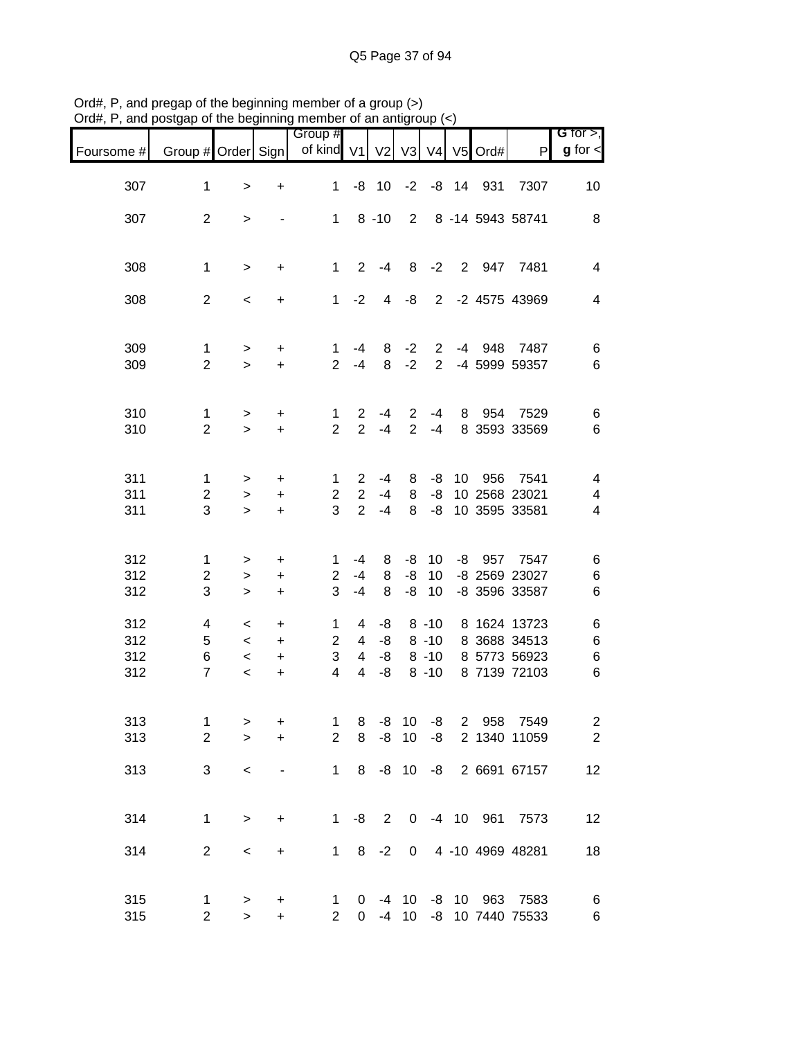| $\nu$ ı u $\pi,$ ı       | , and posigap or the beginning member or an antign |                                                                          |                                                  |                                                       |                                               |                                |                    | υuμ.                             |                 |            |                                                                    |                                    |
|--------------------------|----------------------------------------------------|--------------------------------------------------------------------------|--------------------------------------------------|-------------------------------------------------------|-----------------------------------------------|--------------------------------|--------------------|----------------------------------|-----------------|------------|--------------------------------------------------------------------|------------------------------------|
| Foursome #               | Group # Order Sign                                 |                                                                          |                                                  | Group #<br>of kind V1                                 |                                               | V <sub>2</sub>                 | V3                 |                                  |                 | V4 V5 Ord# | P                                                                  | G for $>$ ,<br>$g$ for $\lt$       |
| 307                      | $\mathbf{1}$                                       | $\,$                                                                     | $\begin{array}{c} + \end{array}$                 | $\mathbf 1$                                           |                                               | $-8$ 10                        | $-2$               |                                  |                 | -8 14 931  | 7307                                                               | 10                                 |
| 307                      | $\overline{2}$                                     | $\, > \,$                                                                | $\overline{\phantom{a}}$                         |                                                       |                                               | $1 \t 8 \t -10$                |                    |                                  |                 |            | 2 8 -14 5943 58741                                                 | 8                                  |
| 308                      | $\mathbf{1}$                                       | $\geq$                                                                   | $\ddot{}$                                        | $1 -$                                                 | $\overline{2}$                                | -4                             | 8                  |                                  | $-2$ 2          |            | 947 7481                                                           | $\overline{\mathbf{4}}$            |
| 308                      | $\overline{2}$                                     | $\,<$                                                                    | $\ddot{}$                                        |                                                       | $1 -2$                                        | $\overline{4}$                 | -8                 |                                  |                 |            | 2 -2 4575 43969                                                    | $\overline{\mathbf{4}}$            |
| 309<br>309               | $\mathbf{1}$<br>$\overline{2}$                     | $\,>$<br>$\geq$                                                          | +<br>$\ddot{}$                                   | $\mathbf{1}$<br>$\overline{2}$                        | -4<br>$-4$                                    | 8<br>8                         | $-2$<br>$-2$       |                                  |                 |            | 2 -4 948 7487<br>2 -4 5999 59357                                   | 6<br>6                             |
| 310<br>310               | $\mathbf{1}$<br>$\overline{2}$                     | $\, > \,$<br>$\geq$                                                      | +<br>$+$                                         | $\mathbf 1$<br>2                                      | $\overline{2}$<br>$\overline{2}$              | $-4$<br>$-4$                   | 2<br>2             | $-4$<br>$-4$                     |                 |            | 8 954 7529<br>8 3593 33569                                         | 6<br>6                             |
| 311<br>311<br>311        | $\mathbf 1$<br>$\overline{2}$<br>3                 | $\, > \,$<br>$\geq$<br>$\geq$                                            | +<br>$\ddot{}$<br>$\ddot{}$                      | 1<br>$\overline{2}$<br>3                              | $\mathbf{2}$<br>$\overline{2}$<br>$2^{\circ}$ | $-4$<br>$-4$<br>$-4$           | 8<br>8<br>8        | -8<br>-8<br>-8                   | 10 <sup>°</sup> | 956        | 7541<br>10 2568 23021<br>10 3595 33581                             | $\overline{\mathcal{A}}$<br>4<br>4 |
| 312<br>312<br>312        | 1<br>$\overline{2}$<br>3                           | $\, > \,$<br>$\geq$<br>$\geq$                                            | +<br>$\ddot{}$<br>$\ddot{}$                      | 1.<br>$\overline{2}$<br>3                             | -4<br>-4<br>$-4$                              | 8<br>8<br>8                    | -8<br>$-8$<br>$-8$ | 10<br>10 <sup>1</sup><br>10      |                 |            | -8 957 7547<br>-8 2569 23027<br>-8 3596 33587                      | 6<br>6<br>6                        |
| 312<br>312<br>312<br>312 | 4<br>5<br>6<br>$\overline{7}$                      | $\overline{\phantom{0}}$<br>$\prec$<br>$\overline{\phantom{a}}$<br>$\,<$ | $\ddot{}$<br>$\ddot{}$<br>$\ddot{}$<br>$\ddot{}$ | $\mathbf{1}$<br>$\overline{2}$<br>3<br>$\overline{4}$ | $\overline{4}$<br>$\overline{4}$              | $4 - 8$<br>$4 - 8$<br>-8<br>-8 |                    | $8 - 10$<br>$8 - 10$<br>$8 - 10$ |                 |            | 8 1624 13723<br>8 -10 8 3688 34513<br>8 5773 56923<br>8 7139 72103 | 6<br>$\,6$<br>$\,6$<br>$\,6$       |
| 313<br>313               | 1<br>$\overline{2}$                                | ><br>$\geq$                                                              | +<br>$\ddot{}$                                   | $\mathbf{1}$<br>$\overline{2}$                        | 8<br>8                                        | -8<br>-8                       | 10<br>10           | -8<br>-8                         |                 | 2 958      | 7549<br>2 1340 11059                                               | $\overline{c}$<br>$\mathbf{2}$     |
| 313                      | 3                                                  | $\,<$                                                                    | $\qquad \qquad \blacksquare$                     | 1                                                     | 8                                             |                                | $-8$ 10            |                                  |                 |            | -8 2 6691 67157                                                    | 12                                 |
| 314                      | $\mathbf{1}$                                       | $\,$                                                                     | $\ddot{}$                                        | 1                                                     | -8                                            | $\overline{2}$                 |                    |                                  |                 |            | 0 -4 10 961 7573                                                   | 12                                 |
| 314                      | $\overline{c}$                                     | $\,<$                                                                    | $\ddot{}$                                        |                                                       |                                               | $1 \t 8 \t -2$                 |                    |                                  |                 |            | 0 4 -10 4969 48281                                                 | 18                                 |
| 315<br>315               | 1<br>$\overline{2}$                                | $\, > \,$<br>$\mathbf{I}$                                                | +<br>$\ddot{}$                                   | 1<br>$\overline{2}$                                   | $\mathbf{0}$                                  | $-4$                           | 10                 |                                  |                 |            | 0 -4 10 -8 10 963 7583<br>-8 10 7440 75533                         | 6<br>$\,6$                         |

Ord#, P, and pregap of the beginning member of a group (>) Ord#, P, and postgap of the beginning member of an antigroup (<)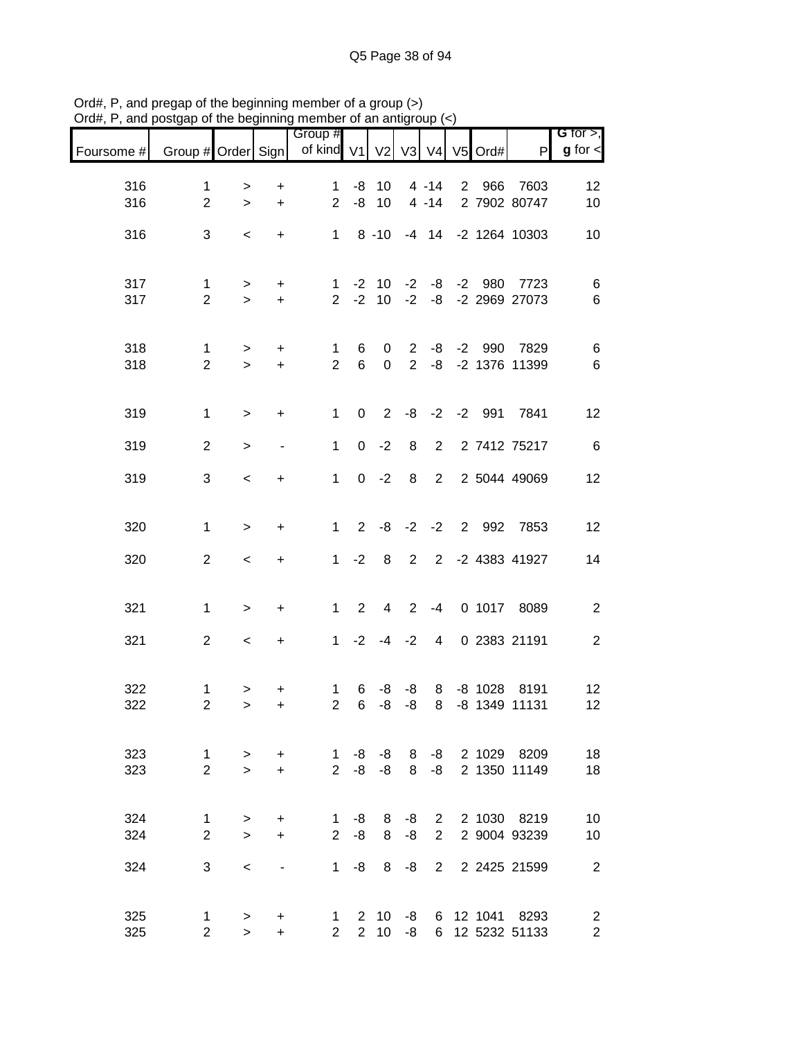|            |                     |                     |                              | Group #                                                  |                |                                 |                |                |                      |                                    | G for $>$ ,                      |
|------------|---------------------|---------------------|------------------------------|----------------------------------------------------------|----------------|---------------------------------|----------------|----------------|----------------------|------------------------------------|----------------------------------|
| Foursome # |                     |                     |                              | Group # Order Sign   of kind V1   V2   V3   V4   V5 Ord# |                |                                 |                |                |                      | P                                  | $g$ for $\lt$                    |
| 316        | $\mathbf 1$         | $\, > \,$           | $\ddot{}$                    | $\mathbf{1}$                                             | -8             | 10                              |                | $4 - 14$       | 2 966                | 7603                               | 12                               |
| 316        | $\overline{2}$      | $\geq$              | $+$                          | $\overline{2}$                                           | -8             | 10                              |                | $4 - 14$       |                      | 2 7902 80747                       | 10                               |
| 316        | 3                   | $\,<\,$             | $\ddot{}$                    | $1 -$                                                    |                | $8 - 10$                        |                |                |                      | -4 14 -2 1264 10303                | 10                               |
|            |                     |                     |                              |                                                          |                |                                 |                |                |                      |                                    |                                  |
| 317<br>317 | 1<br>$\overline{2}$ | ><br>$\geq$         | $+$<br>$+$                   | $\mathbf{1}$                                             | $2 -2$         | $-2$ 10                         |                |                | $-2$ $-8$ $-2$ $980$ | 7723<br>10 -2 -8 -2 2969 27073     | 6<br>$\,6$                       |
|            |                     |                     |                              |                                                          |                |                                 |                |                |                      |                                    |                                  |
| 318        | $\mathbf 1$         | $\geq$              | $+$                          | $\mathbf 1$                                              | 6              | 0                               |                |                |                      | 2 -8 -2 990 7829                   | $\,6$                            |
| 318        | 2                   | $\geq$              | $+$                          | $\overline{2}$                                           | $6\phantom{1}$ | $\mathbf 0$                     |                |                |                      | 2 -8 -2 1376 11399                 | 6                                |
|            |                     |                     |                              |                                                          |                |                                 |                |                |                      |                                    |                                  |
| 319        | $\mathbf{1}$        | $\geq$              | $\ddot{}$                    | $\mathbf{1}$                                             | $\mathbf 0$    | $2^{\circ}$                     |                |                |                      | -8 -2 -2 991 7841                  | 12                               |
| 319        | $\overline{2}$      | $\, > \,$           |                              | $\mathbf{1}$                                             | $\mathbf 0$    | $-2$                            | 8              | $2^{\circ}$    |                      | 2 7412 75217                       | 6                                |
| 319        | 3                   | $\prec$             | $\ddot{}$                    | $\mathbf{1}$                                             |                | $0 -2$                          | 8              | $2^{\circ}$    |                      | 2 5044 49069                       | 12                               |
|            |                     |                     |                              |                                                          |                |                                 |                |                |                      |                                    |                                  |
| 320        | $\mathbf{1}$        | $\geq$              | $\ddot{}$                    | 1                                                        | 2              | -8                              |                |                |                      | -2 -2 2 992 7853                   | 12                               |
| 320        | $\overline{2}$      | $\,<\,$             | $\ddot{}$                    |                                                          | $1 -2$         | 8                               | $\overline{2}$ |                |                      | 2 -2 4383 41927                    | 14                               |
|            |                     |                     |                              |                                                          |                |                                 |                |                |                      |                                    |                                  |
| 321        | $\mathbf{1}$        | $\,>$               | $\ddot{}$                    | 1                                                        | $\overline{2}$ | 4                               | $2^{\circ}$    | $-4$           |                      | 0 1017 8089                        | $\overline{c}$                   |
| 321        | $\overline{2}$      | $\,<\,$             | $\ddot{}$                    | 1                                                        | $-2$           | $-4$                            | $-2$           | $\overline{4}$ |                      | 0 2383 21191                       | $\mathbf{2}$                     |
|            |                     |                     |                              |                                                          |                |                                 |                |                |                      |                                    |                                  |
| 322        | 1                   | $\, > \,$           | +                            | $\mathbf 1$                                              | 6              | -8                              | -8             | 8              |                      | -8 1028 8191                       | 12                               |
| 322        | $\overline{2}$      | $\geq$              | $\ddot{}$                    | $\overline{2}$                                           | 6              | -8                              | -8             | 8              |                      | -8 1349 11131                      | 12                               |
| 323        | $\mathbf{1}$        | $\geq$              | $+$                          | $\mathbf{1}$                                             | -8             | -8                              |                |                |                      | 8 -8 2 1029 8209                   | 18                               |
| 323        | $\overline{2}$      | $\geq$              | $+$                          | $2^{\circ}$                                              | -8             | $-8$                            | 8              | $-8$           |                      | 2 1350 11149                       | 18                               |
|            |                     |                     |                              |                                                          |                |                                 |                |                |                      |                                    |                                  |
| 324        | 1                   | $\, > \,$           | +                            | $1 \quad$                                                | -8             | 8                               | -8             |                |                      | 2 2 1030 8219                      | 10                               |
| 324        | $\overline{2}$      | $\geq$              | $+$                          | $2^{\circ}$                                              | -8             | 8                               | -8             | $2^{\circ}$    |                      | 2 9004 93239                       | 10                               |
| 324        | 3                   | $\,<\,$             | $\qquad \qquad \blacksquare$ | 1                                                        | -8             | 8                               | -8             | $2^{\circ}$    |                      | 2 2425 21599                       | $\overline{2}$                   |
|            |                     |                     |                              |                                                          |                |                                 |                |                |                      |                                    |                                  |
| 325<br>325 | 1<br>$\overline{2}$ | $\, > \,$<br>$\geq$ | +<br>$+$                     | $\mathbf{1}$<br>$\overline{2}$                           | $2^{\circ}$    | $2 \quad 10$<br>10 <sup>°</sup> | $-8$           | 6              |                      | -8 6 12 1041 8293<br>12 5232 51133 | $\overline{c}$<br>$\overline{2}$ |

Ord#, P, and pregap of the beginning member of a group (>) Ord#, P, and postgap of the beginning member of an antigroup (<)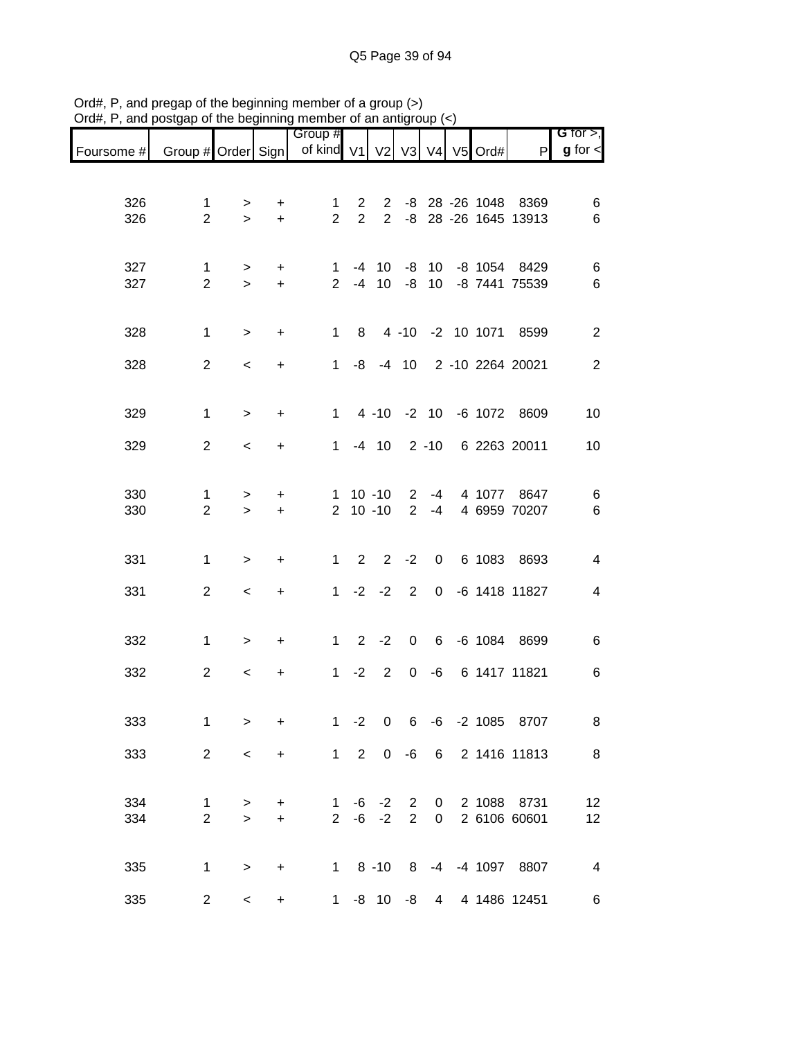| Foursome # Group # Order Sign of kind V1 V2 V3 V4 V5 Ord# |                                |                          |                  | Group #                        |                                  |                                |                                  |                |  | P                                        | G for $>$ ,<br>$g$ for $\lt$ |
|-----------------------------------------------------------|--------------------------------|--------------------------|------------------|--------------------------------|----------------------------------|--------------------------------|----------------------------------|----------------|--|------------------------------------------|------------------------------|
|                                                           |                                |                          |                  |                                |                                  |                                |                                  |                |  |                                          |                              |
| 326<br>326                                                | 1<br>$\overline{2}$            | ><br>$\geq$              | +<br>$\ddot{}$   | $\mathbf{1}$<br>$\overline{2}$ | $\overline{2}$<br>$\overline{2}$ | $\mathbf{2}$<br>$\overline{2}$ | -8                               |                |  | -8 28 -26 1048 8369<br>28 -26 1645 13913 | 6<br>6                       |
| 327<br>327                                                | $\mathbf{1}$<br>$\overline{2}$ | $\, > \,$<br>$\geq$      | +<br>$\ddot{}$   | 1<br>$2^{\circ}$               | $-4$                             | $-4$ 10<br>10 <sup>°</sup>     | -8<br>-8                         |                |  | 10 -8 1054 8429<br>10 -8 7441 75539      | 6<br>6                       |
| 328                                                       | 1                              | $\, > \,$                | $\ddot{}$        | $\mathbf{1}$                   | 8                                |                                |                                  |                |  | 4 -10 -2 10 1071 8599                    | $\mathbf{2}$                 |
| 328                                                       | $\overline{2}$                 | $\,<\,$                  | $\ddot{}$        | 1                              |                                  |                                |                                  |                |  | -8 -4 10 2 -10 2264 20021                | $\sqrt{2}$                   |
| 329                                                       | $\mathbf{1}$                   | $\geq$                   | $\ddot{}$        | $1 \quad$                      |                                  |                                |                                  |                |  | 4 -10 -2 10 -6 1072 8609                 | 10                           |
| 329                                                       | $\overline{2}$                 | $\overline{\phantom{a}}$ | $\ddot{}$        | 1                              |                                  | $-4$ 10                        |                                  |                |  | 2 -10 6 2263 20011                       | 10                           |
| 330<br>330                                                | 1<br>$\overline{2}$            | $\, > \,$<br>$\geq$      | $\ddot{}$<br>$+$ |                                |                                  | $1 10 - 10$<br>$2 10 - 10$     | $\overline{2}$<br>2              | $-4$<br>$-4$   |  | 4 1077 8647<br>4 6959 70207              | 6<br>6                       |
| 331                                                       | $\mathbf{1}$                   | $\geq$                   | $\ddot{}$        | $\mathbf{1}$                   | $\overline{2}$                   | $\overline{2}$                 | $-2$                             | $\mathbf 0$    |  | 6 1083 8693                              | $\overline{4}$               |
| 331                                                       | $\overline{2}$                 | $\overline{\phantom{a}}$ | $\ddot{}$        | $\mathbf{1}$                   |                                  | $-2 -2$                        | 2                                |                |  | 0 -6 1418 11827                          | $\overline{\mathcal{A}}$     |
| 332                                                       | $\mathbf{1}$                   | $\, > \,$                | $\ddot{}$        | $1 \quad$                      | $\overline{2}$                   | $-2$                           | 0                                |                |  | 6 -6 1084 8699                           | 6                            |
| 332                                                       | $\overline{2}$                 | $\,<\,$                  | +                | 1                              | $-2$                             | 2                              | 0                                | -6             |  | 6 1417 11821                             | 6                            |
| 333                                                       | 1                              | $\mathbf{1}$             | $\ddot{}$        | 1                              | $-2$                             | $\boldsymbol{0}$               | 6                                |                |  | -6 -2 1085 8707                          | 8                            |
| 333                                                       | $\overline{2}$                 | $\overline{\phantom{a}}$ | $\ddot{}$        |                                | $1 \quad 2$                      | $\overline{0}$                 |                                  |                |  | -6 6 2 1416 11813                        | $\,8\,$                      |
| 334<br>334                                                | $\mathbf{1}$<br>$\overline{2}$ | $\geq$<br>$\mathbf{L}$   | $+$<br>$+$       | 1                              | -6                               | $-2$<br>$2 -6 -2$              | $\overline{2}$<br>$\overline{2}$ | $\overline{0}$ |  | 0 2 1088 8731<br>2 6106 60601            | 12<br>12                     |
| 335                                                       | $\mathbf{1}$                   | $\,$                     | $\ddot{}$        |                                |                                  |                                |                                  |                |  | 1 8 -10 8 -4 -4 1097 8807                | $\overline{\mathbf{4}}$      |
| 335                                                       | $\overline{2}$                 | $\,<\,$                  | +                | 1                              |                                  | -8 10 -8                       |                                  |                |  | 4 4 1486 12451                           | 6                            |

Ord#, P, and pregap of the beginning member of a group (>) Ord#, P, and postgap of the beginning member of an antigroup (<)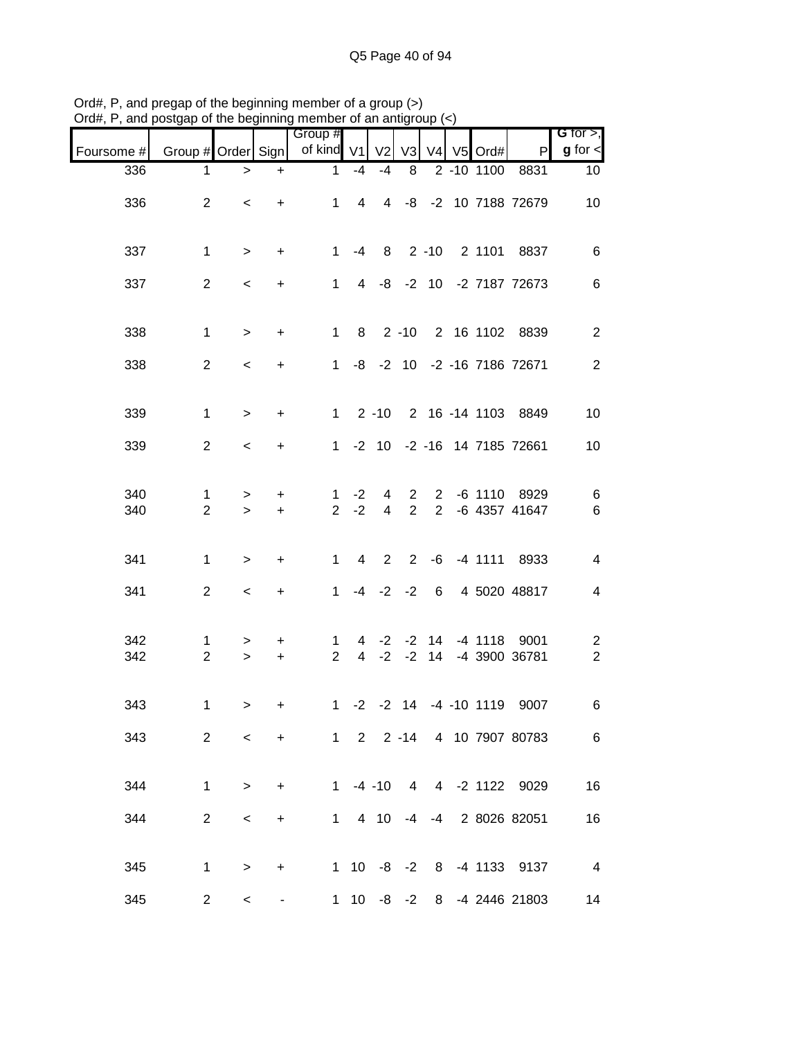| $O(dH, r)$ , and posigap or the beginning member or an antigroup $(\leq)$ |                     |                          |                |                               |                     |                               |                                |                               |       |                        |                            |                                           |
|---------------------------------------------------------------------------|---------------------|--------------------------|----------------|-------------------------------|---------------------|-------------------------------|--------------------------------|-------------------------------|-------|------------------------|----------------------------|-------------------------------------------|
| Foursome #                                                                | Group # Order Sign  |                          |                | Group #<br>of kind V1         |                     | V <sub>2</sub>                | V3                             |                               | V4 V5 | Ord#                   | P                          | G for $>$ ,<br>$g$ for $\lt$              |
| 336                                                                       | 1                   | >                        | $\ddot{}$      | $\mathbf 1$                   | $-4$                | $-4$                          | 8                              |                               |       | 2 -10 1100             | 8831                       | 10                                        |
| 336                                                                       | $\overline{2}$      | $\,<$                    | $\ddot{}$      | $\mathbf{1}$                  | $\overline{4}$      | $\overline{4}$                |                                |                               |       |                        | -8 -2 10 7188 72679        | 10                                        |
| 337                                                                       | $\mathbf{1}$        | $\,>$                    | $\ddot{}$      | $\mathbf{1}$                  | $-4$                | 8                             |                                | $2 - 10$                      |       | 2 1101                 | 8837                       | 6                                         |
| 337                                                                       | $\overline{2}$      | $\,<\,$                  | $\ddot{}$      | $\mathbf{1}$                  |                     |                               |                                |                               |       |                        | 4 -8 -2 10 -2 7187 72673   | 6                                         |
| 338                                                                       | $\mathbf{1}$        | $\,>$                    | $\ddot{}$      | $\mathbf{1}$                  | 8                   |                               | $2 - 10$                       |                               |       |                        | 2 16 1102 8839             | $\overline{c}$                            |
| 338                                                                       | $\overline{2}$      | $\,<\,$                  | +              | $\mathbf{1}$                  |                     |                               |                                |                               |       |                        | -8 -2 10 -2 -16 7186 72671 | $\overline{c}$                            |
| 339                                                                       | 1                   | $\,>$                    | +              | $\mathbf{1}$                  |                     | $2 - 10$                      |                                |                               |       |                        | 2 16 -14 1103 8849         | 10                                        |
| 339                                                                       | $\overline{2}$      | $\,<$                    | +              | 1.                            |                     |                               |                                |                               |       |                        | -2 10 -2 -16 14 7185 72661 | 10                                        |
| 340<br>340                                                                | 1<br>$\overline{2}$ | $\, > \,$<br>$\, >$      | +<br>$\ddot{}$ | 1.<br>$\overline{2}$          | $-2$<br>$-2$        | 4<br>$\overline{\mathcal{A}}$ | $\mathbf{2}$<br>$\overline{2}$ | $2^{\circ}$<br>$\overline{2}$ |       | $-6$ 1110              | 8929<br>-6 4357 41647      | 6<br>6                                    |
|                                                                           |                     |                          |                |                               |                     |                               |                                |                               |       |                        |                            |                                           |
| 341                                                                       | $\mathbf{1}$        | >                        | +              | $\mathbf{1}$                  | 4                   | 2                             | $\overline{2}$                 |                               |       | $-6$ $-4$ 1111         | 8933                       | 4                                         |
| 341                                                                       | $\overline{2}$      | $\,<\,$                  | $\ddot{}$      | $\mathbf{1}$                  |                     | $-4$ $-2$ $-2$                |                                | 6                             |       |                        | 4 5020 48817               | 4                                         |
| 342<br>342                                                                | 1<br>$\overline{2}$ | ><br>$\geq$              | +<br>$\ddot{}$ | 1<br>$\overline{2}$           | 4<br>$\overline{4}$ | $-2$                          | $-2 -2$<br>$-2$                | 14<br>14                      |       | $-4$ 1118              | 9001<br>-4 3900 36781      | $\overline{\mathbf{c}}$<br>$\overline{c}$ |
|                                                                           |                     |                          |                |                               |                     |                               |                                |                               |       |                        |                            |                                           |
| 343                                                                       | 1.                  | $\rightarrow$            | $+$            |                               |                     |                               |                                |                               |       | 1 -2 -2 14 -4 -10 1119 | 9007                       | 6                                         |
| 343                                                                       | $2^{\circ}$         | $\lt$                    |                | + 1 2 2 -14 4 10 7907 80783 6 |                     |                               |                                |                               |       |                        |                            |                                           |
| 344                                                                       | $\mathbf{1}$        | $\geq$                   |                | + 1 -4 -10 4 4 -2 1122 9029   |                     |                               |                                |                               |       |                        |                            | 16                                        |
| 344                                                                       | $\overline{2}$      | $\prec$                  |                | $+$ $-$                       |                     |                               |                                |                               |       |                        | 1 4 10 -4 -4 2 8026 82051  | 16                                        |
| 345                                                                       |                     | $1 \quad \Box$<br>$\geq$ | $+$            |                               |                     |                               |                                |                               |       |                        | 1 10 -8 -2 8 -4 1133 9137  | $\overline{4}$                            |
| 345                                                                       | $\overline{2}$      | $\leq$                   | ۰,             |                               |                     |                               |                                |                               |       |                        | 1 10 -8 -2 8 -4 2446 21803 | 14                                        |

Ord#, P, and pregap of the beginning member of a group (>) Ord#, P, and postgap of the beginning member of an antigroup (<)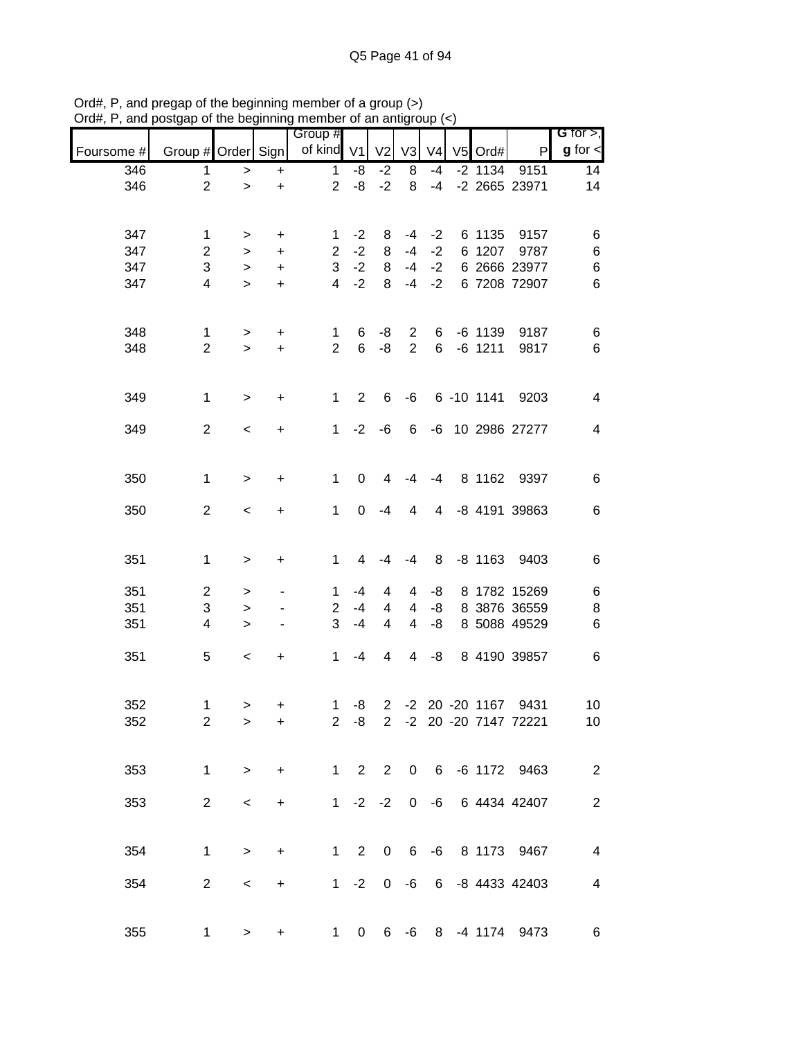|            |                         | ບ. …ບ ມບy          | .                        | 111011100101101101101101<br>Group # |                |                |                |                |           |                         | G for $>$ ,              |
|------------|-------------------------|--------------------|--------------------------|-------------------------------------|----------------|----------------|----------------|----------------|-----------|-------------------------|--------------------------|
| Foursome # | Group # Order Sign      |                    |                          | of kind V1                          |                | V <sub>2</sub> | V3             | V <sub>4</sub> | V5 Ord#   | $\mathsf{P}$            | $g$ for $\leq$           |
| 346        | 1                       | $\,>$              | $\ddot{}$                | $\mathbf{1}$                        | -8             | $-2$           | 8              | $-4$           | $-2$ 1134 | 9151                    | 14                       |
| 346        | $\overline{2}$          | $\, > \,$          | $\ddot{}$                | $\overline{2}$                      | -8             | $-2$           | 8              | $-4$           |           | -2 2665 23971           | 14                       |
|            |                         |                    |                          |                                     |                |                |                |                |           |                         |                          |
| 347        | 1                       | >                  | $\ddot{}$                | 1                                   | $-2$           | 8              | -4             | $-2$           | 6 1135    | 9157                    | 6                        |
| 347        | $\overline{2}$          | $\,>$              | $\ddot{}$                | $\overline{2}$                      | $-2$           | 8              | $-4$           | $-2$           | 6 1207    | 9787                    | $\,6$                    |
| 347        | 3                       | $\,>$              | $\pm$                    | 3 <sup>1</sup>                      | $-2$           | 8              | $-4$           | $-2$           |           | 6 2666 23977            | $\,6$                    |
| 347        | $\overline{4}$          | $\,$               | $\pm$                    | $\overline{4}$                      | $-2$           | 8              | $-4$           | $-2$           |           | 6 7208 72907            | 6                        |
|            |                         |                    |                          |                                     |                |                |                |                |           |                         |                          |
|            |                         |                    |                          |                                     |                |                |                |                |           |                         |                          |
| 348        | $\mathbf{1}$            | $\geq$             | $\ddot{}$                | $\mathbf{1}$                        | 6              | -8             | $\overline{2}$ |                | 6 -6 1139 | 9187                    | 6                        |
| 348        | $\overline{c}$          | $\,>$              | $\ddot{}$                | $\overline{2}$                      | 6              | -8             | 2              |                |           | 6 -6 1211 9817          | 6                        |
|            |                         |                    |                          |                                     |                |                |                |                |           |                         |                          |
| 349        | $\mathbf{1}$            | $\, > \,$          | $\ddot{}$                | $\mathbf{1}$                        | 2              | 6              | -6             |                |           | 6 -10 1141 9203         | 4                        |
|            |                         |                    |                          |                                     |                |                |                |                |           |                         |                          |
| 349        | $\overline{2}$          | $\,<$              | $\ddot{}$                | 1                                   | $-2$           | -6             | 6              |                |           | -6 10 2986 27277        | $\overline{\mathcal{A}}$ |
|            |                         |                    |                          |                                     |                |                |                |                |           |                         |                          |
|            |                         |                    |                          |                                     |                |                |                |                |           |                         |                          |
| 350        | $\mathbf{1}$            | $\,$               | $\ddot{}$                | $\mathbf{1}$                        | 0              | 4              | -4             | $-4$           |           | 8 1162 9397             | $\,6$                    |
|            | $\overline{a}$          |                    |                          | $\mathbf{1}$                        | 0              | $-4$           | 4              | $\overline{4}$ |           | -8 4191 39863           | $\,6$                    |
| 350        |                         | $\,<$              | $\ddot{}$                |                                     |                |                |                |                |           |                         |                          |
|            |                         |                    |                          |                                     |                |                |                |                |           |                         |                          |
| 351        | 1                       | $\,$               | $\ddot{}$                | $\mathbf{1}$                        | $\overline{4}$ | $-4$           | -4             | 8              |           | -8 1163 9403            | 6                        |
|            |                         |                    |                          |                                     |                |                |                |                |           |                         |                          |
| 351        | $\overline{c}$          | >                  | $\overline{\phantom{a}}$ | 1                                   | -4             | 4              | 4              | -8             |           | 8 1782 15269            | 6                        |
| 351        | 3                       | $\geq$             | $\blacksquare$           | $\overline{2}$                      | $-4$           | 4              | $\overline{4}$ | -8             |           | 8 3876 36559            | 8                        |
| 351        | $\overline{\mathbf{4}}$ | $\, > \,$          |                          | 3                                   | $-4$           | 4              | $\overline{4}$ | -8             |           | 8 5088 49529            | $\,6$                    |
| 351        | 5                       |                    |                          | $\mathbf{1}$                        | -4             | 4              | $\overline{4}$ | -8             |           | 8 4190 39857            | $\,6$                    |
|            |                         | $\,<\,$            | +                        |                                     |                |                |                |                |           |                         |                          |
|            |                         |                    |                          |                                     |                |                |                |                |           |                         |                          |
| 352        | 1                       | $\,>$              | +                        | $\mathbf{1}$                        | -8             |                |                |                |           | 2 -2 20 -20 1167 9431   | 10                       |
| 352        | $\overline{2}$          | >                  | +                        | $2^{\circ}$                         | -8             |                |                |                |           | 2 -2 20 -20 7147 72221  | 10                       |
|            |                         |                    |                          |                                     |                |                |                |                |           |                         |                          |
|            |                         |                    |                          |                                     |                |                |                |                |           |                         |                          |
| 353        | 1                       | $\geq$             | $\ddot{}$                | $1 -$                               |                | 2 <sub>2</sub> | $\mathbf 0$    |                |           | 6 -6 1172 9463          | $\overline{2}$           |
| 353        | $\overline{2}$          |                    |                          |                                     |                | $1 -2 -2$      |                | $0 - 6$        |           | 6 4434 42407            | $\overline{2}$           |
|            |                         | $\,<\,$            | $\ddot{}$                |                                     |                |                |                |                |           |                         |                          |
|            |                         |                    |                          |                                     |                |                |                |                |           |                         |                          |
| 354        | $\mathbf{1}$            | $\, > \,$          | $\ddot{}$                | $1 \quad$                           | $\overline{2}$ | $\overline{0}$ |                |                |           | 6 -6 8 1173 9467        | $\overline{\mathbf{4}}$  |
|            |                         |                    |                          |                                     |                |                |                |                |           |                         |                          |
| 354        | $\overline{2}$          | $\,<\,$            | $\ddot{}$                |                                     | $1 -2$         | $\overline{0}$ | -6             |                |           | 6 -8 4433 42403         | 4                        |
|            |                         |                    |                          |                                     |                |                |                |                |           |                         |                          |
|            |                         |                    |                          |                                     |                |                |                |                |           |                         |                          |
| 355        |                         | $1 \quad$<br>$\,>$ | +                        |                                     |                |                |                |                |           | 1 0 6 -6 8 -4 1174 9473 | 6                        |

Ord#, P, and pregap of the beginning member of a group (>) Ord#, P, and postgap of the beginning member of an antigroup (<)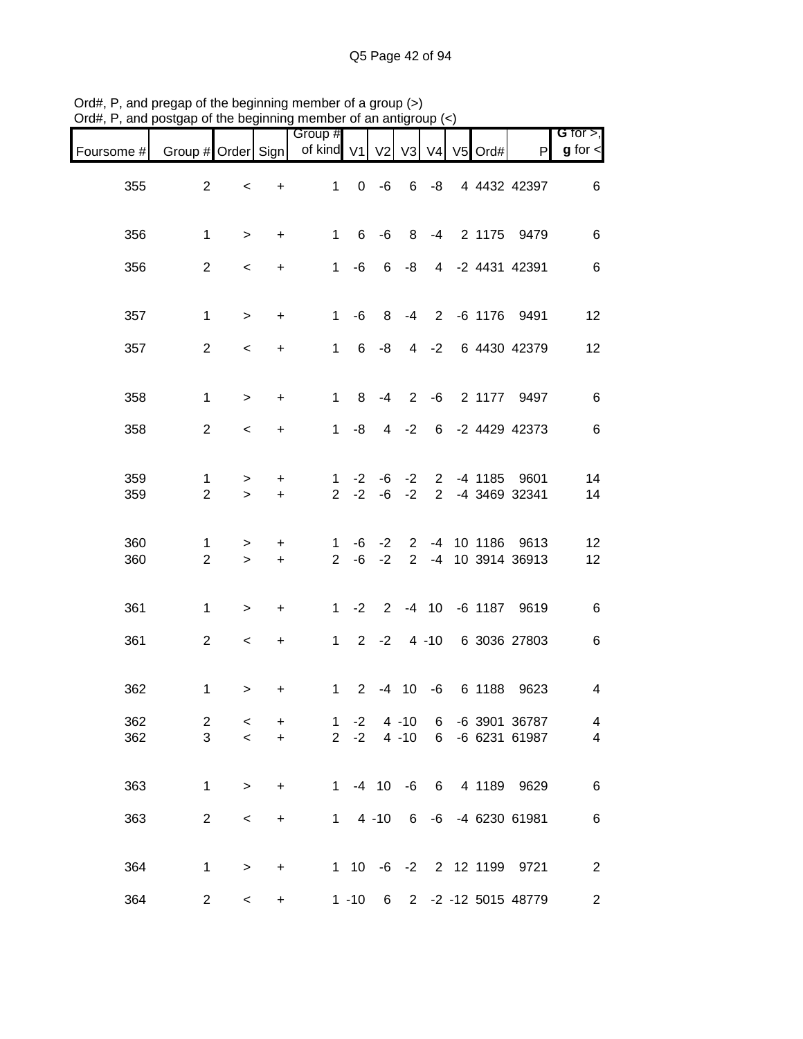| $max$ , i.e. and posigap or the beginning member or an antigroup $(\prec)$ |                     |                          |                        |                                |              |                     |                      |        |  |                                                    |                               |
|----------------------------------------------------------------------------|---------------------|--------------------------|------------------------|--------------------------------|--------------|---------------------|----------------------|--------|--|----------------------------------------------------|-------------------------------|
| Foursome # Group # Order Sign   of kind V1   V2   V3   V4   V5   Ord#      |                     |                          |                        | Group #                        |              |                     |                      |        |  | P                                                  | G for $>$ ,<br>$g$ for $\leq$ |
| 355                                                                        | $\overline{2}$      | $\prec$                  | $+$                    |                                |              |                     |                      |        |  | 1 0 -6 6 -8 4 4432 42397                           | 6                             |
| 356                                                                        | $\mathbf 1$         | $\geq$                   | $+$                    |                                | $1 \quad$    | $6 - 6$             | 8 <sup>8</sup>       |        |  | -4 2 1175 9479                                     | $\,6\,$                       |
| 356                                                                        | $\overline{2}$      | $\,<$                    | $\ddot{}$              | 1                              |              | $-6$ 6 $-8$         |                      |        |  | 4 -2 4431 42391                                    | $\,6\,$                       |
| 357                                                                        | $\mathbf{1}$        | $\,$                     | $\ddot{}$              | 1                              | -6           |                     |                      |        |  | 8 -4 2 -6 1176 9491                                | 12                            |
| 357                                                                        | $\overline{2}$      | $\overline{\phantom{a}}$ | $\ddot{}$              |                                |              | $1 \t 6 \t -8$      |                      |        |  | 4 -2 6 4430 42379                                  | 12                            |
| 358                                                                        | $\mathbf{1}$        | $\,>$                    | $\ddot{}$              |                                |              | $1 \t 8 \t -4 \t 2$ |                      |        |  | -6 2 1177 9497                                     | $6\phantom{1}6$               |
| 358                                                                        | $\overline{2}$      | $\overline{\phantom{0}}$ | $\ddot{}$              | 1                              | -8           |                     | $4 -2$               |        |  | 6 -2 4429 42373                                    | $\,6\,$                       |
| 359<br>359                                                                 | 1<br>$\overline{2}$ | $\, > \,$<br>$\geq$      | $\ddot{}$<br>$+$       | $\mathbf{1}$                   | $-2$         |                     |                      |        |  | -6 -2 2 -4 1185 9601<br>2 -2 -6 -2 2 -4 3469 32341 | 14<br>14                      |
| 360<br>360                                                                 | 1<br>$\overline{2}$ | $\, > \,$<br>$\geq$      | $\ddot{}$<br>$\ddot{}$ | $\mathbf{1}$<br>$\overline{2}$ |              | $-6 -2$             | $\overline{2}$       | $-4$   |  | -6 -2 2 -4 10 1186 9613<br>10 3914 36913           | 12<br>12                      |
| 361                                                                        | $\mathbf{1}$        | $\,$                     | $\ddot{}$              |                                | $1 -2$       |                     |                      |        |  | 2 -4 10 -6 1187 9619                               | $\,6\,$                       |
| 361                                                                        | $\overline{2}$      | $\,<\,$                  | $+$                    |                                |              |                     |                      |        |  | 1 2 -2 4 -10 6 3036 27803                          | $\,6\,$                       |
| 362                                                                        | 1                   | >                        | +                      |                                | $1 \quad$    | $2 - 4 10$          |                      |        |  | -6 6 1188 9623                                     | $\overline{\mathbf{4}}$       |
| 362<br>362                                                                 | $\overline{2}$<br>3 | $\,<\,$<br>$\prec$       | +<br>$\ddot{}$         | $\mathbf{1}$<br>$2^{\circ}$    | $-2$<br>$-2$ |                     | $4 - 10$<br>$4 - 10$ | 6<br>6 |  | -6 3901 36787<br>-6 6231 61987                     | 4<br>4                        |
| 363                                                                        | $\mathbf 1$         | $\,$                     | $\ddot{}$              | $\mathbf{1}$                   |              | $-4$ 10 $-6$        |                      | 6      |  | 4 1189 9629                                        | 6                             |
| 363                                                                        | $\overline{2}$      | $\,<$                    | $\ddot{}$              | $1 \quad$                      |              | $4 - 10$            | 6                    |        |  | -6 -4 6230 61981                                   | 6                             |
| 364                                                                        | 1                   | $\,$                     | $\ddot{}$              |                                |              |                     |                      |        |  | 1 10 -6 -2 2 12 1199 9721                          | $\overline{c}$                |
| 364                                                                        | $\overline{2}$      | $\,<\,$                  | $\ddot{}$              |                                | $1 - 10$     | 6                   |                      |        |  | 2 -2 -12 5015 48779                                | $\overline{c}$                |

Ord#, P, and pregap of the beginning member of a group (>) Ord#, P, and postgap of the beginning member of an antigroup (<)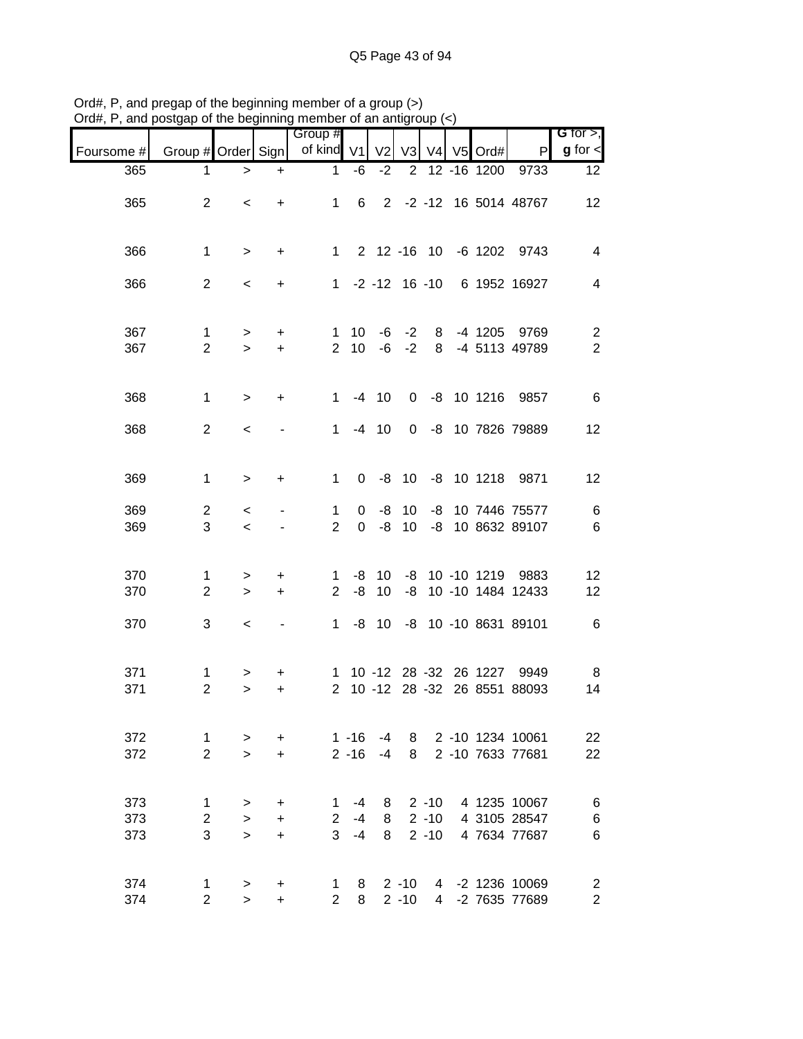| $v$ ıu $\pi,$ ı   | and postgap or the beginning intermed or an antigroup $(\sim)$ |                               |                             |                          |                            |                |                      |                                  |                         |                                              |                                           |
|-------------------|----------------------------------------------------------------|-------------------------------|-----------------------------|--------------------------|----------------------------|----------------|----------------------|----------------------------------|-------------------------|----------------------------------------------|-------------------------------------------|
| Foursome #        | Group # Order Sign                                             |                               |                             | Group #<br>of kind V1    |                            | V <sub>2</sub> | V <sub>3</sub>       |                                  | V4 V5 Ord#              | P                                            | G for $>$ ,<br>$g$ for $\lt$              |
| 365               | 1                                                              | $\, > \,$                     | $\ddot{}$                   | 1                        | $-6$                       | $-2$           | $\overline{2}$       |                                  | 12 - 16 1200            | 9733                                         | 12                                        |
| 365               | $\overline{2}$                                                 | $\,<\,$                       | $\ddot{}$                   | $\mathbf{1}$             | 6                          |                |                      |                                  |                         | 2 -2 -12 16 5014 48767                       | 12                                        |
| 366               | $\mathbf{1}$                                                   | $\, >$                        | $\ddot{}$                   | $\mathbf{1}$             |                            |                |                      |                                  |                         | 2 12 -16 10 -6 1202 9743                     | $\overline{4}$                            |
| 366               | $\overline{2}$                                                 | $\,<\,$                       | $\ddot{}$                   |                          |                            |                |                      |                                  |                         | 1 -2 -12 16 -10 6 1952 16927                 | $\overline{\mathbf{4}}$                   |
| 367<br>367        | $\mathbf{1}$<br>$\overline{2}$                                 | $\, > \,$<br>$\geq$           | +<br>$+$                    | 1<br>$\overline{2}$      | 10                         | $10 - 6$       | $-6 -2$<br>$-2$      | 8<br>8                           |                         | -4 1205 9769<br>-4 5113 49789                | $\overline{c}$<br>$\overline{2}$          |
| 368               | $\mathbf{1}$                                                   | $\, > \,$                     | $\ddot{}$                   | $\mathbf{1}$             |                            | $-4$ 10        | 0                    |                                  |                         | -8 10 1216 9857                              | 6                                         |
| 368               | $\overline{2}$                                                 | $\,<\,$                       |                             | 1.                       |                            | $-4$ 10        | 0                    |                                  |                         | -8 10 7826 79889                             | 12                                        |
| 369               | $\mathbf{1}$                                                   | $\, > \,$                     | +                           | $\mathbf{1}$             |                            | $0 -8 10$      |                      |                                  |                         | -8 10 1218 9871                              | 12                                        |
| 369<br>369        | 2<br>3                                                         | $\,<$<br>$\prec$              |                             | 1<br>$\overline{2}$      | $\mathbf 0$<br>$\mathbf 0$ | -8<br>-8       | 10<br>10             | -8<br>-8                         |                         | 10 7446 75577<br>10 8632 89107               | 6<br>6                                    |
| 370<br>370        | $\mathbf{1}$<br>$\overline{2}$                                 | ><br>$\geq$                   | +<br>$+$                    | 1<br>$\overline{2}$      | -8                         | $-8$ 10<br>10  |                      |                                  |                         | -8 10 -10 1219 9883<br>-8 10 -10 1484 12433  | 12<br>12                                  |
| 370               | 3                                                              | $\,<$                         |                             | $\mathbf{1}$             |                            |                |                      |                                  |                         | -8 10 -8 10 -10 8631 89101                   | 6                                         |
| 371<br>371        | 1<br>$\overline{2}$                                            | ><br>$\geq$                   | +<br>$\ddot{}$              | $\mathbf{2}^{\circ}$     |                            |                |                      |                                  | 1 10 -12 28 -32 26 1227 | 9949<br>10 -12 28 -32 26 8551 88093          | 8<br>14                                   |
| 372<br>372        | $\mathbf{1}$<br>$\overline{2}$                                 | $\,>$<br>$\geq$               | +<br>$\ddot{}$              |                          | $1 - 16$<br>$2 - 16$       | $-4$<br>$-4$   | 8<br>8               |                                  |                         | 2 -10 1234 10061<br>2 -10 7633 77681         | 22<br>22                                  |
| 373<br>373<br>373 | $\mathbf{1}$<br>$\overline{c}$<br>3                            | $\, > \,$<br>$\geq$<br>$\geq$ | +<br>$\ddot{}$<br>$\ddot{}$ | 1<br>$\overline{2}$<br>3 | $-4$<br>$-4$<br>$-4$       | 8<br>8<br>8    |                      | $2 - 10$<br>$2 - 10$<br>$2 - 10$ |                         | 4 1235 10067<br>4 3105 28547<br>4 7634 77687 | 6<br>6<br>$6\phantom{1}6$                 |
| 374<br>374        | 1<br>$\overline{2}$                                            | $\, > \,$<br>$\geq$           | +<br>$\ddot{}$              | 1<br>$\overline{2}$      | 8<br>8                     |                | $2 - 10$<br>$2 - 10$ | 4<br>4                           |                         | -2 1236 10069<br>-2 7635 77689               | $\overline{\mathbf{c}}$<br>$\overline{c}$ |

Ord#, P, and pregap of the beginning member of a group (>) Ord#, P, and postgap of the beginning member of an antigroup (<)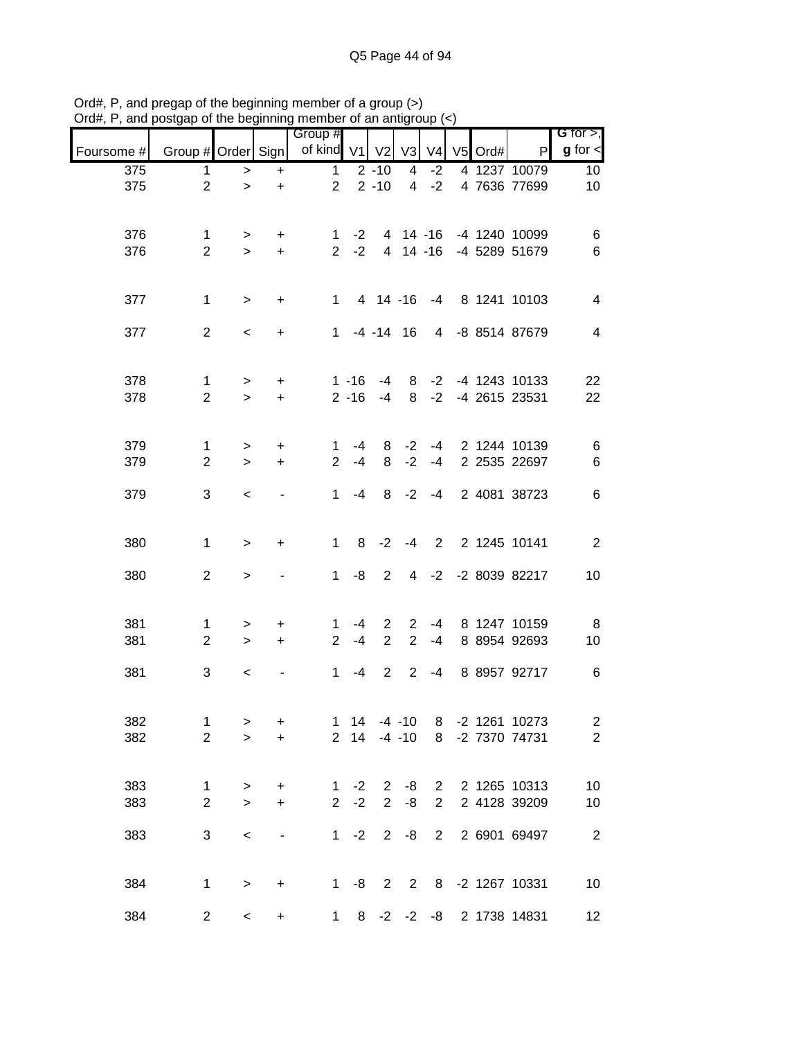|            |                               |             |                          | 9 ''''''''<br>Group #                     |                | <u>uu uu uu uu uu uu m</u> |                 |                |         |                                | G for $>$ ,                      |
|------------|-------------------------------|-------------|--------------------------|-------------------------------------------|----------------|----------------------------|-----------------|----------------|---------|--------------------------------|----------------------------------|
| Foursome # |                               |             |                          | Group # Order Sign   of kind V1   V2   V3 |                |                            |                 | V <sub>4</sub> | V5 Ord# | $\mathsf{P}$                   | $g$ for $\leq$                   |
| 375        | $\mathbf{1}$                  | $\,>$       | $\ddot{}$                | $\mathbf{1}$                              |                | $2 - 10$                   | 4               | $-2$           |         | 4 1237 10079                   | 10                               |
| 375        | $\overline{2}$                | $\geq$      | $\ddot{}$                | $2^{\circ}$                               |                | $2 - 10$                   | $\overline{4}$  | $-2$           |         | 4 7636 77699                   | 10                               |
|            |                               |             |                          |                                           |                |                            |                 |                |         |                                |                                  |
| 376        | $\mathbf{1}$                  | $\geq$      | $+$                      |                                           |                |                            |                 |                |         | 1 -2 4 14 -16 -4 1240 10099    | 6                                |
| 376        | $\overline{2}$                | $\geq$      | $+$                      |                                           |                |                            |                 |                |         | 2 -2 4 14 -16 -4 5289 51679    | $\,6$                            |
|            |                               |             |                          |                                           |                |                            |                 |                |         |                                |                                  |
| 377        | $\mathbf{1}$                  | $\geq$      | $+$                      |                                           |                |                            |                 |                |         | 1 4 14 -16 -4 8 1241 10103     | $\overline{4}$                   |
|            |                               |             |                          |                                           |                |                            |                 |                |         |                                |                                  |
| 377        | $\overline{2}$                | $\,<$       | $\ddot{}$                |                                           |                |                            |                 |                |         | 1 -4 -14 16 4 -8 8514 87679    | $\overline{4}$                   |
|            |                               |             |                          |                                           |                |                            |                 |                |         |                                |                                  |
| 378        | $\mathbf{1}$                  | $\geq$      | $+$                      |                                           | $1 - 16$       |                            |                 |                |         | -4 8 -2 -4 1243 10133          | 22                               |
| 378        | $\overline{2}$                | $\geq$      | $+$                      |                                           |                |                            |                 |                |         | 2 -16 -4 8 -2 -4 2615 23531    | 22                               |
|            |                               |             |                          |                                           |                |                            |                 |                |         |                                |                                  |
| 379        | $\mathbf 1$                   | >           | $\ddot{}$                | 1                                         | $-4$           | 8                          | $-2$            |                |         | -4 2 1244 10139                | $6\phantom{.0}$                  |
| 379        | $\overline{2}$                | $\geq$      | $+$                      | $\overline{2}$                            | $-4$           | 8                          | $-2$            | $-4$           |         | 2 2535 22697                   | $\,6$                            |
|            |                               |             |                          |                                           |                |                            |                 |                |         |                                |                                  |
| 379        | 3                             | $\prec$     | $\blacksquare$           | 1                                         | $-4$           |                            | $8 - 2$         | $-4$           |         | 2 4081 38723                   | $\,6$                            |
|            |                               |             |                          |                                           |                |                            |                 |                |         |                                |                                  |
| 380        | $\mathbf{1}$                  | $\geq$      | $\ddot{}$                | 1 <sup>1</sup>                            | 8              | $-2$                       |                 |                |         | -4 2 2 1245 10141              | $\overline{\phantom{0}}$ 2       |
| 380        |                               |             |                          |                                           |                | 2                          |                 |                |         |                                |                                  |
|            | $\overline{2}$                | $\,>$       |                          | $1 \quad$                                 | -8             |                            |                 |                |         | 4 -2 -2 8039 82217             | 10                               |
|            |                               |             |                          |                                           |                |                            |                 |                |         |                                |                                  |
| 381        | $\mathbf{1}$                  | $\geq$      | $+$                      |                                           | $1 - 4$        |                            | $2 \quad 2$     |                |         | -4 8 1247 10159                | 8                                |
| 381        | $\overline{2}$                | $\geq$      | $+$                      |                                           | $2 - 4$        | $\overline{2}$             | $2^{\circ}$     | $-4$           |         | 8 8954 92693                   | 10                               |
| 381        | 3                             | $\,<\,$     |                          | $\mathbf{1}$                              | $-4$           |                            | 2 2             | $-4$           |         | 8 8957 92717                   | 6                                |
|            |                               |             |                          |                                           |                |                            |                 |                |         |                                |                                  |
| 382        |                               |             |                          |                                           | $1 \quad 14$   |                            | $-4 - 10$       |                |         | 8 -2 1261 10273                |                                  |
| 382        | 1<br>$\overline{2}$           | ><br>$\geq$ | +<br>$+$                 |                                           | 2 14           |                            |                 |                |         | -4 -10 8 -2 7370 74731         | $\overline{c}$<br>$\overline{2}$ |
|            |                               |             |                          |                                           |                |                            |                 |                |         |                                |                                  |
|            |                               |             |                          |                                           |                |                            |                 |                |         |                                |                                  |
| 383<br>383 | $\mathbf 1$<br>$\overline{2}$ | ><br>$\geq$ | +<br>$\ddot{}$           | 2 <sup>7</sup>                            | 1 $-2$<br>$-2$ | $\overline{2}$             | $2 - 8$<br>$-8$ | $2^{\circ}$    |         | 2 2 1265 10313<br>2 4128 39209 | 10<br>10                         |
|            |                               |             |                          |                                           |                |                            |                 |                |         |                                |                                  |
| 383        | 3                             | $\,<$       | $\overline{\phantom{a}}$ |                                           | $1 -2$         | $2^{\circ}$                | -8              | $\overline{2}$ |         | 2 6901 69497                   | $\overline{2}$                   |
|            |                               |             |                          |                                           |                |                            |                 |                |         |                                |                                  |
| 384        | $\mathbf{1}$                  | $\,>$       | $\ddot{}$                |                                           |                |                            |                 |                |         | 1 -8 2 2 8 -2 1267 10331       | 10                               |
|            |                               |             |                          |                                           |                |                            |                 |                |         |                                |                                  |
| 384        | $\overline{c}$                | $\,<\,$     | $\ddot{}$                | $1 \quad$                                 |                | $8 - 2 - 2 - 8$            |                 |                |         | 2 1738 14831                   | 12                               |

Ord#, P, and pregap of the beginning member of a group (>) Ord#, P, and postgap of the beginning member of an antigroup (<)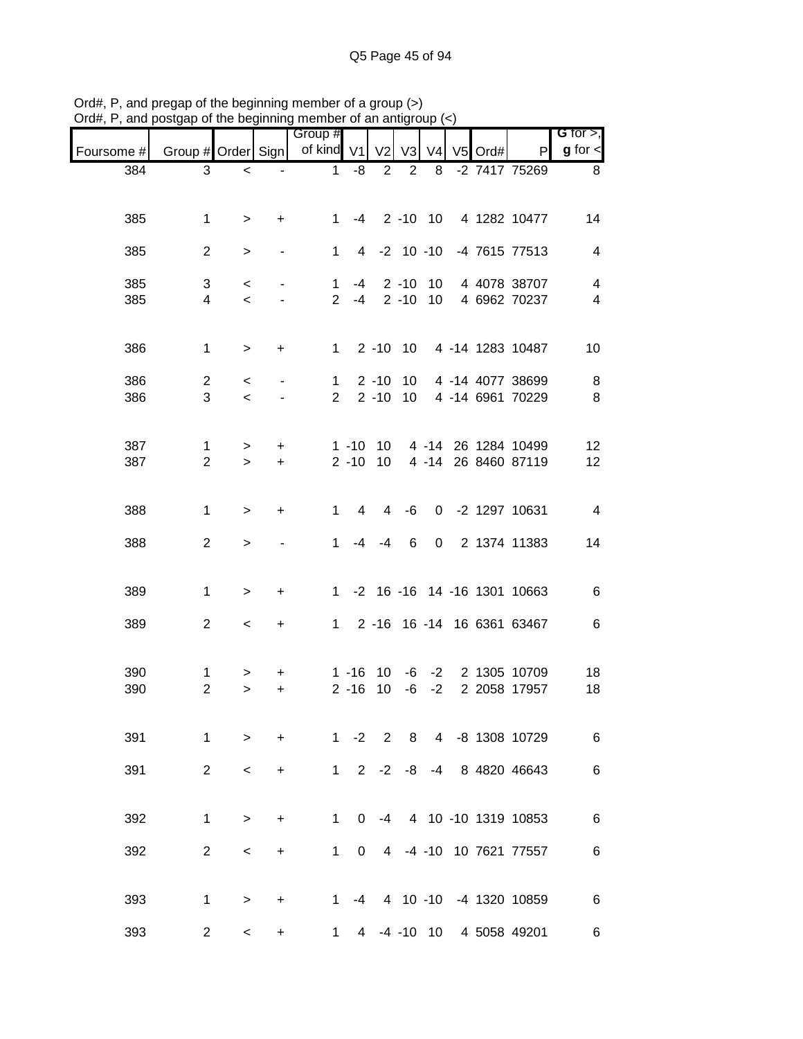|            |                                |                          | ,,,,,,,                  |                                            |                             |                |                |                |         |                                                              |                               |
|------------|--------------------------------|--------------------------|--------------------------|--------------------------------------------|-----------------------------|----------------|----------------|----------------|---------|--------------------------------------------------------------|-------------------------------|
| Foursome # |                                |                          |                          | Group #<br>Group # Order Sign   of kind V1 |                             | V <sub>2</sub> | V <sub>3</sub> | V <sub>4</sub> | V5 Ord# | P                                                            | G for $>$ ,<br>$g$ for $\leq$ |
| 384        | 3                              | $\,<\,$                  | $\blacksquare$           | $\mathbf{1}$                               | -8                          | $\overline{2}$ | 2              | 8              |         | -2 7417 75269                                                | 8 <sup>8</sup>                |
|            |                                |                          |                          |                                            |                             |                |                |                |         |                                                              |                               |
| 385        | $\mathbf 1$                    | $\, > \,$                | $\ddot{}$                |                                            |                             |                |                |                |         | 1 -4 2 -10 10 4 1282 10477                                   | 14                            |
| 385        | $\overline{2}$                 | >                        | $\blacksquare$           |                                            | $1 \quad$                   |                |                |                |         | 4 -2 10 -10 -4 7615 77513                                    | $\overline{4}$                |
| 385        | 3                              | $\,<$                    | $\overline{\phantom{a}}$ |                                            | $1 -4 2 -10 10$             |                |                |                |         | 4 4078 38707                                                 | $\overline{\mathbf{4}}$       |
| 385        | $\overline{\mathbf{4}}$        | $\prec$                  |                          |                                            |                             |                |                |                |         | 2 -4 2 -10 10 4 6962 70237                                   | $\overline{\mathbf{4}}$       |
| 386        | $\mathbf{1}$                   | $\geq$                   | $+$                      |                                            |                             |                |                |                |         | 1 2 -10 10 4 -14 1283 10487                                  | 10                            |
| 386        | $\overline{2}$                 | $\,<$                    | $\blacksquare$           |                                            |                             |                |                |                |         | 1 2 -10 10 4 -14 4077 38699                                  | 8                             |
| 386        | 3                              | $\prec$                  |                          |                                            | $2^{\circ}$                 |                |                |                |         | 2 -10 10 4 -14 6961 70229                                    | 8                             |
|            |                                |                          |                          |                                            |                             |                |                |                |         |                                                              |                               |
| 387<br>387 | $\mathbf{1}$<br>$\overline{2}$ | $\, > \,$<br>$\geq$      | $\ddot{}$<br>$+$         |                                            |                             |                |                |                |         | 1 -10 10 4 -14 26 1284 10499<br>2 -10 10 4 -14 26 8460 87119 | 12<br>12                      |
|            |                                |                          |                          |                                            |                             |                |                |                |         |                                                              |                               |
| 388        | $\mathbf{1}$                   | $\,>$                    | $\ddot{}$                |                                            | $1 \quad$<br>$\overline{4}$ | $\overline{4}$ | -6             |                |         | 0 -2 1297 10631                                              | $\overline{\mathbf{4}}$       |
| 388        | $\overline{a}$                 | $\, > \,$                |                          | $\mathbf{1}$                               | -4                          | $-4$           | 6              |                |         | 0 2 1374 11383                                               | 14                            |
|            |                                |                          |                          |                                            |                             |                |                |                |         |                                                              |                               |
| 389        | $\mathbf{1}$                   | $\, > \,$                | $\ddot{}$                |                                            |                             |                |                |                |         | 1 -2 16 -16 14 -16 1301 10663                                | $\,6$                         |
| 389        | $\overline{a}$                 | $\overline{\phantom{a}}$ | $+$                      |                                            |                             |                |                |                |         | 1 2 -16 16 -14 16 6361 63467                                 | 6                             |
|            |                                |                          |                          |                                            |                             |                |                |                |         |                                                              |                               |
| 390<br>390 | $\mathbf{1}$<br>$\overline{2}$ | ><br>$\, > \,$           | +<br>$\ddot{}$           |                                            | $1 - 16$<br>$2 - 16$        | 10<br>10       |                |                |         | -6 -2 2 1305 10709<br>-6 -2 2 2058 17957                     | 18<br>18                      |
|            |                                |                          |                          |                                            |                             |                |                |                |         |                                                              |                               |
| 391        | $\mathbf 1$                    | $\geq$                   | $\ddot{}$                |                                            | $1 -2 2$                    |                |                |                |         | 8 4 -8 1308 10729                                            | 6                             |
| 391        | $\overline{2}$                 | $\,<\,$                  | +                        | $1 \quad$                                  | $2^{\circ}$                 | $-2$           | -8             | $-4$           |         | 8 4820 46643                                                 | 6                             |
|            |                                |                          |                          |                                            |                             |                |                |                |         |                                                              |                               |
| 392        | 1                              | $\geq$                   | $\ddot{}$                | 1.                                         | $\Omega$                    |                |                |                |         | -4 4 10 -10 1319 10853                                       | 6                             |
| 392        | $\overline{2}$                 | $\,<\,$                  | +                        | $\mathbf{1}$                               | $\mathbf{0}$                |                |                |                |         | 4 -4 -10 10 7621 77557                                       | 6                             |
|            |                                |                          |                          |                                            |                             |                |                |                |         |                                                              |                               |
| 393        | $\mathbf{1}$                   | $\geq$                   | $\ddot{}$                |                                            | $-4$<br>$1 \quad$           |                |                |                |         | 4 10 -10 -4 1320 10859                                       | 6                             |
| 393        | $\overline{c}$                 | $\,<\,$                  | +                        | 1                                          | $\overline{4}$              |                |                |                |         | -4 -10 10 4 5058 49201                                       | 6                             |

Ord#, P, and pregap of the beginning member of a group (>) Ord#, P, and postgap of the beginning member of an antigroup (<)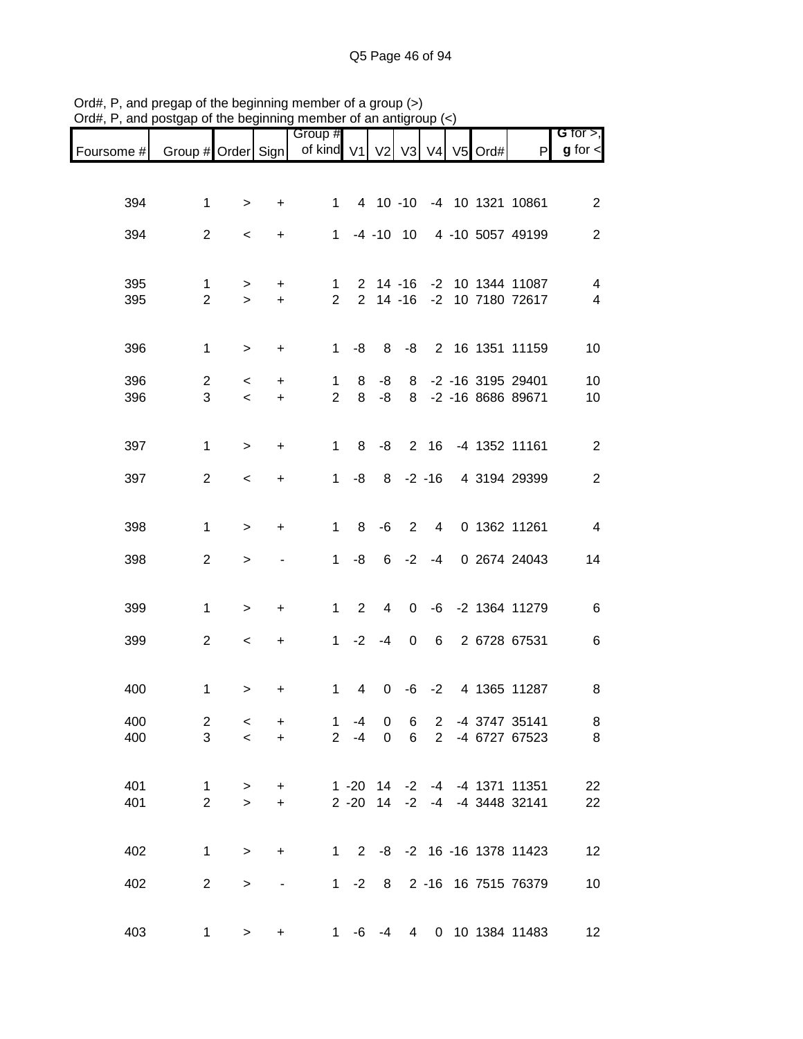| Foursome # |                     |                                   |                          | Group #<br>Group # Order Sign   of kind V1 |                       | V <sub>2</sub>   | V3              | V <sub>4</sub> | V5 Ord# | P                                                      | G for $>$ ,<br>$g$ for $\lt$ |
|------------|---------------------|-----------------------------------|--------------------------|--------------------------------------------|-----------------------|------------------|-----------------|----------------|---------|--------------------------------------------------------|------------------------------|
|            |                     |                                   |                          |                                            |                       |                  |                 |                |         |                                                        |                              |
| 394        | $\mathbf{1}$        | >                                 | +                        | $1 \quad$                                  |                       |                  |                 |                |         | 4 10 -10 -4 10 1321 10861                              | $\overline{2}$               |
| 394        | $\overline{2}$      | $\,<\,$                           | $\ddot{}$                | $1 \quad$                                  |                       | $-4$ $-10$ 10    |                 |                |         | 4 -10 5057 49199                                       | 2                            |
|            |                     |                                   |                          |                                            |                       |                  |                 |                |         |                                                        |                              |
| 395<br>395 | 1<br>$\overline{2}$ | $\, > \,$<br>$\geq$               | +<br>$\ddot{}$           | 1<br>$2^{\circ}$                           |                       |                  |                 |                |         | 2 14 -16 -2 10 1344 11087<br>2 14 -16 -2 10 7180 72617 | 4<br>$\overline{\mathbf{4}}$ |
|            |                     |                                   |                          |                                            |                       |                  |                 |                |         |                                                        |                              |
| 396        | $\mathbf{1}$        | $\,>$                             | +                        | 1                                          | -8                    | 8                | -8              |                |         | 2 16 1351 11159                                        | 10                           |
| 396<br>396 | $\overline{c}$<br>3 | $\lt$<br>$\overline{\phantom{a}}$ | $\ddot{}$<br>$\ddot{}$   | $\mathbf{1}$<br>$\overline{2}$             | 8<br>8                | -8<br>-8         |                 |                |         | 8 -2 -16 3195 29401<br>8 -2 -16 8686 89671             | 10<br>10                     |
|            |                     |                                   |                          |                                            |                       |                  |                 |                |         |                                                        |                              |
| 397        | $\mathbf{1}$        | $\,>$                             | $\ddot{}$                | $\mathbf{1}$                               | 8                     | -8               |                 |                |         | 2 16 -4 1352 11161                                     | $\mathbf{2}$                 |
| 397        | $\overline{2}$      | $\,<$                             | $\ddot{}$                | $\mathbf 1$                                | -8                    | 8                |                 |                |         | -2 -16 4 3194 29399                                    | $\overline{2}$               |
|            |                     |                                   |                          |                                            |                       |                  |                 |                |         |                                                        |                              |
| 398        | $\mathbf{1}$        | $\,>$                             | +                        | 1                                          | 8                     | $-6$             | 2               |                |         | 4 0 1362 11261                                         | $\overline{4}$               |
| 398        | $\overline{c}$      | $\, > \,$                         |                          | $\mathbf{1}$                               | -8                    | 6                | $-2$            | $-4$           |         | 0 2674 24043                                           | 14                           |
| 399        | $\mathbf{1}$        | $\, > \,$                         | $\ddot{}$                | 1                                          | $\overline{2}$        | 4                | $\mathsf{O}$    |                |         | -6 -2 1364 11279                                       | $\,6$                        |
| 399        | $\overline{2}$      | $\,<\,$                           | $\ddot{}$                |                                            | $1 -2$                | $-4$             | $\mathsf 0$     | 6              |         | 2 6728 67531                                           | $\,6$                        |
|            |                     |                                   |                          |                                            |                       |                  |                 |                |         |                                                        |                              |
| 400        | 1                   | >                                 | +                        | $\mathbf 1$                                | $\overline{4}$        | 0                | -6              | $-2$           |         | 4 1365 11287                                           | 8                            |
| 400<br>400 | $\overline{2}$<br>3 | $\,<$<br>$\,<$                    | +<br>$\ddot{}$           | $\mathbf{1}$<br>2 <sup>1</sup>             | $-4$<br>$-4$          | 0<br>$\mathbf 0$ | 6<br>6          | $2^{\circ}$    |         | 2 -4 3747 35141<br>-4 6727 67523                       | 8<br>$\, 8$                  |
|            |                     |                                   |                          |                                            |                       |                  |                 |                |         |                                                        |                              |
| 401        | $\mathbf{1}$        | $\, > \,$                         | +                        |                                            |                       |                  |                 |                |         | 1 -20 14 -2 -4 -4 1371 11351                           | 22                           |
| 401        | $\overline{2}$      | $\geq$                            | $+$                      |                                            | $2 - 20$ 14 $-2$ $-4$ |                  |                 |                |         | -4 3448 32141                                          | 22                           |
| 402        | $\mathbf{1}$        | $\, > \,$                         | $\ddot{}$                |                                            |                       |                  |                 |                |         | 1 2 -8 -2 16 -16 1378 11423                            | 12                           |
| 402        | $\overline{c}$      | $\,$                              | $\overline{\phantom{a}}$ | 1                                          | $-2$                  | 8                |                 |                |         | 2 -16 16 7515 76379                                    | 10                           |
|            |                     |                                   |                          |                                            |                       |                  |                 |                |         |                                                        |                              |
| 403        | 1                   | $\, > \,$                         | +                        | 1                                          | -6                    | $-4$             | $4\overline{ }$ |                |         | 0 10 1384 11483                                        | 12                           |

Ord#, P, and pregap of the beginning member of a group (>) Ord#, P, and postgap of the beginning member of an antigroup (<)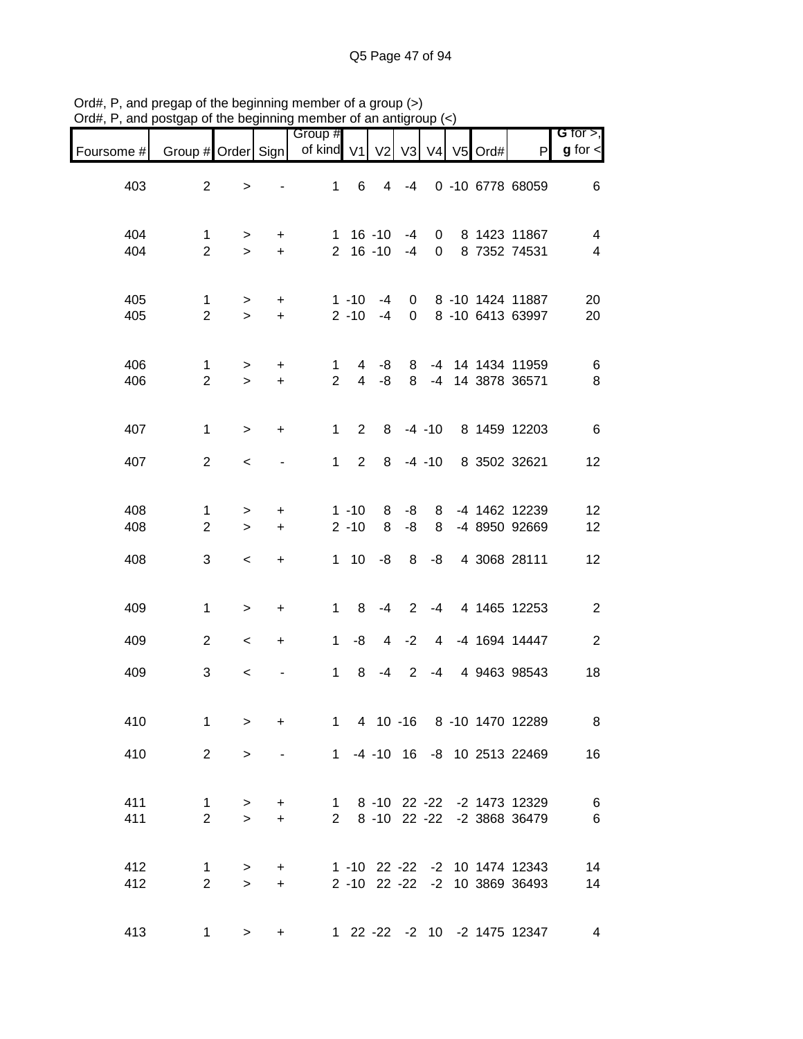|            |                                |                     |                  | Group #             |                            |                |                |                |           |                                                                | $G$ for $>$ ,                |
|------------|--------------------------------|---------------------|------------------|---------------------|----------------------------|----------------|----------------|----------------|-----------|----------------------------------------------------------------|------------------------------|
| Foursome # | Group # Order Sign             |                     |                  | of kind V1          |                            | V <sub>2</sub> | V <sub>3</sub> | V <sub>4</sub> | $V5$ Ord# | P                                                              | $g$ for $\lt$                |
| 403        | $\overline{2}$                 | >                   |                  | $\mathbf{1}$        | 6                          | 4              | $-4$           |                |           | 0 -10 6778 68059                                               | 6                            |
| 404<br>404 | $\mathbf{1}$<br>$\overline{2}$ | $\geq$<br>$\geq$    | $\ddot{}$<br>$+$ |                     | $1 16 - 10$<br>$2 16 - 10$ |                | -4<br>$-4$     | 0<br>0         |           | 8 1423 11867<br>8 7352 74531                                   | 4<br>$\overline{\mathbf{4}}$ |
| 405<br>405 | $\mathbf{1}$<br>$\overline{2}$ | $\geq$<br>$\geq$    | $\ddot{}$<br>$+$ |                     | $1 - 10$<br>$2 - 10$       | -4<br>$-4$     | 0<br>0         |                |           | 8 -10 1424 11887<br>8 -10 6413 63997                           | 20<br>20                     |
| 406<br>406 | 1<br>$\overline{2}$            | $\, > \,$<br>$\geq$ | $\ddot{}$<br>$+$ | 1<br>$\overline{2}$ | 4<br>$\overline{4}$        | -8<br>-8       | 8<br>8         |                |           | -4 14 1434 11959<br>-4 14 3878 36571                           | 6<br>8                       |
| 407        | $\mathbf{1}$                   | $\geq$              | $\ddot{}$        | $\mathbf 1$         | 2                          | 8              |                | $-4 - 10$      |           | 8 1459 12203                                                   | $\,6$                        |
| 407        | $\overline{2}$                 | $\,<$               |                  | 1                   | $\overline{2}$             | 8              |                | $-4 - 10$      |           | 8 3502 32621                                                   | 12                           |
| 408<br>408 | 1<br>$\overline{2}$            | ><br>$\geq$         | $\ddot{}$<br>$+$ |                     | $1 - 10$<br>$2 - 10$       | 8<br>8         | -8<br>$-8$     | 8<br>8         |           | -4 1462 12239<br>-4 8950 92669                                 | 12<br>12                     |
| 408        | 3                              | $\,<\,$             | $\ddot{}$        |                     | $1 \quad 10$               | -8             | 8              | -8             |           | 4 3068 28111                                                   | 12                           |
| 409        | $\mathbf{1}$                   | $\, >$              | +                | $\mathbf{1}$        | 8                          | $-4$           | 2              | $-4$           |           | 4 1465 12253                                                   | $\overline{c}$               |
| 409        | $\overline{2}$                 | $\,<\,$             | $\ddot{}$        | $\mathbf{1}$        | -8                         | 4              | $-2$           | 4              |           | -4 1694 14447                                                  | $\sqrt{2}$                   |
| 409        | 3                              | $\,<$               |                  | $\mathbf{1}$        | 8                          | $-4$           | $\overline{2}$ | -4             |           | 4 9463 98543                                                   | 18                           |
| 410        | $\mathbf{1}$                   | $\geq$              | $\ddot{}$        |                     |                            |                |                |                |           | 1 4 10 -16 8 -10 1470 12289                                    | 8                            |
| 410        | $2^{\circ}$                    | $\geq$              |                  |                     |                            |                |                |                |           | 1 -4 -10 16 -8 10 2513 22469                                   | 16                           |
| 411<br>411 | $\mathbf{1}$<br>$\overline{2}$ | $\geq$<br>$\geq$    | $+$<br>$+$       |                     |                            |                |                |                |           | 1 8 -10 22 -22 -2 1473 12329<br>2 8 -10 22 -22 -2 3868 36479   | $\,6\,$<br>$\,6$             |
| 412<br>412 | $\mathbf 1$<br>$\overline{2}$  | $\, > \,$<br>$\geq$ | $+$<br>$+$       |                     |                            |                |                |                |           | 1 -10 22 -22 -2 10 1474 12343<br>2 -10 22 -22 -2 10 3869 36493 | 14<br>14                     |
| 413        | 1                              | $\geq$              | $+$              |                     |                            |                |                |                |           | 1 22 -22 -2 10 -2 1475 12347                                   | 4                            |

Ord#, P, and pregap of the beginning member of a group (>) Ord#, P, and postgap of the beginning member of an antigroup (<)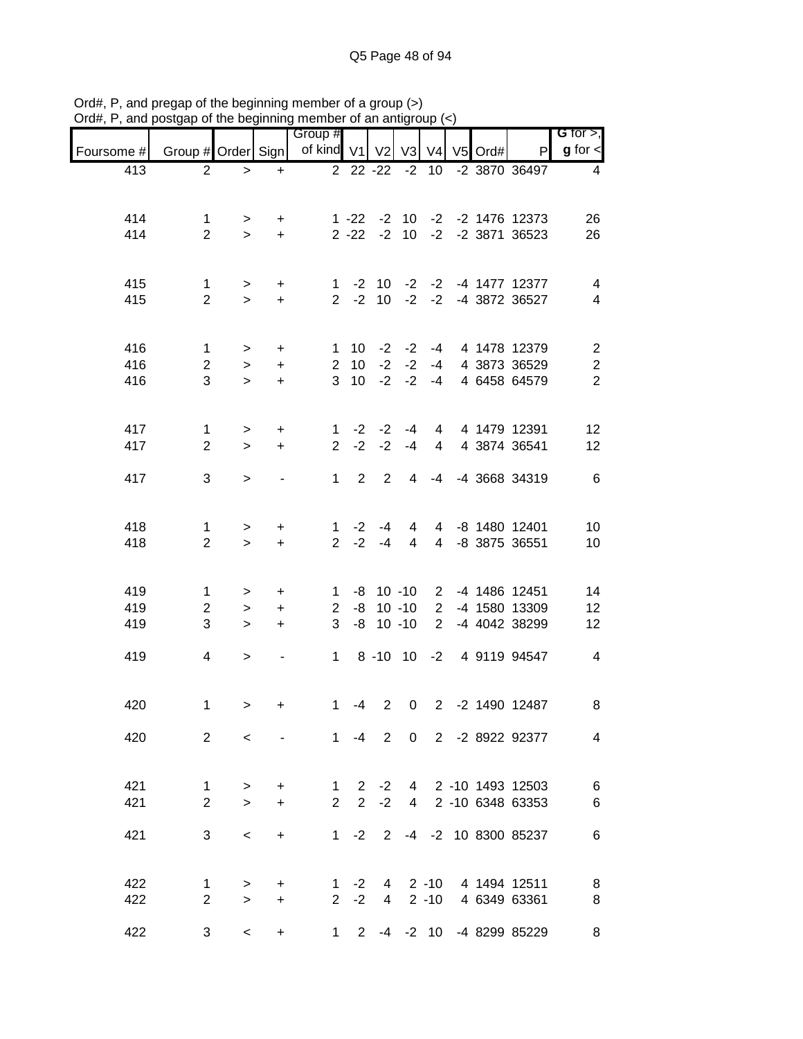| $\alpha$ , $\alpha$ , and posigap of the beginning member of an antigroup ( |                               |                          |            |                          |                |                         |                             |                 |           |                                                            |                                  |
|-----------------------------------------------------------------------------|-------------------------------|--------------------------|------------|--------------------------|----------------|-------------------------|-----------------------------|-----------------|-----------|------------------------------------------------------------|----------------------------------|
| Foursome #                                                                  | Group # Order Sign            |                          |            | Group #<br>of kind V1 V2 |                |                         |                             | V3 V4           | $V5$ Ord# | P                                                          | G for $>$ ,<br>$g$ for $\leq$    |
| 413                                                                         | $\overline{2}$                | $\geq$                   | $+$        |                          |                | $22 - 22$               | $-2$                        | 10 <sup>°</sup> |           | $-2$ 3870 36497                                            | 4                                |
|                                                                             |                               |                          |            |                          |                |                         |                             |                 |           |                                                            |                                  |
| 414                                                                         | $\mathbf{1}$                  | $\geq$                   | $+$        |                          |                |                         |                             |                 |           | 1 -22 -2 10 -2 -2 1476 12373                               | 26                               |
| 414                                                                         | $\overline{2}$                | $\geq$                   | $+$        |                          |                |                         |                             |                 |           | 2 -22 -2 10 -2 -2 3871 36523                               | 26                               |
|                                                                             |                               |                          |            |                          |                |                         |                             |                 |           |                                                            |                                  |
| 415<br>415                                                                  | $\mathbf 1$<br>$\overline{2}$ | $\, >$<br>$\geq$         | $+$<br>$+$ |                          |                |                         |                             |                 |           | 1 -2 10 -2 -2 -4 1477 12377<br>2 -2 10 -2 -2 -4 3872 36527 | $\overline{4}$<br>$\overline{4}$ |
|                                                                             |                               |                          |            |                          |                |                         |                             |                 |           |                                                            |                                  |
| 416                                                                         | $\mathbf{1}$                  | $\geq$                   | $+$        |                          | 1 10           |                         | $-2$ $-2$ $-4$              |                 |           | 4 1478 12379                                               | $\overline{2}$                   |
| 416                                                                         | $\overline{a}$                | $\, >$                   | $+$        |                          | $2 \quad 10$   |                         | $-2$ $-2$ $-4$              |                 |           | 4 3873 36529                                               | $\sqrt{2}$                       |
| 416                                                                         | 3                             | $\geq$                   | $+$        |                          |                |                         | $3 \t10 \t -2 \t -2 \t -4$  |                 |           | 4 6458 64579                                               | $\overline{2}$                   |
|                                                                             |                               |                          |            |                          |                |                         |                             |                 |           |                                                            |                                  |
| 417                                                                         | $\mathbf{1}$                  | $\, > \,$                | $\ddot{}$  | $\mathbf{1}$             |                |                         | $-2$ $-2$ $-4$              |                 |           | 4 4 1479 12391                                             | 12                               |
| 417                                                                         | $\overline{2}$                | $\geq$                   | $+$        | $\overline{2}$           | $-2$           |                         | $-2 - 4$                    | $\overline{4}$  |           | 4 3874 36541                                               | 12                               |
| 417                                                                         | 3                             | $\geq$                   |            | $1 \quad$                | 2              | 2                       | $\overline{4}$              | $-4$            |           | -4 3668 34319                                              | 6                                |
|                                                                             |                               |                          |            |                          |                |                         |                             |                 |           |                                                            |                                  |
| 418                                                                         | 1                             | $\,>$                    | $\ddot{}$  |                          | $1 -2$         | $-4$                    |                             |                 |           | 4 4 -8 1480 12401                                          | 10                               |
| 418                                                                         | $\overline{2}$                | $\geq$                   | $+$        |                          | $2 -2$         | $-4$                    | $\overline{4}$              | $\overline{4}$  |           | -8 3875 36551                                              | 10                               |
|                                                                             |                               |                          |            |                          |                |                         |                             |                 |           |                                                            |                                  |
| 419                                                                         | $\mathbf{1}$                  | $\geq$                   | $+$        |                          |                |                         |                             |                 |           | 1 -8 10 -10 2 -4 1486 12451                                | 14                               |
| 419                                                                         | $\overline{c}$                | $\, >$                   | $+$        |                          |                |                         |                             |                 |           | 2 -8 10 -10 2 -4 1580 13309                                | 12                               |
| 419                                                                         | 3                             | $\geq$                   | $+$        |                          |                | $3 - 8 10 - 10$         |                             |                 |           | 2 -4 4042 38299                                            | 12                               |
|                                                                             |                               |                          |            |                          |                |                         |                             |                 |           |                                                            |                                  |
| 419                                                                         | $\overline{4}$                | $\geq$                   |            |                          |                |                         | $1 \t 8 \t -10 \t 10 \t -2$ |                 |           | 4 9119 94547                                               | $\overline{4}$                   |
|                                                                             |                               |                          |            |                          |                |                         |                             |                 |           |                                                            |                                  |
| 420                                                                         | 1                             | >                        | +          | 1                        | -4             | $\overline{\mathbf{2}}$ |                             |                 |           | 0 2 -2 1490 12487                                          | 8                                |
| 420                                                                         | $2^{\circ}$                   | $\leq$                   |            |                          |                |                         |                             |                 |           | 1 -4 2 0 2 -2 8922 92377                                   | $\overline{4}$                   |
|                                                                             |                               |                          |            |                          |                |                         |                             |                 |           |                                                            |                                  |
| 421                                                                         | 1                             | $\geq$                   | $+$        | $\mathbf{1}$             |                |                         |                             |                 |           | 2 -2 4 2 -10 1493 12503                                    | 6                                |
| 421                                                                         | $\overline{2}$                | $\geq$                   | $+$        | $\overline{2}$           | $\overline{2}$ | $-2$                    |                             |                 |           | 4 2 -10 6348 63353                                         | 6                                |
|                                                                             |                               |                          |            |                          |                |                         |                             |                 |           |                                                            |                                  |
| 421                                                                         | 3                             | $\overline{\phantom{0}}$ | $+$        |                          |                |                         |                             |                 |           | 1 -2 2 -4 -2 10 8300 85237                                 | 6                                |
|                                                                             |                               |                          |            |                          |                |                         |                             |                 |           |                                                            |                                  |
| 422                                                                         | $\mathbf 1$                   | >                        | $+$        |                          |                |                         |                             |                 |           | 1 -2 4 2 -10 4 1494 12511                                  | 8                                |
| 422                                                                         | $\overline{2}$                | $\geq$                   | $+$        |                          |                |                         |                             |                 |           | 2 -2 4 2 -10 4 6349 63361                                  | 8                                |
| 422                                                                         | 3                             | $\overline{\phantom{0}}$ | $\ddot{}$  |                          |                |                         |                             |                 |           | 1 2 -4 -2 10 -4 8299 85229                                 | 8                                |

Ord#, P, and pregap of the beginning member of a group (>) Ord#, P, and postgap of the beginning member of an antigroup (<)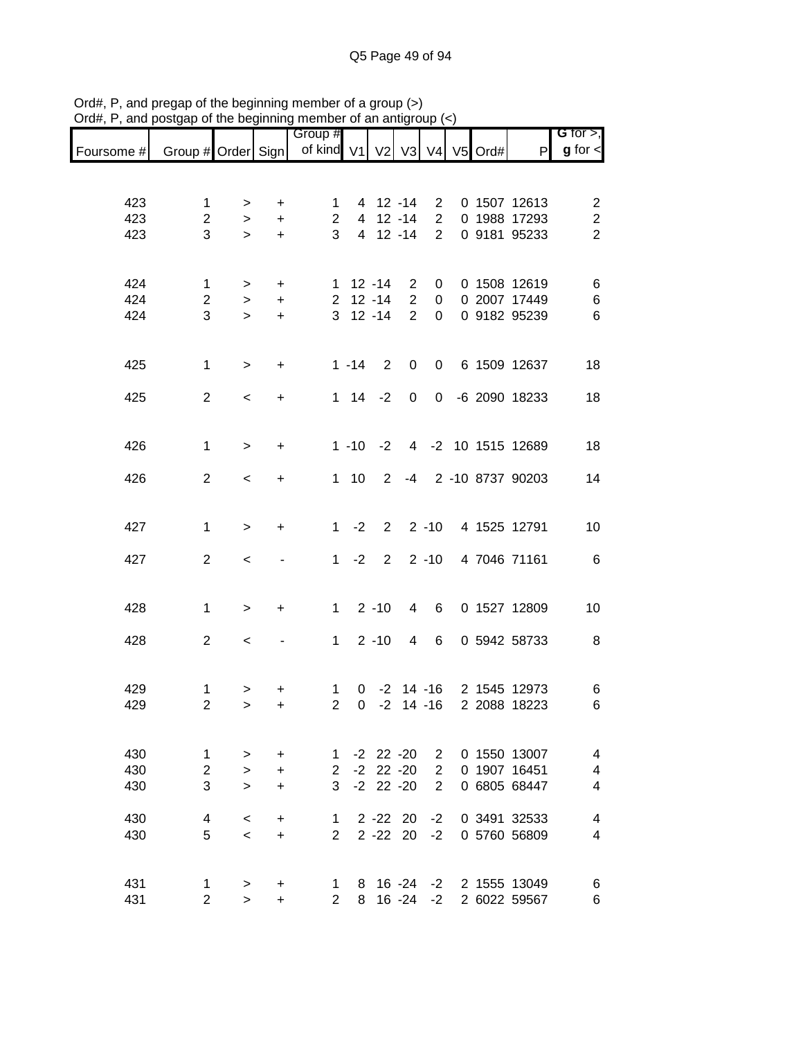|            |                    |                          |           | Group #                     |                   |                |                  |                |  |                  | G for $>$ ,             |
|------------|--------------------|--------------------------|-----------|-----------------------------|-------------------|----------------|------------------|----------------|--|------------------|-------------------------|
| Foursome # | Group # Order Sign |                          |           | of kind V1 V2 V3 V4 V5 Ord# |                   |                |                  |                |  | P                | $g$ for $\lt$           |
|            |                    |                          |           |                             |                   |                |                  |                |  |                  |                         |
| 423        | 1                  | >                        | +         | 1                           |                   | 4 12 -14       |                  | $\overline{2}$ |  | 0 1507 12613     | $\overline{\mathbf{c}}$ |
| 423        | $\overline{2}$     | $\, > \,$                | $\ddot{}$ | $\overline{c}$              | 4                 |                | $12 - 14$        | $\overline{2}$ |  | 0 1988 17293     | $\overline{c}$          |
| 423        | 3                  | $\geq$                   | $\ddot{}$ | 3                           | $\overline{4}$    |                | $12 - 14$        | $\overline{2}$ |  | 0 9181 95233     | $\overline{2}$          |
|            |                    |                          |           |                             |                   |                |                  |                |  |                  |                         |
| 424        | 1                  | >                        | +         |                             | $1 12 - 14$       |                | 2                | 0              |  | 0 1508 12619     | 6                       |
| 424        | $\overline{2}$     | $\,>$                    | $\ddot{}$ | $\mathbf{2}$                |                   | $12 - 14$      | $\overline{2}$   | 0              |  | 0 2007 17449     | $\,6$                   |
| 424        | 3                  | $\geq$                   | $\ddot{}$ |                             | $3$ 12 -14        |                | $\overline{2}$   | 0              |  | 0 9182 95239     | $6\phantom{1}6$         |
|            |                    |                          |           |                             |                   |                |                  |                |  |                  |                         |
| 425        | 1                  | $\geq$                   | +         |                             | $1 - 14$          | 2              | $\boldsymbol{0}$ | 0              |  | 6 1509 12637     | 18                      |
| 425        | $\overline{2}$     | $\,<\,$                  | $\ddot{}$ |                             | $1 \quad 14$      | $-2$           | $\pmb{0}$        | $\mathbf 0$    |  | -6 2090 18233    | 18                      |
|            |                    |                          |           |                             |                   |                |                  |                |  |                  |                         |
| 426        | 1                  | $\geq$                   | $\ddot{}$ |                             | $1 - 10$          | $-2$           | $\overline{4}$   |                |  | -2 10 1515 12689 | 18                      |
|            |                    |                          |           |                             |                   |                |                  |                |  |                  |                         |
| 426        | $\overline{2}$     | $\overline{\phantom{a}}$ | $\ddot{}$ |                             | 110               | $\overline{2}$ | -4               |                |  | 2 -10 8737 90203 | 14                      |
|            |                    |                          |           |                             |                   |                |                  |                |  |                  |                         |
| 427        | 1                  | $\,>$                    | +         | $\mathbf 1$                 | $-2$              | $\overline{2}$ |                  | $2 - 10$       |  | 4 1525 12791     | 10                      |
| 427        | $\overline{2}$     | $\,<$                    |           | $\mathbf{1}$                | $-2$              | 2              |                  | $2 - 10$       |  | 4 7046 71161     | 6                       |
|            |                    |                          |           |                             |                   |                |                  |                |  |                  |                         |
| 428        | 1                  | $\geq$                   | +         | $\mathbf 1$                 |                   | $2 - 10$       | 4                | 6              |  | 0 1527 12809     | 10                      |
|            |                    |                          |           |                             |                   |                |                  |                |  |                  |                         |
| 428        | $\overline{2}$     | $\,<\,$                  |           | $\mathbf 1$                 |                   | $2 - 10$       | 4                | 6              |  | 0 5942 58733     | 8                       |
|            |                    |                          |           |                             |                   |                |                  |                |  |                  |                         |
| 429        | 1                  | >                        | +         | 1                           | 0                 |                |                  | $-2$ 14 $-16$  |  | 2 1545 12973     | 6                       |
| 429        | $\overline{2}$     | $\geq$                   | $\ddot{}$ | $\overline{2}$              | 0                 | $-2$           |                  | $14 - 16$      |  | 2 2088 18223     | 6                       |
|            |                    |                          |           |                             |                   |                |                  |                |  |                  |                         |
| 430        | $\mathbf{1}$       | $\geq$                   | $\ddot{}$ |                             | $1 - 2 22 - 20 2$ |                |                  |                |  | 0 1550 13007     | 4                       |
| 430        | $\overline{2}$     | $\geq$                   | $\ddot{}$ |                             | $2 -2 22 -20$     |                |                  | $\overline{2}$ |  | 0 1907 16451     | 4                       |
| 430        | 3                  | $\geq$                   | $\ddot{}$ |                             | $3 - 2 22 - 20$   |                |                  | $\overline{2}$ |  | 0 6805 68447     | 4                       |
| 430        | $\overline{4}$     | $\,<\,$                  | $\ddot{}$ | $1 \quad$                   |                   | $2 - 22$ 20    |                  | $-2$           |  | 0 3491 32533     | 4                       |
| 430        | 5                  | $\prec$                  | $+$       | $\overline{2}$              |                   | $2 - 22$ 20    |                  | $-2$           |  | 0 5760 56809     | 4                       |
|            |                    |                          |           |                             |                   |                |                  |                |  |                  |                         |
| 431        | 1                  | >                        | $\ddot{}$ | $\mathbf 1$                 |                   | 8 16 -24       |                  | $-2$           |  | 2 1555 13049     | 6                       |
| 431        | $\overline{2}$     | $\geq$                   | $\ddot{}$ | $\overline{2}$              | 8                 |                | 16 -24           | $-2$           |  | 2 6022 59567     | 6                       |

Ord#, P, and pregap of the beginning member of a group (>) Ord#, P, and postgap of the beginning member of an antigroup (<)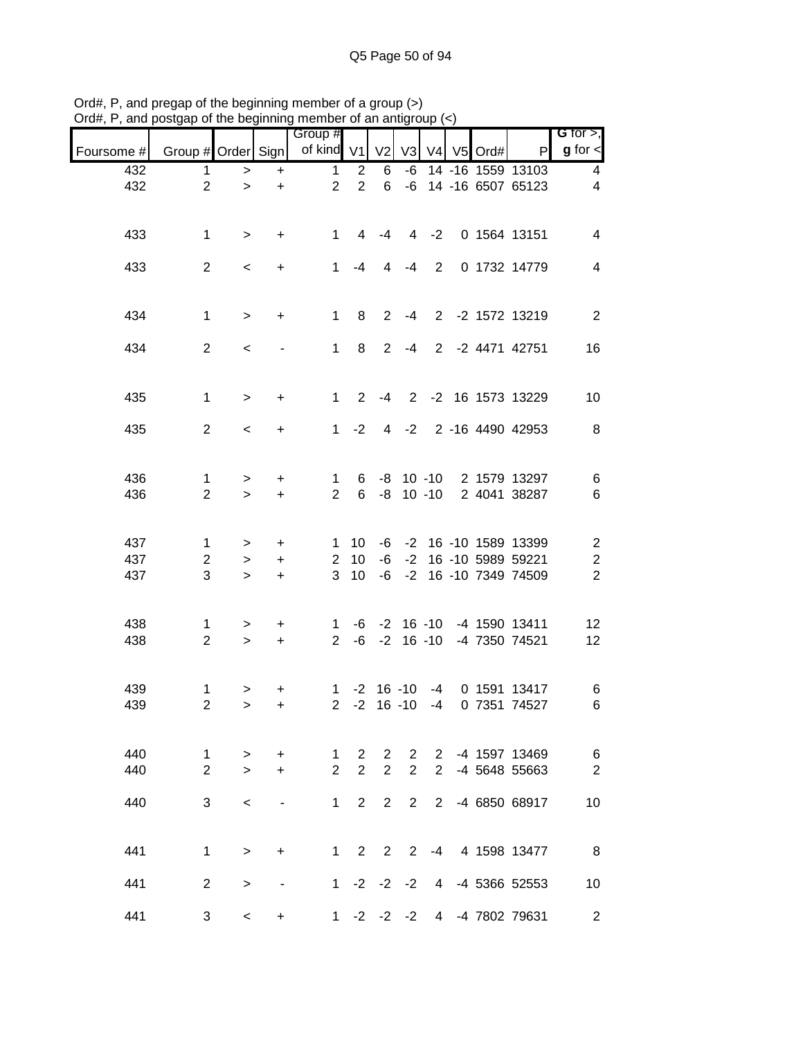| anu        |                               |                     |                          | osigap or the beginning member |                       | UI GIT GITTING   |                |                |            |                                                            |                                       |
|------------|-------------------------------|---------------------|--------------------------|--------------------------------|-----------------------|------------------|----------------|----------------|------------|------------------------------------------------------------|---------------------------------------|
| Foursome # | Group # Order Sign            |                     |                          | Group #<br>of kind V1          |                       | V <sub>2</sub>   | V3             |                | V4 V5 Ord# | P                                                          | G for $>$ ,<br>$g$ for $\lt$          |
| 432        | $\mathbf{1}$                  | $\,$                | $\ddot{}$                | $\mathbf{1}$                   | 2                     | 6                | -6             |                |            | 14 -16 1559 13103                                          | 4                                     |
| 432        | $\overline{c}$                | $\geq$              | $\pm$                    | $\overline{2}$                 | $\overline{2}$        | 6                |                |                |            | -6 14 -16 6507 65123                                       | 4                                     |
| 433        | $\mathbf{1}$                  | $\geq$              | $\ddot{}$                | 1                              | $\overline{4}$        | -4               |                |                |            | 4 -2 0 1564 13151                                          | 4                                     |
| 433        | $\overline{2}$                | $\,<$               | $\ddot{}$                | 1                              | $-4$                  | $\overline{4}$   | $-4$           | $\overline{2}$ |            | 0 1732 14779                                               | $\overline{4}$                        |
| 434        | $\mathbf{1}$                  | $\geq$              | $\ddot{}$                | 1                              | 8                     | $2^{\circ}$      | $-4$           |                |            | 2 -2 1572 13219                                            | $\overline{2}$                        |
| 434        | $\overline{2}$                | $\prec$             |                          | 1                              | 8                     | $2^{\circ}$      |                |                |            | -4 2 -2 4471 42751                                         | 16                                    |
| 435        | $\mathbf{1}$                  | $\, >$              | +                        | 1                              | $\overline{2}$        | -4               |                |                |            | 2 -2 16 1573 13229                                         | 10                                    |
| 435        | $\overline{2}$                | $\prec$             | $\ddot{}$                | $\mathbf{1}$                   | $-2$                  |                  |                |                |            | 4 -2 2 -16 4490 42953                                      | 8                                     |
| 436<br>436 | 1<br>$\overline{2}$           | $\, > \,$<br>$\geq$ | $\ddot{}$<br>$+$         | $\mathbf{1}$<br>$\overline{2}$ | 6<br>$6\overline{6}$  |                  |                |                |            | -8 10 -10 2 1579 13297<br>-8 10 -10 2 4041 38287           | 6<br>6                                |
| 437<br>437 | $\mathbf 1$<br>$\overline{2}$ | $\geq$<br>$\, >$    | $\ddot{}$<br>$+$         | $\mathbf{1}$<br>$2^{\circ}$    | 10<br>10              | -6               |                |                |            | -6 -2 16 -10 1589 13399<br>-2 16 -10 5989 59221            | $\sqrt{2}$<br>$\overline{\mathbf{c}}$ |
| 437        | 3                             | $\geq$              | $+$                      | 3                              | 10                    | $-6$             |                |                |            | -2 16 -10 7349 74509                                       | $\overline{2}$                        |
| 438<br>438 | 1<br>$\overline{2}$           | ><br>$\geq$         | $+$<br>$+$               | $2^{\circ}$                    |                       |                  |                |                |            | 1 -6 -2 16 -10 -4 1590 13411<br>-6 -2 16 -10 -4 7350 74521 | 12<br>12                              |
| 439<br>439 | 1<br>$\overline{2}$           | $\, > \,$<br>>      | +<br>$+$                 | $\overline{2}$                 | $-2$                  |                  |                |                |            | 1 -2 16 -10 -4 0 1591 13417<br>16 -10 -4 0 7351 74527      | 6<br>6                                |
| 440        | 1                             | $\,>$               | $\ddot{}$                | 1                              | $\mathbf{2}^{\prime}$ | 2                |                |                |            | 2 2 -4 1597 13469                                          | 6                                     |
| 440        | $\overline{2}$                | $\geq$              | $+$                      | $\overline{2}$                 | $\overline{2}$        | $\overline{2}$   | $\overline{2}$ | $2^{\circ}$    |            | -4 5648 55663                                              | $\mathbf{2}$                          |
| 440        | 3                             | $\,<\,$             | $\overline{\phantom{a}}$ | $\mathbf 1$                    | $\overline{2}$        | $\overline{2}$   | 2              | $2^{\circ}$    |            | -4 6850 68917                                              | 10                                    |
| 441        | $\mathbf{1}$                  | $\geq$              | $\ddot{}$                |                                | $1\quad 2$            | $2^{\circ}$      |                |                |            | 2 -4 4 1598 13477                                          | 8                                     |
| 441        | $\overline{2}$                | $\, > \,$           |                          |                                |                       | 1 $-2$ $-2$ $-2$ |                |                |            | 4 -4 5366 52553                                            | 10                                    |
| 441        | 3                             | $\,<\,$             | $\ddot{}$                |                                |                       | $1 -2 -2 -2$     |                |                |            | 4 -4 7802 79631                                            | $\overline{2}$                        |

Ord#, P, and pregap of the beginning member of a group (>) Ord#, P, and postgap of the beginning member of an antigroup (<)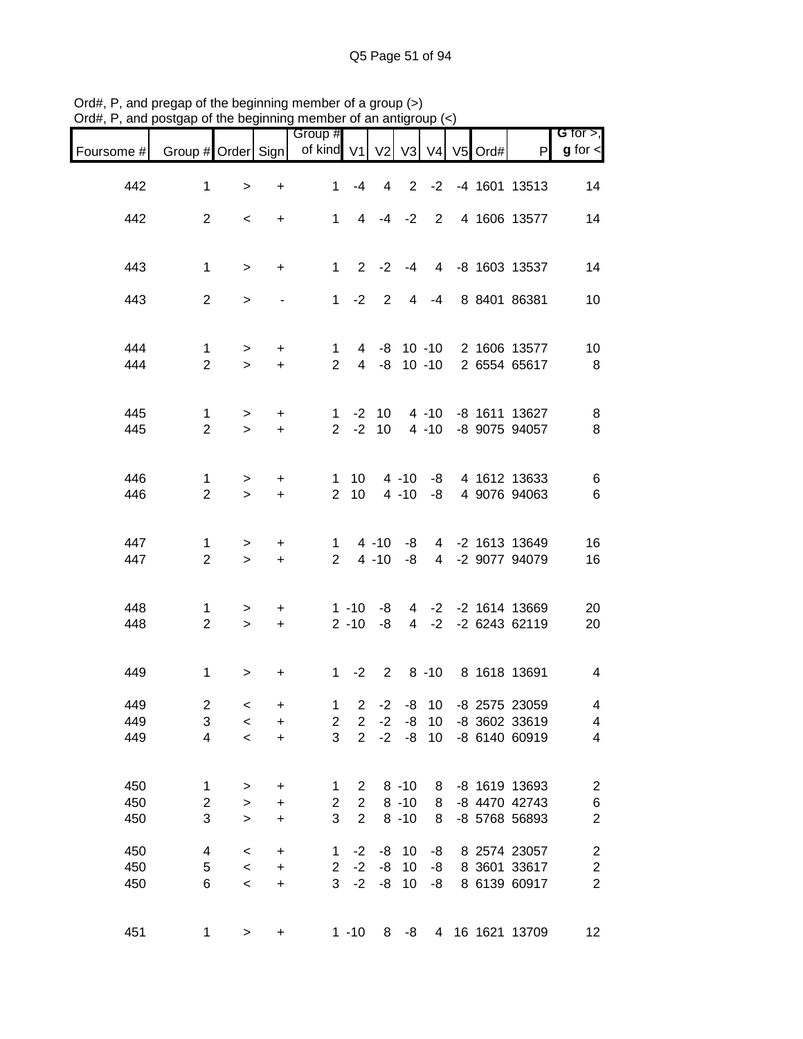| Foursome # | Group # Order Sign             |                     |                        | Group #<br>of kind V1          |                                  | V <sub>2</sub>       | V3                   |                       | V4 V5 Ord# | P                                                    | G for $>$ ,<br>$g$ for $\lt$              |
|------------|--------------------------------|---------------------|------------------------|--------------------------------|----------------------------------|----------------------|----------------------|-----------------------|------------|------------------------------------------------------|-------------------------------------------|
| 442        | 1                              | $\, >$              | +                      | $\mathbf{1}$                   | $-4$                             | $\overline{4}$       |                      |                       |            | 2 -2 -4 1601 13513                                   | 14                                        |
| 442        | $\overline{2}$                 | $\,<\,$             | $\ddot{}$              |                                |                                  | $1 \t 4 \t -4 \t -2$ |                      |                       |            | 2 4 1606 13577                                       | 14                                        |
| 443        | $\mathbf{1}$                   | $\geq$              | $\ddot{}$              | $1 -$                          |                                  | $2 -2$               |                      |                       |            | -4 4 -8 1603 13537                                   | 14                                        |
| 443        | $\overline{2}$                 | $\, > \,$           |                        |                                |                                  | $1 -2 2$             |                      | $4 - 4$               |            | 8 8401 86381                                         | 10                                        |
|            |                                |                     |                        |                                |                                  |                      |                      |                       |            |                                                      |                                           |
| 444<br>444 | 1<br>$\overline{2}$            | $\geq$<br>$\geq$    | $+$<br>$+$             | $\mathbf{1}$<br>2 <sup>1</sup> |                                  |                      |                      |                       |            | 4 -8 10 -10 2 1606 13577<br>4 -8 10 -10 2 6554 65617 | 10<br>8                                   |
| 445        | $\mathbf{1}$                   | $\geq$              | $+$                    |                                |                                  |                      |                      |                       |            | 1 -2 10 4 -10 -8 1611 13627                          | 8                                         |
| 445        | $\overline{2}$                 | $\geq$              | $+$                    | $2^{\circ}$                    |                                  | $-2$ 10              |                      | 4 -10                 |            | -8 9075 94057                                        | 8                                         |
| 446<br>446 | $\mathbf{1}$<br>$\overline{2}$ | ><br>$\geq$         | $\ddot{}$<br>$+$       |                                | $1 \quad 10$<br>$2 \quad 10$     |                      |                      |                       |            | 4 -10 -8 4 1612 13633<br>4 -10 -8 4 9076 94063       | 6<br>6                                    |
|            |                                |                     |                        |                                |                                  |                      |                      |                       |            |                                                      |                                           |
| 447<br>447 | 1<br>$\overline{2}$            | ><br>$\geq$         | $\ddot{}$<br>$+$       | $1 \quad$<br>$2^{\circ}$       |                                  | $4 - 10$<br>$4 - 10$ | -8<br>-8             |                       |            | 4 -2 1613 13649<br>4 -2 9077 94079                   | 16<br>16                                  |
|            |                                |                     |                        |                                |                                  |                      |                      |                       |            |                                                      |                                           |
| 448<br>448 | 1<br>$\overline{2}$            | $\, > \,$<br>$\geq$ | $\ddot{}$<br>$+$       |                                | $1 - 10$<br>$2 - 10$             | -8<br>$-8$           |                      |                       |            | 4 -2 -2 1614 13669<br>4 -2 -2 6243 62119             | 20<br>20                                  |
| 449        | $\mathbf{1}$                   | $\, > \,$           | $\ddot{}$              |                                |                                  |                      |                      |                       |            | 1 -2 2 8 -10 8 1618 13691                            | 4                                         |
| 449        | $\overline{c}$                 | $\,<\,$             | +                      | $\mathbf{1}$                   | $\overline{2}$                   | $-2$                 |                      | $-8$ 10               |            | -8 2575 23059                                        | 4                                         |
| 449<br>449 | 3<br>4                         | $\,<$<br>$\prec$    | +<br>$\ddot{}$         | 2<br>3                         | 2<br>$\overline{2}$              | $-2$<br>$-2$         | -8<br>-8             | 10<br>10 <sup>1</sup> |            | -8 3602 33619<br>-8 6140 60919                       | 4<br>4                                    |
| 450        | 1                              | >                   | +                      | 1                              | $\overline{2}$                   |                      | $8 - 10$             | 8                     |            | -8 1619 13693                                        | $\overline{\mathbf{c}}$                   |
| 450<br>450 | 2<br>3                         | $\,>$<br>$\geq$     | $\ddot{}$<br>$\ddot{}$ | $\overline{2}$<br>3            | $\overline{2}$<br>$\overline{2}$ |                      | $8 - 10$<br>$8 - 10$ | 8<br>8                |            | -8 4470 42743<br>-8 5768 56893                       | 6<br>$\overline{c}$                       |
| 450        | 4                              | $\,<\,$             | +                      | $\mathbf 1$                    | $-2$                             | -8                   | 10                   | -8                    |            | 8 2574 23057                                         | $\overline{\mathbf{c}}$                   |
| 450<br>450 | 5<br>6                         | $\,<$<br>$\,<$      | $\ddot{}$<br>$\ddot{}$ | $\overline{2}$<br>3            | $-2$<br>$-2$                     | -8<br>-8             | 10<br>10             | -8<br>-8              |            | 8 3601 33617<br>8 6139 60917                         | $\overline{\mathbf{c}}$<br>$\overline{2}$ |
| 451        | $\mathbf{1}$                   | $\,>$               | $\ddot{}$              |                                | $1 - 10$                         |                      | $8 - 8$              |                       |            | 4 16 1621 13709                                      | 12                                        |

Ord#, P, and pregap of the beginning member of a group (>) Ord#, P, and postgap of the beginning member of an antigroup (<)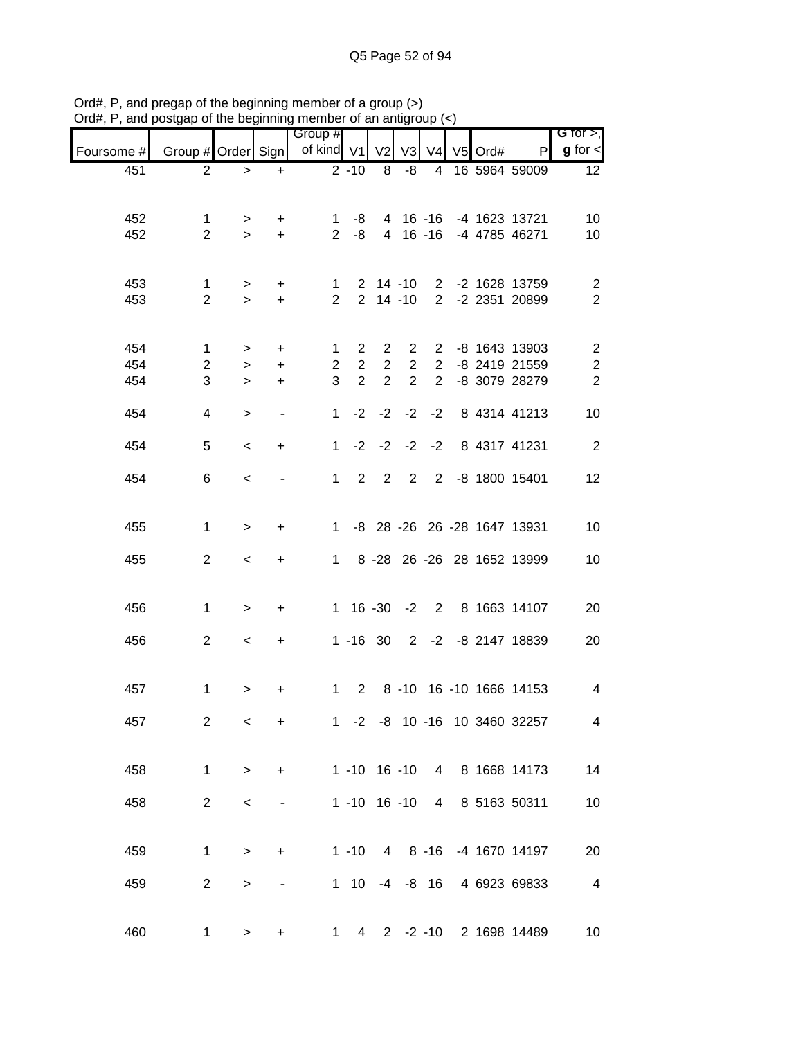| $max$ , $max$ , and poolgap of the beginning momber of an antigroup $\langle \cdot \rangle$ |                                |                  |                               |                                |                               |                                  |                |                     |            |                                                  |                               |
|---------------------------------------------------------------------------------------------|--------------------------------|------------------|-------------------------------|--------------------------------|-------------------------------|----------------------------------|----------------|---------------------|------------|--------------------------------------------------|-------------------------------|
| Foursome #                                                                                  | Group # Order Sign             |                  |                               | Group #<br>of kind V1          |                               | V <sub>2</sub>                   | V <sub>3</sub> |                     | V4 V5 Ord# | P                                                | G for $>$ ,<br>$g$ for $\leq$ |
| 451                                                                                         | $\overline{2}$                 | $\geq$           | $\ddot{}$                     |                                | $2 - 10$                      | 8                                | -8             | $\overline{4}$      |            | 16 5964 59009                                    | 12                            |
|                                                                                             |                                |                  |                               |                                |                               |                                  |                |                     |            |                                                  |                               |
| 452<br>452                                                                                  | 1<br>$\overline{2}$            | $\geq$<br>$\geq$ | $\pm$<br>$+$                  | $\mathbf{1}$<br>2 <sup>7</sup> | -8<br>-8                      |                                  |                |                     |            | 4 16 -16 -4 1623 13721<br>4 16 -16 -4 4785 46271 | 10<br>10                      |
|                                                                                             |                                |                  |                               |                                |                               |                                  |                |                     |            |                                                  |                               |
| 453                                                                                         | $\mathbf{1}$                   | $\geq$           | $+$                           | 1                              |                               |                                  |                |                     |            | 2 14 -10 2 -2 1628 13759                         | $\overline{c}$                |
| 453                                                                                         | $\overline{2}$                 | $\geq$           | $+$                           | $\overline{2}$                 |                               |                                  | $2$ 14 -10     |                     |            | 2 -2 2351 20899                                  | $\overline{2}$                |
|                                                                                             |                                |                  |                               |                                |                               |                                  |                |                     |            |                                                  |                               |
| 454<br>454                                                                                  | $\mathbf{1}$<br>$\overline{a}$ | ><br>$\geq$      | $\ddot{}$<br>$\boldsymbol{+}$ | $\mathbf{1}$<br>2 <sup>7</sup> | $2^{\circ}$<br>$\overline{2}$ | $\overline{2}$<br>$\overline{2}$ | $\overline{2}$ | $2^{\circ}$         |            | 2 2 -8 1643 13903<br>-8 2419 21559               | $\overline{2}$<br>$\sqrt{2}$  |
| 454                                                                                         | 3                              | $\geq$           | $\ddot{}$                     | 3                              | $\overline{2}$                | $\overline{2}$                   | $\overline{2}$ | $\overline{2}$      |            | -8 3079 28279                                    | $\overline{2}$                |
| 454                                                                                         | $\overline{\mathbf{4}}$        | $\geq$           | $\blacksquare$                | $\mathbf{1}$                   |                               |                                  |                | $-2$ $-2$ $-2$ $-2$ |            | 8 4314 41213                                     | 10                            |
| 454                                                                                         | 5                              | $\,<$            | $\ddot{}$                     | 1                              |                               | $-2 -2$                          |                | $-2 -2$             |            | 8 4317 41231                                     | $\overline{\phantom{a}}$      |
| 454                                                                                         | 6                              | $\prec$          | $\overline{\phantom{a}}$      | $1 \quad$                      | $2^{\circ}$                   | $\overline{2}$                   |                |                     |            | 2 2 -8 1800 15401                                | 12                            |
|                                                                                             |                                |                  |                               |                                |                               |                                  |                |                     |            |                                                  |                               |
| 455                                                                                         | $\mathbf{1}$                   | $\geq$           | $\ddot{}$                     | $1 \quad$                      |                               |                                  |                |                     |            | -8 28 -26 26 -28 1647 13931                      | 10                            |
| 455                                                                                         | $\overline{2}$                 | $\,<\,$          | $\ddot{}$                     | $1 \quad$                      |                               |                                  |                |                     |            | 8 -28 26 -26 28 1652 13999                       | 10                            |
|                                                                                             |                                |                  |                               |                                |                               |                                  |                |                     |            |                                                  |                               |
| 456                                                                                         | $\mathbf{1}$                   | $\geq$           | $\ddot{}$                     |                                |                               |                                  |                |                     |            | 1 16 -30 -2 2 8 1663 14107                       | 20                            |
| 456                                                                                         | $\overline{2}$                 | $\,<\,$          | $\ddot{}$                     |                                |                               |                                  |                |                     |            | 1 -16 30 2 -2 -8 2147 18839                      | 20                            |
|                                                                                             |                                |                  |                               |                                |                               |                                  |                |                     |            |                                                  |                               |
| 457                                                                                         | $\mathbf 1$                    | $\, > \,$        | +                             | $1 \quad$                      |                               |                                  |                |                     |            | 2 8 -10 16 -10 1666 14153                        | 4                             |
| 457                                                                                         | $\overline{2}$                 | $\,<\,$          | $\ddot{}$                     |                                |                               |                                  |                |                     |            | 1 -2 -8 10 -16 10 3460 32257                     | $\overline{4}$                |
|                                                                                             |                                |                  |                               |                                |                               |                                  |                |                     |            |                                                  |                               |
| 458                                                                                         | $\mathbf{1}$                   | $\geq$           | +                             |                                | $1 - 10$ 16 $-10$             |                                  |                | $\overline{4}$      |            | 8 1668 14173                                     | 14                            |
| 458                                                                                         | $\overline{2}$                 | $\,<$            | -                             |                                | 1 -10 16 -10                  |                                  |                | $\overline{4}$      |            | 8 5163 50311                                     | 10                            |
|                                                                                             |                                |                  |                               |                                |                               |                                  |                |                     |            |                                                  |                               |
| 459                                                                                         | 1                              | $\geq$           | $\ddot{}$                     |                                | $1 - 10$                      |                                  |                |                     |            | 4 8 -16 -4 1670 14197                            | 20                            |
| 459                                                                                         | $\overline{2}$                 | >                |                               |                                | 1 10 -4 -8 16                 |                                  |                |                     |            | 4 6923 69833                                     | $\overline{4}$                |
|                                                                                             |                                |                  |                               |                                |                               |                                  |                |                     |            |                                                  |                               |
| 460                                                                                         | $\mathbf 1$                    | $\, > \,$        | +                             | $1 \quad$                      |                               |                                  |                |                     |            | 4 2 -2 -10 2 1698 14489                          | 10                            |

Ord#, P, and pregap of the beginning member of a group (>) Ord#, P, and postgap of the beginning member of an antigroup (<)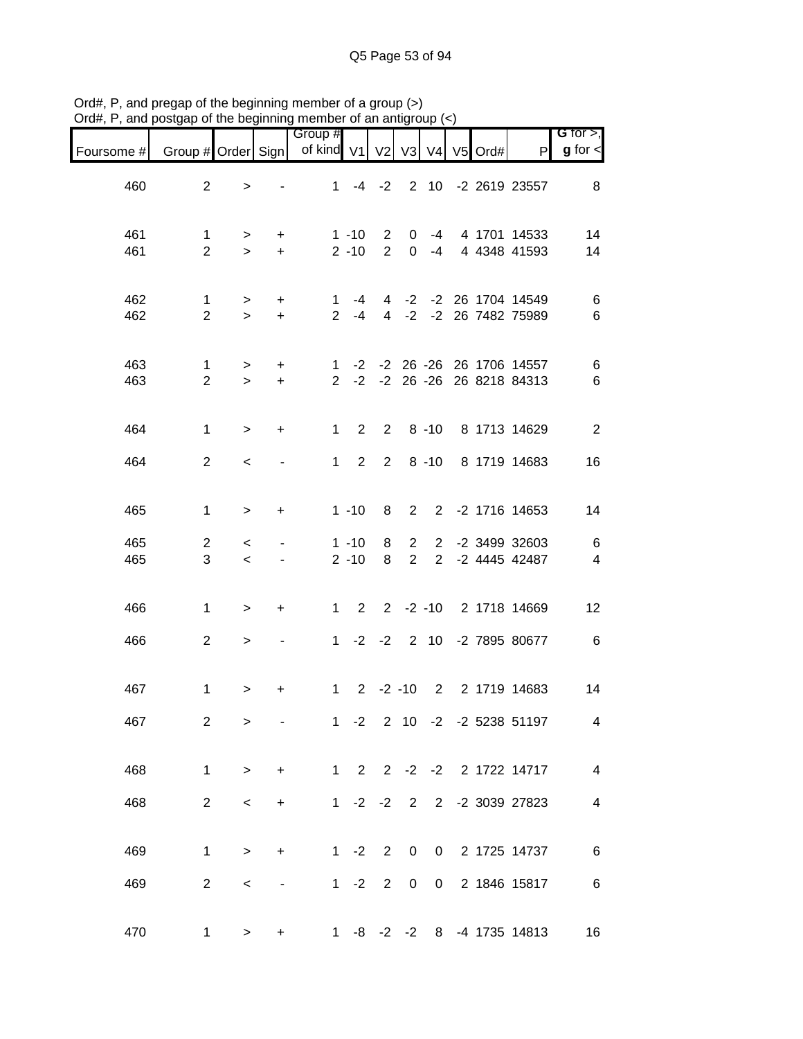| Foursome # | Group # Order Sign  |                     |                          | Group #<br>of kind V1 |                      | V <sub>2</sub>                   |                                  |                                  | V3 V4 V5 Ord# | $\mathsf{P}$                                             | $G$ for $>$ ,<br>$g$ for $\lt$ |
|------------|---------------------|---------------------|--------------------------|-----------------------|----------------------|----------------------------------|----------------------------------|----------------------------------|---------------|----------------------------------------------------------|--------------------------------|
| 460        | $\overline{2}$      | $\, > \,$           |                          | $\mathbf{1}$          | -4                   | $-2$                             | $\overline{2}$                   |                                  |               | 10 -2 2619 23557                                         | 8                              |
| 461<br>461 | 1<br>$\overline{2}$ | ><br>$\geq$         | $\ddot{}$<br>$+$         |                       | $1 - 10$<br>$2 - 10$ | $\overline{2}$<br>$\overline{2}$ | 0<br>0                           | -4<br>$-4$                       |               | 4 1701 14533<br>4 4348 41593                             | 14<br>14                       |
| 462<br>462 | 1<br>$\overline{2}$ | ><br>$\geq$         | +<br>$+$                 | 1<br>$\overline{2}$   | -4<br>$-4$           | 4<br>$\overline{4}$              | $-2$<br>$-2$                     |                                  |               | -2 26 1704 14549<br>-2 26 7482 75989                     | 6<br>6                         |
| 463<br>463 | 1<br>$\overline{2}$ | $\, > \,$<br>$\geq$ | $\ddot{}$<br>$+$         | 1<br>$\overline{2}$   |                      |                                  |                                  |                                  |               | -2 -2 26 -26 26 1706 14557<br>-2 -2 26 -26 26 8218 84313 | 6<br>6                         |
| 464        | $\mathbf{1}$        | $\,$                | $\ddot{}$                | $\mathbf 1$           | $\overline{2}$       | $\overline{2}$                   |                                  | $8 - 10$                         |               | 8 1713 14629                                             | $\overline{2}$                 |
| 464        | $\overline{2}$      | $\,<\,$             |                          | $1 \quad$             | $2^{\circ}$          | $2^{\circ}$                      |                                  | $8 - 10$                         |               | 8 1719 14683                                             | 16                             |
| 465        | $\mathbf{1}$        | $\,>$               | $\ddot{}$                |                       | $1 - 10$             | 8                                | $\overline{2}$                   |                                  |               | 2 -2 1716 14653                                          | 14                             |
| 465<br>465 | $\overline{2}$<br>3 | $\,<\,$<br>$\prec$  |                          |                       | $1 - 10$<br>$2 - 10$ | 8<br>8                           | $\overline{2}$<br>$\overline{2}$ | $\overline{2}$<br>$\overline{2}$ |               | -2 3499 32603<br>-2 4445 42487                           | 6<br>$\overline{\mathbf{4}}$   |
| 466        | $\mathbf{1}$        | $\mathbf{I}$        | +                        |                       | $1\quad 2$           |                                  |                                  | $2 -2 -10$                       |               | 2 1718 14669                                             | 12                             |
| 466        | $\overline{a}$      | $\geq$              | $\overline{\phantom{a}}$ | 1                     |                      |                                  |                                  | $-2$ $-2$ 2 10                   |               | -2 7895 80677                                            | $\,6$                          |
| 467        | $\mathbf{1}$        | $\, > \,$           | +                        | 1                     |                      | $2 -2 -10$                       |                                  | $\overline{2}$                   |               | 2 1719 14683                                             | 14                             |
| 467        | $\mathbf{2}$        | >                   |                          |                       | $1 -2$               |                                  |                                  |                                  |               | 2 10 -2 -2 5238 51197                                    | 4                              |
| 468        | $\mathbf{1}$        | $\geq$              | $+$                      |                       |                      |                                  |                                  |                                  |               | 1 2 2 -2 -2 2 1722 14717                                 | $\overline{\mathbf{4}}$        |
| 468        | $\overline{2}$      | $\,<\,$             | $\ddot{}$                |                       |                      |                                  |                                  |                                  |               | 1 -2 -2 2 2 -2 3039 27823                                | 4                              |
| 469        | $\mathbf{1}$        | $\geq$              | $\ddot{}$                |                       | $1 - 2$              | $\overline{2}$                   | 0                                | $\overline{0}$                   |               | 2 1725 14737                                             | 6                              |
| 469        | $\overline{2}$      | $\,<\,$             |                          |                       | $1 -2$               | $\overline{2}$                   | $\mathbf 0$                      | $\mathsf{O}$                     |               | 2 1846 15817                                             | $\,6$                          |
| 470        | 1                   | >                   | $\ddot{}$                | $1 \quad$             |                      |                                  |                                  |                                  |               | -8 -2 -2 8 -4 1735 14813                                 | 16                             |

Ord#, P, and pregap of the beginning member of a group (>) Ord#, P, and postgap of the beginning member of an antigroup (<)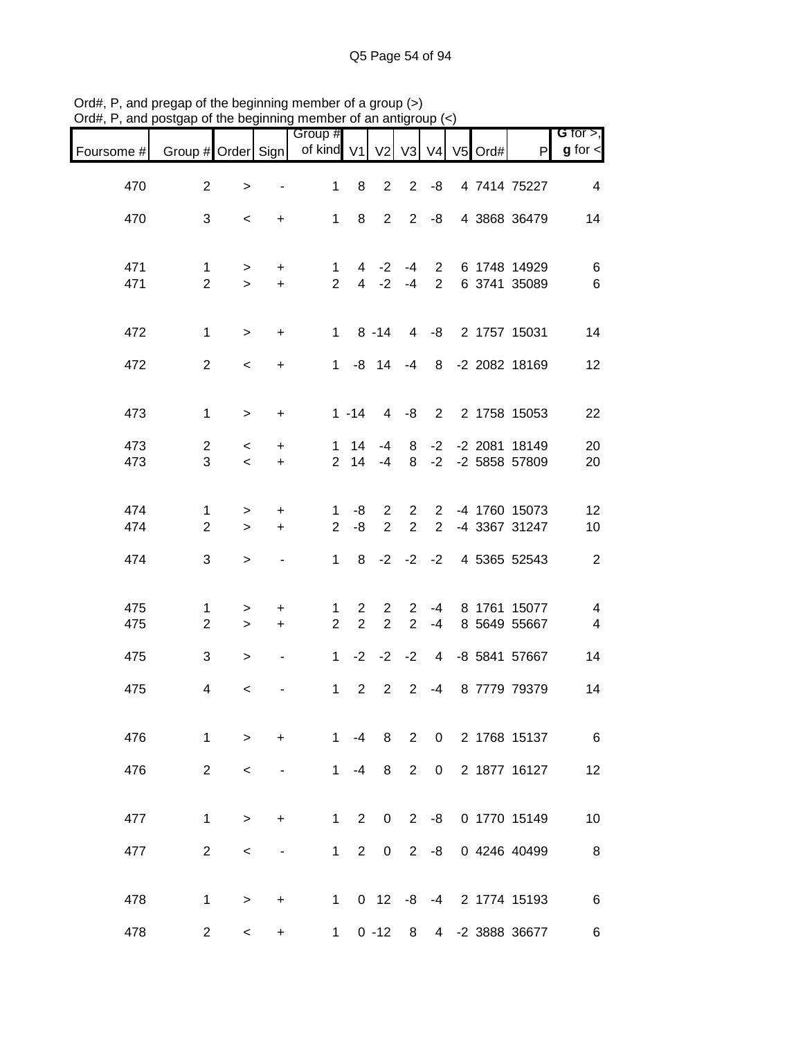| $\alpha$ , $\alpha$ , and posigap or the beginning member or an antigroup $\langle \cdot \rangle$ |                    |                          |                          |                       |                |                 |                |                |                  |                                  |                                 |
|---------------------------------------------------------------------------------------------------|--------------------|--------------------------|--------------------------|-----------------------|----------------|-----------------|----------------|----------------|------------------|----------------------------------|---------------------------------|
| Foursome #                                                                                        | Group # Order Sign |                          |                          | Group #<br>of kind V1 |                |                 |                |                | V2 V3 V4 V5 Ord# | P                                | $G$ for $>$ ,<br>$g$ for $\leq$ |
| 470                                                                                               | $\overline{2}$     | $\,>$                    | $\overline{\phantom{a}}$ | $\mathbf{1}$          | 8              | $\overline{2}$  | $\overline{2}$ | -8             |                  | 4 7414 75227                     | $\overline{4}$                  |
| 470                                                                                               | 3                  | $\,<\,$                  | $\ddot{}$                |                       | $1 \quad 8$    |                 | $2\quad 2$     | -8             |                  | 4 3868 36479                     | 14                              |
| 471                                                                                               | $\mathbf 1$        | $\geq$                   | $\ddot{}$                | 1                     |                | $4 -2$          | $-4$           |                |                  | 2 6 1748 14929                   | 6                               |
| 471                                                                                               | $\overline{2}$     | $\geq$                   | $+$                      | $\overline{2}$        |                |                 | $4 -2 -4$      | $2^{\circ}$    |                  | 6 3741 35089                     | $\,6$                           |
| 472                                                                                               | $\mathbf{1}$       | $\geq$                   | $\ddot{}$                |                       |                | $1 \t 8 \t -14$ | $\overline{4}$ |                |                  | -8 2 1757 15031                  | 14                              |
| 472                                                                                               | $\overline{2}$     | $\overline{\phantom{0}}$ | $\ddot{}$                | 1                     |                |                 | $-8$ 14 $-4$   |                |                  | 8 -2 2082 18169                  | 12                              |
| 473                                                                                               | $\mathbf{1}$       | $\geq$                   | $\ddot{}$                |                       | $1 - 14$       |                 | $4 - 8$        |                |                  | 2 2 1758 15053                   | 22                              |
| 473                                                                                               | $\overline{2}$     | $\overline{\phantom{0}}$ | $\ddot{}$                |                       | $1 \quad 14$   | -4              | 8              | $-2$           |                  | -2 2081 18149                    | 20                              |
| 473                                                                                               | 3                  | $\prec$                  | $+$                      |                       | 2 14           | $-4$            | 8              |                |                  | -2 -2 5858 57809                 | 20                              |
| 474                                                                                               | 1                  | $\, > \,$                | $\ddot{}$                | $\mathbf{1}$          | -8             | $2^{\circ}$     |                |                |                  | 2 2 -4 1760 15073                | 12                              |
| 474                                                                                               | $\overline{2}$     | $\geq$                   | $\ddot{}$                | $\overline{2}$        | -8             | $\overline{2}$  | 2              | $\overline{2}$ |                  | -4 3367 31247                    | 10                              |
| 474                                                                                               | 3                  | $\,$                     | $\overline{\phantom{a}}$ | $\mathbf 1$           |                |                 |                |                |                  | 8 -2 -2 -2 4 5365 52543          | $\sqrt{2}$                      |
| 475                                                                                               | $\mathbf 1$        | >                        | +                        | $\mathbf 1$           | $\mathbf{2}$   | $2^{\circ}$     | $\overline{2}$ |                |                  | -4 8 1761 15077                  | $\overline{\mathcal{A}}$        |
| 475                                                                                               | $\overline{2}$     | $\geq$                   | $+$                      | $\overline{2}$        | $\overline{2}$ | $\overline{2}$  | 2              | $-4$           |                  | 8 5649 55667                     | $\overline{\mathbf{4}}$         |
| 475                                                                                               | 3                  | $\geq$                   | $\blacksquare$           | $\mathbf 1$           |                |                 |                |                |                  | $-2$ $-2$ $-2$ 4 $-8$ 5841 57667 | 14                              |
| 475                                                                                               | 4                  | $\,<\,$                  |                          |                       | $1\quad 2$     |                 | $2 \quad 2$    | $-4$           |                  | 8 7779 79379                     | 14                              |
| 476                                                                                               | 1                  | $\geq$                   | $\ddot{}$                | $1 \quad$             | -4             | 8               | $\overline{2}$ |                |                  | 0 2 1768 15137                   | 6                               |
| 476                                                                                               | $\overline{2}$     | $\,<\,$                  | $\overline{\phantom{a}}$ | $1 \quad$             | $-4$           | 8               | $\overline{2}$ | $\mathbf 0$    |                  | 2 1877 16127                     | 12                              |
| 477                                                                                               | $\mathbf{1}$       | $\geq$                   | $\ddot{}$                | 1                     | $\overline{2}$ | $\mathbf 0$     | $2^{\circ}$    |                |                  | -8 0 1770 15149                  | 10                              |
| 477                                                                                               | $\overline{2}$     | $\,<\,$                  |                          |                       | $1\quad 2$     | $\mathbf 0$     | $2^{\circ}$    | -8             |                  | 0 4246 40499                     | $\,8\,$                         |
| 478                                                                                               | $\mathbf{1}$       |                          |                          |                       |                |                 |                |                |                  | 1 0 12 -8 -4 2 1774 15193        | $\,6$                           |
|                                                                                                   |                    | $\geq$                   | $\ddot{}$                |                       |                |                 |                |                |                  |                                  |                                 |
| 478                                                                                               | $\overline{2}$     | $\overline{\phantom{0}}$ | $+$                      | 1                     |                | $0 - 12$        | 8              |                |                  | 4 -2 3888 36677                  | 6                               |

Ord#, P, and pregap of the beginning member of a group (>) Ord#, P, and postgap of the beginning member of an antigroup (<)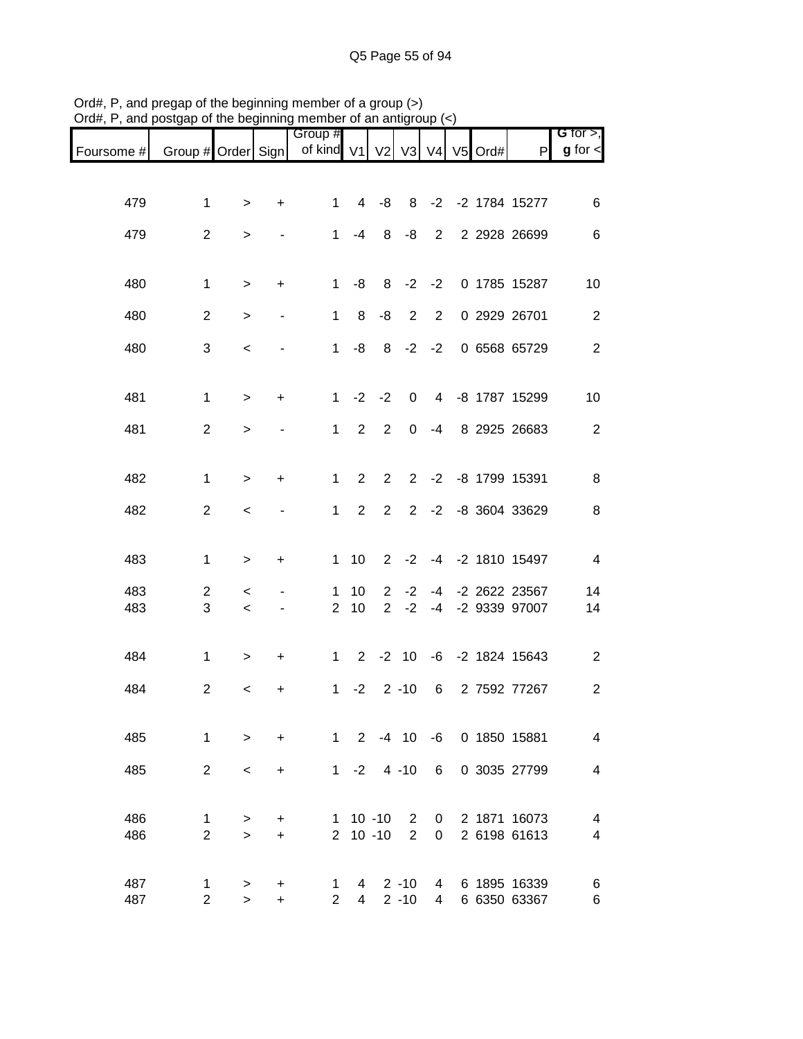|                               |                               |                    | .   .                    |                       |                     |                            |                                |                |                  |                                |                              |
|-------------------------------|-------------------------------|--------------------|--------------------------|-----------------------|---------------------|----------------------------|--------------------------------|----------------|------------------|--------------------------------|------------------------------|
| Foursome # Group # Order Sign |                               |                    |                          | Group #<br>of kind V1 |                     |                            |                                |                | V2 V3 V4 V5 Ord# | P                              | G for $>$ ,<br>$g$ for $\lt$ |
|                               |                               |                    |                          |                       |                     |                            |                                |                |                  |                                |                              |
| 479                           | 1                             | $\geq$             | $\ddot{}$                | 1                     | $\overline{4}$      | $-8$                       |                                |                |                  | 8 -2 -2 1784 15277             | 6                            |
| 479                           | $\overline{2}$                | $\, > \,$          |                          |                       | $1 - 4$             | 8                          | -8                             |                |                  | 2 2 2 2 2 2 6 6 9 9            | $\,6$                        |
|                               |                               |                    |                          |                       |                     |                            |                                |                |                  |                                |                              |
| 480                           | $\mathbf{1}$                  | $\, > \,$          | $\ddot{}$                | 1                     | -8                  |                            |                                |                |                  | 8 -2 -2 0 1785 15287           | 10                           |
| 480                           | $\overline{2}$                | $\, > \,$          | $\overline{\phantom{a}}$ | 1                     | 8                   | -8                         | $\overline{2}$                 | $\overline{2}$ |                  | 0 2929 26701                   | $\overline{2}$               |
| 480                           | 3                             | $\,<$              |                          | 1                     | -8                  |                            |                                |                |                  | 8 -2 -2 0 6568 65729           | $\mathbf{2}$                 |
| 481                           | $\mathbf{1}$                  |                    | $\ddot{}$                | 1                     |                     | $-2 -2$                    |                                |                |                  | 0 4 -8 1787 15299              | 10                           |
|                               |                               | $\geq$             |                          |                       |                     |                            |                                |                |                  |                                |                              |
| 481                           | $\overline{2}$                | $\, >$             |                          | 1                     | $\overline{2}$      | 2                          | $\overline{0}$                 | $-4$           |                  | 8 2925 26683                   | $\overline{2}$               |
| 482                           | 1                             | $\geq$             | $\ddot{}$                | 1                     | 2                   | $\overline{2}$             |                                |                |                  | 2 -2 -8 1799 15391             | $\,8\,$                      |
| 482                           | $\overline{2}$                | $\,<\,$            |                          | 1                     | $2^{\circ}$         | $2^{\circ}$                |                                |                |                  | 2 -2 -8 3604 33629             | 8                            |
|                               |                               |                    |                          |                       |                     |                            |                                |                |                  |                                |                              |
| 483                           | $\mathbf{1}$                  | $\, > \,$          | $\ddot{}$                |                       | $1 \quad 10$        |                            |                                |                |                  | 2 -2 -4 -2 1810 15497          | $\overline{\mathbf{4}}$      |
| 483                           | $\overline{c}$                | $\,<\,$            |                          | 1                     | 10                  | $\overline{2}$             | $-2$                           | $-4$           |                  | -2 2622 23567                  | 14                           |
| 483                           | 3                             | $\,<$              | $\overline{\phantom{a}}$ | $\overline{2}$        | 10                  | $\overline{2}$             | $-2$                           | $-4$           |                  | -2 9339 97007                  | 14                           |
| 484                           | $\mathbf{1}$                  | $\, > \,$          | $\ddot{}$                |                       |                     |                            |                                |                |                  | 1 2 -2 10 -6 -2 1824 15643     | $\overline{c}$               |
| 484                           | $\overline{2}$                | $\,<$              | +                        |                       |                     | $1 -2 2 -10$               |                                |                |                  | 6 2 7592 77267                 | $\overline{c}$               |
|                               |                               |                    |                          |                       |                     |                            |                                |                |                  |                                |                              |
| 485                           | $\mathbf 1$                   | $\geq$             | $\ddot{}$                |                       |                     |                            |                                |                |                  | 1 2 -4 10 -6 0 1850 15881      | $\overline{\mathcal{A}}$     |
| 485                           | $\overline{2}$                | $\,<\,$            | +                        |                       |                     | $1 - 2$ 4 -10 6            |                                |                |                  | 0 3035 27799                   | 4                            |
|                               |                               |                    |                          |                       |                     |                            |                                |                |                  |                                |                              |
| 486<br>486                    | 1<br>$\overline{2}$           | $\, > \,$<br>$\,>$ | +<br>$\ddot{}$           |                       |                     | $1 10 - 10$<br>$2 10 - 10$ | $\mathbf{2}$<br>$\overline{2}$ | 0<br>0         |                  | 2 1871 16073<br>2 6198 61613   | 4<br>4                       |
|                               |                               |                    |                          |                       |                     |                            |                                |                |                  |                                |                              |
| 487<br>487                    | $\mathbf 1$<br>$\overline{2}$ | $\geq$<br>$\geq$   | +<br>$\ddot{}$           | 1<br>$2^{\circ}$      | 4<br>$\overline{4}$ |                            | $2 - 10$<br>$2 - 10$           | $\overline{4}$ |                  | 4 6 1895 16339<br>6 6350 63367 | 6<br>6                       |

Ord#, P, and pregap of the beginning member of a group (>) Ord#, P, and postgap of the beginning member of an antigroup (<)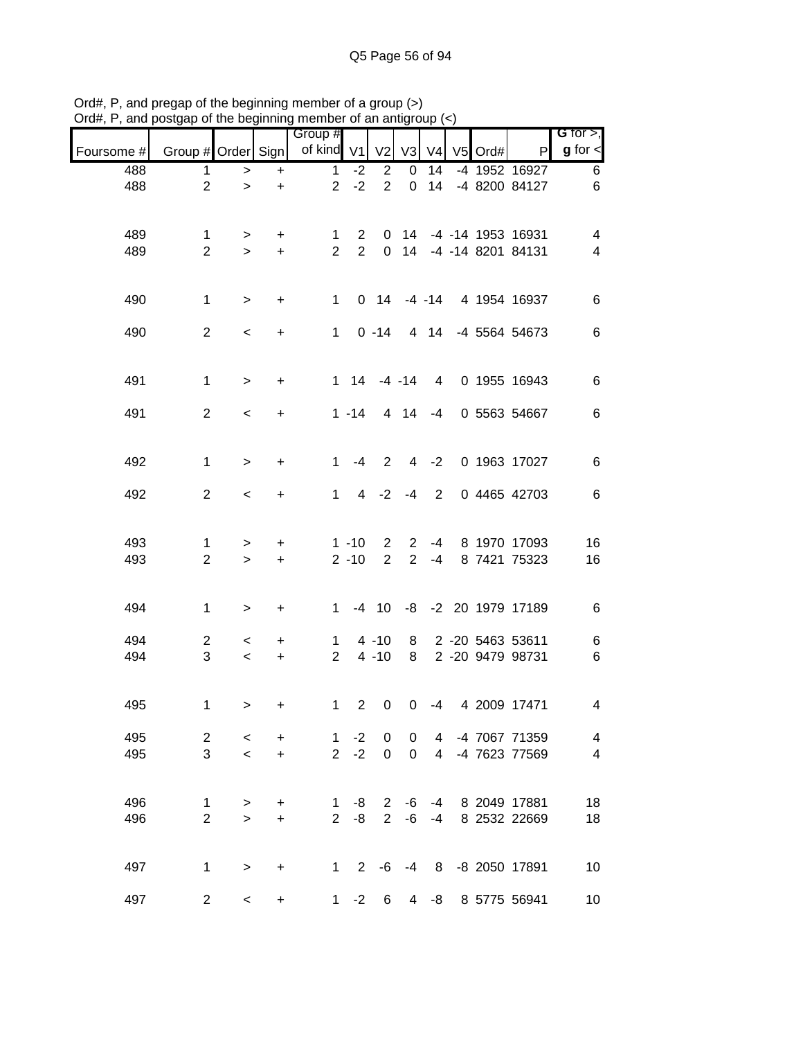| $m, r, a$ and poorgap or the beginning member or an anagroup $\tau$ |                               |                                     |                |                                |                             |                 |                     |                     |           |                                                  |                               |
|---------------------------------------------------------------------|-------------------------------|-------------------------------------|----------------|--------------------------------|-----------------------------|-----------------|---------------------|---------------------|-----------|--------------------------------------------------|-------------------------------|
| Foursome #                                                          | Group # Order Sign            |                                     |                | Group #<br>of kind V1          |                             | V <sub>2</sub>  | V3                  | V <sub>4</sub>      | $V5$ Ord# | P                                                | G for $>$ ,<br>$g$ for $\leq$ |
| 488                                                                 | 1.                            | $\,>$                               | $+$            | $\mathbf{1}$                   | $-2$                        | $\overline{2}$  | 0                   | 14                  |           | -4 1952 16927                                    | 6                             |
| 488                                                                 | $\overline{2}$                | $\geq$                              | $\ddot{}$      | 2 <sup>7</sup>                 | $-2$                        | 2               | $\mathbf 0$         | 14                  |           | -4 8200 84127                                    | 6                             |
|                                                                     |                               |                                     |                |                                |                             |                 |                     |                     |           |                                                  |                               |
|                                                                     |                               |                                     |                |                                |                             |                 |                     |                     |           |                                                  |                               |
| 489<br>489                                                          | $\mathbf 1$<br>$\overline{2}$ | $\geq$                              | $+$<br>$+$     | 1<br>$\overline{2}$            | $\mathbf{2}$<br>$2^{\circ}$ |                 |                     |                     |           | 0 14 -4 -14 1953 16931<br>0 14 -4 -14 8201 84131 | 4<br>4                        |
|                                                                     |                               | $\geq$                              |                |                                |                             |                 |                     |                     |           |                                                  |                               |
|                                                                     |                               |                                     |                |                                |                             |                 |                     |                     |           |                                                  |                               |
| 490                                                                 | $\mathbf{1}$                  | $\,>$                               | $\ddot{}$      | 1                              |                             |                 |                     |                     |           | 0 14 -4 -14 4 1954 16937                         | 6                             |
| 490                                                                 | $\overline{2}$                | $\,<$                               | $\ddot{}$      |                                |                             | $1 \t 0 \t -14$ |                     |                     |           | 4 14 -4 5564 54673                               | 6                             |
|                                                                     |                               |                                     |                |                                |                             |                 |                     |                     |           |                                                  |                               |
| 491                                                                 | $\mathbf{1}$                  | $\,>$                               | $\ddot{}$      |                                |                             |                 | $1 \t14 \t-4 \t-14$ |                     |           | 4 0 1955 16943                                   | 6                             |
| 491                                                                 | $\overline{2}$                | $\overline{\phantom{a}}$            | $\ddot{}$      |                                | $1 - 14$                    |                 | 4 14                | $-4$                |           | 0 5563 54667                                     | 6                             |
|                                                                     |                               |                                     |                |                                |                             |                 |                     |                     |           |                                                  |                               |
|                                                                     |                               |                                     |                |                                |                             |                 |                     |                     |           |                                                  |                               |
| 492                                                                 | $\mathbf{1}$                  | $\geq$                              | $\ddot{}$      | 1                              | $-4$                        | 2               |                     | $4 -2$              |           | 0 1963 17027                                     | 6                             |
| 492                                                                 | $\overline{2}$                | $\,<$                               | $\ddot{}$      | 1                              |                             | $4 -2$          | $-4$                | $2^{\circ}$         |           | 0 4465 42703                                     | 6                             |
|                                                                     |                               |                                     |                |                                |                             |                 |                     |                     |           |                                                  |                               |
| 493                                                                 | 1                             | $\, > \,$                           | $\ddot{}$      |                                | $1 - 10$                    |                 | $2 \quad 2$         | $-4$                |           | 8 1970 17093                                     | 16                            |
| 493                                                                 | $\overline{2}$                | $\,>$                               | $+$            |                                | $2 - 10$                    | $\overline{2}$  | $2^{\circ}$         | $-4$                |           | 8 7421 75323                                     | 16                            |
|                                                                     |                               |                                     |                |                                |                             |                 |                     |                     |           |                                                  |                               |
| 494                                                                 | $\mathbf{1}$                  | $\geq$                              | $\ddot{}$      |                                |                             |                 |                     |                     |           | 1 -4 10 -8 -2 20 1979 17189                      | 6                             |
| 494                                                                 | $\overline{2}$                | $\overline{\phantom{0}}$            | $\ddot{}$      | 1                              |                             | $4 - 10$        |                     |                     |           | 8 2 -20 5463 53611                               | 6                             |
| 494                                                                 | 3                             | $\overline{\phantom{a}}$            | $+$            | $2^{\circ}$                    |                             | $4 - 10$        | 8                   |                     |           | 2 -20 9479 98731                                 | $\,6$                         |
|                                                                     |                               |                                     |                |                                |                             |                 |                     |                     |           |                                                  |                               |
| 495                                                                 | 1                             | $\geq$                              | $\ddot{}$      | 1                              | $\overline{2}$              | $\overline{0}$  |                     | $0 -4$              |           | 4 2009 17471                                     | 4                             |
|                                                                     |                               |                                     |                |                                |                             |                 |                     |                     |           |                                                  |                               |
| 495<br>495                                                          | $\overline{2}$<br>3           | $\,<\,$<br>$\overline{\phantom{a}}$ | +<br>$\ddot{}$ | $\mathbf{1}$<br>2 <sup>7</sup> | $-2$<br>$-2$                | 0<br>0          | 0<br>$\Omega$       | 4<br>$\overline{4}$ |           | -4 7067 71359<br>-4 7623 77569                   | $\overline{\mathbf{4}}$<br>4  |
|                                                                     |                               |                                     |                |                                |                             |                 |                     |                     |           |                                                  |                               |
| 496                                                                 | 1                             | >                                   | $\ddot{}$      | 1                              | -8                          | 2               | -6                  | $-4$                |           | 8 2049 17881                                     | 18                            |
| 496                                                                 | $\overline{2}$                | $\geq$                              | $\pm$          | $\overline{2}$                 | -8                          | 2               | -6                  | -4                  |           | 8 2532 22669                                     | 18                            |
|                                                                     |                               |                                     |                |                                |                             |                 |                     |                     |           |                                                  |                               |
| 497                                                                 | $\mathbf 1$                   | $\geq$                              | $\ddot{}$      | 1                              |                             | $2 - 6$         | -4                  |                     |           | 8 -8 2050 17891                                  | 10                            |
|                                                                     |                               |                                     |                |                                |                             |                 |                     |                     |           |                                                  |                               |
| 497                                                                 | $\overline{2}$                | $\overline{\phantom{0}}$            | $\ddot{}$      | $1 \quad$                      | $-2$                        | 6               | $\overline{4}$      | -8                  |           | 8 5775 56941                                     | 10                            |

Ord#, P, and pregap of the beginning member of a group (>) Ord#, P, and postgap of the beginning member of an antigroup (<)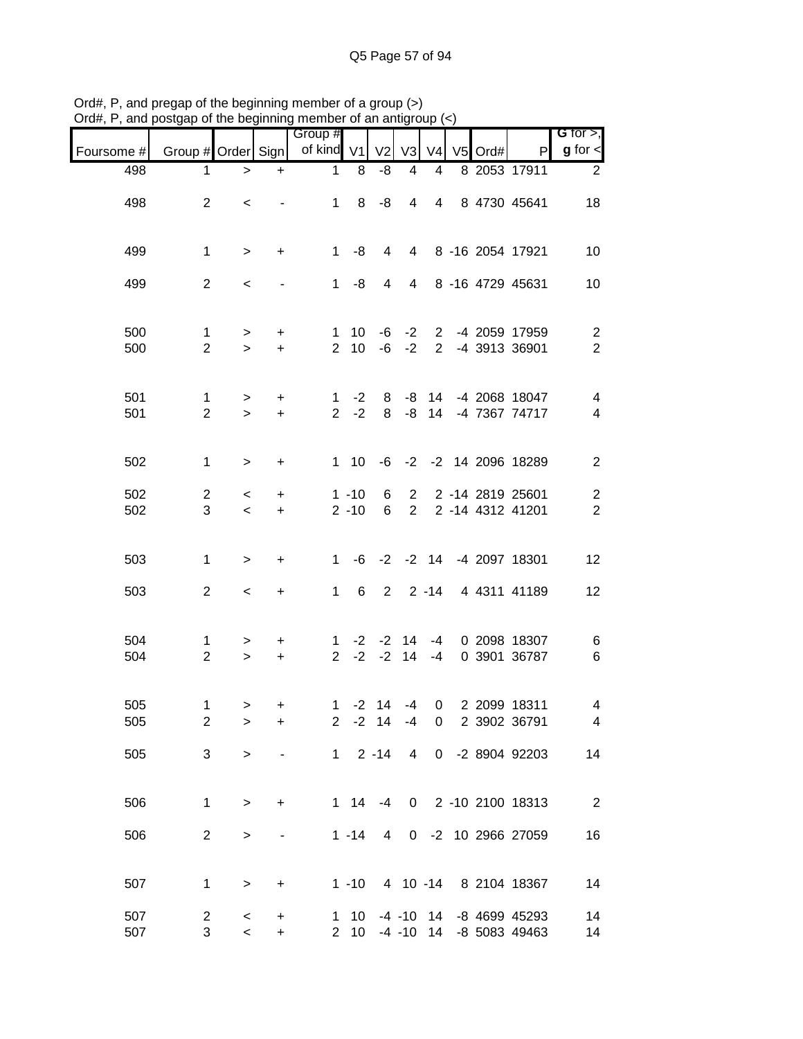|            |                                |                                     |                              | əlgap or the beginning member or an antigr |                              |                |                              | uup            |         |                                          |                                           |
|------------|--------------------------------|-------------------------------------|------------------------------|--------------------------------------------|------------------------------|----------------|------------------------------|----------------|---------|------------------------------------------|-------------------------------------------|
| Foursome # | Group # Order Sign             |                                     |                              | Group #<br>of kind V1                      |                              | V <sub>2</sub> | V <sub>3</sub>               | V <sub>4</sub> | V5 Ord# | P                                        | G for $>$ ,<br>$g$ for $\lt$              |
| 498        | 1.                             | $\,$                                | $\ddot{}$                    | $\mathbf 1$                                | 8                            | -8             | 4                            | 4              |         | 8 2053 17911                             | $\overline{2}$                            |
| 498        | $\overline{2}$                 | $\,<\,$                             |                              | 1                                          | 8                            | -8             | 4                            | $\overline{4}$ |         | 8 4730 45641                             | 18                                        |
| 499        | $\mathbf{1}$                   | $\, >$                              | $\ddot{}$                    | 1                                          | -8                           | $\overline{4}$ | $\overline{4}$               |                |         | 8 -16 2054 17921                         | 10                                        |
| 499        | $\overline{2}$                 | $\,<$                               |                              | $1 \quad$                                  | -8                           | 4              | $\overline{4}$               |                |         | 8 -16 4729 45631                         | 10                                        |
| 500<br>500 | 1<br>$\overline{2}$            | $\, > \,$<br>$\geq$                 | $\ddot{}$<br>$+$             |                                            | $1 \quad 10$<br>$2 \quad 10$ |                | $-6 -2$<br>$-6 -2$           |                |         | 2 -4 2059 17959<br>2 -4 3913 36901       | $\overline{c}$<br>$\overline{2}$          |
| 501<br>501 | $\mathbf{1}$<br>$\overline{2}$ | $\, > \,$<br>$\geq$                 | +<br>$+$                     | $\mathbf{1}$<br>$\overline{2}$             | $-2$<br>$-2$                 | 8<br>8         | -8                           | -8 14<br>14    |         | -4 2068 18047<br>-4 7367 74717           | $\overline{\mathbf{4}}$<br>$\overline{4}$ |
| 502        | 1                              | $\,$                                | +                            |                                            | $1 10$                       |                |                              |                |         | -6 -2 -2 14 2096 18289                   | $\overline{2}$                            |
| 502<br>502 | $\overline{2}$<br>3            | $\,<\,$<br>$\overline{\phantom{0}}$ | +<br>$+$                     |                                            | $1 - 10$<br>$2 - 10$         | 6<br>6         |                              |                |         | 2 2 -14 2819 25601<br>2 2 -14 4312 41201 | $\overline{\mathbf{c}}$<br>$\overline{2}$ |
| 503        | $\mathbf{1}$                   | $\geq$                              | +                            | $\mathbf{1}$                               | -6                           |                |                              |                |         | -2 -2 14 -4 2097 18301                   | 12                                        |
| 503        | $\overline{c}$                 | $\,<$                               | $\ddot{}$                    | $\mathbf 1$                                | 6                            |                |                              |                |         | 2 2 -14 4 4311 41189                     | 12                                        |
| 504<br>504 | 1<br>$\overline{2}$            | ><br>$\geq$                         | $\ddot{}$<br>$+$             | $\mathbf{1}$<br>$\overline{2}$             |                              |                | $-2$ $-2$ 14<br>$-2$ $-2$ 14 | $-4$<br>$-4$   |         | 0 2098 18307<br>0 3901 36787             | 6<br>6                                    |
| 505<br>505 | 1.<br>$\overline{c}$           | ><br>$\, > \,$                      | $+$<br>+                     | $\overline{2}$                             | $1 - 2$ 14 $-4$              | $-2$ 14        | $-4$                         | 0              |         | 0 2 2099 18311<br>2 3902 36791           | 4<br>4                                    |
| 505        | 3                              | $\, > \,$                           | $\qquad \qquad \blacksquare$ | $1 -$                                      |                              | $2 - 14$       | 4                            | $\mathbf{0}$   |         | -2 8904 92203                            | 14                                        |
| 506        | 1                              | $\geq$                              | +                            |                                            | $1 \t14 \t-4$                |                | 0                            |                |         | 2 -10 2100 18313                         | $\overline{2}$                            |
| 506        | $\overline{2}$                 | $\,>$                               |                              |                                            | $1 - 14$                     | 4              | 0                            |                |         | -2 10 2966 27059                         | 16                                        |
| 507        | 1                              | >                                   | +                            |                                            | $1 - 10$                     |                |                              |                |         | 4 10 -14 8 2104 18367                    | 14                                        |
| 507<br>507 | $\overline{2}$<br>3            | $\,<$<br>$\,<$                      | +<br>$\ddot{}$               | $\overline{2}$                             | $1 \quad 10$<br>10           |                | $-4$ $-10$ 14<br>$-4 - 10$   | 14             |         | -8 4699 45293<br>-8 5083 49463           | 14<br>14                                  |

Ord#, P, and pregap of the beginning member of a group (>) Ord#, P, and postgap of the beginning member of an antigroup (<)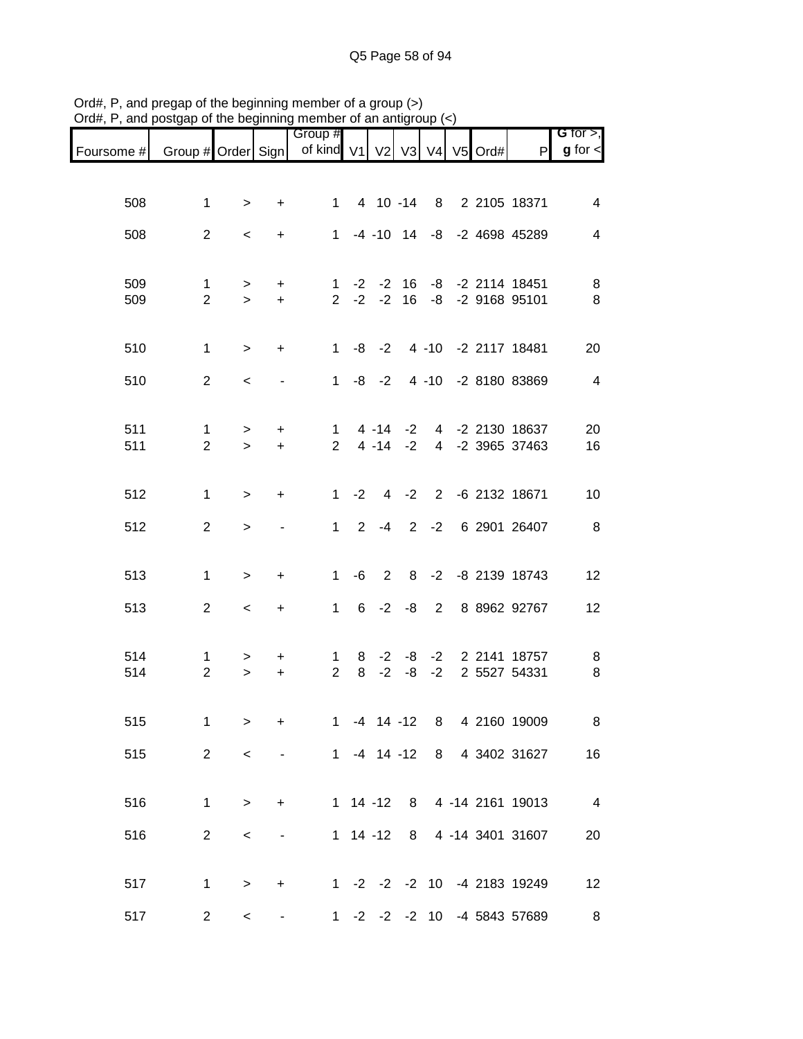|            |                                |                  |                          | Group #                        |        |                 |        |                |         |                                                    | G for $>$ ,              |
|------------|--------------------------------|------------------|--------------------------|--------------------------------|--------|-----------------|--------|----------------|---------|----------------------------------------------------|--------------------------|
| Foursome # | Group # Order Sign             |                  |                          | of kind V1                     |        | V <sub>2</sub>  | V3     | V <sub>4</sub> | V5 Ord# | $\mathsf{P}$                                       | $g$ for $\lt$            |
|            |                                |                  |                          |                                |        |                 |        |                |         |                                                    |                          |
| 508        | $\mathbf 1$                    | $\geq$           | $\ddot{}$                | $1 \quad$                      |        |                 |        |                |         | 4 10 -14 8 2 2105 18371                            | 4                        |
| 508        | $\overline{2}$                 | $\,<$            | $+$                      |                                |        |                 |        |                |         | 1 -4 -10 14 -8 -2 4698 45289                       | $\overline{\mathbf{4}}$  |
|            |                                |                  |                          |                                |        |                 |        |                |         |                                                    |                          |
| 509<br>509 | $\mathbf 1$<br>$\overline{2}$  | $\geq$<br>$\geq$ | $\ddot{}$<br>$+$         |                                |        | $2 -2 -2$       |        |                |         | 1 -2 -2 16 -8 -2 2114 18451<br>16 -8 -2 9168 95101 | 8<br>8                   |
|            |                                |                  |                          |                                |        |                 |        |                |         |                                                    |                          |
| 510        | $\mathbf{1}$                   | $\geq$           | $+$                      |                                |        |                 |        |                |         | 1 -8 -2 4 -10 -2 2117 18481                        | 20                       |
| 510        | $\overline{2}$                 | $\,<$            |                          |                                |        | $1 - 8 - 2$     |        |                |         | 4 -10 -2 8180 83869                                | $\overline{4}$           |
|            |                                |                  |                          |                                |        |                 |        |                |         |                                                    |                          |
| 511<br>511 | $\mathbf{1}$<br>$\overline{2}$ | $\geq$<br>$\geq$ | $\ddot{}$<br>$+$         | $\mathbf{1}$<br>$\overline{2}$ |        | $4 - 14 - 2$    |        |                |         | 4 -14 -2 4 -2 2130 18637<br>4 -2 3965 37463        | 20<br>16                 |
|            |                                |                  |                          |                                |        |                 |        |                |         |                                                    |                          |
| 512        | $\mathbf{1}$                   | $\geq$           | $+$                      |                                | $1 -2$ |                 | $4 -2$ |                |         | 2 -6 2132 18671                                    | 10                       |
| 512        | $\overline{2}$                 | $\geq$           |                          |                                |        | $1 \t2 \t-4$    |        |                |         | 2 -2 6 2901 26407                                  | 8 <sup>8</sup>           |
|            |                                |                  |                          |                                |        |                 |        |                |         |                                                    |                          |
| 513        | $\mathbf{1}$                   | $\,>$            | $\ddot{}$                | $\mathbf{1}$                   | -6     | 2               |        |                |         | 8 -2 -8 2139 18743                                 | 12                       |
| 513        | $\overline{2}$                 | $\,<\,$          | $\ddot{}$                | 1                              |        | $6 -2$          | -8     | $\overline{2}$ |         | 8 8962 92767                                       | 12                       |
| 514        | 1                              | >                | $\pm$                    | $\mathbf 1$                    | 8      | $-2$            |        | $-8$ $-2$      |         | 2 2141 18757                                       | 8                        |
| 514        | $\overline{2}$                 | $\,>$            | $\ddot{}$                | $\overline{2}$                 | 8      | $-2$            | -8     | $-2$           |         | 2 5527 54331                                       | 8                        |
|            |                                |                  |                          |                                |        |                 |        |                |         |                                                    |                          |
| 515        | 1                              | $\geq$           | $\ddot{}$                | $1 \quad$                      |        | $-4$ 14 $-12$ 8 |        |                |         | 4 2160 19009                                       | 8                        |
| 515        | $\overline{2}$                 | $\,<\,$          | $\overline{\phantom{a}}$ |                                |        |                 |        |                |         | 1 -4 14 -12 8 4 3402 31627                         | 16                       |
| 516        | 1                              | $\,>$            | $\ddot{}$                |                                |        | $1 14 - 12 8$   |        |                |         | 4 -14 2161 19013                                   | $\overline{\phantom{a}}$ |
|            |                                |                  |                          |                                |        |                 |        |                |         |                                                    |                          |
| 516        | $\overline{2}$                 | $\,<$            | $\blacksquare$           |                                |        | $1$ 14 -12 8    |        |                |         | 4 -14 3401 31607                                   | 20                       |
| 517        | $\mathbf{1}$                   | $\, >$           | $\ddot{}$                |                                |        |                 |        |                |         | 1 -2 -2 -2 10 -4 2183 19249                        | 12                       |
| 517        | $\overline{a}$                 | $\,<\,$          |                          |                                |        | $1 -2 -2 -2 10$ |        |                |         | -4 5843 57689                                      | 8                        |

Ord#, P, and pregap of the beginning member of a group (>) Ord#, P, and postgap of the beginning member of an antigroup (<)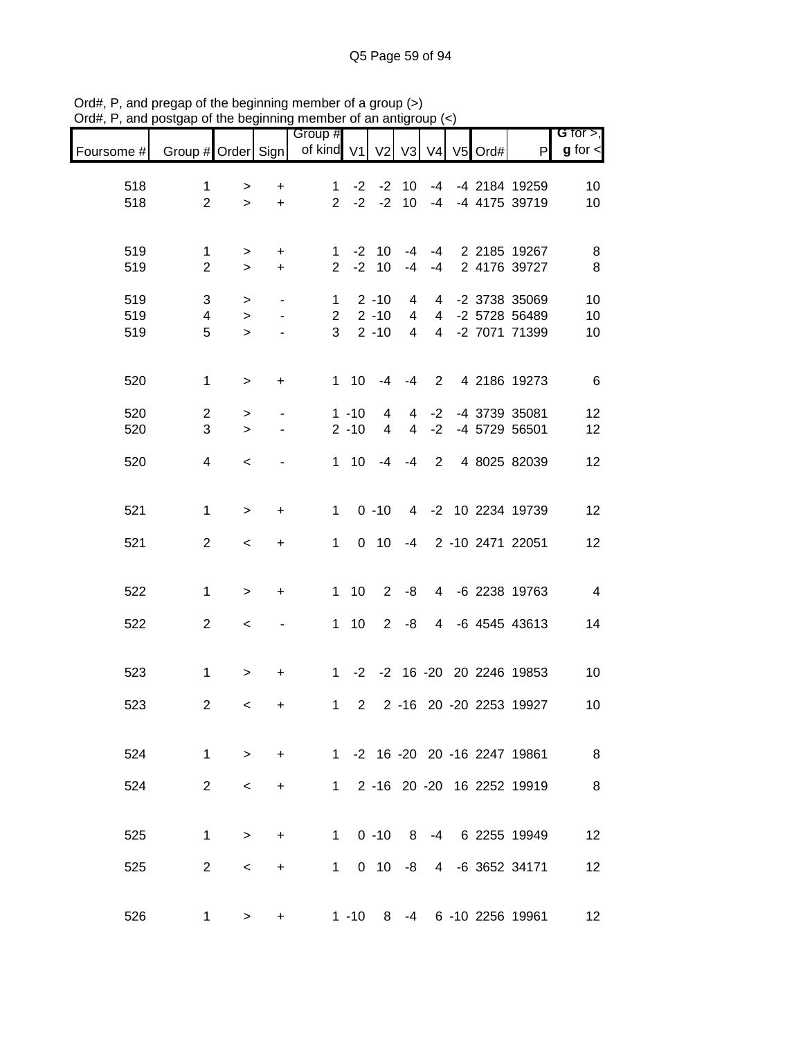|            |                         |                     |                          | Group #        |                      |                |                                  |                |            |                                | G for $>$ ,          |
|------------|-------------------------|---------------------|--------------------------|----------------|----------------------|----------------|----------------------------------|----------------|------------|--------------------------------|----------------------|
| Foursome # | Group # Order Sign      |                     |                          | of kind V1     |                      |                | V2 V3                            |                | V4 V5 Ord# | P                              | $g$ for $\textsf{I}$ |
| 518        | $\mathbf{1}$            |                     | $\ddot{}$                | 1.             | $-2$                 | $-2$           | 10                               | $-4$           |            | -4 2184 19259                  | 10                   |
| 518        | $\overline{2}$          | ><br>$\geq$         | $\ddot{}$                | $2^{\circ}$    | $-2$                 | $-2$           | 10 <sup>1</sup>                  | $-4$           |            | -4 4175 39719                  | 10                   |
|            |                         |                     |                          |                |                      |                |                                  |                |            |                                |                      |
| 519        | 1                       | >                   | $\ddot{}$                | 1              | $-2$                 | 10             | -4                               | -4             |            | 2 2185 19267                   | 8                    |
| 519        | $\overline{2}$          | $\geq$              | $+$                      | $\overline{2}$ | $-2$                 | 10             | $-4$                             | -4             |            | 2 4176 39727                   | 8                    |
| 519        | 3                       | >                   | $\overline{\phantom{a}}$ | 1              |                      | $2 - 10$       | 4                                | 4              |            | -2 3738 35069                  | 10                   |
| 519        | 4                       | $\, > \,$           | $\overline{\phantom{a}}$ | $\overline{2}$ |                      | $2 - 10$       | $\overline{4}$                   | $\overline{4}$ |            | -2 5728 56489                  | 10                   |
| 519        | 5                       | $\geq$              | $\overline{\phantom{a}}$ | 3              |                      | $2 - 10$       | 4                                | $\overline{4}$ |            | -2 7071 71399                  | 10                   |
|            |                         |                     |                          |                |                      |                |                                  |                |            |                                |                      |
| 520        | $\mathbf{1}$            | $\,$                | $\ddot{}$                |                | $1 \quad 10$         | $-4$           | -4                               | $\overline{2}$ |            | 4 2186 19273                   | $6\phantom{1}6$      |
|            |                         |                     |                          |                |                      |                |                                  |                |            |                                |                      |
| 520<br>520 | $\overline{2}$<br>3     | ><br>$\geq$         | $\overline{\phantom{a}}$ |                | $1 - 10$<br>$2 - 10$ | 4<br>4         | $\overline{4}$<br>$\overline{4}$ | $-2$<br>$-2$   |            | -4 3739 35081<br>-4 5729 56501 | 12<br>12             |
|            |                         |                     |                          |                |                      |                |                                  |                |            |                                |                      |
| 520        | $\overline{\mathbf{4}}$ | $\,<\,$             |                          |                | $1 \quad 10$         | -4             | $-4$                             | $\overline{2}$ |            | 4 8025 82039                   | 12                   |
|            |                         |                     |                          |                |                      |                |                                  |                |            |                                |                      |
| 521        | $\mathbf{1}$            | $\,>$               | $\ddot{}$                | $\mathbf{1}$   |                      | $0 - 10$       |                                  |                |            | 4 -2 10 2234 19739             | 12                   |
|            |                         |                     |                          |                |                      |                |                                  |                |            |                                |                      |
| 521        | $\overline{2}$          | $\,<$               | $\ddot{}$                | $\mathbf 1$    |                      | $0$ 10         | -4                               |                |            | 2 -10 2471 22051               | 12                   |
|            |                         |                     |                          |                |                      |                |                                  |                |            |                                |                      |
| 522        | 1                       | $\, > \,$           | +                        | $\mathbf{1}$   | 10                   | $\overline{2}$ | -8                               | 4              |            | -6 2238 19763                  | $\overline{4}$       |
| 522        | $\overline{2}$          | $\,<$               |                          | $\mathbf{1}$   | 10                   | $\overline{2}$ | -8                               | $\overline{4}$ |            | -6 4545 43613                  | 14                   |
|            |                         |                     |                          |                |                      |                |                                  |                |            |                                |                      |
| 523        | $\mathbf{1}$            | >                   | +                        | $\mathbf{1}$   |                      |                |                                  |                |            | -2 -2 16 -20 20 2246 19853     | 10                   |
|            |                         |                     |                          |                |                      |                |                                  |                |            |                                |                      |
| 523        | $\overline{2}$          | $\,<\,$             | +                        | $\mathbf{1}$   | $\overline{2}$       |                |                                  |                |            | 2 -16 20 -20 2253 19927        | 10                   |
|            |                         |                     |                          |                |                      |                |                                  |                |            |                                |                      |
| 524        |                         | $1 \quad$<br>$\geq$ | $+$                      |                |                      |                |                                  |                |            | 1 -2 16 -20 20 -16 2247 19861  | 8 <sup>8</sup>       |
| 524        | $\overline{2}$          |                     |                          |                |                      |                |                                  |                |            | 1 2 -16 20 -20 16 2252 19919   | 8                    |
|            |                         | $\,<\,$             | $\ddot{}$                |                |                      |                |                                  |                |            |                                |                      |
|            |                         |                     |                          |                |                      |                |                                  |                |            |                                |                      |
| 525        | $\mathbf{1}$            | $\geq$              | $\ddot{}$                |                | $1 \quad$            | $0 - 10$       |                                  |                |            | 8 -4 6 2255 19949              | 12                   |
| 525        | $\overline{2}$          | $\,<\,$             | $\ddot{}$                | 1              |                      | $0$ 10         |                                  |                |            | -8 4 -6 3652 34171             | 12                   |
|            |                         |                     |                          |                |                      |                |                                  |                |            |                                |                      |
| 526        | 1                       | >                   | $\ddot{}$                |                | $1 - 10$             | 8              |                                  |                |            | -4 6 -10 2256 19961            | 12                   |
|            |                         |                     |                          |                |                      |                |                                  |                |            |                                |                      |

Ord#, P, and pregap of the beginning member of a group (>) Ord#, P, and postgap of the beginning member of an antigroup (<)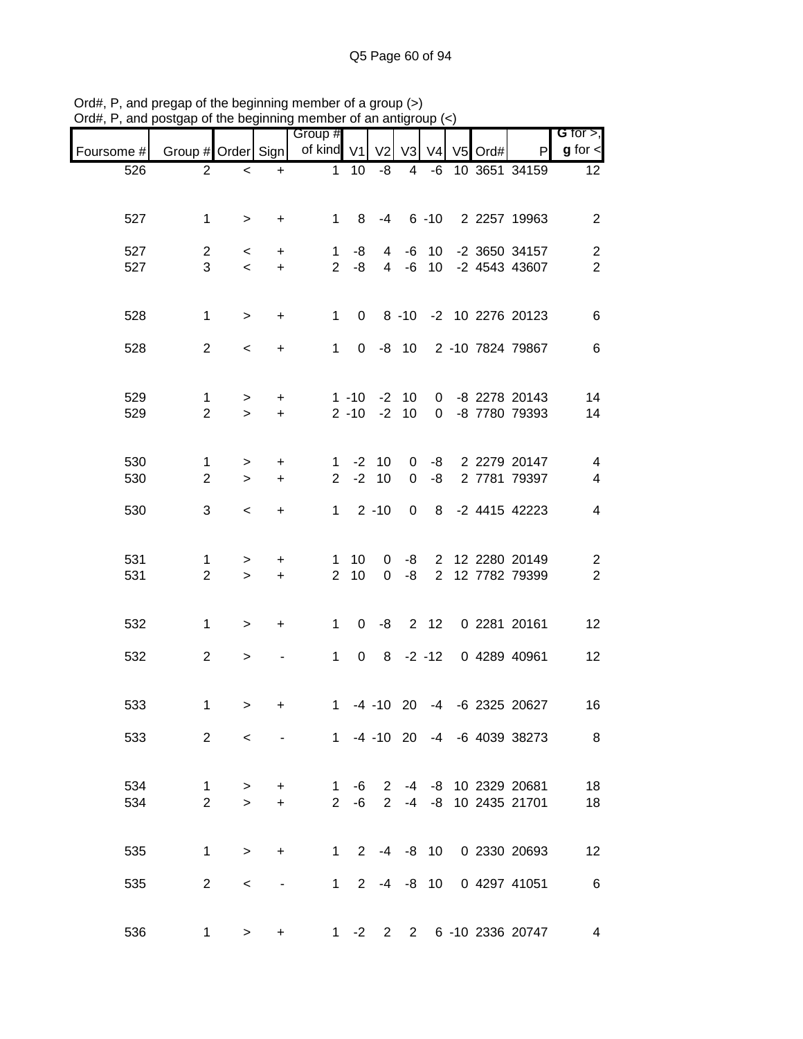| יישוע $\pi,$ ו | $\frac{1}{2}$ and postgap or the beginning member or an antigroup $\left(\frac{1}{2}\right)$ |                          |                          |                             |                      |                             |                            |                |         |                                       |                                                      |
|----------------|----------------------------------------------------------------------------------------------|--------------------------|--------------------------|-----------------------------|----------------------|-----------------------------|----------------------------|----------------|---------|---------------------------------------|------------------------------------------------------|
| Foursome #     | Group # Order Sign                                                                           |                          |                          | Group #<br>of kind V1       |                      |                             | $V2$ $V3$                  | V <sub>4</sub> | V5 Ord# | P                                     | G for $>$ ,<br>$g$ for $\lt$                         |
| 526            | $\overline{2}$                                                                               | $\,<$                    | $+$                      | 1                           | 10                   | -8                          | 4                          | -6             |         | 10 3651 34159                         | 12 <sup>°</sup>                                      |
|                |                                                                                              |                          |                          |                             |                      |                             |                            |                |         |                                       |                                                      |
| 527            | $\mathbf{1}$                                                                                 | $\geq$                   | $\ddot{}$                |                             | 1 8                  | $-4$                        |                            |                |         | 6 -10 2 2257 19963                    | $\overline{c}$                                       |
| 527            | $\overline{2}$                                                                               | $\,<\,$                  | $\ddot{}$                | 1                           | -8                   | 4                           |                            | $-6$ 10        |         | -2 3650 34157                         | $\overline{c}$                                       |
| 527            | 3                                                                                            | $\overline{\phantom{0}}$ | $+$                      |                             | $2 - 8$              |                             |                            |                |         | 4 -6 10 -2 4543 43607                 | $\overline{2}$                                       |
|                |                                                                                              |                          |                          |                             |                      |                             |                            |                |         |                                       |                                                      |
| 528            | $\mathbf{1}$                                                                                 | $\geq$                   | $\ddot{}$                |                             |                      |                             |                            |                |         | 1 0 8 -10 -2 10 2276 20123            | 6                                                    |
| 528            | $\overline{2}$                                                                               | $\,<\,$                  | $\ddot{}$                | $1 \quad$                   |                      |                             |                            |                |         | 0 -8 10 2 -10 7824 79867              | 6                                                    |
|                |                                                                                              |                          |                          |                             |                      |                             |                            |                |         |                                       |                                                      |
| 529            | $\mathbf{1}$                                                                                 | $\geq$                   | $\ddot{}$                |                             | $1 - 10$             |                             | $-2$ 10                    |                |         | 0 -8 2278 20143                       | 14                                                   |
| 529            | $\overline{2}$                                                                               | $\geq$                   | $\ddot{}$                |                             | $2 - 10$             |                             | $-2$ 10                    |                |         | 0 -8 7780 79393                       | 14                                                   |
|                |                                                                                              |                          |                          |                             |                      |                             |                            |                |         |                                       |                                                      |
| 530<br>530     | 1<br>$\overline{2}$                                                                          | $\,>$<br>$\geq$          | +<br>$\ddot{}$           | $1 \quad$<br>$\overline{2}$ |                      | $-2$ 10<br>$-2$ 10          | $\mathbf 0$<br>$\mathbf 0$ | -8             |         | -8 2 2279 20147<br>2 7781 79397       | $\overline{\mathcal{A}}$<br>$\overline{\mathcal{A}}$ |
|                |                                                                                              |                          |                          |                             |                      |                             |                            |                |         |                                       |                                                      |
| 530            | 3                                                                                            | $\,<$                    | $\ddot{}$                | $1 -$                       |                      | $2 - 10$                    | $\mathbf 0$                |                |         | 8 -2 4415 42223                       | 4                                                    |
|                |                                                                                              |                          |                          |                             |                      |                             |                            |                |         |                                       |                                                      |
| 531<br>531     | 1<br>$\overline{2}$                                                                          | $\,>$<br>$\geq$          | $\ddot{}$<br>$+$         |                             | $1 \quad 10$<br>2 10 | $\mathbf{0}$<br>$\mathbf 0$ | -8                         |                |         | -8 2 12 2280 20149<br>2 12 7782 79399 | $\overline{\mathbf{c}}$<br>$\overline{2}$            |
|                |                                                                                              |                          |                          |                             |                      |                             |                            |                |         |                                       |                                                      |
| 532            | $\mathbf{1}$                                                                                 | $\geq$                   | $\ddot{}$                |                             |                      |                             |                            |                |         | 1 0 -8 2 12 0 2281 20161              | 12                                                   |
| 532            | $\overline{2}$                                                                               | $\, > \,$                |                          | $1 \quad$                   |                      |                             |                            |                |         | 0 8 -2 -12 0 4289 40961               | 12                                                   |
|                |                                                                                              |                          |                          |                             |                      |                             |                            |                |         |                                       |                                                      |
| 533            | 1                                                                                            | $\geq$                   | +                        | 1                           |                      |                             |                            |                |         | -4 -10 20 -4 -6 2325 20627            | 16                                                   |
|                |                                                                                              |                          |                          |                             |                      |                             |                            |                |         |                                       |                                                      |
| 533            | $2^{\circ}$                                                                                  | $\,<\,$                  | $\overline{\phantom{a}}$ |                             |                      |                             |                            |                |         | 1 -4 -10 20 -4 -6 4039 38273          | $\overline{\phantom{1}}$ 8                           |
|                |                                                                                              |                          |                          |                             |                      |                             |                            |                |         |                                       |                                                      |
| 534            | $\mathbf 1$                                                                                  | $\,>$                    | $\ddot{}$                | $\mathbf{1}$                | -6                   | $\mathbf{2}$                |                            |                |         | -4 -8 10 2329 20681                   | 18                                                   |
| 534            | $\overline{2}$                                                                               | $\geq$                   | $+$                      |                             | $2 - 6$              | 2                           |                            | -4 -8          |         | 10 2435 21701                         | 18                                                   |
|                |                                                                                              |                          |                          |                             |                      |                             |                            |                |         |                                       |                                                      |
| 535            | 1.                                                                                           | $\geq$                   | $\ddot{}$                | $1 \quad$                   |                      |                             |                            |                |         | 2 -4 -8 10 0 2330 20693               | 12                                                   |
| 535            | $\overline{2}$                                                                               | $\,<\,$                  | $\overline{\phantom{a}}$ | $1 \quad$                   |                      | $2 - 4 - 8$                 |                            | 10             |         | 0 4297 41051                          | $6\overline{6}$                                      |
|                |                                                                                              |                          |                          |                             |                      |                             |                            |                |         |                                       |                                                      |
| 536            | $\mathbf 1$                                                                                  | $\,>$                    | +                        |                             |                      |                             |                            |                |         | 1 -2 2 2 6 -10 2336 20747             | $\overline{4}$                                       |

Ord#, P, and pregap of the beginning member of a group (>) Ord#, P, and postgap of the beginning member of an antigroup (<)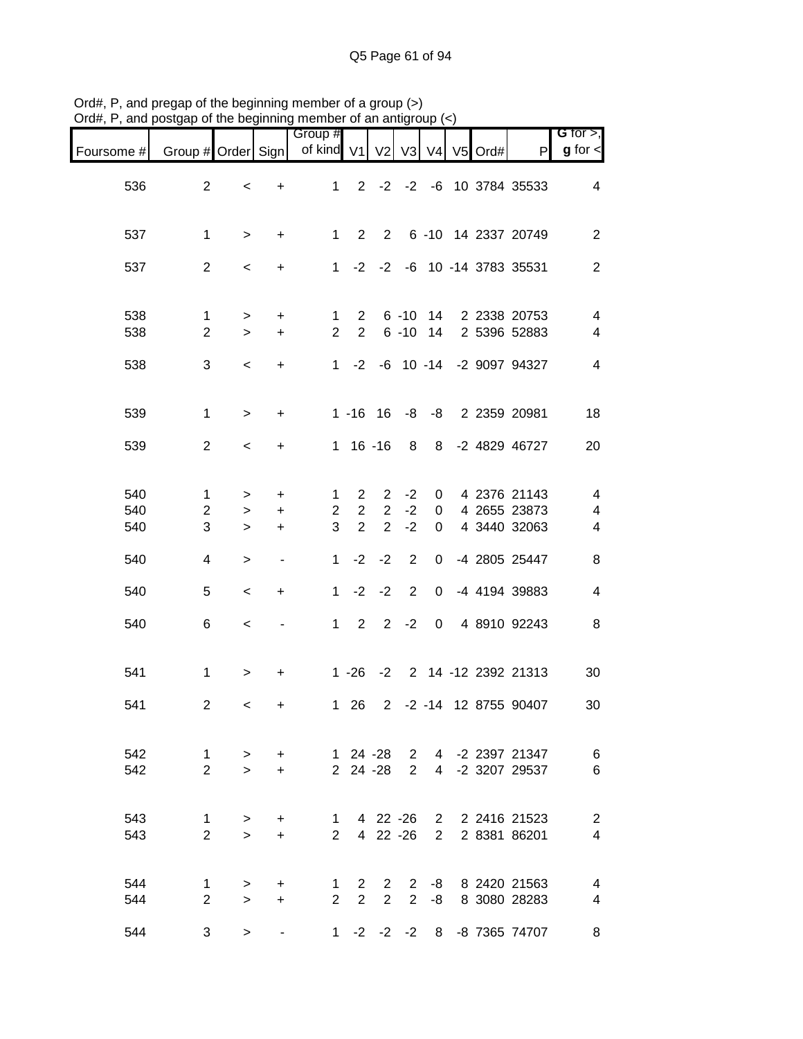|            |                                | 10009                    |                |                                |                            |                                |                |                  |               |                                                 |                                                     |
|------------|--------------------------------|--------------------------|----------------|--------------------------------|----------------------------|--------------------------------|----------------|------------------|---------------|-------------------------------------------------|-----------------------------------------------------|
| Foursome # | Group # Order Sign             |                          |                | Group #<br>of kind V1 V2       |                            |                                |                |                  | V3 V4 V5 Ord# | P                                               | G for $>$ ,<br>$g$ for $\leq$                       |
| 536        | $\overline{2}$                 | $\,<$                    | $+$            |                                |                            |                                |                |                  |               | 1 2 -2 -2 -6 10 3784 35533                      | 4                                                   |
| 537        | $\mathbf{1}$                   | $\geq$                   | $+$            |                                |                            |                                |                |                  |               | 1 2 2 6 -10 14 2337 20749                       | $\mathbf{2}$                                        |
| 537        | $\overline{2}$                 | $\overline{\phantom{a}}$ | $+$            |                                |                            |                                |                |                  |               | 1 -2 -2 -6 10 -14 3783 35531                    | $\overline{2}$                                      |
| 538<br>538 | $\mathbf{1}$<br>$\overline{2}$ | $\geq$<br>$\geq$         | $+$<br>$+$     | $\mathbf{1}$<br>$\overline{2}$ | $2^{\circ}$<br>$2^{\circ}$ |                                |                |                  |               | 6 -10 14 2 2338 20753<br>6 -10 14 2 5396 52883  | 4<br>$\overline{\mathbf{4}}$                        |
| 538        | 3                              | $\,<$                    | $+$            |                                |                            |                                |                |                  |               | 1 -2 -6 10 -14 -2 9097 94327                    | $\overline{\mathbf{4}}$                             |
| 539        | $\mathbf{1}$                   | $\,>$                    | $+$            |                                |                            |                                |                |                  |               | 1 -16 16 -8 -8 2 2359 20981                     | 18                                                  |
| 539        | $\overline{2}$                 | $\overline{\phantom{a}}$ | $+$            |                                |                            | $1 16 - 16$                    | 8 <sup>8</sup> |                  |               | 8 -2 4829 46727                                 | 20                                                  |
| 540<br>540 | $\mathbf{1}$<br>$\overline{2}$ | $\geq$<br>$\geq$         | $+$<br>$+$     | 1<br>$\overline{2}$            | 2<br>$2^{\circ}$           | $2^{\circ}$<br>$\overline{2}$  | $-2$<br>$-2$   | 0<br>$\mathbf 0$ |               | 4 2376 21143<br>4 2655 23873                    | $\overline{\mathbf{4}}$<br>$\overline{\mathcal{A}}$ |
| 540        | $\sqrt{3}$                     | $\,>$                    | $+$            | 3                              | $\overline{2}$             | 2 <sup>7</sup>                 | $-2$           | 0                |               | 4 3440 32063                                    | $\overline{\mathbf{4}}$                             |
| 540        | $\overline{4}$                 | $\, > \,$                | $\blacksquare$ | $\mathbf{1}$                   |                            | $-2 -2$                        | 2              | 0                |               | -4 2805 25447                                   | $\, 8$                                              |
| 540        | 5                              | $\,<$                    | $\ddot{}$      | $\mathbf{1}$                   |                            | $-2 -2$                        | $\overline{2}$ | $\mathbf 0$      |               | -4 4194 39883                                   | $\overline{\mathbf{4}}$                             |
| 540        | 6                              | $\,<$                    | $\blacksquare$ |                                | $1\quad 2$                 |                                | $2 - 2$        |                  |               | 0 4 8910 92243                                  | 8                                                   |
| 541        | $\mathbf{1}$                   | $\, > \,$                | $+$            |                                |                            |                                |                |                  |               | 1 -26 -2 2 14 -12 2392 21313                    | 30                                                  |
| 541        | $\overline{c}$                 | $\,<$                    | +              |                                | 1 26                       |                                |                |                  |               | 2 -2 -14 12 8755 90407                          | 30                                                  |
| 542<br>542 | $\mathbf{1}$<br>$\overline{2}$ | ><br>$\geq$              | $+$<br>$+$     |                                |                            | 2 24 -28                       |                |                  |               | 1 24 -28 2 4 -2 2397 21347<br>2 4 -2 3207 29537 | $\,6$<br>$\,6$                                      |
| 543<br>543 | $\mathbf 1$<br>$\overline{2}$  | $\geq$<br>$\geq$         | $+$<br>$+$     | $\overline{1}$<br>$2^{\circ}$  |                            | 4 22 -26<br>4 22 -26           |                |                  |               | 2 2 2416 21523<br>2 2 8381 86201                | $\boldsymbol{2}$<br>4                               |
| 544<br>544 | $\mathbf{1}$<br>$\overline{2}$ | $\,>$<br>$\geq$          | $+$<br>$+$     | $\mathbf{1}$<br>$\overline{2}$ | $2^{\circ}$<br>$2^{\circ}$ | $\mathbf{2}$<br>$\overline{2}$ | $\overline{2}$ |                  |               | 2 -8 8 2420 21563<br>-8 8 3080 28283            | 4<br>$\overline{\mathbf{4}}$                        |
| 544        | 3                              | $\geq$                   |                |                                |                            |                                |                |                  |               | 1 -2 -2 -2 8 -8 7365 74707                      | 8                                                   |

Ord#, P, and pregap of the beginning member of a group (>) Ord#, P, and postgap of the beginning member of an antigroup (<)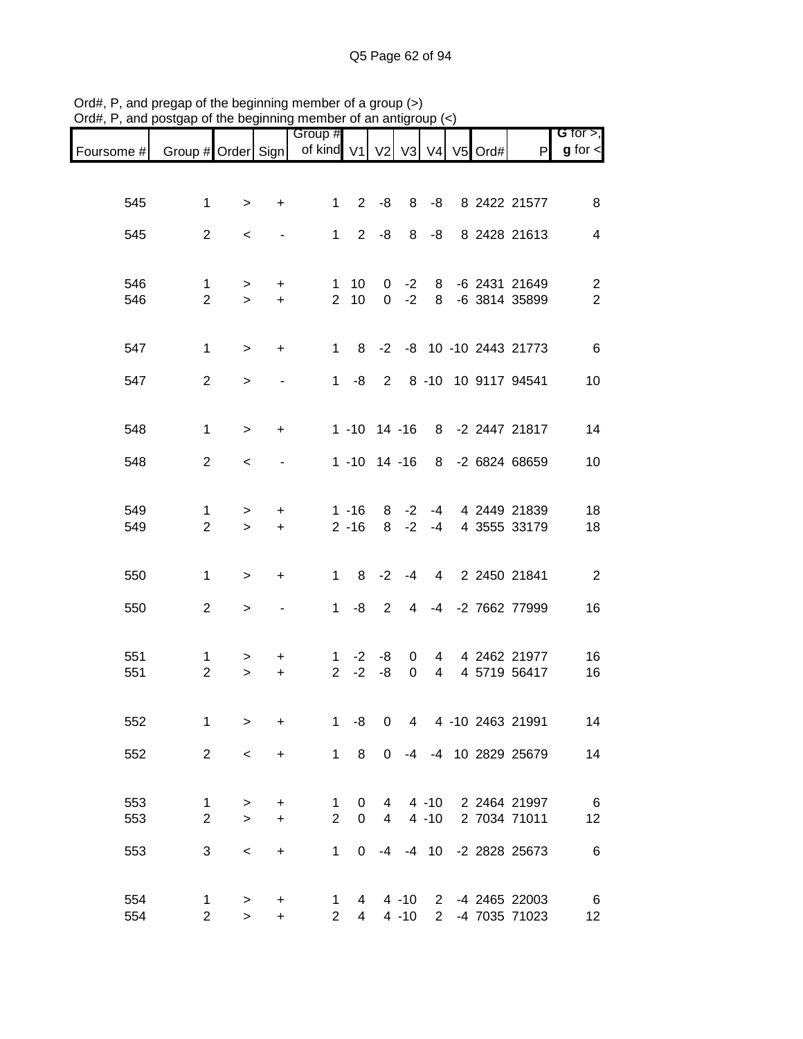|                               |                     |            |                | Group #                        |                |                     |              |             |         |                                | G for $>$ ,                               |
|-------------------------------|---------------------|------------|----------------|--------------------------------|----------------|---------------------|--------------|-------------|---------|--------------------------------|-------------------------------------------|
| Foursome # Group # Order Sign |                     |            |                | of kind V1                     |                |                     | V2 V3 V4     |             | V5 Ord# | P                              | $g$ for $\lt$                             |
|                               |                     |            |                |                                |                |                     |              |             |         |                                |                                           |
| 545                           | 1                   | $\geq$     | $\ddot{}$      | 1                              | $\overline{2}$ | -8                  | 8            | -8          |         | 8 2422 21577                   | 8                                         |
|                               |                     |            |                |                                |                |                     |              |             |         |                                |                                           |
| 545                           | $\overline{2}$      | $\,<\,$    |                | 1                              | $\overline{2}$ | -8                  | 8            | -8          |         | 8 2428 21613                   | 4                                         |
|                               |                     |            |                |                                |                |                     |              |             |         |                                |                                           |
| 546<br>546                    | 1<br>$\overline{2}$ | >          | +<br>$+$       | 1<br>$\overline{2}$            | 10<br>10       | 0<br>$\overline{0}$ | $-2$<br>$-2$ | 8<br>8      |         | -6 2431 21649<br>-6 3814 35899 | $\overline{\mathbf{c}}$<br>$\overline{2}$ |
|                               |                     | $\geq$     |                |                                |                |                     |              |             |         |                                |                                           |
|                               |                     |            |                | $1 \quad$                      |                |                     |              |             |         | 8 -2 -8 10 -10 2443 21773      |                                           |
| 547                           | $\mathbf{1}$        | $\geq$     | $\ddot{}$      |                                |                |                     |              |             |         |                                | 6                                         |
| 547                           | $\overline{2}$      | $\,>$      |                | $1 \quad$                      | -8             | 2                   |              |             |         | 8 -10 10 9117 94541            | 10                                        |
|                               |                     |            |                |                                |                |                     |              |             |         |                                |                                           |
| 548                           | 1                   | $\geq$     | $\ddot{}$      |                                |                |                     |              |             |         | 1 -10 14 -16 8 -2 2447 21817   | 14                                        |
| 548                           | $\overline{2}$      | $\,<\,$    |                |                                |                |                     |              |             |         | 1 -10 14 -16 8 -2 6824 68659   | 10                                        |
|                               |                     |            |                |                                |                |                     |              |             |         |                                |                                           |
| 549                           | 1                   | >          | +              |                                | $1 - 16$       | 8                   | $-2$         | $-4$        |         | 4 2449 21839                   | 18                                        |
| 549                           | $\overline{2}$      | $\geq$     | $\ddot{}$      |                                | $2 - 16$       | 8                   | $-2$         | $-4$        |         | 4 3555 33179                   | 18                                        |
|                               |                     |            |                |                                |                |                     |              |             |         |                                |                                           |
| 550                           | 1                   | $\geq$     | +              | 1                              | 8              | $-2$                | -4           |             |         | 4 2 2450 21841                 | $\overline{\phantom{a}}$                  |
|                               | $\overline{2}$      |            |                | 1                              | -8             | $\overline{2}$      | 4            |             |         | -4 -2 7662 77999               | 16                                        |
| 550                           |                     | $\, > \,$  |                |                                |                |                     |              |             |         |                                |                                           |
|                               |                     |            |                |                                |                |                     |              |             |         |                                |                                           |
| 551<br>551                    | 1<br>$\overline{2}$ | ><br>$\,>$ | +<br>$\ddot{}$ | 1<br>$\overline{2}$            | $-2$<br>$-2$   | -8<br>-8            | 0<br>0       | 4<br>4      |         | 4 2462 21977<br>4 5719 56417   | 16<br>16                                  |
|                               |                     |            |                |                                |                |                     |              |             |         |                                |                                           |
| 552                           | 1                   | $\,$       | $\ddot{}$      | $\mathbf{1}$                   | -8             | $\pmb{0}$           | 4            |             |         | 4 -10 2463 21991               | 14                                        |
|                               |                     |            |                |                                |                |                     |              |             |         |                                |                                           |
| 552                           | $\overline{2}$      | $\,<$      | $\ddot{}$      |                                | $1 \quad 8$    | $\mathbf 0$         |              |             |         | -4 -4 10 2829 25679            | 14                                        |
|                               |                     |            |                |                                |                |                     |              |             |         |                                |                                           |
| 553                           | 1                   | >          | $\ddot{}$      | $\mathbf{1}$<br>$\overline{2}$ | 0              | 4                   |              |             |         | 4 -10 2 2464 21997             | $6\overline{6}$                           |
| 553                           | $\overline{2}$      | $\geq$     | $\ddot{}$      |                                | 0              | $\overline{4}$      |              | $4 - 10$    |         | 2 7034 71011                   | 12                                        |
| 553                           | 3                   | $\,<$      | $\ddot{}$      | 1                              | 0              | $-4$                |              | $-4$ 10     |         | -2 2828 25673                  | $\,6$                                     |
|                               |                     |            |                |                                |                |                     |              |             |         |                                |                                           |
| 554                           | 1                   | $\,>$      | +              | 1                              | 4              |                     |              |             |         | 4 -10 2 -4 2465 22003          | $6\overline{6}$                           |
| 554                           | $\overline{c}$      | $\geq$     | $\ddot{}$      | $\mathbf{2}^{\circ}$           | 4              |                     | 4 -10        | $2^{\circ}$ |         | -4 7035 71023                  | 12                                        |

Ord#, P, and pregap of the beginning member of a group (>) Ord#, P, and postgap of the beginning member of an antigroup (<)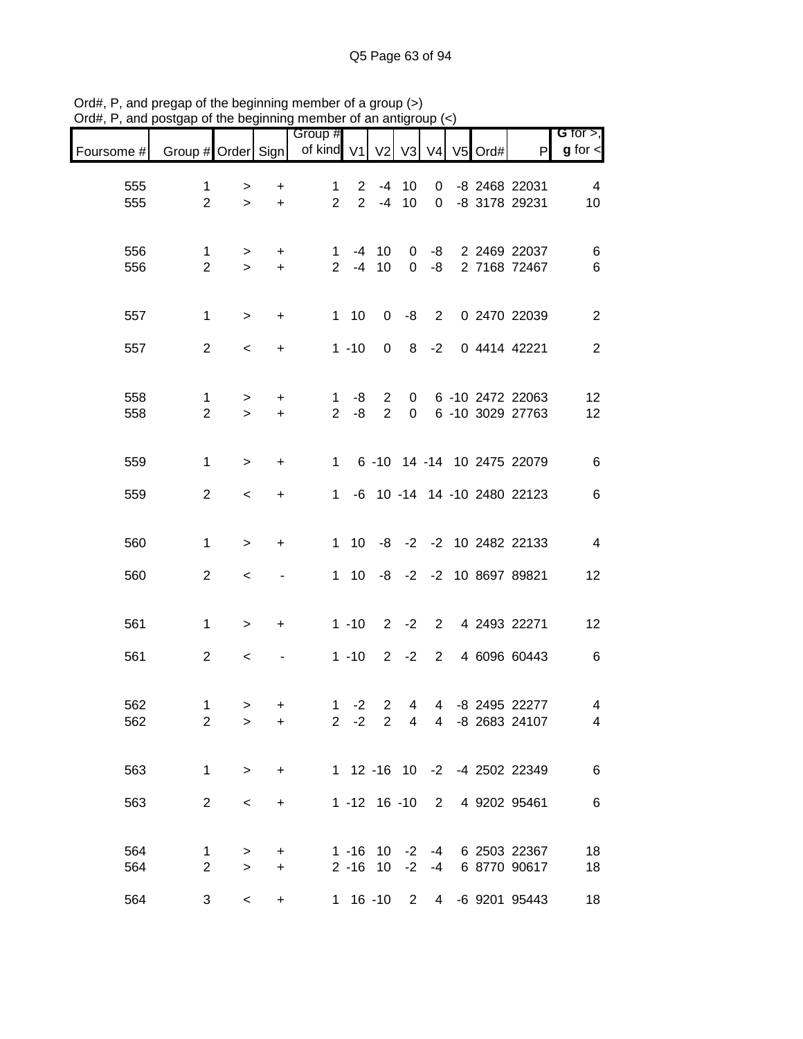| Foursome # | Group # Order Sign             |                          |                        | Group #<br>of kind V1          |                                  |                                  |                         |                | V2 V3 V4 V5 Ord# | P                                    | G for $>$ ,<br>$g$ for $\lt$ |
|------------|--------------------------------|--------------------------|------------------------|--------------------------------|----------------------------------|----------------------------------|-------------------------|----------------|------------------|--------------------------------------|------------------------------|
| 555<br>555 | $\mathbf{1}$<br>$\overline{2}$ | ><br>$\geq$              | $\ddot{}$<br>$\ddot{}$ | $\mathbf{1}$<br>$\overline{2}$ | $\overline{2}$<br>$\overline{2}$ | -4<br>$-4$                       | 10<br>10                | 0<br>0         |                  | -8 2468 22031<br>-8 3178 29231       | 4<br>10                      |
| 556<br>556 | $\mathbf 1$<br>$\overline{2}$  | ><br>$\geq$              | $\ddot{}$<br>$\ddot{}$ | 1<br>$2^{\circ}$               | -4<br>$-4$                       | 10<br>10                         | 0<br>$\Omega$           | -8<br>-8       |                  | 2 2469 22037<br>2 7168 72467         | 6<br>6                       |
| 557        | $\mathbf{1}$                   | $\geq$                   | $\ddot{}$              |                                | 110                              | $\mathbf 0$                      | -8                      | $2^{\circ}$    |                  | 0 2470 22039                         | $\mathbf{2}$                 |
| 557        | $\overline{2}$                 | $\overline{\phantom{a}}$ | $\ddot{}$              |                                | $1 - 10$                         | $\mathbf 0$                      | 8                       | $-2$           |                  | 0 4414 42221                         | $\overline{2}$               |
| 558<br>558 | $\mathbf{1}$<br>$\overline{2}$ | $\,>$<br>$\geq$          | $\ddot{}$<br>$\ddot{}$ | 1<br>2 <sup>1</sup>            | -8<br>-8                         | $\overline{2}$<br>$\overline{2}$ | $\mathbf 0$<br>$\Omega$ |                |                  | 6 -10 2472 22063<br>6 -10 3029 27763 | 12<br>12                     |
| 559        | $\mathbf{1}$                   | $\,>$                    | $\ddot{}$              | $1 \quad$                      |                                  |                                  |                         |                |                  | 6 -10 14 -14 10 2475 22079           | 6                            |
| 559        | $\overline{2}$                 | $\prec$                  | $\ddot{}$              | 1.                             |                                  |                                  |                         |                |                  | -6 10 -14 14 -10 2480 22123          | 6                            |
| 560        | $\mathbf{1}$                   | $\,>$                    | $\ddot{}$              |                                | $1 \quad 10$                     | -8                               |                         |                |                  | -2 -2 10 2482 22133                  | $\overline{4}$               |
| 560        | $\overline{2}$                 | $\,<\,$                  |                        |                                | $1 \quad 10$                     | -8                               |                         |                |                  | -2 -2 10 8697 89821                  | 12                           |
| 561        | $\mathbf{1}$                   | $\,>$                    | +                      |                                | $1 - 10$                         | $2^{\circ}$                      | $-2$                    | $2^{\circ}$    |                  | 4 2493 22271                         | 12                           |
| 561        | $\overline{2}$                 | $\,<\,$                  |                        |                                | $1 - 10$                         | $\overline{2}$                   | $-2$                    | $\overline{2}$ |                  | 4 6096 60443                         | $\,6$                        |
| 562<br>562 | $\mathbf 1$<br>$\overline{2}$  | $\, > \,$<br>>           | +<br>$\ddot{}$         |                                | $1 -2$<br>$2 -2$                 | $\overline{2}$<br>$\overline{2}$ | 4                       | $\overline{4}$ |                  | -8 2495 22277<br>4 4 -8 2683 24107   | 4<br>4                       |
| 563        | $\mathbf 1$                    | $\, >$                   | $\ddot{}$              |                                |                                  |                                  |                         |                |                  | 1 12 -16 10 -2 -4 2502 22349         | 6                            |
| 563        | $\overline{2}$                 | $\,<$                    | $\ddot{}$              |                                |                                  |                                  |                         |                |                  | 1 -12 16 -10 2 4 9202 95461          | 6                            |
| 564<br>564 | 1<br>$\overline{2}$            | ><br>$\geq$              | +<br>$\ddot{}$         |                                | $1 - 16$<br>$2 - 16$             | 10<br>10                         | $-2$<br>$-2$            | -4<br>$-4$     |                  | 6 2503 22367<br>6 8770 90617         | 18<br>18                     |
| 564        | 3                              | $\,<\,$                  | $\ddot{}$              |                                | $1 16 - 10$                      |                                  | $2^{\circ}$             | $\overline{4}$ |                  | -6 9201 95443                        | 18                           |

Ord#, P, and pregap of the beginning member of a group (>) Ord#, P, and postgap of the beginning member of an antigroup (<)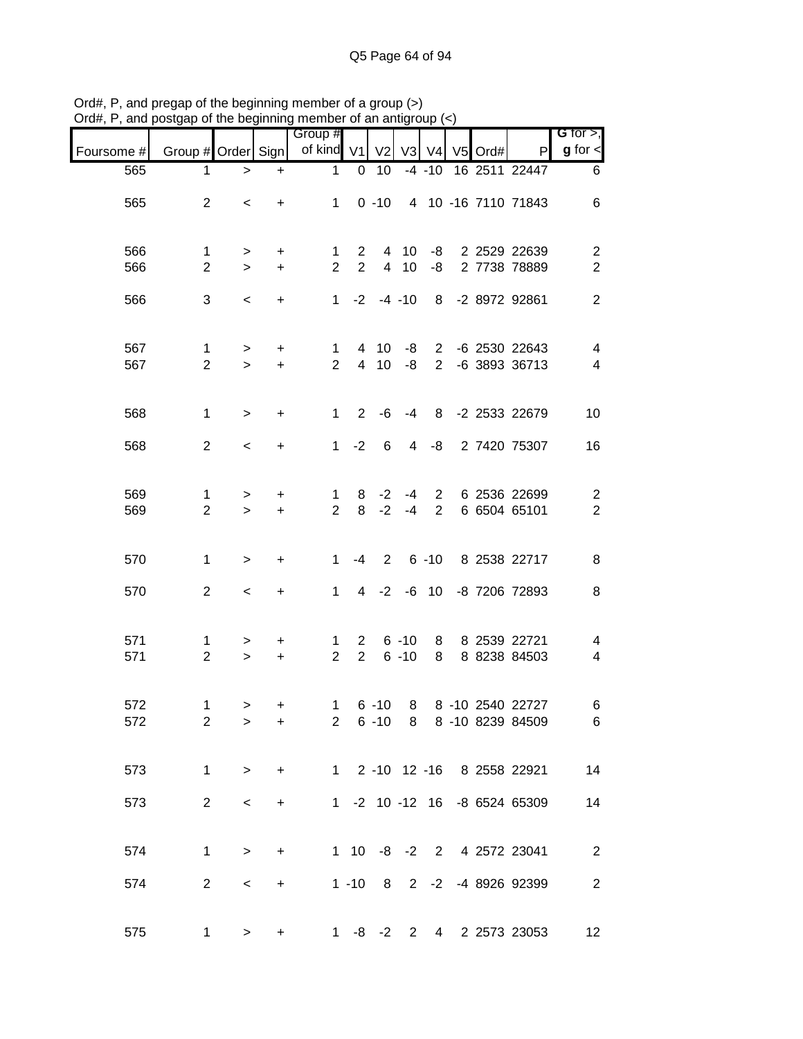| unu        |                                |                          |                | $\sim$ and $\sim$ and $\sim$ and $\sim$ and $\sim$ and $\sim$ and $\sim$ and $\sim$ and $\sim$ and $\sim$ and $\sim$ and $\sim$ and $\sim$ and $\sim$ and $\sim$ and $\sim$ and $\sim$ and $\sim$ and $\sim$ and $\sim$ and $\sim$ and $\sim$ and $\sim$ and $\sim$ and $\sim$ |                            |                    |                      |                            |               |                                                        |                                    |
|------------|--------------------------------|--------------------------|----------------|--------------------------------------------------------------------------------------------------------------------------------------------------------------------------------------------------------------------------------------------------------------------------------|----------------------------|--------------------|----------------------|----------------------------|---------------|--------------------------------------------------------|------------------------------------|
| Foursome # | Group # Order Sign             |                          |                | Group #<br>of kind V1 V2                                                                                                                                                                                                                                                       |                            |                    |                      |                            | V3 V4 V5 Ord# | P                                                      | G for $>$ ,<br>$g$ for $\lt$       |
| 565        | 1                              | $\, > \,$                | $\ddot{}$      | $\mathbf 1$                                                                                                                                                                                                                                                                    | 0                          | 10                 |                      | $-4 - 10$                  |               | 16 2511 22447                                          | 6                                  |
| 565        | $\overline{2}$                 | $\,<$                    | $+$            | $1 \quad$                                                                                                                                                                                                                                                                      |                            | $0 - 10$           |                      |                            |               | 4 10 -16 7110 71843                                    | $\,6$                              |
| 566<br>566 | 1<br>$\overline{2}$            | $\geq$<br>$\geq$         | $+$<br>$+$     | 1<br>$\overline{2}$                                                                                                                                                                                                                                                            | 2<br>$2^{\circ}$           |                    | 4 10<br>4 10         |                            |               | -8 2 2529 22639<br>-8 2 7738 78889                     | $\overline{c}$<br>$\boldsymbol{2}$ |
| 566        | 3                              | $\overline{\phantom{a}}$ | $\ddot{}$      |                                                                                                                                                                                                                                                                                |                            | $1 -2 -4 -10$      |                      |                            |               | 8 -2 8972 92861                                        | $\overline{2}$                     |
| 567<br>567 | $\mathbf{1}$<br>$\overline{2}$ | $\, > \,$<br>$\geq$      | $+$<br>$+$     | $\mathbf{1}$<br>$\overline{2}$                                                                                                                                                                                                                                                 |                            | 4 10<br>4 10 -8    | -8                   |                            |               | 2 -6 2530 22643<br>2 -6 3893 36713                     | 4<br>$\overline{4}$                |
| 568        | $\mathbf{1}$                   | $\, >$                   | $+$            | $\mathbf{1}$                                                                                                                                                                                                                                                                   |                            | $2 -6 -4$          |                      |                            |               | 8 -2 2533 22679                                        | 10                                 |
| 568        | $\overline{2}$                 | $\overline{\phantom{a}}$ | $\ddot{}$      |                                                                                                                                                                                                                                                                                |                            | $1 -2 6$           | $\overline{4}$       | -8                         |               | 2 7420 75307                                           | 16                                 |
| 569<br>569 | $\mathbf 1$<br>$\overline{2}$  | ><br>$\geq$              | $\pm$<br>$+$   | $\mathbf{1}$<br>$2^{\circ}$                                                                                                                                                                                                                                                    |                            | $8 - 2$<br>$8 - 2$ | -4<br>-4             | $2^{\circ}$<br>$2^{\circ}$ |               | 6 2536 22699<br>6 6504 65101                           | $\overline{c}$<br>$\overline{c}$   |
| 570        | $\mathbf{1}$                   | $\, >$                   | $\ddot{}$      | $\mathbf{1}$                                                                                                                                                                                                                                                                   |                            |                    |                      |                            |               | -4 2 6 -10 8 2538 22717                                | $\,8\,$                            |
| 570        | $\overline{2}$                 | $\overline{\phantom{a}}$ | $+$            | $1 \quad$                                                                                                                                                                                                                                                                      |                            |                    |                      |                            |               | 4 -2 -6 10 -8 7206 72893                               | 8                                  |
| 571<br>571 | $\mathbf{1}$<br>$\overline{2}$ | ><br>$\geq$              | $+$<br>$+$     | $\mathbf{1}$<br>$\overline{2}$                                                                                                                                                                                                                                                 | $2^{\circ}$<br>$2^{\circ}$ |                    | $6 - 10$<br>$6 - 10$ |                            |               | 8 8 2539 22721<br>8 8 8238 84503                       | 4<br>$\overline{\mathbf{4}}$       |
| 572<br>572 | 1<br>$\overline{2}$            | $\geq$<br>$\, >$         | +<br>$\ddot{}$ | 1                                                                                                                                                                                                                                                                              |                            |                    |                      |                            |               | 6 -10 8 8 -10 2540 22727<br>2 6 -10 8 8 -10 8239 84509 | 6<br>$6\overline{6}$               |
| 573        | $\mathbf{1}$                   | $\geq$                   | $+$            |                                                                                                                                                                                                                                                                                |                            |                    |                      |                            |               | 1 2 -10 12 -16 8 2558 22921                            | 14                                 |
| 573        | $\overline{2}$                 | $\overline{\phantom{a}}$ | $\ddot{}$      |                                                                                                                                                                                                                                                                                |                            |                    |                      |                            |               | 1 -2 10 -12 16 -8 6524 65309                           | 14                                 |
| 574        | $\mathbf{1}$                   | $\geq$                   | $+$            |                                                                                                                                                                                                                                                                                |                            |                    |                      |                            |               | 1 10 -8 -2 2 4 2572 23041                              | $\overline{2}$                     |
| 574        | $\overline{2}$                 | $\overline{\phantom{0}}$ | $+$            |                                                                                                                                                                                                                                                                                |                            |                    |                      |                            |               | 1 -10 8 2 -2 -4 8926 92399                             | $\sqrt{2}$                         |
| 575        | $\mathbf{1}$                   | >                        | $\ddot{}$      |                                                                                                                                                                                                                                                                                |                            |                    |                      |                            |               | 1 -8 -2 2 4 2 2573 23053                               | 12                                 |

Ord#, P, and pregap of the beginning member of a group (>) Ord#, P, and postgap of the beginning member of an antigroup (<)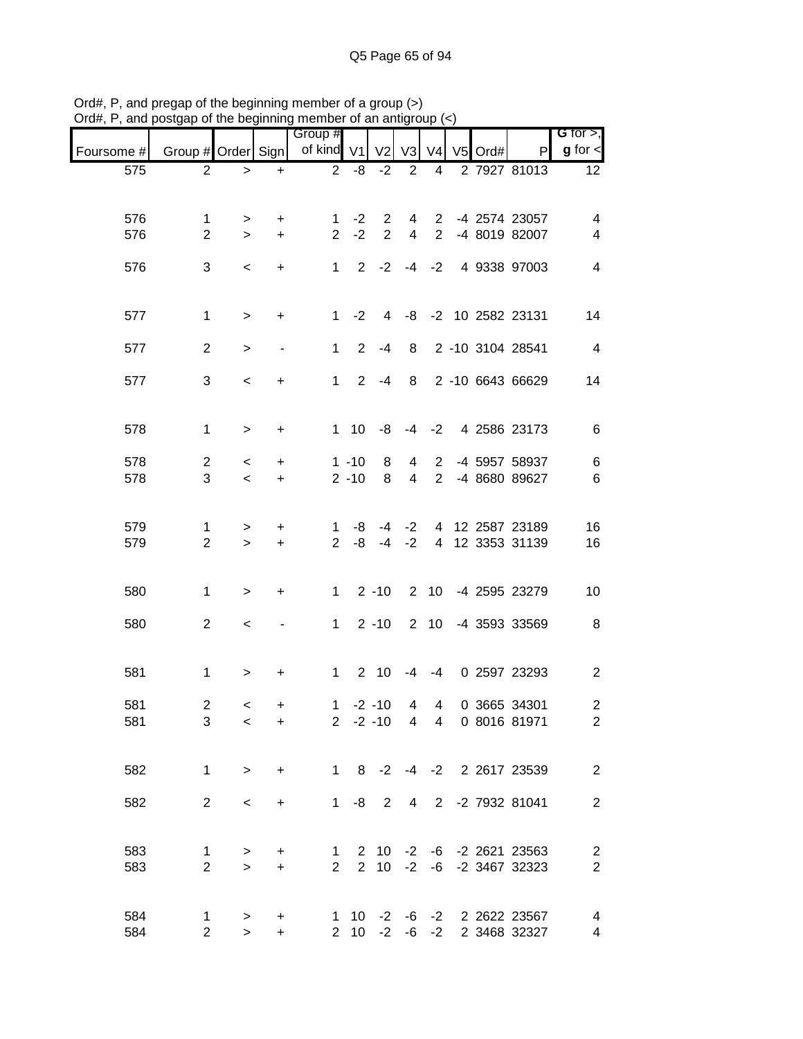| $P$ , and postgap of the beginning member of an antigroup $(\gamma)$ |                               |                |                          | Group #                        |              |                              |                     |                                  |            |                                            | G for $>$ ,                      |
|----------------------------------------------------------------------|-------------------------------|----------------|--------------------------|--------------------------------|--------------|------------------------------|---------------------|----------------------------------|------------|--------------------------------------------|----------------------------------|
| Foursome #                                                           | Group # Order Sign            |                |                          | of kind V1                     |              | V <sub>2</sub>               | V3                  |                                  | V4 V5 Ord# | P                                          | $g$ for $\leq$                   |
| 575                                                                  | $\overline{2}$                | $\,>$          | $+$                      | $\overline{2}$                 | -8           | $-2$                         | 2                   | $\overline{4}$                   |            | 2 7927 81013                               | 12 <sub>2</sub>                  |
|                                                                      |                               |                |                          |                                |              |                              |                     |                                  |            |                                            |                                  |
| 576                                                                  | 1                             | >              | +                        | 1                              | $-2$         | $\overline{2}$               |                     |                                  |            | 4 2 -4 2574 23057                          | 4                                |
| 576                                                                  | $\overline{2}$                | $\geq$         | $\ddot{}$                | $2^{\circ}$                    | $-2$         | $\overline{2}$               | $\overline{4}$      | $2^{\circ}$                      |            | -4 8019 82007                              | $\overline{\mathcal{A}}$         |
| 576                                                                  | 3                             | $\,<$          | $\ddot{}$                | $1 -$                          |              | $2 -2 -4 -2$                 |                     |                                  |            | 4 9338 97003                               | $\overline{\mathcal{A}}$         |
|                                                                      |                               |                |                          |                                |              |                              |                     |                                  |            |                                            |                                  |
| 577                                                                  | $\mathbf{1}$                  | $\geq$         | $\ddot{}$                |                                | $1 -2$       | $\overline{4}$               |                     |                                  |            | -8 -2 10 2582 23131                        | 14                               |
| 577                                                                  | $\overline{2}$                | >              | $\overline{\phantom{a}}$ | $\mathbf{1}$                   | $2^{\circ}$  | $-4$                         | 8                   |                                  |            | 2 -10 3104 28541                           | $\overline{4}$                   |
|                                                                      |                               |                |                          |                                |              |                              |                     |                                  |            |                                            |                                  |
| 577                                                                  | 3                             | $\,<$          | $\ddot{}$                | 1                              |              | $2 - 4$                      |                     |                                  |            | 8 2 -10 6643 66629                         | 14                               |
|                                                                      |                               |                |                          |                                |              |                              |                     |                                  |            |                                            |                                  |
| 578                                                                  | $\mathbf{1}$                  | $\,>$          | $\ddot{}$                |                                | $1 \quad 10$ | -8                           |                     |                                  |            | -4 -2 4 2586 23173                         | 6                                |
| 578                                                                  | $\overline{2}$                | $\,<\,$        | +                        |                                | $1 - 10$     | 8                            | 4                   | $\overline{2}$                   |            | -4 5957 58937                              | $6\phantom{.}6$                  |
| 578                                                                  | 3                             | $\prec$        | $+$                      |                                | $2 - 10$     | 8                            | $\overline{4}$      | $2^{\circ}$                      |            | -4 8680 89627                              | $\,6$                            |
|                                                                      |                               |                |                          |                                |              |                              |                     |                                  |            |                                            |                                  |
| 579                                                                  | 1                             | $\, > \,$      | +                        | 1                              | -8           | -4                           |                     |                                  |            | -2 4 12 2587 23189                         | 16                               |
| 579                                                                  | $\overline{2}$                | $\,$           | $\ddot{}$                | $2^{\circ}$                    | -8           | $-4$                         | $-2$                |                                  |            | 4 12 3353 31139                            | 16                               |
|                                                                      |                               |                |                          |                                |              |                              |                     |                                  |            |                                            |                                  |
| 580                                                                  | $\mathbf{1}$                  | $\,>$          | $\ddot{}$                | 1                              |              | $2 - 10$                     |                     |                                  |            | 2 10 -4 2595 23279                         | 10                               |
| 580                                                                  | $\overline{2}$                | $\,<$          |                          | 1                              |              | $2 - 10$                     |                     |                                  |            | 2 10 -4 3593 33569                         | 8                                |
|                                                                      |                               |                |                          |                                |              |                              |                     |                                  |            |                                            |                                  |
| 581                                                                  | $\mathbf 1$                   | $\,>$          | $\ddot{}$                | $1 -$                          |              | $2 \quad 10$                 | $-4$                | $-4$                             |            | 0 2597 23293                               | $\overline{2}$                   |
|                                                                      |                               |                |                          |                                |              |                              |                     |                                  |            |                                            |                                  |
| 581<br>581                                                           | $\overline{2}$<br>3           | $\lt$<br>$\,<$ | +<br>$\ddot{}$           | $\mathbf{1}$                   |              | $-2 - 10$<br>$2 -2 -10$      | 4<br>$\overline{4}$ | $\overline{4}$<br>$\overline{4}$ |            | 0 3665 34301<br>0 8016 81971               | $\mathbf{2}$<br>$\overline{2}$   |
|                                                                      |                               |                |                          |                                |              |                              |                     |                                  |            |                                            |                                  |
| 582                                                                  | 1                             | $\geq$         | $\ddot{}$                | $1 \quad$                      |              | $8 - 2$                      |                     |                                  |            | -4 -2 2 2617 23539                         | $\overline{2}$                   |
|                                                                      |                               |                |                          |                                |              |                              |                     |                                  |            |                                            |                                  |
| 582                                                                  | $\overline{2}$                | $\,<$          | $\ddot{}$                | 1                              | -8           | $\overline{2}$               | 4                   | $2^{\circ}$                      |            | -2 7932 81041                              | $\mathbf{2}$                     |
|                                                                      |                               |                |                          |                                |              |                              |                     |                                  |            |                                            |                                  |
| 583                                                                  | 1                             | >              | +                        | $\mathbf{1}$<br>$\overline{2}$ |              | $2 \quad 10$<br>$2 \quad 10$ |                     |                                  |            | $-2$ $-6$ $-2$ 2621 23563                  | $\overline{c}$<br>$\overline{2}$ |
| 583                                                                  | $\overline{2}$                | $\geq$         | $\ddot{}$                |                                |              |                              | $-2$                |                                  |            | -6 -2 3467 32323                           |                                  |
|                                                                      |                               |                |                          |                                |              |                              |                     |                                  |            |                                            |                                  |
| 584<br>584                                                           | $\mathbf 1$<br>$\overline{2}$ | ><br>$\geq$    | +<br>$\ddot{}$           |                                | $2 \quad 10$ | $-2$                         |                     | $-6 -2$                          |            | 1 10 -2 -6 -2 2 2622 23567<br>2 3468 32327 | 4<br>$\overline{4}$              |

Ord#, P, and pregap of the beginning member of a group (>) Ord#, P, and postgap of the beginning member of an antigroup (<)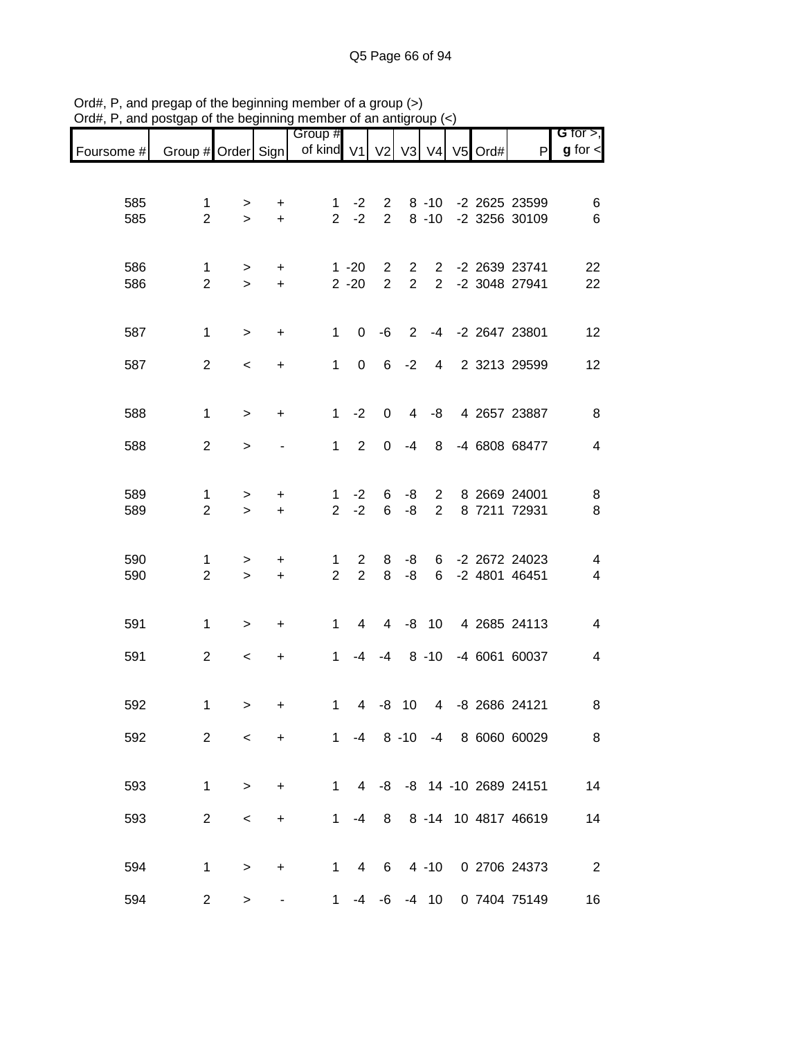|            |                                |                          |                               | Group #                        |                                  |                                  |                                |                                  |  |                                | G for $>$ ,                   |
|------------|--------------------------------|--------------------------|-------------------------------|--------------------------------|----------------------------------|----------------------------------|--------------------------------|----------------------------------|--|--------------------------------|-------------------------------|
| Foursome # | Group # Order Sign             |                          |                               | of kind V1 V2 V3 V4 V5 Ord#    |                                  |                                  |                                |                                  |  | $\mathsf{P}$                   | $g$ for $\lt$                 |
| 585<br>585 | 1<br>$\overline{2}$            | $\, > \,$<br>$\geq$      | $\ddot{}$<br>$\ddot{}$        | $\mathbf 1$<br>$\overline{2}$  | $-2$<br>$-2$                     | $\mathbf{2}$<br>$\overline{2}$   |                                | $8 - 10$<br>$8 - 10$             |  | -2 2625 23599<br>-2 3256 30109 | 6<br>$6\phantom{1}6$          |
| 586<br>586 | 1<br>$\overline{2}$            | $\, > \,$<br>$\geq$      | $\ddot{}$<br>$\pm$            |                                | $1 - 20$<br>$2 - 20$             | $\overline{2}$<br>$\overline{2}$ | $\mathbf{2}$<br>$\overline{2}$ | $2^{\circ}$<br>$\overline{2}$    |  | -2 2639 23741<br>-2 3048 27941 | 22<br>22                      |
| 587        | $\mathbf{1}$                   | $\, > \,$                | $\ddot{}$                     | $\mathbf{1}$                   | 0                                | -6                               | $2^{\circ}$                    |                                  |  | -4 -2 2647 23801               | 12                            |
| 587        | $\overline{2}$                 | $\,<\,$                  | $\ddot{}$                     | $\mathbf 1$                    | $\mathbf 0$                      | 6                                | $-2$                           | $\overline{4}$                   |  | 2 3213 29599                   | 12                            |
| 588        | $\mathbf{1}$                   | $\,>$                    | $\ddot{}$                     | $\mathbf{1}$                   | $-2$                             | 0                                | $\overline{4}$                 | -8                               |  | 4 2657 23887                   | 8                             |
| 588        | $\overline{2}$                 | $\,$                     |                               | $\mathbf{1}$                   | $\overline{2}$                   | $\mathbf 0$                      | -4                             | 8                                |  | -4 6808 68477                  | $\overline{\mathbf{4}}$       |
| 589<br>589 | 1<br>$\overline{2}$            | $\, > \,$<br>$\geq$      | $\boldsymbol{+}$<br>$\ddot{}$ | $\mathbf{1}$<br>$\overline{2}$ | $-2$<br>$-2$                     | 6<br>6                           | -8<br>-8                       | $\overline{2}$<br>$\overline{2}$ |  | 8 2669 24001<br>8 7211 72931   | 8<br>8                        |
| 590<br>590 | $\mathbf{1}$<br>$\overline{2}$ | $\, > \,$<br>$\geq$      | $\ddot{}$<br>$\ddot{}$        | $\mathbf{1}$<br>$\overline{2}$ | $\overline{2}$<br>$\overline{2}$ | 8<br>8                           | -8<br>-8                       | 6<br>6                           |  | -2 2672 24023<br>-2 4801 46451 | $\overline{\mathcal{A}}$<br>4 |
| 591        | $\mathbf{1}$                   | $\, > \,$                | $\ddot{}$                     | $\mathbf{1}$                   | 4                                | $\overline{4}$                   |                                | $-8$ 10                          |  | 4 2685 24113                   | $\overline{\mathbf{4}}$       |
| 591        | $\overline{2}$                 | $\,<\,$                  | $\ddot{}$                     | $\mathbf{1}$                   | -4                               | $-4$                             |                                | $8 - 10$                         |  | -4 6061 60037                  | $\overline{\mathbf{4}}$       |
| 592        | 1                              | $\, >$                   | $\ddot{}$                     | $\mathbf 1$                    | $\overline{4}$                   |                                  | $-8$ 10                        | $\overline{4}$                   |  | -8 2686 24121                  | 8                             |
| 592        | $\overline{2}$                 | $\overline{\phantom{0}}$ | $\ddot{}$                     |                                |                                  |                                  |                                |                                  |  | 1 -4 8 -10 -4 8 6060 60029     | 8                             |
| 593        | 1                              | $\geq$                   | $\pm$                         |                                | $1 \quad 4$                      |                                  |                                |                                  |  | -8 -8 14 -10 2689 24151        | 14                            |
| 593        | $\overline{2}$                 | $\,<$                    | $\ddot{}$                     | 1                              | $-4$                             | 8                                |                                |                                  |  | 8 -14 10 4817 46619            | 14                            |
| 594        | 1                              | $\, > \,$                | +                             | $\mathbf{1}$                   | 4                                | 6                                |                                |                                  |  | 4 -10 0 2706 24373             | $\overline{\phantom{a}}$      |
| 594        | $\overline{2}$                 | $\,$                     |                               | 1                              | -4                               | -6                               |                                | $-4$ 10                          |  | 0 7404 75149                   | 16                            |

Ord#, P, and pregap of the beginning member of a group (>) Ord#, P, and postgap of the beginning member of an antigroup (<)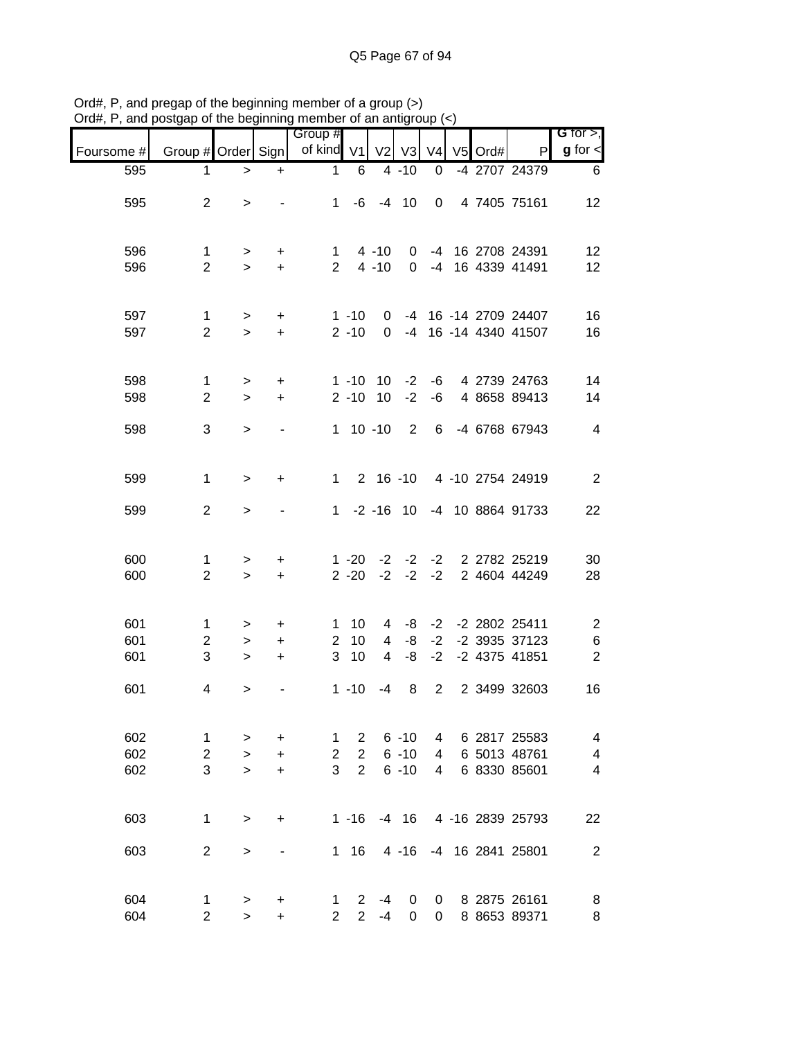|                   |                                     |                               |                               | or are beginning member or an anagi<br>Group # |                                                    |                |                                  |                |         |                                                            | G for $>$ ,                                              |
|-------------------|-------------------------------------|-------------------------------|-------------------------------|------------------------------------------------|----------------------------------------------------|----------------|----------------------------------|----------------|---------|------------------------------------------------------------|----------------------------------------------------------|
| Foursome #        | Group # Order Sign                  |                               |                               | of kind V1                                     |                                                    |                | V2 V3                            | V <sub>4</sub> | V5 Ord# | P                                                          | $g$ for $\lt$                                            |
| 595               | $\mathbf 1$                         | $\,>$                         | $\ddot{}$                     | $\mathbf 1$                                    | 6                                                  |                | $4 - 10$                         | 0              |         | -4 2707 24379                                              | 6                                                        |
| 595               | $\overline{2}$                      | $\,>$                         |                               |                                                | $1 -6 -4 10$                                       |                |                                  | $\overline{0}$ |         | 4 7405 75161                                               | 12 <sub>2</sub>                                          |
| 596<br>596        | $\mathbf 1$<br>$\overline{2}$       | $\geq$<br>$\geq$              | $\ddot{}$<br>$+$              |                                                | $\mathbf{1}$<br>$2, 4 - 10$                        | $4 - 10$       | $\mathbf 0$<br>$\Omega$          |                |         | -4 16 2708 24391<br>-4 16 4339 41491                       | 12<br>12                                                 |
| 597<br>597        | $\mathbf{1}$<br>$\overline{2}$      | $\geq$<br>$\geq$              | $+$<br>$+$                    |                                                | $1 - 10$<br>$2 - 10$                               |                |                                  |                |         | 0 -4 16 -14 2709 24407<br>0 -4 16 -14 4340 41507           | 16<br>16                                                 |
| 598<br>598        | $\mathbf{1}$<br>$\overline{2}$      | $\, > \,$<br>$\geq$           | $\ddot{}$<br>$+$              |                                                | $2 - 10$                                           | 10             | $1 - 10$ $10 - 2$<br>$-2$        | -6             |         | -6 4 2739 24763<br>4 8658 89413                            | 14<br>14                                                 |
| 598               | 3                                   | $\geq$                        |                               |                                                | $1 10 - 10$                                        |                | $\overline{\phantom{0}}$ 2       | $6^{\circ}$    |         | -4 6768 67943                                              | $\overline{\mathcal{A}}$                                 |
| 599               | $\mathbf{1}$                        | $\, > \,$                     | +                             |                                                |                                                    |                | $1 \quad 2 \quad 16 \quad -10$   |                |         | 4 -10 2754 24919                                           | $\overline{2}$                                           |
| 599               | $\overline{2}$                      | $\, > \,$                     |                               |                                                |                                                    |                |                                  |                |         | 1 -2 -16 10 -4 10 8864 91733                               | 22                                                       |
| 600<br>600        | 1<br>$\overline{2}$                 | $\, > \,$<br>$\geq$           | $\ddot{}$<br>$+$              |                                                | $2 - 20$                                           | $-2$           | $-2$                             | $-2$           |         | 1 -20 -2 -2 -2 2 2782 25219<br>2 4604 44249                | 30<br>28                                                 |
| 601<br>601<br>601 | $\mathbf{1}$<br>$\overline{2}$<br>3 | $\, > \,$<br>$\geq$<br>$\geq$ | $\ddot{}$<br>$\ddot{}$<br>$+$ |                                                | $1 \quad 10$<br>$2 \quad 10$<br>3 <sub>10</sub>    | $\overline{4}$ | -8<br>$4 - 8$                    | $-2$           |         | 4 -8 -2 -2 2802 25411<br>-2 -2 3935 37123<br>-2 4375 41851 | $\overline{\mathbf{c}}$<br>$\,6$<br>$\overline{2}$       |
| 601               | 4                                   | >                             |                               |                                                | $1 - 10$                                           | $-4$           | 8 <sup>8</sup>                   | $\overline{2}$ |         | 2 3499 32603                                               | 16                                                       |
| 602<br>602<br>602 | 1<br>$\overline{2}$<br>3            | ><br>$\geq$<br>$\geq$         | +<br>$\ddot{}$<br>$\ddot{}$   | 1<br>$\overline{2}$<br>3                       | $\overline{2}$<br>$\overline{2}$<br>$\overline{2}$ |                | $6 - 10$<br>$6 - 10$<br>$6 - 10$ | 4<br>4<br>4    |         | 6 2817 25583<br>6 5013 48761<br>6 8330 85601               | 4<br>$\overline{\mathcal{A}}$<br>$\overline{\mathbf{4}}$ |
| 603               | $\mathbf{1}$                        | $\geq$                        | +                             |                                                | $1 - 16$                                           |                | $-4$ 16                          |                |         | 4 -16 2839 25793                                           | 22                                                       |
| 603               | $\overline{2}$                      | >                             |                               |                                                | $1 \t16$                                           |                | $4 - 16$                         |                |         | -4 16 2841 25801                                           | $\overline{2}$                                           |
| 604<br>604        | 1<br>$\overline{2}$                 | ><br>$\geq$                   | +<br>$\ddot{}$                | 1<br>$\overline{2}$                            | 2<br>$\overline{2}$                                | $-4$<br>$-4$   | 0<br>0                           | 0<br>0         |         | 8 2875 26161<br>8 8653 89371                               | 8<br>8                                                   |

Ord#, P, and pregap of the beginning member of a group (>) Ord#, P, and postgap of the beginning member of an antigroup (<)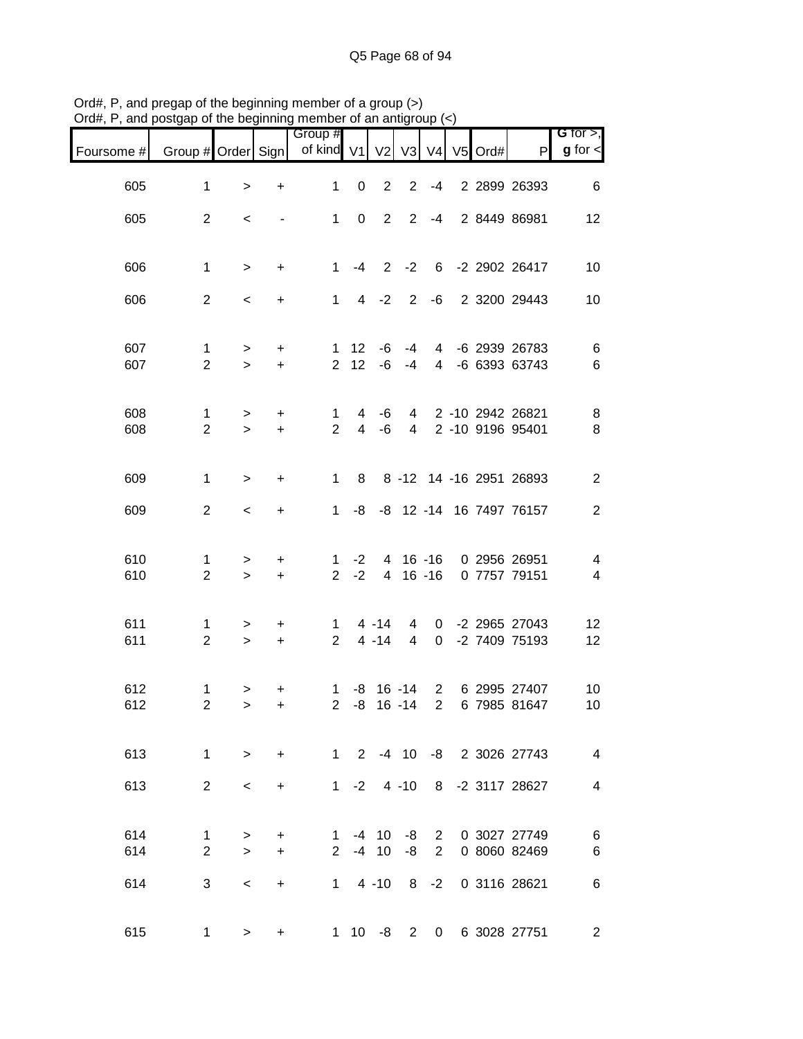| $v$ ıu $\pi,$ ı | and postgap or the beginning member or an antigroup (S) |                  |                          | Group #                       |                     |                      |                  |                |              |               |                                                      | G for $>$ ,                                          |
|-----------------|---------------------------------------------------------|------------------|--------------------------|-------------------------------|---------------------|----------------------|------------------|----------------|--------------|---------------|------------------------------------------------------|------------------------------------------------------|
| Foursome #      | Group # Order Sign                                      |                  |                          | of kind V1                    |                     | V <sub>2</sub>       |                  |                |              | V3 V4 V5 Ord# | $\mathsf{P}$                                         | $g$ for $\lt$                                        |
| 605             | $\mathbf{1}$                                            | $\,$             | $\ddot{}$                | $\mathbf{1}$                  | $\mathbf 0$         | $\overline{2}$       | $\overline{2}$   | -4             |              |               | 2 2899 26393                                         | 6                                                    |
| 605             | $\overline{2}$                                          | $\,<\,$          | $\overline{\phantom{a}}$ | $1 \quad$                     | $\overline{0}$      |                      | $2 \t2 \t-4$     |                |              |               | 2 8449 86981                                         | 12                                                   |
| 606             | $\mathbf 1$                                             | $\geq$           | $\ddot{}$                | 1                             | $-4$                |                      |                  |                |              |               | 2 -2 6 -2 2902 26417                                 | 10                                                   |
| 606             | $\overline{2}$                                          | $\,<$            | $\ddot{}$                |                               |                     | $1 \t 4 \t -2$       |                  |                |              |               | 2 -6 2 3200 29443                                    | 10                                                   |
|                 |                                                         |                  |                          |                               |                     |                      |                  |                |              |               |                                                      |                                                      |
| 607<br>607      | $\mathbf{1}$<br>$\overline{2}$                          | $\geq$<br>$\geq$ | $\ddot{}$<br>$\ddot{}$   |                               | $1 \quad 12$        | $2 \t12 \t-6$        | $-6 - 4$<br>$-4$ |                |              |               | 4 -6 2939 26783<br>4 -6 6393 63743                   | 6<br>6                                               |
|                 |                                                         |                  |                          |                               |                     |                      |                  |                |              |               |                                                      |                                                      |
| 608<br>608      | $\mathbf{1}$<br>$\overline{2}$                          | $\,>$<br>$\geq$  | $\ddot{}$<br>$+$         | $\mathbf 1$<br>$\overline{2}$ | 4<br>$\overline{4}$ | -6<br>-6             |                  |                |              |               | 4 2 -10 2942 26821<br>4 2 -10 9196 95401             | $\bf 8$<br>8                                         |
| 609             | $\mathbf{1}$                                            | $\geq$           | $\ddot{}$                | $1 \quad$                     | 8                   |                      |                  |                |              |               | 8 -12 14 -16 2951 26893                              | $\overline{2}$                                       |
| 609             | $\overline{2}$                                          | $\,<$            | $\ddot{}$                | $\mathbf{1}$                  |                     |                      |                  |                |              |               | -8 -8 12 -14 16 7497 76157                           | $\overline{2}$                                       |
|                 |                                                         |                  |                          |                               |                     |                      |                  |                |              |               |                                                      |                                                      |
| 610<br>610      | 1<br>$\overline{2}$                                     | $\,>$<br>$\geq$  | $\ddot{}$<br>$+$         | $1 \quad$<br>$\overline{2}$   | $-2$<br>$-2$        |                      | 4 16 -16         |                |              |               | 4 16 -16 0 2956 26951<br>0 7757 79151                | $\overline{\mathcal{A}}$<br>$\overline{\mathcal{A}}$ |
|                 |                                                         |                  |                          |                               |                     |                      |                  |                |              |               |                                                      |                                                      |
| 611<br>611      | $\mathbf{1}$<br>$\overline{2}$                          | $\,>$<br>$\geq$  | $\ddot{}$<br>$+$         | $1 \quad$<br>$2^{\circ}$      |                     | $4 - 14$<br>$4 - 14$ | $\overline{4}$   | $\overline{0}$ |              |               | 4 0 -2 2965 27043<br>-2 7409 75193                   | 12<br>12                                             |
|                 |                                                         |                  |                          |                               |                     |                      |                  |                |              |               |                                                      |                                                      |
| 612<br>612      | 1<br>$\overline{2}$                                     | $\,>$<br>$\geq$  | +<br>$+$                 | $1 \quad$<br>$\overline{2}$   |                     |                      |                  |                |              |               | -8 16 -14 2 6 2995 27407<br>-8 16 -14 2 6 7985 81647 | 10<br>10                                             |
| 613             | $\mathbf{1}$                                            | $\geq$           | $\ddot{}$                |                               |                     |                      |                  |                |              |               | 1 2 -4 10 -8 2 3026 27743                            | $\overline{4}$                                       |
| 613             | $\overline{2}$                                          | $\,<\,$          | $\ddot{}$                | 1                             | $-2$                |                      | $4 - 10$         |                |              |               | 8 -2 3117 28627                                      | 4                                                    |
|                 |                                                         |                  |                          |                               |                     |                      |                  |                |              |               |                                                      |                                                      |
| 614<br>614      | $\mathbf 1$<br>2                                        | ><br>$\geq$      | $\ddot{}$<br>$+$         | 1<br>$\overline{2}$           |                     | $-4$ 10<br>$-4$ 10   | -8<br>$-8$       | $\overline{2}$ |              |               | 2 0 3027 27749<br>0 8060 82469                       | 6<br>6                                               |
| 614             | 3                                                       | $\,<\,$          | $\ddot{}$                |                               |                     | $1 \t 4 \t -10$      | 8 <sup>8</sup>   | $-2$           |              |               | 0 3116 28621                                         | 6                                                    |
|                 |                                                         |                  |                          |                               |                     |                      |                  |                |              |               |                                                      |                                                      |
| 615             | $\mathbf{1}$                                            | >                | $\ddot{}$                |                               | $1 \quad 10$        | -8                   | $2^{\circ}$      |                | $\mathbf{0}$ |               | 6 3028 27751                                         | $\mathbf{2}$                                         |

Ord#, P, and pregap of the beginning member of a group (>) Ord#, P, and postgap of the beginning member of an antigroup (<)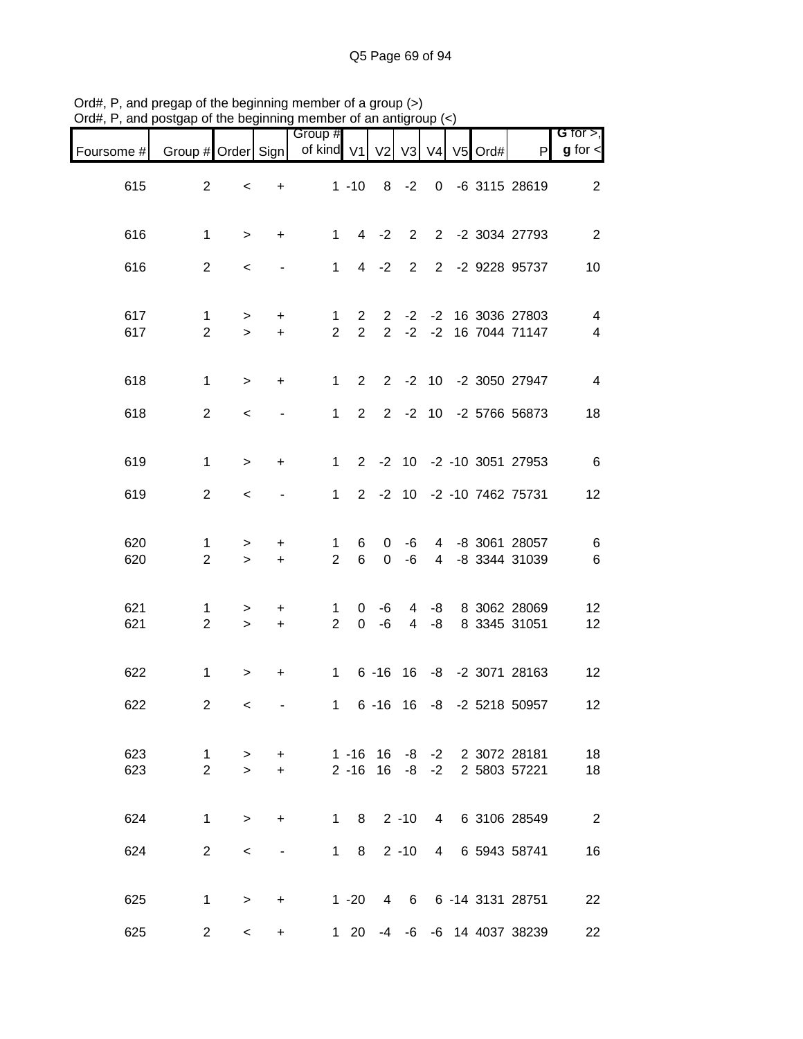|            |                                | 10009                    | .   .y                   | 1101110010101010101101                 |                               |                    |                |                 |  |                                                   |                                  |
|------------|--------------------------------|--------------------------|--------------------------|----------------------------------------|-------------------------------|--------------------|----------------|-----------------|--|---------------------------------------------------|----------------------------------|
| Foursome # | Group # Order Sign             |                          |                          | Group #<br>of kind V1 V2 V3 V4 V5 Ord# |                               |                    |                |                 |  | P                                                 | G for $>$ ,<br>$g$ for $\lt$     |
| 615        | $\overline{2}$                 | $\,<\,$                  |                          | $+$ $-$                                |                               |                    |                |                 |  | 1 -10 8 -2 0 -6 3115 28619                        | $\overline{2}$                   |
| 616        | $\mathbf{1}$                   | $\geq$                   | $+$                      | $1 \quad$                              |                               |                    |                |                 |  | 4 -2 2 2 -2 3034 27793                            | $\overline{2}$                   |
| 616        | $\overline{2}$                 | $\,<$                    |                          | $1 \quad$                              |                               |                    |                |                 |  | 4 -2 2 2 -2 9228 95737                            | 10                               |
| 617<br>617 | $\mathbf{1}$<br>$\overline{2}$ | $\geq$<br>$\geq$         | $+$<br>$+$               | $\mathbf{1}$<br>$\overline{2}$         | $2^{\circ}$<br>$\overline{2}$ |                    |                |                 |  | 2 -2 -2 16 3036 27803<br>2 -2 -2 16 7044 71147    | $\overline{4}$<br>$\overline{4}$ |
| 618        | $\mathbf{1}$                   | $\geq$                   | $+$                      |                                        |                               |                    |                |                 |  | 1 2 2 -2 10 -2 3050 27947                         | $\overline{4}$                   |
| 618        | $\overline{2}$                 | $\overline{\phantom{0}}$ | $\blacksquare$           |                                        |                               |                    |                |                 |  | 1 2 2 -2 10 -2 5766 56873                         | 18                               |
| 619        | $\mathbf{1}$                   | $\geq$                   | $+$                      | $1 -$                                  |                               |                    |                |                 |  | 2 -2 10 -2 -10 3051 27953                         | $6\overline{6}$                  |
| 619        | $\overline{2}$                 | $\prec$                  | $\blacksquare$           | 1                                      |                               |                    |                |                 |  | 2 -2 10 -2 -10 7462 75731                         | 12                               |
| 620<br>620 | $\mathbf 1$<br>$\overline{2}$  | $\geq$<br>$\geq$         | $+$<br>$+$               | $\mathbf{1}$<br>$\overline{2}$         | 6<br>$6\overline{6}$          | $\mathbf{0}$       | -6<br>$0 - 6$  |                 |  | 4 -8 3061 28057<br>4 -8 3344 31039                | $\,6$<br>$\,6$                   |
| 621<br>621 | $\mathbf{1}$<br>$\overline{2}$ | $\geq$<br>$\geq$         | $+$<br>$+$               | 1<br>$\overline{2}$                    |                               | $0 - 6$<br>$0 - 6$ | $\overline{4}$ | -8              |  | 4 -8 8 3062 28069<br>8 3345 31051                 | 12<br>12                         |
| 622        | $\mathbf{1}$                   | $\,$                     | $+$                      |                                        |                               |                    |                |                 |  | 1 6 -16 16 -8 -2 3071 28163                       | 12                               |
| 622        | $\mathbf{2}$                   | $\prec$                  |                          | $\mathbf{1}$                           |                               |                    |                |                 |  | 6 -16 16 -8 -2 5218 50957                         | 12                               |
| 623<br>623 | 1<br>$\overline{2}$            | $\geq$<br>$\geq$         | $+$<br>$+$               | $1 - 16$                               |                               | 16                 |                |                 |  | -8 -2 2 3072 28181<br>2 -16 16 -8 -2 2 5803 57221 | 18<br>18                         |
| 624        | $\mathbf{1}$                   | $\geq$                   | $+$                      |                                        | $1 \quad 8$                   |                    | $2 - 10$       |                 |  | 4 6 3106 28549                                    | 2                                |
| 624        | $\overline{2}$                 | $\,<\,$                  | $\overline{\phantom{a}}$ | $1 \quad$                              | 8                             |                    | $2 - 10$       | $4\overline{ }$ |  | 6 5943 58741                                      | 16                               |
| 625        | $\mathbf{1}$                   | $\geq$                   | $+$                      |                                        | $1 - 20$                      |                    |                |                 |  | 4 6 6 -14 3131 28751                              | 22                               |
| 625        | $\overline{2}$                 | $\prec$                  | $+$                      |                                        | $1 \quad 20$                  |                    |                |                 |  | -4 -6 -6 14 4037 38239                            | 22                               |

Ord#, P, and pregap of the beginning member of a group (>) Ord#, P, and postgap of the beginning member of an antigroup (<)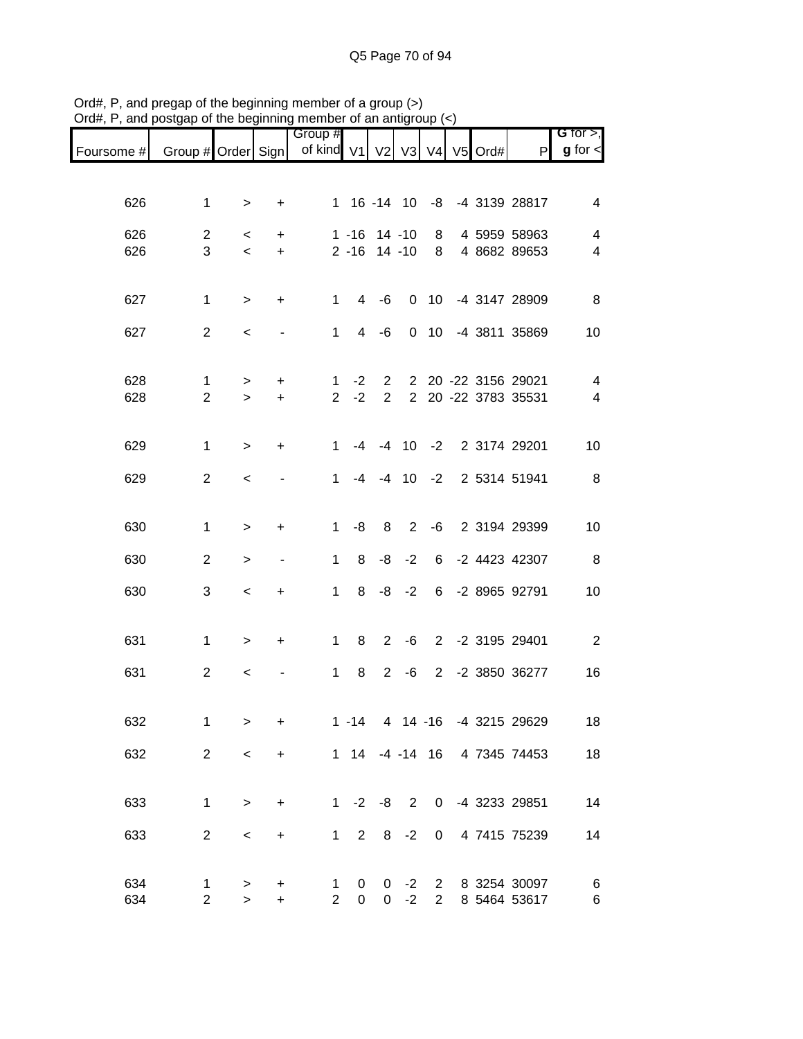|            |                     |                          |                              | Group #             |                 |                                         |                |                 |         |                                            | G for $>$ ,              |
|------------|---------------------|--------------------------|------------------------------|---------------------|-----------------|-----------------------------------------|----------------|-----------------|---------|--------------------------------------------|--------------------------|
| Foursome # | Group # Order Sign  |                          |                              | of kind V1 V2 V3 V4 |                 |                                         |                |                 | V5 Ord# | P                                          | $g$ for $\lt$            |
|            |                     |                          |                              |                     |                 |                                         |                |                 |         |                                            |                          |
| 626        | $\mathbf{1}$        | $\, > \,$                | $\ddot{}$                    |                     |                 |                                         |                |                 |         | 1 16 -14 10 -8 -4 3139 28817               | 4                        |
| 626        | $\overline{2}$      | $\,<\,$                  | $\ddot{}$                    |                     | $1 - 16$        |                                         | $14 - 10$      | 8               |         | 4 5959 58963                               | 4                        |
| 626        | 3                   | $\overline{\phantom{a}}$ | $\ddot{}$                    |                     | $2 - 16$ 14 -10 |                                         |                | 8               |         | 4 8682 89653                               | 4                        |
|            |                     |                          |                              |                     |                 |                                         |                |                 |         |                                            |                          |
| 627        | $\mathbf{1}$        | $\geq$                   | $\ddot{}$                    | $\mathbf{1}$        | 4               | -6                                      | $\Omega$       |                 |         | 10 -4 3147 28909                           | 8                        |
| 627        | $\overline{2}$      | $\,<\,$                  | $\overline{a}$               | $\mathbf{1}$        | $\overline{4}$  | -6                                      | $\Omega$       | 10 <sup>1</sup> |         | -4 3811 35869                              | 10                       |
|            |                     |                          |                              |                     |                 |                                         |                |                 |         |                                            |                          |
|            |                     |                          |                              |                     |                 |                                         |                |                 |         |                                            |                          |
| 628<br>628 | 1<br>$\overline{2}$ | ><br>$\geq$              | $\ddot{}$<br>$+$             | 1<br>$\overline{2}$ | $-2$<br>$-2$    | $\mathbf{2}^{\prime}$<br>$\overline{2}$ |                |                 |         | 2 20 -22 3156 29021<br>2 20 -22 3783 35531 | $\overline{4}$<br>4      |
|            |                     |                          |                              |                     |                 |                                         |                |                 |         |                                            |                          |
| 629        | $\mathbf{1}$        | $\geq$                   | $\ddot{}$                    | 1                   | -4              |                                         |                |                 |         | -4 10 -2 2 3174 29201                      | 10                       |
|            |                     |                          |                              |                     |                 |                                         |                |                 |         |                                            |                          |
| 629        | $\overline{2}$      | $\prec$                  |                              | $\mathbf 1$         | $-4$            |                                         | $-4$ 10 $-2$   |                 |         | 2 5314 51941                               | 8                        |
|            |                     |                          |                              |                     |                 |                                         |                |                 |         |                                            |                          |
| 630        | $\mathbf{1}$        | $\,>$                    | $\ddot{}$                    | $\mathbf{1}$        | -8              | 8                                       | 2              |                 |         | -6 2 3194 29399                            | 10                       |
| 630        | $\overline{2}$      | $\,>$                    | $\qquad \qquad \blacksquare$ | 1                   | 8               | -8                                      | $-2$           | 6               |         | -2 4423 42307                              | $_{\rm 8}$               |
|            |                     |                          |                              |                     |                 |                                         |                |                 |         |                                            |                          |
| 630        | 3                   | $\,<\,$                  | +                            | $\mathbf 1$         | 8               | -8                                      | $-2$           |                 |         | 6 -2 8965 92791                            | 10                       |
|            |                     |                          |                              |                     |                 |                                         |                |                 |         |                                            |                          |
| 631        | $\mathbf{1}$        | $\geq$                   | +                            | $\mathbf{1}$        | 8               | $\overline{2}$                          | -6             |                 |         | 2 -2 3195 29401                            | $\overline{\phantom{a}}$ |
| 631        | $\overline{2}$      | $\,<\,$                  |                              | $\mathbf{1}$        | 8               | $\overline{2}$                          | -6             | $2^{\circ}$     |         | -2 3850 36277                              | 16                       |
|            |                     |                          |                              |                     |                 |                                         |                |                 |         |                                            |                          |
| 632        | 1                   | $\geq$                   | $\ddot{}$                    |                     | $1 - 14$        |                                         |                |                 |         | 4 14 -16 -4 3215 29629                     | 18                       |
|            |                     |                          |                              |                     |                 |                                         |                |                 |         |                                            |                          |
| 632        | $\overline{2}$      | $\prec$                  | $\ddot{}$                    |                     |                 |                                         |                |                 |         | 1 14 -4 -14 16 4 7345 74453                | 18                       |
|            |                     |                          |                              |                     |                 |                                         |                |                 |         |                                            |                          |
| 633        | $\mathbf 1$         | $\,>$                    | $\ddot{}$                    |                     | $1 -2$          | -8                                      | $\overline{2}$ |                 |         | 0 -4 3233 29851                            | 14                       |
| 633        | $\overline{2}$      | $\,<\,$                  | $\ddot{}$                    | $\mathbf 1$         | $\overline{2}$  | 8                                       | $-2$           | $\mathbf{0}$    |         | 4 7415 75239                               | 14                       |
|            |                     |                          |                              |                     |                 |                                         |                |                 |         |                                            |                          |
| 634        | 1                   | >                        | +                            | 1                   | 0               | 0                                       | $-2$           | $2^{\circ}$     |         | 8 3254 30097                               | 6                        |
| 634        | $\overline{c}$      | $\, > \,$                | $\ddot{}$                    | $\overline{2}$      | 0               | $\mathbf{0}$                            | $-2$           | $2^{\circ}$     |         | 8 5464 53617                               | 6                        |

Ord#, P, and pregap of the beginning member of a group (>) Ord#, P, and postgap of the beginning member of an antigroup (<)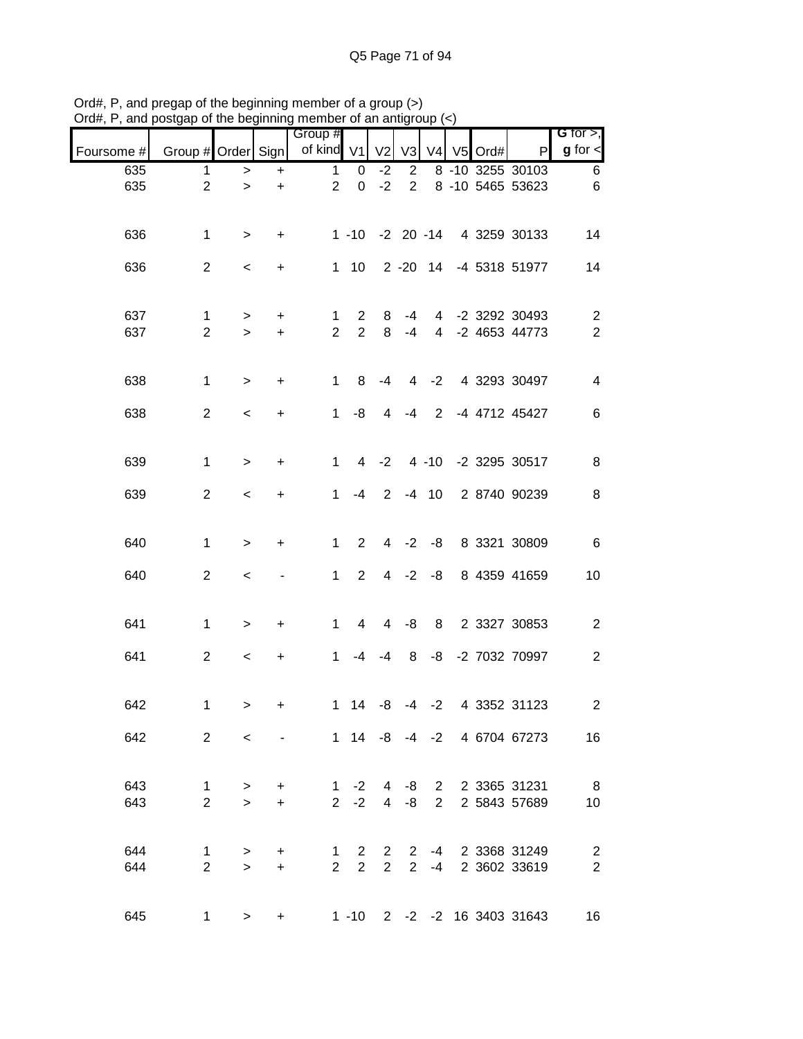|            |                               | 10009                  |                          | Group #                        |                                |                                  |                                |                |         |                                     | G for $>$ ,                      |
|------------|-------------------------------|------------------------|--------------------------|--------------------------------|--------------------------------|----------------------------------|--------------------------------|----------------|---------|-------------------------------------|----------------------------------|
| Foursome # | Group # Order Sign            |                        |                          | of kind V1 V2                  |                                |                                  | V3                             | V <sub>4</sub> | V5 Ord# | P                                   | $g$ for $\leq$                   |
| 635        | 1                             | $\, > \,$              | $\ddot{}$                | $\mathbf{1}$                   | 0                              | $-2$                             | $\overline{2}$                 |                |         | 8 -10 3255 30103                    | 6                                |
| 635        | $\overline{2}$                | $\geq$                 | $\ddot{}$                | $2^{\circ}$                    | $\mathbf 0$                    | $-2$                             | $\overline{2}$                 |                |         | 8 -10 5465 53623                    | $\,6$                            |
| 636        | $\mathbf{1}$                  | $\geq$                 | $+$                      |                                |                                |                                  |                                |                |         | 1 -10 -2 20 -14 4 3259 30133        | 14                               |
| 636        | $\overline{2}$                | $\,<$                  | $+$                      |                                |                                |                                  |                                |                |         | 1 10 2 -20 14 -4 5318 51977         | 14                               |
| 637<br>637 | $\mathbf 1$<br>$\overline{2}$ | $\, > \,$<br>$\geq$    | $+$<br>$+$               | $\mathbf{1}$<br>$\overline{2}$ | $\mathbf{2}$<br>$\overline{2}$ | 8<br>8                           | $-4$<br>$-4$                   |                |         | 4 -2 3292 30493<br>4 -2 4653 44773  | $\overline{c}$<br>$\overline{2}$ |
| 638        | $\mathbf 1$                   | $\,$                   | $+$                      | 1                              | 8                              | $-4$                             |                                |                |         | 4 -2 4 3293 30497                   | $\overline{4}$                   |
| 638        | $\overline{2}$                | $\prec$                | $\ddot{}$                | 1                              | -8                             | $\overline{4}$                   |                                |                |         | -4 2 -4 4712 45427                  | 6                                |
| 639        | $\mathbf 1$                   | $\geq$                 | $\ddot{}$                |                                | $1 \quad$                      | $4 -2$                           |                                |                |         | 4 -10 -2 3295 30517                 | $\,8\,$                          |
| 639        | $\overline{2}$                | $\,<$                  | $\ddot{}$                | $\mathbf{1}$                   | $-4$                           | $2^{\circ}$                      |                                |                |         | -4 10 2 8740 90239                  | $\,8\,$                          |
| 640        | $\mathbf 1$                   | $\,$                   | $\ddot{}$                | 1                              | $2^{\circ}$                    |                                  |                                |                |         | 4 -2 -8 8 3321 30809                | 6                                |
| 640        | $\overline{2}$                | $\,<$                  | $\overline{\phantom{a}}$ | $1 -$                          | $2^{\circ}$                    |                                  |                                |                |         | 4 -2 -8 8 4359 41659                | 10                               |
| 641        | $\mathbf{1}$                  | $\,$                   | $\ddot{}$                |                                | $1 \quad 4$                    |                                  |                                |                |         | 4 -8 8 2 3327 30853                 | $\sqrt{2}$                       |
| 641        | $\overline{2}$                | $\,<$                  | $\ddot{}$                | $\mathbf 1$                    | $-4$                           |                                  |                                |                |         | -4 8 -8 -2 7032 70997               | $\mathbf{2}$                     |
| 642        | 1                             | $\,$                   | +                        |                                | $1 \quad 14$                   | -8                               | -4                             | $-2$           |         | 4 3352 31123                        | $\overline{2}$                   |
| 642        |                               | $2^{\circ}$<br>$\prec$ |                          |                                |                                |                                  |                                |                |         | 1 14 -8 -4 -2 4 6704 67273          | 16                               |
| 643<br>643 | $\mathbf 1$<br>$\overline{2}$ | $\geq$<br>$\geq$       | $\ddot{}$<br>$\ddot{}$   |                                | $1 -2$<br>$2 -2$               | 4                                | $4 - 8$                        |                |         | -8 2 2 3365 31231<br>2 2 5843 57689 | 8 <sup>8</sup><br>10             |
| 644<br>644 | 1<br>$\overline{2}$           | $\, > \,$<br>$\geq$    | $\ddot{}$<br>$+$         | $\mathbf{1}$<br>$\overline{2}$ | $\overline{2}$<br>2            | $\overline{2}$<br>$\overline{2}$ | $\mathbf{2}$<br>$\overline{2}$ | $-4$           |         | -4 2 3368 31249<br>2 3602 33619     | $\overline{c}$<br>$\overline{2}$ |
| 645        |                               | $1 \quad$<br>$\geq$    | $+$                      |                                | $1 - 10$                       |                                  |                                |                |         | 2 -2 -2 16 3403 31643               | 16                               |

Ord#, P, and pregap of the beginning member of a group (>) Ord#, P, and postgap of the beginning member of an antigroup (<)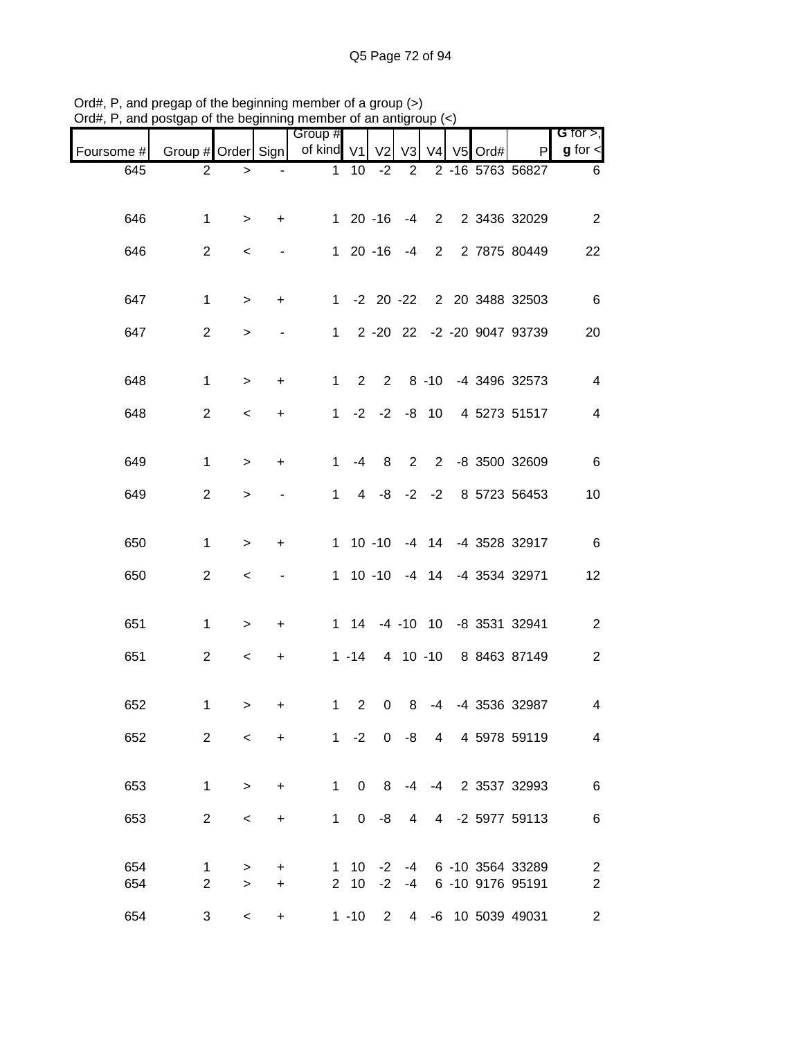|            |                    | uio poginimig |           | unuu                  |                | vi an aniyi    |                   |                |         |                              |                              |
|------------|--------------------|---------------|-----------|-----------------------|----------------|----------------|-------------------|----------------|---------|------------------------------|------------------------------|
| Foursome # | Group # Order Sign |               |           | Group #<br>of kind V1 |                | V <sub>2</sub> | V <sub>3</sub>    | V <sub>4</sub> | V5 Ord# | P                            | G for $>$ ,<br>$g$ for $\lt$ |
| 645        | $\overline{2}$     | $\, >$        |           | $\mathbf{1}$          | 10             | $-2$           | 2                 |                |         | 2 -16 5763 56827             | 6                            |
|            |                    |               |           |                       |                |                |                   |                |         |                              |                              |
| 646        | $\mathbf{1}$       | $\, > \,$     | $\ddot{}$ |                       | $120 - 16$     |                | $-4$              |                |         | 2 2 3436 32029               | 2                            |
| 646        | $\overline{a}$     | $\,<\,$       |           |                       | $120 - 16$     |                | $-4$              |                |         | 2 2 7875 80449               | 22                           |
|            |                    |               |           |                       |                |                |                   |                |         |                              |                              |
| 647        | $\mathbf{1}$       | $\,>$         | +         |                       |                |                |                   |                |         | 1 -2 20 -22 2 20 3488 32503  | 6                            |
| 647        | $\overline{2}$     | $\geq$        |           | $1 \quad$             |                |                |                   |                |         | 2 -20 22 -2 -20 9047 93739   | 20                           |
|            |                    |               |           |                       |                |                |                   |                |         |                              |                              |
| 648        | $\mathbf{1}$       | $\, > \,$     | +         | $\mathbf{1}$          | $2^{\circ}$    |                |                   |                |         | 2 8 -10 -4 3496 32573        | $\overline{4}$               |
| 648        | $\overline{2}$     | $\,<\,$       | +         | $\mathbf{1}$          |                |                | $-2$ $-2$ $-8$ 10 |                |         | 4 5273 51517                 | $\overline{4}$               |
|            |                    |               |           |                       |                |                |                   |                |         |                              |                              |
| 649        | $\mathbf{1}$       | $\, > \,$     | +         | $\mathbf 1$           | -4             | 8              | $\overline{2}$    |                |         | 2 -8 3500 32609              | $\,6$                        |
| 649        | $\overline{c}$     | $\, > \,$     |           | $\mathbf 1$           |                |                |                   |                |         | 4 -8 -2 -2 8 5723 56453      | 10                           |
|            |                    |               |           |                       |                |                |                   |                |         |                              |                              |
| 650        | $\mathbf{1}$       | $\, >$        | +         |                       |                |                |                   |                |         | 1 10 -10 -4 14 -4 3528 32917 | 6                            |
| 650        | $\overline{2}$     | $\,<\,$       |           |                       | 1 10 -10 -4 14 |                |                   |                |         | -4 3534 32971                | 12                           |
| 651        | $\mathbf{1}$       |               |           |                       |                |                |                   |                |         | 1 14 -4 -10 10 -8 3531 32941 |                              |
|            |                    | $\, > \,$     | +         |                       |                |                |                   |                |         |                              | $\overline{c}$               |
| 651        | $\overline{2}$     | $\,<\,$       | $\ddot{}$ |                       | $1 - 14$       |                |                   |                |         | 4 10 -10 8 8463 87149        | $\overline{2}$               |
| 652        |                    |               |           |                       | $1\quad 2$     |                | 0 <sub>8</sub>    | -4             |         | -4 3536 32987                | 4                            |
|            | 1                  | $\geq$        | +         |                       |                |                |                   |                |         |                              |                              |
| 652        | $\overline{2}$     | $\prec$       | $+$       |                       |                |                |                   |                |         | 1 -2 0 -8 4 4 5978 59119     | 4                            |
| 653        | $\mathbf 1$        | $\, >$        | $\ddot{}$ | 1                     | $\mathbf 0$    | 8              | -4                |                |         | -4 2 3537 32993              | 6                            |
|            |                    |               |           |                       |                |                |                   |                |         |                              |                              |
| 653        | $\overline{2}$     | $\,<\,$       | $\ddot{}$ | 1                     | $\overline{0}$ | -8             | $\overline{4}$    |                |         | 4 -2 5977 59113              | 6                            |
| 654        | $\mathbf 1$        | $\, > \,$     | +         |                       | $1 \t10 \t-2$  |                |                   |                |         | -4 6 -10 3564 33289          | $\overline{2}$               |
| 654        | $\overline{2}$     | $\geq$        | $\pm$     |                       | $2 \quad 10$   |                |                   |                |         | -2 -4 6 -10 9176 95191       | $\overline{c}$               |
| 654        | 3                  | $\,<\,$       | $\ddot{}$ |                       | $1 - 10$       | $2^{\circ}$    |                   |                |         | 4 -6 10 5039 49031           | $\overline{c}$               |

Ord#, P, and pregap of the beginning member of a group (>) Ord#, P, and postgap of the beginning member of an antigroup (<)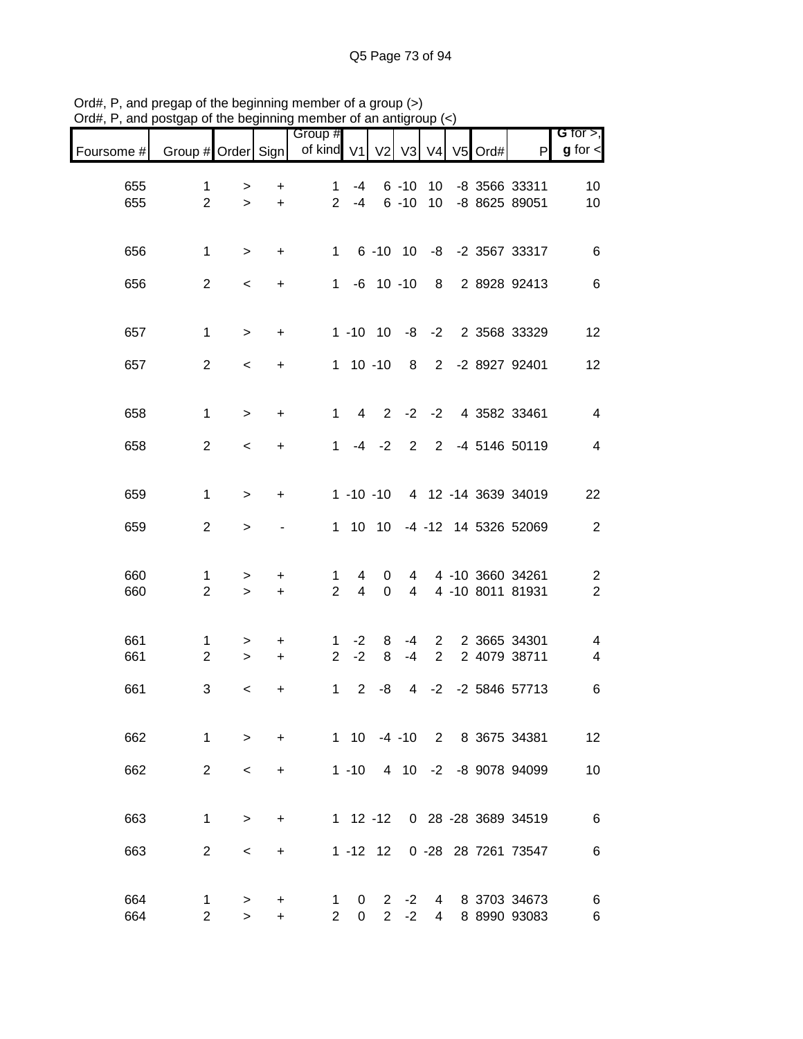|            | and postgap or the beginning member or an antigroup |             |           |                       |                             |                     |                |                 |           |                              |                              |
|------------|-----------------------------------------------------|-------------|-----------|-----------------------|-----------------------------|---------------------|----------------|-----------------|-----------|------------------------------|------------------------------|
| Foursome # | Group # Order Sign                                  |             |           | Group #<br>of kind V1 |                             | V <sub>2</sub>      | V3             | V <sub>4</sub>  | $V5$ Ord# | P                            | G for $>$ ,<br>$g$ for $\lt$ |
| 655        | 1                                                   | $\, > \,$   | +         | $\mathbf{1}$          | $-4$                        |                     | $6 - 10$       | 10 <sup>°</sup> |           | -8 3566 33311                | 10                           |
| 655        | $\overline{2}$                                      | $\geq$      | $+$       |                       | $2 - 4$                     |                     | $6 - 10$       | 10 <sup>1</sup> |           | -8 8625 89051                | 10                           |
| 656        | $\mathbf{1}$                                        | $\, > \,$   | $\ddot{}$ |                       |                             |                     |                |                 |           | 1 6 -10 10 -8 -2 3567 33317  | 6                            |
| 656        | $\overline{2}$                                      | $\,<$       | $\ddot{}$ |                       | $1 -6 10 -10$               |                     |                |                 |           | 8 2 8928 92413               | $\,6$                        |
| 657        | $\mathbf{1}$                                        | $\,>$       | $\ddot{}$ |                       |                             |                     |                |                 |           | 1 -10 10 -8 -2 2 3568 33329  | 12                           |
| 657        | $\overline{2}$                                      | $\,<$       | $\ddot{}$ |                       | $1 10 - 10$                 |                     |                |                 |           | 8 2 -2 8927 92401            | 12                           |
| 658        | $\mathbf{1}$                                        | $\geq$      | $\ddot{}$ |                       | $\overline{4}$<br>$1 \quad$ | $\overline{2}$      | $-2$           |                 |           | -2 4 3582 33461              | $\overline{4}$               |
|            |                                                     |             |           |                       |                             |                     |                |                 |           |                              |                              |
| 658        | $\overline{c}$                                      | $\,<$       | $\ddot{}$ | $\mathbf{1}$          |                             | $-4 -2$             | 2              |                 |           | 2 -4 5146 50119              | $\overline{4}$               |
| 659        | $\mathbf{1}$                                        | $\,>$       | $\ddot{}$ |                       | $1 - 10 - 10$               |                     |                |                 |           | 4 12 -14 3639 34019          | 22                           |
| 659        | $\overline{2}$                                      | $\, >$      |           |                       | 1 10 10                     |                     |                |                 |           | -4 -12 14 5326 52069         | $\overline{c}$               |
| 660        | 1                                                   | >           | $\ddot{}$ | 1.                    | 4                           | 0                   |                |                 |           | 4 4 -10 3660 34261           | $\overline{\mathbf{c}}$      |
| 660        | $\overline{2}$                                      | $\,>$       | $\ddot{}$ | $\overline{2}$        | $\overline{4}$              | $\mathbf 0$         | $\overline{4}$ |                 |           | 4 -10 8011 81931             | $\overline{2}$               |
| 661        | $\mathbf{1}$                                        | >           | $\ddot{}$ | 1                     | $-2$                        | 8                   | -4             | $2^{\circ}$     |           | 2 3665 34301                 | 4                            |
| 661        | $\overline{2}$                                      | $\, > \,$   | $\ddot{}$ | $\overline{2}$        | $-2$                        | 8                   | $-4$           | $\overline{2}$  |           | 2 4079 38711                 | 4                            |
| 661        | 3                                                   | $\,<\,$     | +         |                       | $1 \quad 2$                 | -8                  |                | $4 -2$          |           | -2 5846 57713                | $\,6$                        |
| 662        | 1.                                                  | $\geq$      | +         |                       | 1 10                        |                     |                |                 |           | -4 -10 2 8 3675 34381        | 12                           |
| 662        | $\overline{2}$                                      | $\,<\,$     | $\ddot{}$ |                       | $1 - 10$                    |                     | 4 10           | $-2$            |           | -8 9078 94099                | 10                           |
| 663        | $\mathbf{1}$                                        | $\geq$      | +         |                       | $1 12 - 12$                 |                     |                |                 |           | 0 28 -28 3689 34519          | 6                            |
| 663        | $\overline{2}$                                      | $\,<\,$     | +         |                       | $1 - 12$ 12                 |                     |                |                 |           | 0 -28 28 7261 73547          | 6                            |
|            |                                                     |             |           |                       |                             |                     |                |                 |           |                              |                              |
| 664<br>664 | 1<br>$\overline{2}$                                 | ><br>$\geq$ | +<br>$+$  | 1<br>$\overline{2}$   | 0<br>$\mathbf 0$            | 2<br>$\overline{2}$ | -2<br>$-2$     | 4<br>4          |           | 8 3703 34673<br>8 8990 93083 | 6<br>6                       |

Ord#, P, and pregap of the beginning member of a group (>) Ord#, P, and postgap of the beginning member of an antigroup (<)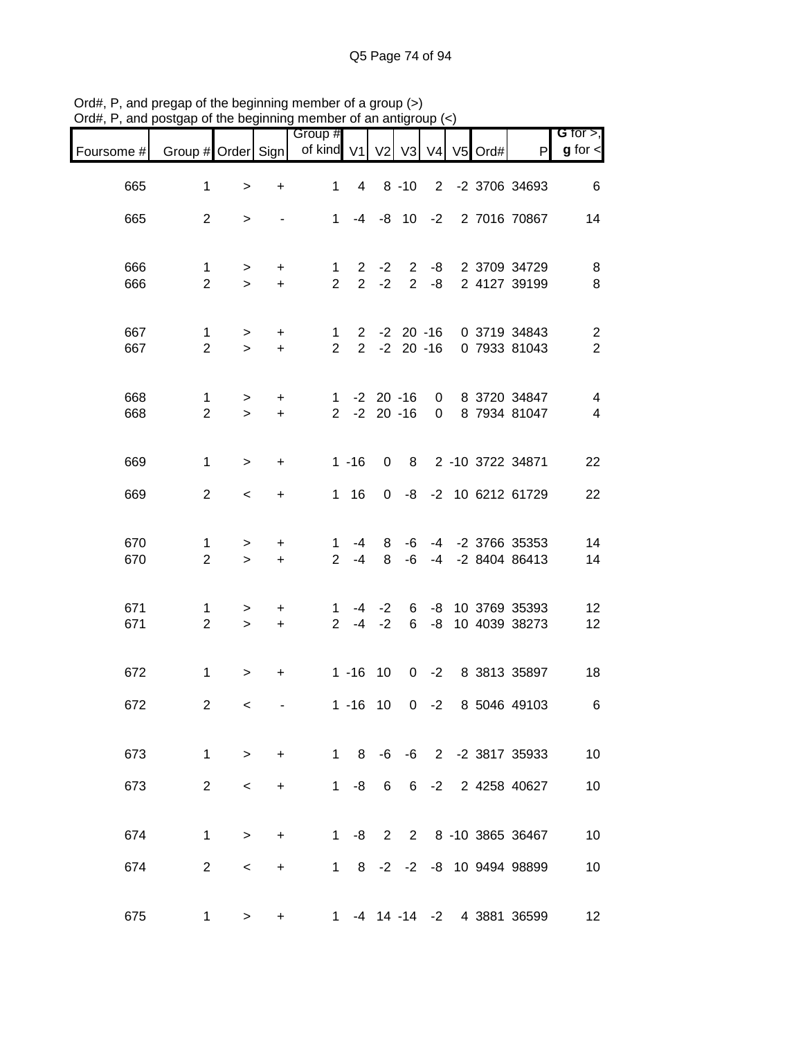| $71$ u $\pi,1$ | , and postgap or the beginning member or an antigroup $(\leq)$ |                  |                        |                                |                 |                                  |            |                |         |                                                      |                                           |
|----------------|----------------------------------------------------------------|------------------|------------------------|--------------------------------|-----------------|----------------------------------|------------|----------------|---------|------------------------------------------------------|-------------------------------------------|
| Foursome #     | Group # Order Sign                                             |                  |                        | Group #<br>of kind V1          |                 | V <sub>2</sub>                   | V3         | V <sub>4</sub> | V5 Ord# | P                                                    | G for $>$ ,<br>$g$ for $\leq$             |
| 665            | 1                                                              | $\geq$           | +                      | $\mathbf{1}$                   | $4\overline{ }$ |                                  | $8 - 10$   |                |         | 2 -2 3706 34693                                      | 6                                         |
| 665            | $\overline{2}$                                                 | $\,>$            | $\blacksquare$         | $1 \quad$                      |                 |                                  |            |                |         | -4 -8 10 -2 2 7016 70867                             | 14                                        |
| 666<br>666     | $\mathbf{1}$<br>$\overline{2}$                                 | $\geq$<br>$\geq$ | $\ddot{}$<br>$+$       | $\mathbf{1}$<br>$\overline{2}$ | $2^{\circ}$     | $2 -2$<br>$-2$                   |            | $2 - 8$        |         | 2 -8 2 3709 34729<br>2 4127 39199                    | 8<br>8                                    |
| 667<br>667     | $\mathbf{1}$<br>$\overline{2}$                                 | $\geq$<br>$\geq$ | $\ddot{}$<br>$+$       | $\mathbf{1}$<br>$\overline{2}$ |                 |                                  |            |                |         | 2 -2 20 -16 0 3719 34843<br>2 -2 20 -16 0 7933 81043 | $\overline{\mathbf{c}}$<br>$\overline{2}$ |
| 668<br>668     | 1<br>$\overline{2}$                                            | $\,>$<br>$\geq$  | $\ddot{}$<br>$\ddot{}$ | $2^{\circ}$                    |                 | $1 - 2 20 - 16$<br>$-2$ 20 $-16$ |            |                |         | 0 8 3720 34847<br>0 8 7934 81047                     | $\overline{4}$<br>$\overline{4}$          |
| 669            | $\mathbf{1}$                                                   | $\geq$           | $\ddot{}$              |                                | $1 - 16$        | 0                                |            |                |         | 8 2 -10 3722 34871                                   | 22                                        |
| 669            | $\overline{2}$                                                 | $\,<\,$          | $\ddot{}$              |                                | $1 \t16$        |                                  |            |                |         | 0 -8 -2 10 6212 61729                                | 22                                        |
| 670<br>670     | 1<br>$\overline{2}$                                            | $\,>$<br>$\geq$  | $\ddot{}$<br>$+$       | $\mathbf 1$<br>$\overline{2}$  | $-4$<br>-4      | 8<br>8                           | -6<br>$-6$ | $-4$           |         | -4 -2 3766 35353<br>-2 8404 86413                    | 14<br>14                                  |
| 671<br>671     | 1<br>$\overline{2}$                                            | ><br>$\geq$      | +<br>$+$               | $2^{\circ}$                    |                 | $1 -4 -2$<br>$-4$ $-2$           | 6          |                |         | 6 -8 10 3769 35393<br>-8 10 4039 38273               | 12<br>12                                  |
| 672            | $\mathbf{1}$                                                   | $\geq$           | $\ddot{}$              |                                |                 | $1 - 16$ 10                      |            |                |         | 0 -2 8 3813 35897                                    | 18                                        |
| 672            | $\mathbf{2}$                                                   | $\prec$          |                        |                                |                 |                                  |            |                |         | 1 -16 10 0 -2 8 5046 49103                           | 6                                         |
| 673            | $\mathbf{1}$                                                   | $\geq$           | $+$                    |                                |                 |                                  |            |                |         | 1 8 -6 -6 2 -2 3817 35933                            | 10                                        |
| 673            | $\overline{2}$                                                 | $\,<\,$          | $\ddot{}$              | 1                              | -8              | 6                                |            |                |         | 6 -2 2 4258 40627                                    | 10                                        |
| 674            | $\mathbf{1}$                                                   | $\geq$           | $\ddot{}$              |                                | $1 - 8$         |                                  |            |                |         | 2 2 8 -10 3865 36467                                 | 10                                        |
| 674            | $\overline{2}$                                                 | $\,<\,$          | $+$                    |                                |                 |                                  |            |                |         | 1 8 -2 -2 -8 10 9494 98899                           | 10                                        |
| 675            | $\mathbf 1$                                                    | $\mathbf{r}$     | +                      |                                |                 |                                  |            |                |         | 1 -4 14 -14 -2 4 3881 36599                          | 12                                        |

Ord#, P, and pregap of the beginning member of a group (>) Ord#, P, and postgap of the beginning member of an antigroup (<)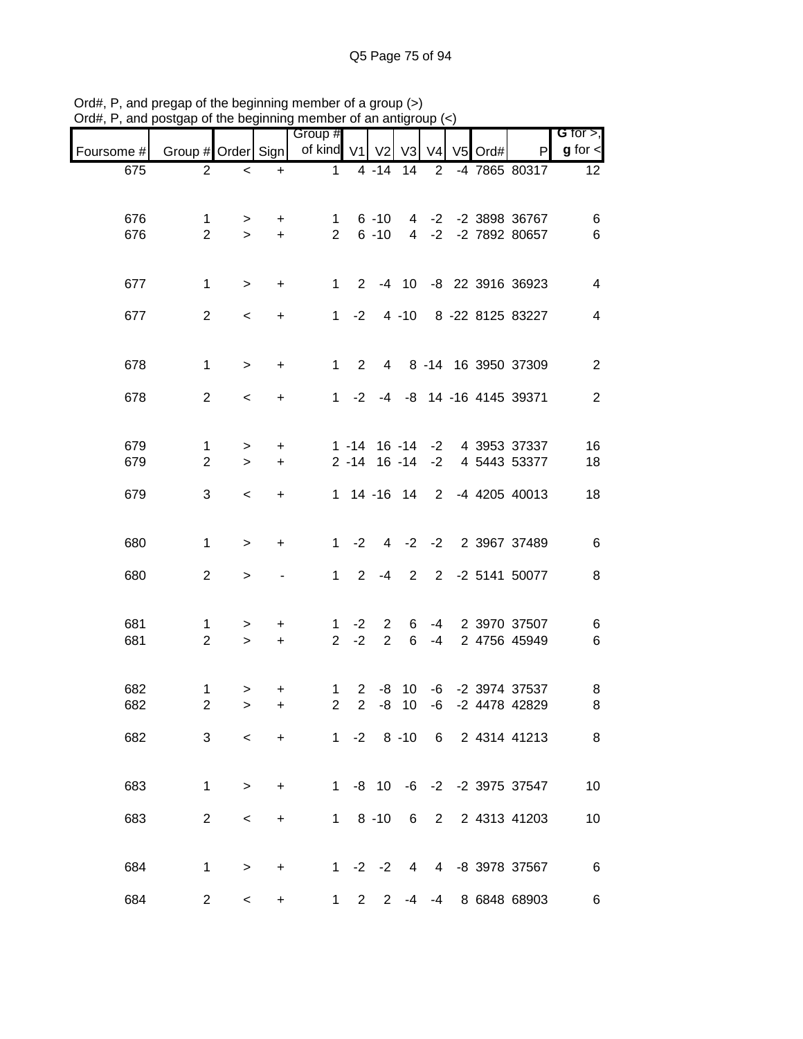| $71$ u $\pi,1$<br>, anu | posigap or the beginning member or an antign |                          |            |                       |                 |                                  |                   | υuμ.           |         |                                 |                               |
|-------------------------|----------------------------------------------|--------------------------|------------|-----------------------|-----------------|----------------------------------|-------------------|----------------|---------|---------------------------------|-------------------------------|
| Foursome #              | Group # Order Sign                           |                          |            | Group #<br>of kind V1 |                 | V <sub>2</sub>                   | V3                | V <sub>4</sub> | V5 Ord# | P                               | G for $>$ ,<br>$g$ for $\leq$ |
| 675                     | $\overline{2}$                               | $\,<$                    | $\ddot{}$  | $\mathbf{1}$          |                 | $4 - 14$                         | 14                | 2              |         | -4 7865 80317                   | 12 <sup>2</sup>               |
|                         |                                              |                          |            |                       |                 |                                  |                   |                |         |                                 |                               |
| 676                     | 1                                            | >                        | $\pm$      | $\mathbf{1}$          |                 | $6 - 10$                         |                   |                |         | 4 -2 -2 3898 36767              | 6                             |
| 676                     | $\overline{2}$                               | $\geq$                   | $+$        | $2^{\circ}$           |                 | $6 - 10$                         |                   |                |         | 4 -2 -2 7892 80657              | $\,6\,$                       |
| 677                     | $\mathbf{1}$                                 | $\, >$                   | $\ddot{}$  | 1                     |                 |                                  |                   |                |         | 2 -4 10 -8 22 3916 36923        | 4                             |
| 677                     | $\overline{2}$                               | $\,<$                    | $\ddot{}$  |                       |                 |                                  |                   |                |         | 1 -2 4 -10 8 -22 8125 83227     | $\overline{4}$                |
| 678                     | $\mathbf{1}$                                 | $\, > \,$                | $\ddot{}$  | 1                     | $\overline{2}$  |                                  |                   |                |         | 4 8 -14 16 3950 37309           | $\overline{2}$                |
| 678                     | $\overline{2}$                               | $\prec$                  | $\ddot{}$  |                       | $1 -2$          |                                  |                   |                |         | -4 -8 14 -16 4145 39371         | 2                             |
| 679                     | 1                                            | >                        | $\ddot{}$  |                       |                 |                                  | $1 - 14$ 16 $-14$ |                |         | -2 4 3953 37337                 | 16                            |
| 679                     | $\overline{2}$                               | $\geq$                   | $\ddot{}$  |                       |                 |                                  | $2 - 14$ 16 $-14$ | $-2$           |         | 4 5443 53377                    | 18                            |
| 679                     | 3                                            | $\,<\,$                  | $\ddot{}$  |                       |                 |                                  | 1 14 -16 14 2     |                |         | -4 4205 40013                   | 18                            |
| 680                     | $\mathbf{1}$                                 | $\,>$                    | $\ddot{}$  | $1 \quad$             | $-2$            |                                  |                   |                |         | 4 -2 -2 2 3967 37489            | $\,6$                         |
| 680                     | $\overline{2}$                               | $\, > \,$                |            | 1                     | $2^{\circ}$     | $-4$                             | $\overline{2}$    |                |         | 2 -2 5141 50077                 | 8                             |
| 681<br>681              | 1<br>$\overline{2}$                          | ><br>$\geq$              | $+$<br>$+$ | $\mathbf{1}$          | $-2$<br>$2 - 2$ | $\overline{2}$<br>$\overline{2}$ | 6<br>6            | $-4$           |         | -4 2 3970 37507<br>2 4756 45949 | 6<br>$\,6$                    |
| 682                     | 1                                            |                          | +          | $\mathbf{1}$          |                 |                                  |                   |                |         | 2 -8 10 -6 -2 3974 37537        | 8                             |
| 682                     | $\overline{2}$                               | ><br>>                   | +          | $\overline{2}$        | 2 <sup>1</sup>  |                                  | $-8$ 10           | -6             |         | -2 4478 42829                   | 8                             |
| 682                     | 3                                            | $\lt$                    | $\ddot{}$  |                       |                 |                                  |                   |                |         | 1 -2 8 -10 6 2 4314 41213       | 8                             |
| 683                     | 1                                            | $\geq$                   | $\ddot{}$  |                       |                 | $1 - 8 10$                       |                   |                |         | -6 -2 -2 3975 37547             | 10                            |
| 683                     | $\overline{2}$                               | $\,<\,$                  | $\ddot{}$  | $1 \quad$             |                 | $8 - 10$                         | 6                 | $2^{\circ}$    |         | 2 4313 41203                    | 10                            |
| 684                     | $\mathbf 1$                                  | $\,>$                    | $\ddot{}$  |                       |                 |                                  | $1 -2 -2 4$       |                |         | 4 -8 3978 37567                 | 6                             |
| 684                     | 2 <sup>1</sup>                               | $\overline{\phantom{a}}$ | $\ddot{}$  | $1 \quad$             |                 | $2^{\circ}$<br>$2^{\circ}$       | -4                | -4             |         | 8 6848 68903                    | 6                             |

Ord#, P, and pregap of the beginning member of a group (>) Ord#, P, and postgap of the beginning member of an antigroup (<)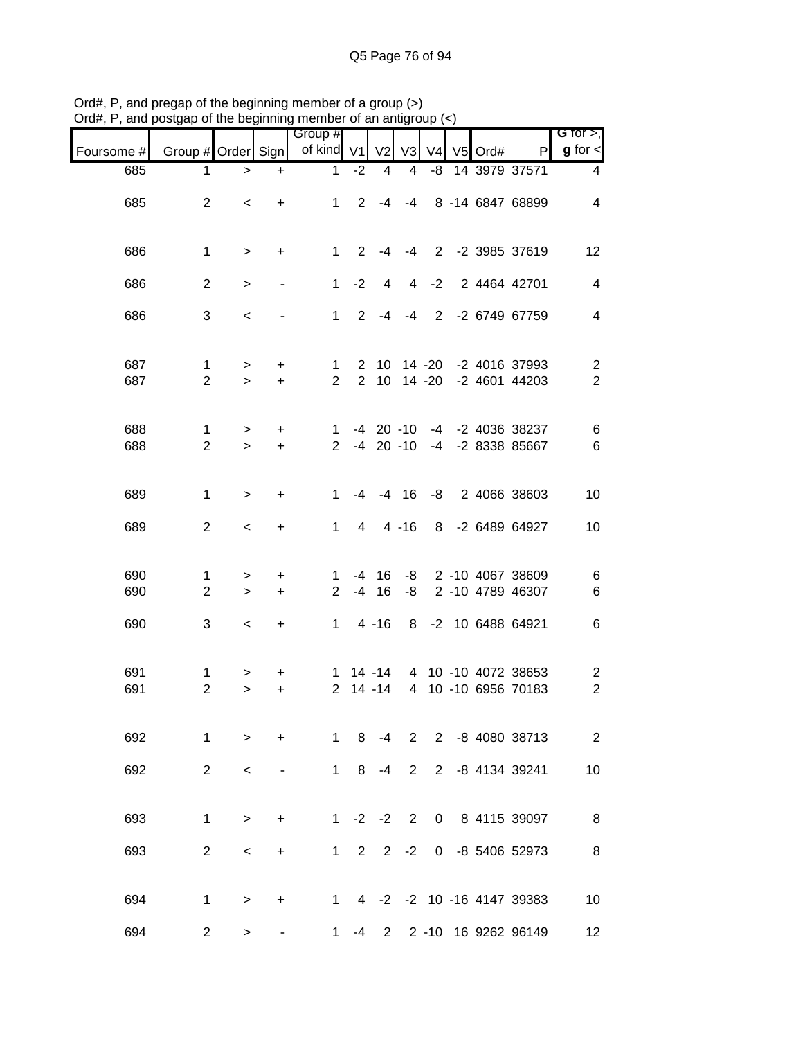|            | sugap or the beginning         |                     |                  | וטוווטטו                      |                | u an anny                  |                                |                |         |                                                        |                                           |
|------------|--------------------------------|---------------------|------------------|-------------------------------|----------------|----------------------------|--------------------------------|----------------|---------|--------------------------------------------------------|-------------------------------------------|
| Foursome # | Group # Order Sign             |                     |                  | Group #<br>of kind V1         |                | V <sub>2</sub>             | V3                             | V <sub>4</sub> | V5 Ord# | P                                                      | G for $>$ ,<br>$g$ for $\leq$             |
| 685        | 1.                             | $\, >$              | $\ddot{}$        | $\mathbf{1}$                  | $-2$           | 4                          | 4                              | -8             |         | 14 3979 37571                                          | 4                                         |
| 685        | $\overline{2}$                 | $\,<$               | $\ddot{}$        | $1 \quad$                     |                |                            | $2 - 4 - 4$                    |                |         | 8 -14 6847 68899                                       | $\overline{\mathbf{4}}$                   |
| 686        | $\mathbf{1}$                   | $\, > \,$           | $+$              | $1 \quad$                     |                |                            | $2 - 4 - 4$                    |                |         | 2 -2 3985 37619                                        | 12                                        |
| 686        | $\overline{2}$                 | $\, > \,$           |                  | 1                             | $-2$           | $\overline{4}$             | 4                              | $-2$           |         | 2 4464 42701                                           | $\overline{\mathbf{4}}$                   |
| 686        | 3                              | $\,<\,$             |                  | $1 \quad$                     |                |                            | $2 - 4 - 4$                    |                |         | 2 -2 6749 67759                                        | $\overline{\mathbf{4}}$                   |
| 687<br>687 | $\mathbf{1}$<br>$\overline{2}$ | ><br>$\geq$         | $\ddot{}$<br>$+$ | $\mathbf 1$<br>$\overline{2}$ |                |                            |                                |                |         | 2 10 14 -20 -2 4016 37993<br>2 10 14 -20 -2 4601 44203 | $\overline{c}$<br>$\overline{2}$          |
| 688<br>688 | $\mathbf{1}$<br>$\overline{2}$ | $\, > \,$<br>$\geq$ | $\ddot{}$<br>$+$ | 1<br>$2^{\circ}$              |                |                            | $-4$ 20 $-10$<br>$-4$ 20 $-10$ |                |         | -4 -2 4036 38237<br>-4 -2 8338 85667                   | 6<br>$\,6$                                |
| 689        | $\mathbf{1}$                   | $\, > \,$           | $\ddot{}$        | $\mathbf 1$                   |                |                            | $-4$ $-4$ 16                   | -8             |         | 2 4066 38603                                           | 10                                        |
| 689        | $\overline{2}$                 | $\,<\,$             | $\ddot{}$        | $\mathbf 1$                   | $\overline{4}$ |                            | $4 - 16$                       |                |         | 8 -2 6489 64927                                        | 10                                        |
| 690<br>690 | 1<br>$\overline{2}$            | $\,>$<br>$\,$       | $\ddot{}$<br>$+$ | 1.<br>$2^{\circ}$             |                | $-4$ 16<br>$-4$ 16         | -8                             |                |         | -8 2 -10 4067 38609<br>2 -10 4789 46307                | 6<br>$\,6$                                |
| 690        | 3                              | $\,<\,$             | $\ddot{}$        |                               |                | $1 \quad 4 \quad -16$      |                                |                |         | 8 -2 10 6488 64921                                     | $\,6$                                     |
| 691<br>691 | $\mathbf{1}$<br>$\overline{2}$ | ><br>$\, > \,$      | +<br>$\ddot{}$   | $\overline{2}$                |                | $1 \t14 - 14$<br>$14 - 14$ |                                |                |         | 4 10 -10 4072 38653<br>4 10 -10 6956 70183             | $\overline{\mathbf{c}}$<br>$\overline{2}$ |
| 692        | 1                              | $\geq$              | $\ddot{}$        | $1 \quad$                     |                | $8 - 4$                    |                                |                |         | 2 2 -8 4080 38713                                      | $\overline{\phantom{a}}$                  |
| 692        | $\overline{2}$                 | $\,<\,$             |                  | $1 \quad$                     |                | $8 - 4$                    | 2                              |                |         | 2 -8 4134 39241                                        | 10                                        |
| 693        | $\mathbf{1}$                   | $\, > \,$           | $\ddot{}$        |                               |                | $1 -2 -2$                  | 2                              |                |         | 0 8 4115 39097                                         | 8                                         |
| 693        | $\overline{2}$                 | $\,<\,$             | $+$              |                               | $1\quad 2$     |                            | $2 -2$                         |                |         | 0 -8 5406 52973                                        | 8                                         |
| 694        | $\mathbf 1$                    | $\,>$               | $+$              |                               |                |                            |                                |                |         | 1 4 -2 -2 10 -16 4147 39383                            | 10                                        |
| 694        | $\overline{2}$                 | $\, > \,$           |                  | $1 \quad$                     |                |                            |                                |                |         | -4 2 2 -10 16 9262 96149                               | 12                                        |

Ord#, P, and pregap of the beginning member of a group (>) Ord#, P, and postgap of the beginning member of an antigroup (<)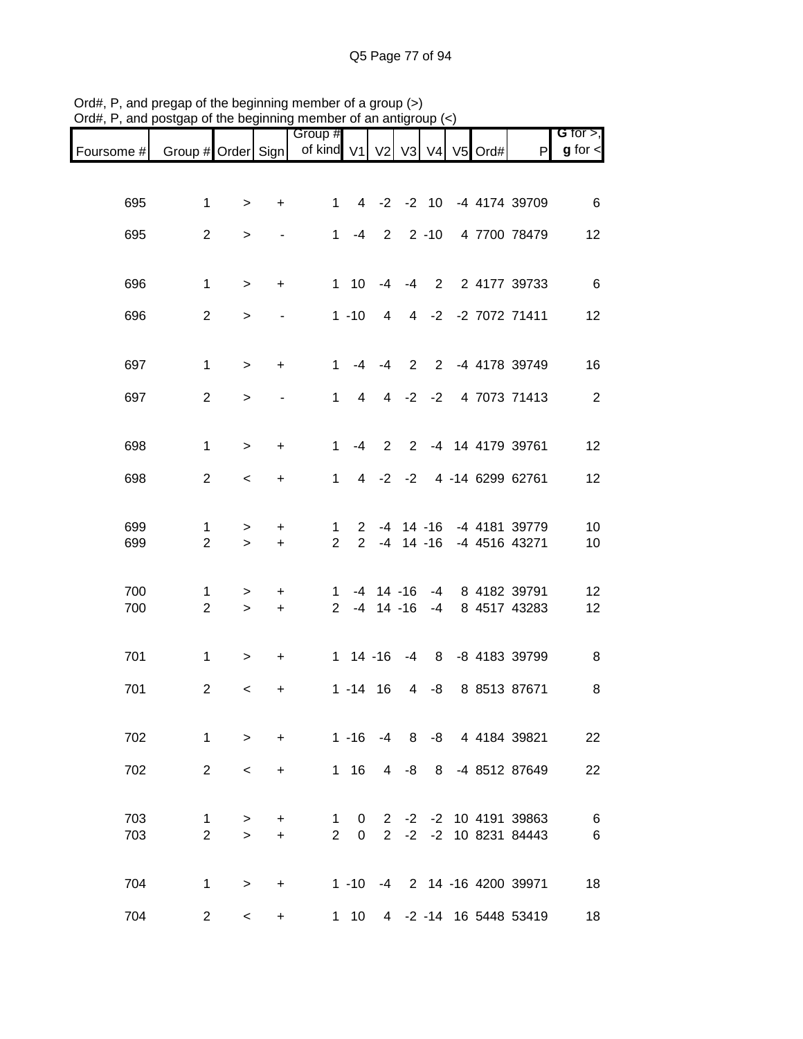| $max$ , $max$ , and poolgap or the beginning member or an antigroup $\left\langle \cdot \right\rangle$ |                     |                          |                        |                                        |                             |                       |                 |   |  |                                                            |                              |
|--------------------------------------------------------------------------------------------------------|---------------------|--------------------------|------------------------|----------------------------------------|-----------------------------|-----------------------|-----------------|---|--|------------------------------------------------------------|------------------------------|
| Foursome #                                                                                             | Group # Order Sign  |                          |                        | Group #<br>of kind V1 V2 V3 V4 V5 Ord# |                             |                       |                 |   |  | P                                                          | G for $>$ ,<br>$g$ for $\lt$ |
|                                                                                                        |                     |                          |                        |                                        |                             |                       |                 |   |  |                                                            |                              |
| 695                                                                                                    | $\mathbf{1}$        | $\geq$                   | $\ddot{}$              |                                        |                             |                       |                 |   |  | 1 4 -2 -2 10 -4 4174 39709                                 | 6                            |
| 695                                                                                                    | $\overline{2}$      | $\, > \,$                | $\blacksquare$         |                                        |                             |                       |                 |   |  | 1 -4 2 2 -10 4 7700 78479                                  | 12                           |
| 696                                                                                                    | $\mathbf{1}$        | $\, >$                   | $\ddot{}$              |                                        | $1 \quad 10$                | $-4$                  |                 |   |  | -4 2 2 4177 39733                                          | 6                            |
| 696                                                                                                    | $\overline{2}$      | $\mathbf{I}$             |                        |                                        |                             |                       |                 |   |  | 1 -10 4 4 -2 -2 7072 71411                                 | 12                           |
|                                                                                                        |                     |                          |                        |                                        |                             |                       |                 |   |  |                                                            |                              |
| 697                                                                                                    | $\mathbf{1}$        | $\geq$                   | $+$                    |                                        |                             |                       |                 |   |  | 1 -4 -4 2 2 -4 4178 39749                                  | 16                           |
| 697                                                                                                    | $\overline{2}$      | $\mathbf{I}$             |                        |                                        | $1 \quad$<br>$\overline{4}$ |                       |                 |   |  | 4 -2 -2 4 7073 71413                                       | $\overline{\phantom{a}}$     |
| 698                                                                                                    | $\mathbf{1}$        | $\geq$                   | $\ddot{}$              | $\mathbf{1}$                           | $-4$                        | 2                     |                 |   |  | 2 -4 14 4179 39761                                         | 12                           |
| 698                                                                                                    | $\overline{2}$      | $\overline{\phantom{0}}$ | $\ddot{}$              |                                        | $1 \quad$                   |                       |                 |   |  | 4 -2 -2 4 -14 6299 62761                                   | 12                           |
|                                                                                                        |                     |                          |                        |                                        |                             |                       |                 |   |  |                                                            |                              |
| 699<br>699                                                                                             | 1<br>$\overline{2}$ | ><br>$\geq$              | $\ddot{}$<br>$\ddot{}$ | $\mathbf{1}$<br>$\overline{2}$         |                             |                       | $2 - 4 14 - 16$ |   |  | 2 -4 14 -16 -4 4181 39779<br>-4 4516 43271                 | 10<br>10                     |
|                                                                                                        |                     |                          |                        |                                        |                             |                       |                 |   |  |                                                            |                              |
| 700<br>700                                                                                             | 1<br>$\overline{2}$ | $\geq$<br>$\geq$         | $\ddot{}$<br>$\ddot{}$ |                                        |                             |                       |                 |   |  | 1 -4 14 -16 -4 8 4182 39791<br>2 -4 14 -16 -4 8 4517 43283 | 12<br>12                     |
| 701                                                                                                    | $\mathbf{1}$        | $\geq$                   | $\ddot{}$              |                                        |                             |                       |                 |   |  | 1 14 -16 -4 8 -8 4183 39799                                | 8                            |
| 701                                                                                                    | $\overline{2}$      |                          |                        |                                        | $1 - 14$ 16                 |                       |                 |   |  | 4 -8 8 8513 87671                                          | 8                            |
|                                                                                                        |                     | $\,<\,$                  | +                      |                                        |                             |                       |                 |   |  |                                                            |                              |
| 702                                                                                                    | $\mathbf{1}$        | $\geq$                   | $\ddot{}$              |                                        |                             |                       |                 |   |  | 1 -16 -4 8 -8 4 4184 39821                                 | 22                           |
| 702                                                                                                    | $\overline{2}$      | $\,<\,$                  | $\ddot{}$              |                                        | $1 \t16$                    | $\overline{4}$        | -8              | 8 |  | -4 8512 87649                                              | 22                           |
| 703                                                                                                    | 1                   | $\mathbf{I}$             | $\ddot{}$              | 1                                      | 0                           | $\mathbf{2}^{\prime}$ |                 |   |  | -2 -2 10 4191 39863                                        | 6                            |
| 703                                                                                                    | $\overline{2}$      | $\geq$                   | $+$                    | $\overline{2}$                         | 0                           | $\overline{2}$        |                 |   |  | -2 -2 10 8231 84443                                        | 6                            |
| 704                                                                                                    | $\mathbf{1}$        | >                        | $\ddot{}$              |                                        |                             |                       |                 |   |  | 1 -10 -4 2 14 -16 4200 39971                               | 18                           |
| 704                                                                                                    | $\overline{2}$      | $\,<\,$                  | $\ddot{}$              |                                        | $1 \quad 10$                |                       |                 |   |  | 4 -2 -14 16 5448 53419                                     | 18                           |

Ord#, P, and pregap of the beginning member of a group (>) Ord#, P, and postgap of the beginning member of an antigroup (<)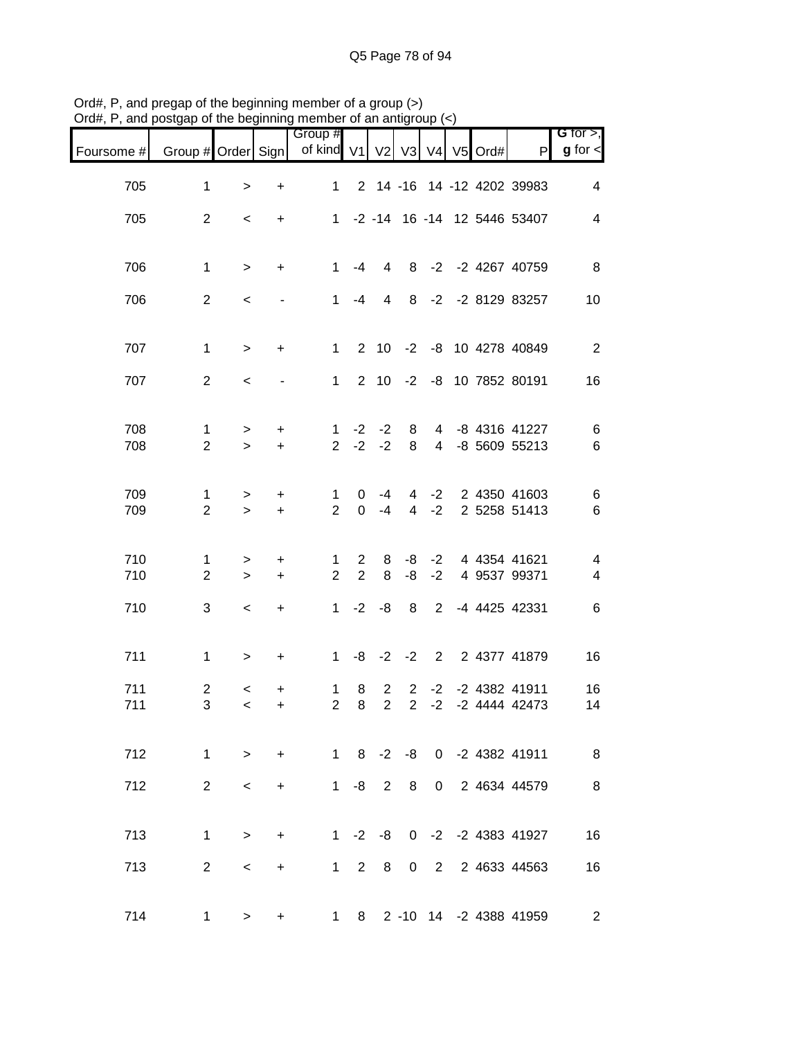| $U$ of $H$ , $\Gamma$ , and postgap or the beginning member or an antigroup $(\leq)$ |                      |                     |                          |                                        |                            |                            |                |                |  |                                            |                                |
|--------------------------------------------------------------------------------------|----------------------|---------------------|--------------------------|----------------------------------------|----------------------------|----------------------------|----------------|----------------|--|--------------------------------------------|--------------------------------|
| Foursome #                                                                           | Group # Order Sign   |                     |                          | Group #<br>of kind V1 V2 V3 V4 V5 Ord# |                            |                            |                |                |  | $\mathsf{P}$                               | $G$ for $>$ ,<br>$g$ for $\lt$ |
| 705                                                                                  | $\mathbf{1}$         | $\,>$               | +                        | $1 \quad$                              |                            |                            |                |                |  | 2 14 -16 14 -12 4202 39983                 | $\overline{4}$                 |
| 705                                                                                  | $\overline{2}$       | $\,<$               | $\ddot{}$                |                                        |                            |                            |                |                |  | 1 -2 -14 16 -14 12 5446 53407              | $\overline{\mathcal{A}}$       |
| 706                                                                                  | $\mathbf{1}$         | $\,>$               | $+$                      | 1                                      | -4                         | $\overline{4}$             |                |                |  | 8 -2 -2 4267 40759                         | 8                              |
| 706                                                                                  | $\overline{2}$       | $\,<$               |                          |                                        | $1 - 4$                    | $\overline{4}$             |                |                |  | 8 -2 -2 8129 83257                         | 10                             |
| 707                                                                                  | $\mathbf{1}$         | $\geq$              | $\ddot{}$                | 1 <sup>1</sup>                         |                            |                            |                |                |  | 2 10 -2 -8 10 4278 40849                   | 2                              |
| 707                                                                                  | $\overline{2}$       | $\prec$             | $\overline{\phantom{a}}$ | 1                                      |                            |                            |                |                |  | 2 10 -2 -8 10 7852 80191                   | 16                             |
| 708<br>708                                                                           | 1<br>$\overline{2}$  | $\, > \,$<br>$\geq$ | $\ddot{}$<br>$+$         | 1<br>$2^{\circ}$                       |                            | $-2 -2$<br>$-2 -2$         | 8<br>8         | $\overline{4}$ |  | 4 -8 4316 41227<br>-8 5609 55213           | 6<br>6                         |
| 709<br>709                                                                           | 1.<br>$\overline{2}$ | $\, > \,$<br>$\geq$ | $\ddot{}$<br>$\ddot{}$   | 1<br>$\overline{2}$                    | $\mathbf{0}$               | $-4$<br>$0 -4$             | $\overline{4}$ | $-2$           |  | 4 -2 2 4350 41603<br>2 5258 51413          | 6<br>6                         |
| 710<br>710                                                                           | 1<br>$\overline{2}$  | $\, > \,$<br>$\geq$ | $\ddot{}$<br>$+$         | $\mathbf{1}$<br>$\overline{2}$         | $2^{\circ}$<br>$2^{\circ}$ | 8<br>8                     | $-8$<br>$-8$   | $-2$           |  | -2 4 4354 41621<br>4 9537 99371            | 4<br>$\overline{\mathbf{4}}$   |
| 710                                                                                  | 3                    | $\,<$               | $\ddot{}$                |                                        |                            |                            |                |                |  | 1 -2 -8 8 2 -4 4425 42331                  | 6                              |
| 711                                                                                  | $\mathbf{1}$         | $\,>$               | $\ddot{}$                | 1                                      |                            |                            |                |                |  | -8 -2 -2 2 2 4377 41879                    | 16                             |
| 711<br>711                                                                           | $\overline{c}$<br>3  | $\,<$<br>$\lt$      | +<br>$\ddot{}$           | $\mathbf{1}$                           | 8<br>$2 \quad 8$           | $2^{\circ}$<br>$2^{\circ}$ | $2^{\circ}$    |                |  | 2 -2 -2 4382 41911<br>$-2$ $-2$ 4444 42473 | 16<br>14                       |
| 712                                                                                  | $\mathbf{1}$         | $\geq$              | $+$                      |                                        |                            |                            |                |                |  | 1 8 -2 -8 0 -2 4382 41911                  | 8                              |
| 712                                                                                  | $\overline{2}$       | $\,<\,$             | $+$                      |                                        |                            |                            |                |                |  | 1 -8 2 8 0 2 4634 44579                    | $\, 8$                         |
| 713                                                                                  | $\mathbf 1$          | $\,>$               | $+$                      |                                        |                            |                            |                |                |  | 1 -2 -8 0 -2 -2 4383 41927                 | 16                             |
| 713                                                                                  | $\overline{2}$       | $\,<\,$             | $+$                      |                                        |                            |                            |                |                |  | 1 2 8 0 2 2 4633 44563                     | 16                             |
| 714                                                                                  | 1                    | $\, > \,$           | $\ddot{}$                |                                        |                            |                            |                |                |  | 1 8 2 -10 14 -2 4388 41959                 | $\overline{2}$                 |

Ord#, P, and pregap of the beginning member of a group (>) Ord#, P, and postgap of the beginning member of an antigroup (<)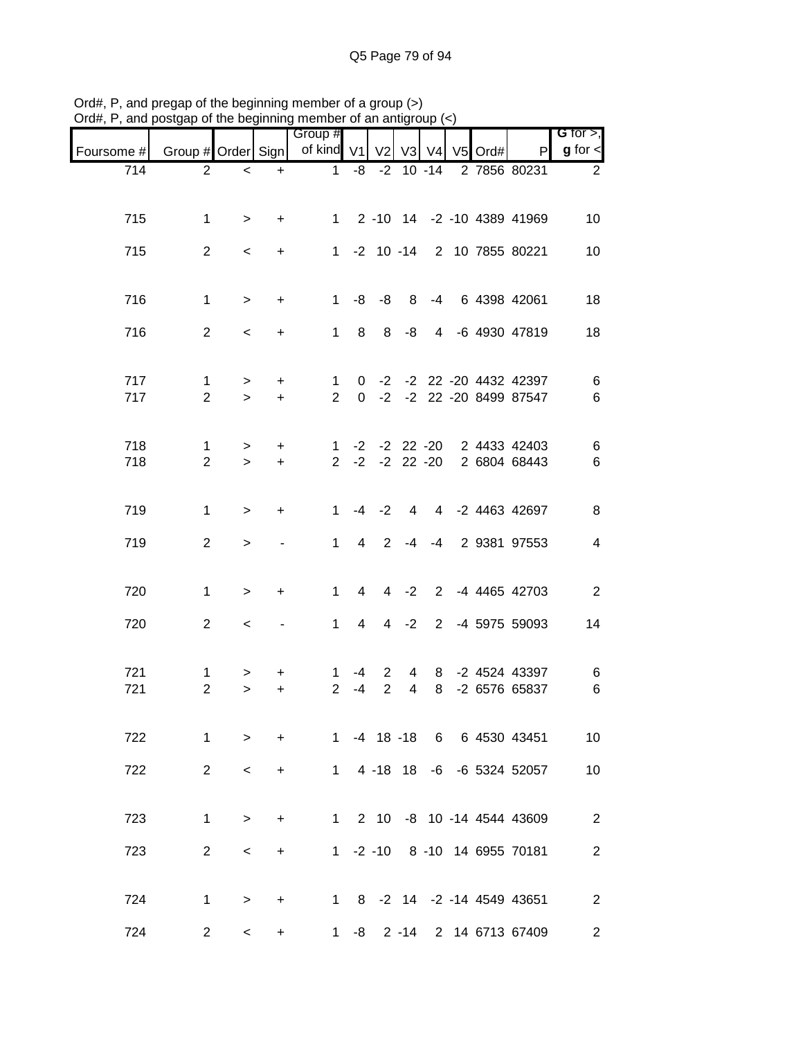| $J$ iu $\pi,$ i | , and posigap or the beginning member or an antigroup $(\leq)$ |                          |                  |                                |                 |                     |                     |        |         |                                                      |                              |
|-----------------|----------------------------------------------------------------|--------------------------|------------------|--------------------------------|-----------------|---------------------|---------------------|--------|---------|------------------------------------------------------|------------------------------|
| Foursome #      | Group # Order Sign                                             |                          |                  | Group #<br>of kind V1          |                 | V <sub>2</sub>      |                     | V3 V4  | V5 Ord# | P                                                    | G for $>$ ,<br>$g$ for $\lt$ |
| 714             | $\overline{2}$                                                 | $\,<$                    | $\ddot{}$        | 1                              | -8              |                     | $-2$ 10 $-14$       |        |         | 2 7856 80231                                         | $\overline{2}$               |
| 715             | $\mathbf{1}$                                                   | $\geq$                   | $\ddot{}$        |                                |                 |                     |                     |        |         | 1 2 -10 14 -2 -10 4389 41969                         | 10                           |
| 715             | $\overline{2}$                                                 | $\,<$                    | $\ddot{}$        |                                |                 |                     |                     |        |         | 1 -2 10 -14 2 10 7855 80221                          | 10                           |
| 716             | $\mathbf{1}$                                                   | $\geq$                   | $\ddot{}$        | 1                              |                 | $-8 - -8$           |                     |        |         | 8 -4 6 4398 42061                                    | 18                           |
| 716             | $\overline{2}$                                                 | $\overline{\phantom{0}}$ | $\ddot{}$        |                                | $1 \quad 8$     | 8                   | -8                  |        |         | 4 -6 4930 47819                                      | 18                           |
| 717<br>717      | $\mathbf 1$<br>$\overline{2}$                                  | $\geq$<br>$\geq$         | $\ddot{}$<br>$+$ | $\mathbf{1}$<br>$\overline{2}$ | $\Omega$        |                     |                     |        |         | 0 -2 -2 22 -20 4432 42397<br>-2 -2 22 -20 8499 87547 | $\,6$<br>$\,6$               |
| 718<br>718      | 1<br>$\overline{2}$                                            | ><br>$\geq$              | $\ddot{}$<br>$+$ | 1<br>$2^{\circ}$               |                 |                     | $-2$ $-2$ 22 $-20$  |        |         | -2 -2 22 -20 2 4433 42403<br>2 6804 68443            | 6<br>$\,6$                   |
| 719             | $\mathbf{1}$                                                   | $\geq$                   | $\ddot{}$        | $\mathbf{1}$                   |                 | $-4 -2$             |                     |        |         | 4 4 -2 4463 42697                                    | 8                            |
| 719             | $\overline{2}$                                                 | $\,>$                    |                  | $\mathbf{1}$                   | 4               | $\overline{2}$      |                     |        |         | -4 -4 2 9381 97553                                   | $\overline{\mathcal{A}}$     |
| 720             | $\mathbf{1}$                                                   | $\geq$                   | $\ddot{}$        | 1                              | $4\overline{ }$ |                     | $4 -2$              |        |         | 2 -4 4465 42703                                      | $\mathbf{2}$                 |
| 720             | $\overline{2}$                                                 | $\,<\,$                  |                  | $1 \quad$                      | $\overline{4}$  |                     | $4 -2$              |        |         | 2 -4 5975 59093                                      | 14                           |
| 721<br>721      | 1<br>$\overline{2}$                                            | ><br>$\geq$              | +<br>$\ddot{}$   | 1.<br>$\overline{2}$           | -4<br>$-4$      | $\overline{2}$<br>2 | 4<br>$\overline{4}$ | 8<br>8 |         | -2 4524 43397<br>-2 6576 65837                       | 6<br>$\,6$                   |
| 722             | $\mathbf{1}$                                                   | $\geq$                   | $+$              |                                |                 |                     |                     |        |         | 1 -4 18 -18 6 6 4530 43451                           | 10                           |
| 722             | $\overline{2}$                                                 | $\,<\,$                  | $+$              | $\mathbf{1}$                   |                 |                     |                     |        |         | 4 -18 18 -6 -6 5324 52057                            | 10                           |
| 723             | $\mathbf{1}$                                                   | $\geq$                   | $\ddot{}$        |                                |                 |                     |                     |        |         | 1 2 10 -8 10 -14 4544 43609                          | $\overline{2}$               |
| 723             | $\overline{2}$                                                 | $\overline{\phantom{0}}$ | $+$              |                                |                 |                     |                     |        |         | 1 -2 -10 8 -10 14 6955 70181                         | $\overline{c}$               |
| 724             | $\mathbf{1}$                                                   | $\geq$                   | $+$              |                                |                 |                     |                     |        |         | 1 8 -2 14 -2 -14 4549 43651                          | $\overline{2}$               |
| 724             | $\overline{2}$                                                 | $\overline{\phantom{a}}$ | $\pm$            |                                |                 |                     |                     |        |         | 1 -8 2 -14 2 14 6713 67409                           | $\mathbf{2}$                 |

Ord#, P, and pregap of the beginning member of a group (>) Ord#, P, and postgap of the beginning member of an antigroup (<)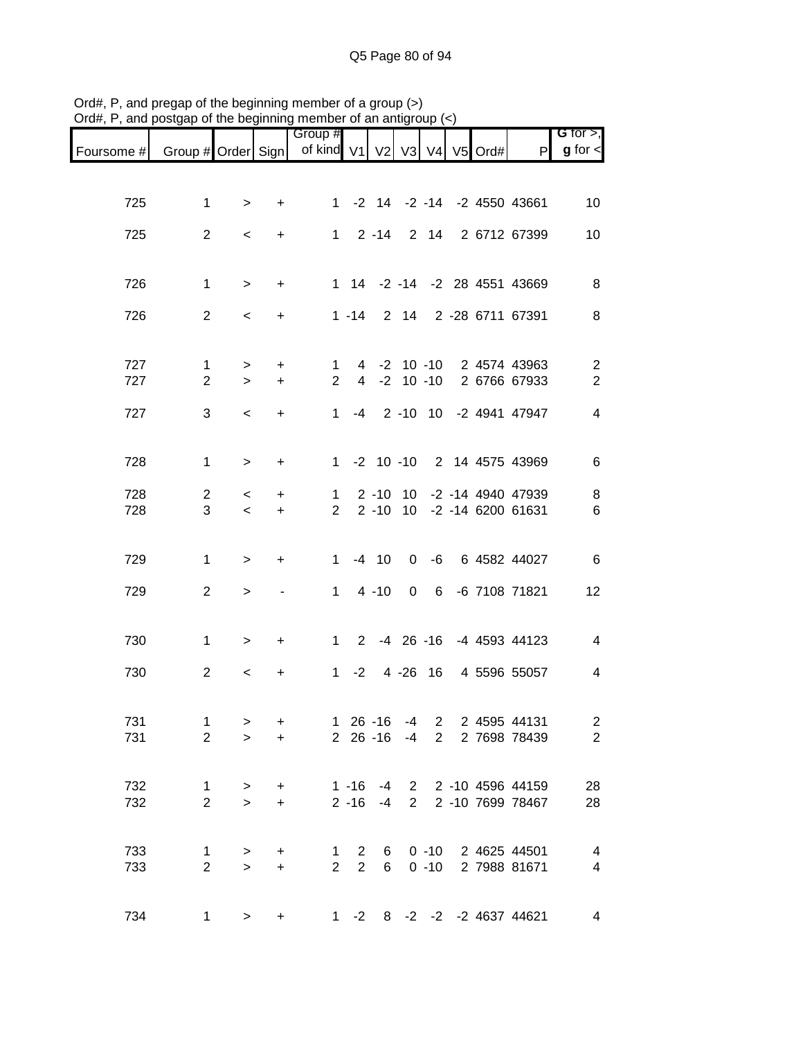| Foursome # | Group # Order Sign             |                          |                  | Group #<br>of kind V1          |                            | V <sub>2</sub> | V3   | V <sub>4</sub> | $V5$ Ord# | P                                                        | G for $>$ ,<br>$g$ for $\lt$ |
|------------|--------------------------------|--------------------------|------------------|--------------------------------|----------------------------|----------------|------|----------------|-----------|----------------------------------------------------------|------------------------------|
|            |                                |                          |                  |                                |                            |                |      |                |           |                                                          |                              |
| 725        | $\mathbf{1}$                   | $\geq$                   | $+$              |                                |                            |                |      |                |           | 1 -2 14 -2 -14 -2 4550 43661                             | 10                           |
| 725        | $\overline{2}$                 | $\overline{\phantom{0}}$ | $+$              |                                |                            |                |      |                |           | 1 2 -14 2 14 2 6712 67399                                | 10                           |
|            |                                |                          |                  |                                |                            |                |      |                |           |                                                          |                              |
| 726        | $\mathbf 1$                    | $\geq$                   | $+$              |                                |                            |                |      |                |           | 1 14 -2 -14 -2 28 4551 43669                             | 8                            |
| 726        | $2^{\circ}$                    | $\overline{\phantom{0}}$ | $+$              |                                |                            |                |      |                |           | 1 -14 2 14 2 -28 6711 67391                              | 8                            |
| 727        | $\mathbf 1$                    | $\geq$                   | $+$              |                                |                            |                |      |                |           | 1 4 -2 10 -10 2 4574 43963                               | $\overline{c}$               |
| 727        | $\overline{2}$                 | $\geq$                   | $+$              | 2 <sup>1</sup>                 |                            |                |      |                |           | 4 -2 10 -10 2 6766 67933                                 | $\overline{2}$               |
| 727        | 3                              | $\overline{\phantom{a}}$ | $+$              |                                |                            |                |      |                |           | 1 -4 2 -10 10 -2 4941 47947                              | $\overline{4}$               |
|            |                                |                          |                  |                                |                            |                |      |                |           |                                                          |                              |
| 728        | $\mathbf{1}$                   | $\geq$                   | $\ddot{}$        |                                |                            |                |      |                |           | 1 -2 10 -10 2 14 4575 43969                              | 6                            |
| 728<br>728 | $\overline{2}$<br>3            | $\prec$<br>$\prec$       | $\ddot{}$<br>$+$ | $\mathbf{1}$<br>$\overline{2}$ |                            |                |      |                |           | 2 -10 10 -2 -14 4940 47939<br>2 -10 10 -2 -14 6200 61631 | 8<br>6                       |
|            |                                |                          |                  |                                |                            |                |      |                |           |                                                          |                              |
| 729        | $\mathbf{1}$                   | $\geq$                   | $+$              | $\mathbf{1}$                   |                            | $-4$ 10        |      |                |           | 0 -6 6 4582 44027                                        | 6                            |
| 729        | $\overline{2}$                 | $\geq$                   | $\blacksquare$   | 1                              |                            | $4 - 10$       |      |                |           | 0 6 -6 7108 71821                                        | 12                           |
|            |                                |                          |                  |                                |                            |                |      |                |           |                                                          |                              |
| 730        | $\mathbf 1$                    | $\geq$                   | $+$              |                                |                            |                |      |                |           | 1 2 -4 26 -16 -4 4593 44123                              | $\overline{4}$               |
| 730        | $\overline{2}$                 | $\overline{\phantom{0}}$ | $\ddot{}$        |                                |                            |                |      |                |           | 1 -2 4 -26 16 4 5596 55057                               | 4                            |
| 731        | $\mathbf{1}$                   | $\, > \,$                | $\ddot{}$        |                                | $126 - 16$                 |                | $-4$ |                |           | 2 2 4595 44131                                           | $\overline{a}$               |
| 731        | $\overline{2}$                 | $\geq$                   | $+$              |                                |                            |                |      |                |           | 2 26 -16 -4 2 2 7698 78439                               | $\sqrt{2}$                   |
| 732        |                                |                          |                  |                                |                            |                |      |                |           | 1 -16 -4 2 2 -10 4596 44159                              | 28                           |
| 732        | 1<br>$\overline{2}$            | $\geq$<br>$\geq$         | $+$<br>$+$       |                                |                            |                |      |                |           | 2 -16 -4 2 2 -10 7699 78467                              | 28                           |
|            |                                |                          |                  |                                |                            |                |      |                |           |                                                          |                              |
| 733<br>733 | $\mathbf{1}$<br>$\overline{2}$ | $\,$<br>$\, >$           | $\ddot{}$<br>$+$ | $1 \quad$<br>$\overline{2}$    | $2^{\circ}$<br>$2^{\circ}$ |                |      |                |           | 6 0 -10 2 4625 44501<br>6 0 -10 2 7988 81671             | 4<br>4                       |
|            |                                |                          |                  |                                |                            |                |      |                |           |                                                          |                              |
| 734        | 1                              | $\geq$                   | $+$              |                                | $1 -2$                     |                |      |                |           | 8 -2 -2 -2 4637 44621                                    | $\overline{\mathbf{4}}$      |

Ord#, P, and pregap of the beginning member of a group (>) Ord#, P, and postgap of the beginning member of an antigroup (<)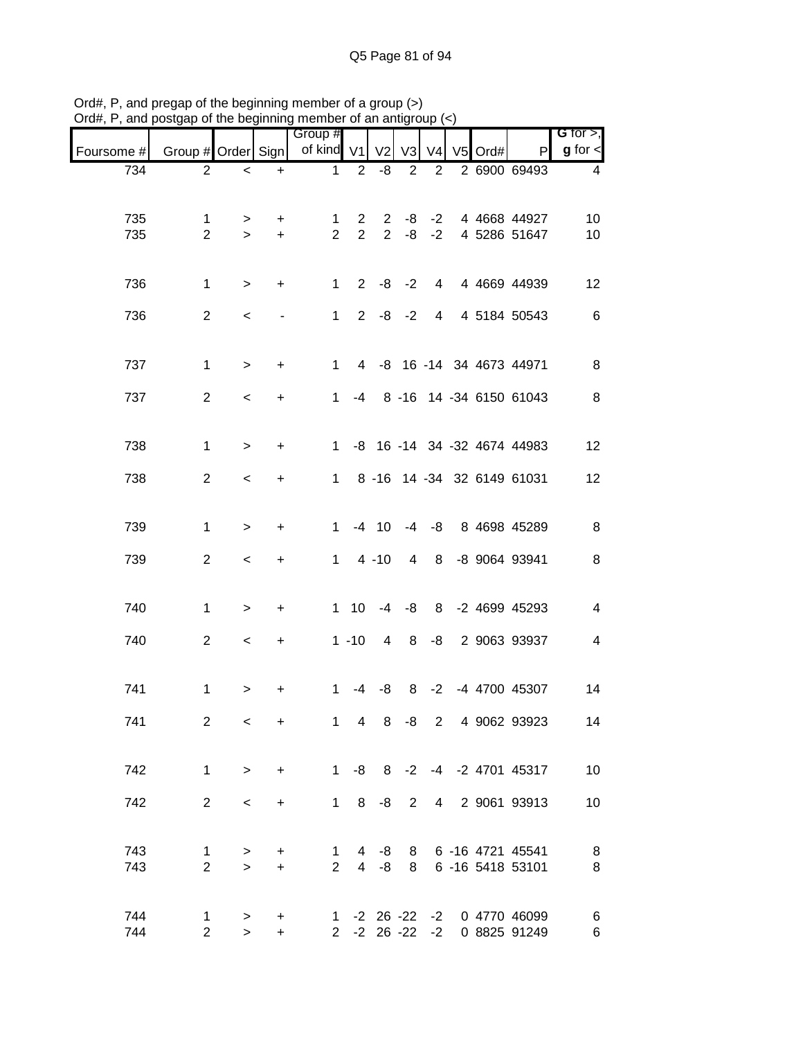| $71$ u $\pi,1$ | , and posigap or the beginning member or an antigroup $(\leq)$ |              |           | Group #             |                     |                       |                |                |           |                             | G for $>$ ,             |
|----------------|----------------------------------------------------------------|--------------|-----------|---------------------|---------------------|-----------------------|----------------|----------------|-----------|-----------------------------|-------------------------|
| Foursome #     | Group # Order Sign                                             |              |           | of kind V1          |                     | V <sub>2</sub>        | V3             | V <sub>4</sub> | $V5$ Ord# | P                           | $g$ for $\lt$           |
| 734            | $\overline{2}$                                                 | $\,<\,$      | $\ddot{}$ | $\mathbf{1}$        | $\overline{2}$      | -8                    | $\overline{2}$ | $\overline{2}$ |           | 2 6900 69493                | 4                       |
|                |                                                                |              |           |                     |                     |                       |                |                |           |                             |                         |
| 735            | 1                                                              | $\geq$       | $\ddot{}$ | 1<br>$\overline{2}$ | 2<br>$\overline{2}$ | $\mathbf{2}^{\prime}$ | -8             | $-2$           |           | 4 4668 44927                | 10                      |
| 735            | $\overline{2}$                                                 | $\geq$       | $+$       |                     |                     | $\overline{2}$        | -8             | $-2$           |           | 4 5286 51647                | 10                      |
|                |                                                                |              |           |                     |                     |                       |                |                |           |                             |                         |
| 736            | $\mathbf{1}$                                                   | $\geq$       | $\ddot{}$ | $\mathbf{1}$        |                     | $2 -8 -2$             |                | $\overline{4}$ |           | 4 4669 44939                | 12                      |
| 736            | $\overline{2}$                                                 | $\,<\,$      |           | 1                   |                     | $2 -8 -2$             |                | $\overline{4}$ |           | 4 5184 50543                | 6                       |
|                |                                                                |              |           |                     |                     |                       |                |                |           |                             |                         |
| 737            | 1                                                              | $\,>$        | $\ddot{}$ | $\mathbf{1}$        |                     |                       |                |                |           | 4 -8 16 -14 34 4673 44971   | 8                       |
| 737            | $\overline{c}$                                                 | $\prec$      | $\ddot{}$ | 1                   | -4                  |                       |                |                |           | 8 -16 14 -34 6150 61043     | 8                       |
|                |                                                                |              |           |                     |                     |                       |                |                |           |                             |                         |
| 738            | 1                                                              | $\,>$        | +         | 1                   |                     |                       |                |                |           | -8 16 -14 34 -32 4674 44983 | 12                      |
|                |                                                                |              |           |                     |                     |                       |                |                |           |                             |                         |
| 738            | $\overline{2}$                                                 | $\,<\,$      | +         | $\mathbf{1}$        |                     |                       |                |                |           | 8 -16 14 -34 32 6149 61031  | 12                      |
|                |                                                                |              |           |                     |                     |                       |                |                |           |                             |                         |
| 739            | $\mathbf{1}$                                                   | $\,$         | +         | $\mathbf{1}$        |                     | $-4$ 10               |                |                |           | -4 -8 8 4698 45289          | 8                       |
| 739            | $\overline{2}$                                                 | $\,<\,$      | $\ddot{}$ | 1                   |                     | $4 - 10$              | 4              |                |           | 8 -8 9064 93941             | 8                       |
|                |                                                                |              |           |                     |                     |                       |                |                |           |                             |                         |
| 740            | $\mathbf 1$                                                    | $\,>$        | $\ddot{}$ |                     | $1 \quad 10$        | $-4$                  |                |                |           | -8 8 -2 4699 45293          | $\overline{\mathbf{4}}$ |
| 740            | $\overline{2}$                                                 | $\,<\,$      | $\ddot{}$ |                     | $1 - 10$            | 4                     |                |                |           | 8 -8 2 9063 93937           | 4                       |
|                |                                                                |              |           |                     |                     |                       |                |                |           |                             |                         |
| 741            | 1                                                              | >            | +         | 1.                  | -4                  | -8                    |                |                |           | 8 -2 -4 4700 45307          | 14                      |
|                |                                                                |              |           |                     |                     |                       |                |                |           |                             |                         |
| 741            | $\overline{2}$                                                 | $\,<\,$      | $\ddot{}$ |                     | $1 \quad 4$         | 8                     | -8             |                |           | 2 4 9062 93923              | 14                      |
|                |                                                                |              |           |                     |                     |                       |                |                |           |                             |                         |
| 742            | $\mathbf{1}$                                                   | $\geq$       | $\ddot{}$ | $\mathbf{1}$        | -8                  |                       |                |                |           | 8 -2 -4 -2 4701 45317       | 10                      |
| 742            | $\overline{2}$                                                 | $\,<\,$      | $\ddot{}$ | 1                   |                     | $8 - 8$               | $\overline{2}$ |                |           | 4 2 9061 93913              | 10                      |
|                |                                                                |              |           |                     |                     |                       |                |                |           |                             |                         |
| 743            | 1                                                              | $\, > \,$    | +         | $\mathbf{1}$        |                     | $4 - 8$               |                |                |           | 8 6 -16 4721 45541          | - 8                     |
| 743            | $\overline{2}$                                                 | $\geq$       | $+$       | 2 <sup>1</sup>      |                     | $4 - 8$               | 8              |                |           | 6 -16 5418 53101            | 8                       |
|                |                                                                |              |           |                     |                     |                       |                |                |           |                             |                         |
| 744            | $\mathbf 1$                                                    | >            | $\ddot{}$ |                     |                     | $1 - 2 26 - 22$       |                |                |           | -2 0 4770 46099             | 6                       |
| 744            | $\overline{2}$                                                 | $\mathbf{I}$ | $+$       | $2^{\circ}$         |                     | $-2$ 26 $-22$         |                | $-2$           |           | 0 8825 91249                | 6                       |

Ord#, P, and pregap of the beginning member of a group (>) Ord#, P, and postgap of the beginning member of an antigroup (<)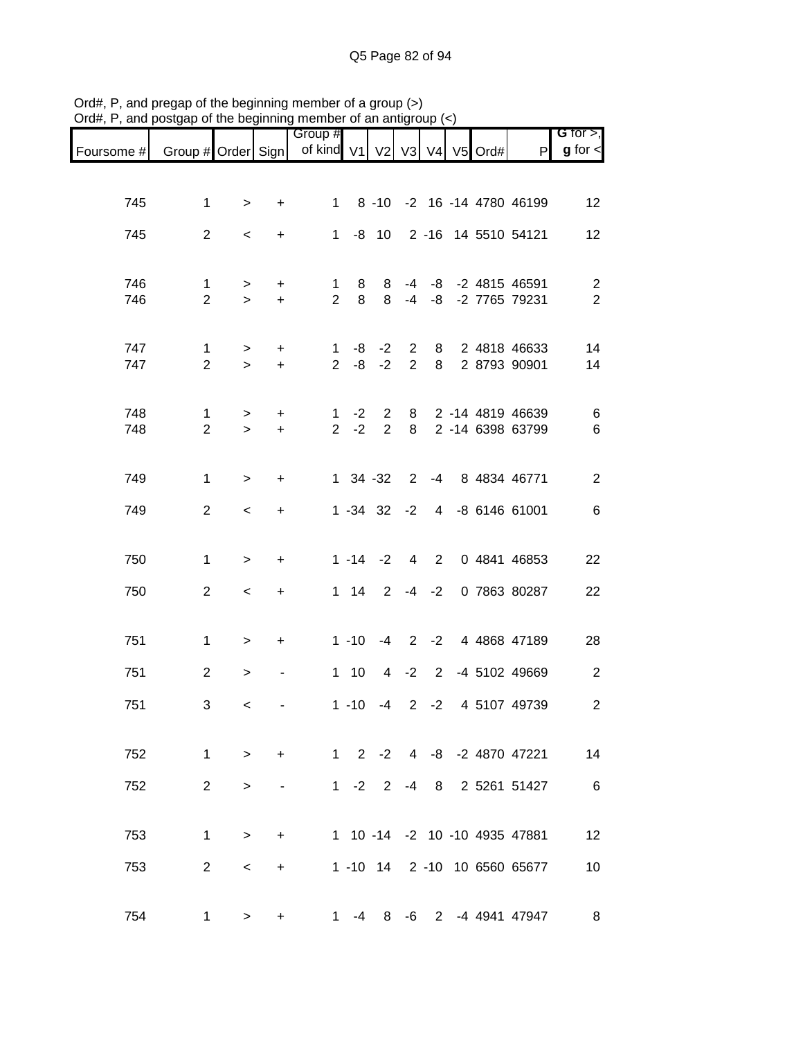|                               |                                |                     |            | or are bogmming momber or an anag<br>Group # |                      |                       |  |  |                                              | G for $>$ ,                      |
|-------------------------------|--------------------------------|---------------------|------------|----------------------------------------------|----------------------|-----------------------|--|--|----------------------------------------------|----------------------------------|
| Foursome # Group # Order Sign |                                |                     |            | of kind V1 V2 V3 V4 V5 Ord#                  |                      |                       |  |  | P                                            | $g$ for $<$                      |
|                               |                                |                     |            |                                              |                      |                       |  |  |                                              |                                  |
| 745                           | $\mathbf{1}$                   | $\geq$              | $\ddot{}$  |                                              |                      |                       |  |  | 1 8 -10 -2 16 -14 4780 46199                 | 12                               |
| 745                           | $2^{\circ}$                    | $\prec$             | $+$        |                                              |                      |                       |  |  | 1 -8 10 2 -16 14 5510 54121                  | 12                               |
| 746<br>746                    | $\mathbf{1}$<br>$\overline{2}$ | $\geq$<br>$\geq$    | $+$<br>$+$ | $\mathbf{1}$<br>2 <sup>1</sup>               | 8<br>8               | - 8<br>8 <sup>8</sup> |  |  | -4 -8 -2 4815 46591<br>-4 -8 -2 7765 79231   | $\overline{2}$<br>$\overline{2}$ |
|                               |                                |                     |            |                                              |                      |                       |  |  |                                              |                                  |
| 747<br>747                    | $\mathbf{1}$<br>$\overline{2}$ | $\geq$<br>$\geq$    | $+$<br>$+$ |                                              | $2 -8 -2$            |                       |  |  | 1 -8 -2 2 8 2 4818 46633<br>2 8 2 8793 90901 | 14<br>14                         |
| 748<br>748                    | $\mathbf 1$<br>$\overline{2}$  | $\geq$<br>$\geq$    | $+$<br>$+$ |                                              | $1 -2 2$<br>$2 -2 2$ |                       |  |  | 8 2 -14 4819 46639<br>8 2 -14 6398 63799     | $\,6$<br>$6\phantom{1}6$         |
| 749                           | $\mathbf{1}$                   | $\geq$              | $+$        |                                              | $1 \t34 \t-32$       |                       |  |  | 2 -4 8 4834 46771                            | $\overline{2}$                   |
| 749                           | $\overline{2}$                 | $\prec$             | $+$        |                                              |                      |                       |  |  | 1 -34 32 -2 4 -8 6146 61001                  | $6\phantom{1}6$                  |
| 750                           | $\mathbf{1}$                   | $\geq$              | $\ddot{}$  |                                              |                      |                       |  |  | 1 -14 -2 4 2 0 4841 46853                    | 22                               |
| 750                           | $\overline{2}$                 | $\lt$               | $+$        |                                              |                      |                       |  |  | 1 14 2 -4 -2 0 7863 80287                    | 22                               |
| 751                           | $\mathbf{1}$                   | $\geq$              | $+$        |                                              |                      |                       |  |  | 1 -10 -4 2 -2 4 4868 47189                   | 28                               |
| 751                           | $2^{\circ}$                    | $\, > \,$           |            |                                              |                      |                       |  |  | 1 10 4 -2 2 -4 5102 49669                    | $\overline{2}$                   |
| 751                           | 3                              | $\prec$             |            |                                              |                      |                       |  |  | 1 -10 -4 2 -2 4 5107 49739                   | $\overline{c}$                   |
| 752                           | $\mathbf{1}$                   | $\geq$              | $+$        |                                              |                      |                       |  |  | 1 2 -2 4 -8 -2 4870 47221                    | 14                               |
| 752                           | $\overline{2}$                 | $\,>$               | -          |                                              | $1 -2 2$             |                       |  |  | -4 8 2 5261 51427                            | $6\overline{6}$                  |
| 753                           | $\mathbf{1}$                   | $\geq$              | $\ddot{}$  |                                              |                      |                       |  |  | 1 10 -14 -2 10 -10 4935 47881                | 12                               |
| 753                           | $\overline{2}$                 | $\,<\,$             | $+$        |                                              |                      |                       |  |  | 1 -10 14 2 -10 10 6560 65677                 | 10                               |
| 754                           |                                | $1 \quad$<br>$\geq$ | $\ddot{}$  |                                              | 1 $-4$               | 8                     |  |  | -6 2 -4 4941 47947                           | 8                                |

Ord#, P, and pregap of the beginning member of a group (>) Ord#, P, and postgap of the beginning member of an antigroup (<)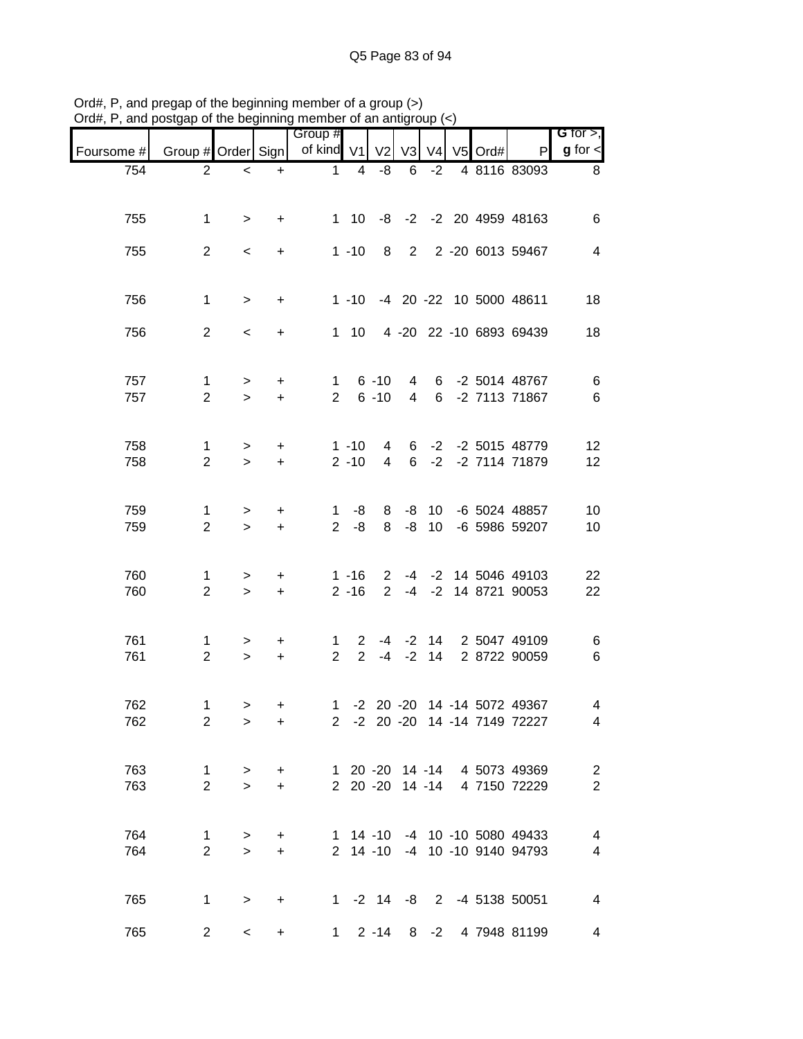|            | and postuap or the beginning member or an antiqn |                          |                  |                                |                      |                      |              | uup                      |         |                                                                |                                  |
|------------|--------------------------------------------------|--------------------------|------------------|--------------------------------|----------------------|----------------------|--------------|--------------------------|---------|----------------------------------------------------------------|----------------------------------|
| Foursome # | Group # Order Sign                               |                          |                  | Group #<br>of kind $V1$        |                      | V <sub>2</sub>       | V3           | V <sub>4</sub>           | V5 Ord# | $\mathsf{P}$                                                   | G for $>$ ,<br>$g$ for $\lt$     |
| 754        | $\overline{2}$                                   | $\,<\,$                  | $\ddot{}$        | $\mathbf{1}$                   | 4                    | -8                   | 6            | $-2$                     |         | 4 8116 83093                                                   | 8                                |
| 755        | $\mathbf{1}$                                     | $\geq$                   | $\ddot{}$        |                                |                      |                      |              |                          |         | 1 10 -8 -2 -2 20 4959 48163                                    | 6                                |
| 755        | $\overline{2}$                                   | $\,<\,$                  | $+$              |                                | $1 - 10$             | 8                    |              |                          |         | 2 2 -20 6013 59467                                             | $\overline{4}$                   |
| 756        | $\mathbf{1}$                                     | $\geq$                   | $+$              |                                |                      |                      |              |                          |         | 1 -10 -4 20 -22 10 5000 48611                                  | 18                               |
| 756        | $\overline{2}$                                   | $\overline{\phantom{0}}$ | $\ddot{}$        |                                |                      |                      |              |                          |         | 1 10 4 -20 22 -10 6893 69439                                   | 18                               |
| 757<br>757 | $\mathbf{1}$<br>$\overline{2}$                   | $\, > \,$<br>$\geq$      | $\ddot{}$<br>$+$ | 1<br>$2^{\circ}$               |                      | $6 - 10$<br>$6 - 10$ |              |                          |         | 4 6 -2 5014 48767<br>4 6 -2 7113 71867                         | $\,6$<br>$\,6$                   |
| 758<br>758 | 1<br>$\overline{2}$                              | $\, > \,$<br>$\geq$      | $+$<br>$+$       |                                | $1 - 10$<br>$2 - 10$ | 4<br>$\overline{4}$  |              |                          |         | 6 -2 -2 5015 48779<br>6 -2 -2 7114 71879                       | 12<br>12                         |
| 759<br>759 | 1<br>$\overline{2}$                              | $\, > \,$<br>$\geq$      | $\ddot{}$<br>$+$ | 1<br>$\overline{2}$            | -8<br>-8             | 8<br>8               | -8           | -8 10<br>10 <sup>1</sup> |         | -6 5024 48857<br>-6 5986 59207                                 | 10<br>10                         |
| 760<br>760 | 1<br>$\overline{2}$                              | $\, > \,$<br>$\geq$      | $+$<br>$+$       |                                | $1 - 16$<br>$2 - 16$ |                      |              |                          |         | 2 -4 -2 14 5046 49103<br>2 -4 -2 14 8721 90053                 | 22<br>22                         |
| 761<br>761 | 1<br>$\overline{2}$                              | ><br>$\geq$              | $\ddot{}$<br>$+$ | $\mathbf{1}$<br>$\overline{2}$ | $\overline{2}$       |                      | $-4$ $-2$ 14 |                          |         | 2 -4 -2 14 2 5047 49109<br>2 8722 90059                        | 6<br>6                           |
| 762<br>762 | 1<br>$\overline{2}$                              | $\geq$<br>$\,>$          | $+$<br>$\ddot{}$ |                                |                      |                      |              |                          |         | 1 -2 20 -20 14 -14 5072 49367<br>2 -2 20 -20 14 -14 7149 72227 | 4<br>4                           |
| 763<br>763 | $\mathbf{1}$<br>$\overline{2}$                   | $\geq$<br>$\geq$         | $+$<br>$+$       |                                |                      |                      |              |                          |         | 1 20 -20 14 -14 4 5073 49369<br>2 20 -20 14 -14 4 7150 72229   | $\overline{c}$<br>$\overline{2}$ |
| 764<br>764 | $\mathbf{1}$<br>$\overline{2}$                   | $\, > \,$<br>$\geq$      | $\ddot{}$<br>$+$ |                                |                      |                      |              |                          |         | 1 14 -10 -4 10 -10 5080 49433<br>2 14 -10 -4 10 -10 9140 94793 | 4<br>4                           |
| 765        | $\mathbf{1}$                                     | $\, > \,$                | $+$              |                                |                      |                      |              |                          |         | 1 -2 14 -8 2 -4 5138 50051                                     | $\overline{4}$                   |
| 765        | $\overline{2}$                                   | $\overline{\phantom{0}}$ | $\ddot{}$        |                                |                      |                      |              |                          |         | 1 2 -14 8 -2 4 7948 81199                                      | 4                                |

Ord#, P, and pregap of the beginning member of a group (>) Ord#, P, and postgap of the beginning member of an antigroup (<)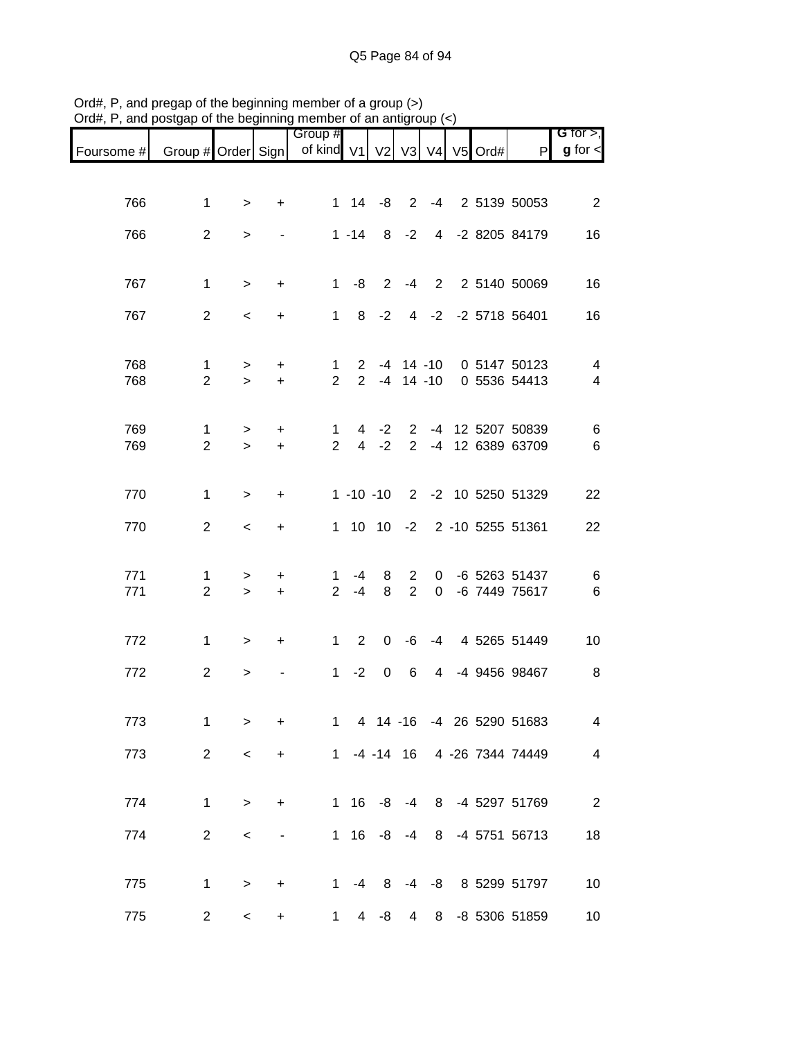|            |                                |                  |                          | Group #                                                    |                |                 |                 |                |  |                                                      | G for $>$ ,                                |
|------------|--------------------------------|------------------|--------------------------|------------------------------------------------------------|----------------|-----------------|-----------------|----------------|--|------------------------------------------------------|--------------------------------------------|
| Foursome # |                                |                  |                          | Group # Order Sign   of kind V1   V2   V3   V4   V5   Ord# |                |                 |                 |                |  | P                                                    | $g$ for $\lt$                              |
|            |                                |                  |                          |                                                            |                |                 |                 |                |  |                                                      |                                            |
| 766        | 1                              | $\, > \,$        | $\ddot{}$                |                                                            |                |                 |                 |                |  | 1 14 -8 2 -4 2 5139 50053                            | $\overline{\phantom{0}}$ 2                 |
| 766        | $\overline{2}$                 | $\geq$           | $\overline{a}$           |                                                            |                | $1 - 14$ 8 $-2$ |                 |                |  | 4 -2 8205 84179                                      | 16                                         |
|            |                                |                  |                          |                                                            |                |                 |                 |                |  |                                                      |                                            |
| 767        | $\mathbf 1$                    | $\geq$           | $\ddot{}$                |                                                            |                | $1 - 8$ 2       | $-4$            |                |  | 2 2 5140 50069                                       | 16                                         |
| 767        | $\overline{2}$                 | $\,<\,$          | $\ddot{}$                |                                                            |                |                 |                 |                |  | 1 8 -2 4 -2 -2 5718 56401                            | 16                                         |
|            |                                |                  |                          |                                                            |                |                 |                 |                |  |                                                      |                                            |
| 768<br>768 | $\mathbf{1}$<br>$\overline{2}$ | $\geq$<br>$\geq$ | $+$<br>$+$               | 1<br>$\overline{2}$                                        |                |                 |                 |                |  | 2 -4 14 -10 0 5147 50123<br>2 -4 14 -10 0 5536 54413 | $\overline{4}$<br>$\overline{\mathcal{A}}$ |
|            |                                |                  |                          |                                                            |                |                 |                 |                |  |                                                      |                                            |
| 769        | $\mathbf{1}$                   | $\geq$           | $+$                      | $\mathbf{1}$                                               |                |                 |                 |                |  | 4 -2 2 -4 12 5207 50839                              | 6                                          |
| 769        | $\overline{2}$                 | $\geq$           | $+$                      | $\overline{2}$                                             |                | $4 -2$          |                 |                |  | 2 -4 12 6389 63709                                   | 6                                          |
| 770        | $\mathbf 1$                    | $\, > \,$        | $\ddot{}$                |                                                            |                |                 |                 |                |  | 1 -10 -10 2 -2 10 5250 51329                         | 22                                         |
| 770        | $\overline{2}$                 | $\,<\,$          | $\ddot{}$                |                                                            |                |                 |                 |                |  | 1 10 10 -2 2 -10 5255 51361                          | 22                                         |
|            |                                |                  |                          |                                                            |                |                 |                 |                |  |                                                      |                                            |
| 771        | 1                              | >                | +                        | 1                                                          | -4             | 8               | $\mathbf{2}$    | $\mathbf{0}$   |  | -6 5263 51437                                        | 6                                          |
| 771        | $\overline{2}$                 | $\geq$           | $+$                      | $\overline{2}$                                             | -4             | 8               | $\overline{2}$  | $\overline{0}$ |  | -6 7449 75617                                        | $\,6$                                      |
| 772        | $\mathbf{1}$                   | $\geq$           | $\ddot{}$                | 1                                                          | $\overline{2}$ | 0               | -6              |                |  | -4 4 5265 51449                                      | 10                                         |
|            |                                |                  |                          |                                                            |                |                 |                 |                |  |                                                      |                                            |
| 772        | $\overline{2}$                 | $\, > \,$        |                          | 1                                                          | $-2$           | 0               | 6               | $\overline{4}$ |  | -4 9456 98467                                        | 8                                          |
| 773        | 1                              | $\, > \,$        | $\ddot{}$                | 1                                                          |                |                 |                 |                |  | 4 14 -16 -4 26 5290 51683                            | 4                                          |
| 773        | $\overline{2}$                 | $\,<\,$          | $\ddot{}$                |                                                            |                |                 |                 |                |  | 1 -4 -14 16 4 -26 7344 74449                         | $\overline{4}$                             |
|            |                                |                  |                          |                                                            |                |                 |                 |                |  |                                                      |                                            |
| 774        | $\mathbf 1$                    | $\geq$           | +                        |                                                            | 1 16           | -8              |                 |                |  | -4 8 -4 5297 51769                                   | $\overline{\phantom{0}}$ 2                 |
| 774        | $\overline{a}$                 | $\,<$            | $\overline{\phantom{a}}$ |                                                            |                | $1 \t16 \t-8$   | -4              |                |  | 8 -4 5751 56713                                      | 18                                         |
|            |                                |                  |                          |                                                            |                |                 |                 |                |  |                                                      |                                            |
| 775        | 1                              | $\,>$            | $\ddot{}$                | $1 \quad$                                                  |                | $-4$ 8          |                 |                |  | -4 -8 8 5299 51797                                   | 10                                         |
| 775        | $\overline{c}$                 | $\,<\,$          | $\ddot{}$                | 1                                                          | $\overline{4}$ | -8              | $4\overline{ }$ |                |  | 8 -8 5306 51859                                      | 10                                         |

Ord#, P, and pregap of the beginning member of a group (>) Ord#, P, and postgap of the beginning member of an antigroup (<)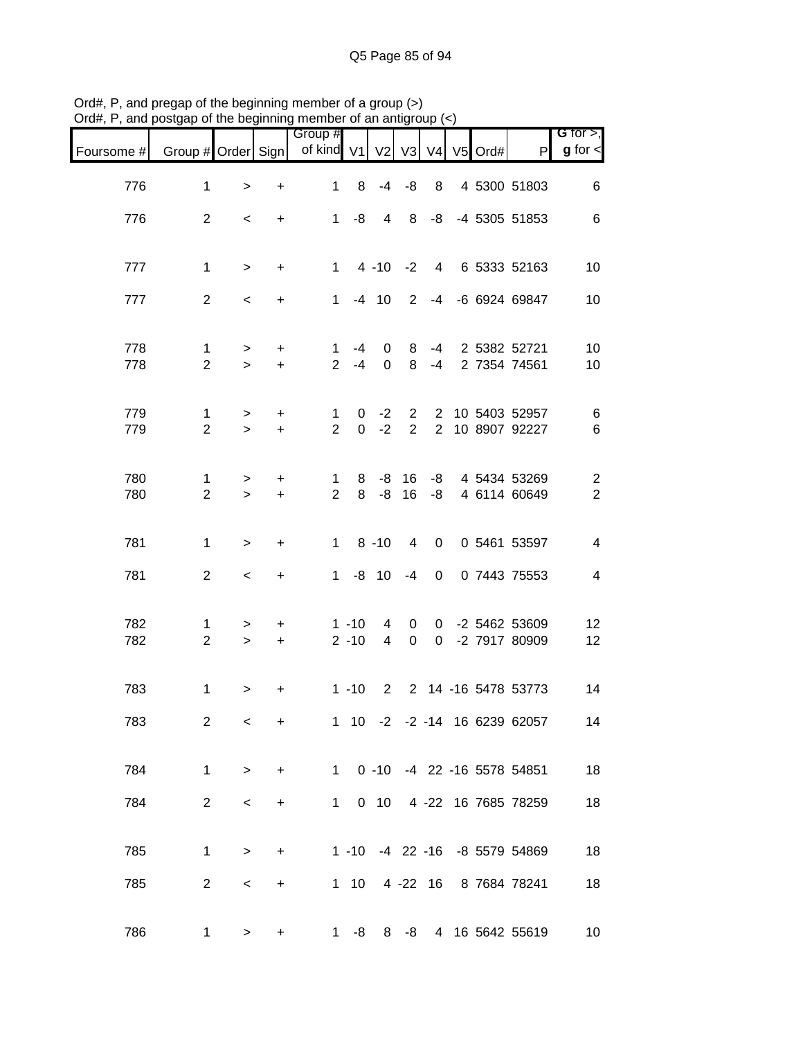| $71$ u $\pi,$<br>anu p | osigap or the beginning member or an antigroup |                          |                        |                               |                                |                             |                     |             |                  |                                                          |                              |
|------------------------|------------------------------------------------|--------------------------|------------------------|-------------------------------|--------------------------------|-----------------------------|---------------------|-------------|------------------|----------------------------------------------------------|------------------------------|
| Foursome #             | Group # Order Sign                             |                          |                        | Group #<br>of kind V1         |                                |                             |                     |             | V2 V3 V4 V5 Ord# | P                                                        | G for $>$ ,<br>$g$ for $\lt$ |
| 776                    | $\mathbf{1}$                                   | $\geq$                   | $\ddot{}$              | $\mathbf{1}$                  | 8                              |                             | $-4 - 8$            | 8           |                  | 4 5300 51803                                             | 6                            |
| 776                    | $\overline{2}$                                 | $\overline{\phantom{0}}$ | $\ddot{}$              |                               | $1 - 8$                        |                             | 4 8                 |             |                  | -8 -4 5305 51853                                         | 6                            |
| 777                    | $\mathbf{1}$                                   | $\geq$                   | $\ddot{}$              |                               |                                |                             |                     |             |                  | 1 4 -10 -2 4 6 5333 52163                                | 10                           |
| 777                    | $\overline{2}$                                 | $\overline{\phantom{a}}$ | $\ddot{}$              |                               | $1 - 4 10$                     |                             |                     |             |                  | 2 -4 -6 6924 69847                                       | 10                           |
|                        |                                                |                          |                        |                               |                                |                             |                     |             |                  |                                                          |                              |
| 778<br>778             | $\mathbf 1$<br>$\overline{2}$                  | $\geq$<br>$\geq$         | $\ddot{}$<br>$\ddot{}$ | $\mathbf{1}$<br>$2^{\circ}$   | -4<br>$-4$                     | $\mathbf{0}$<br>$\mathbf 0$ | 8 <sup>8</sup><br>8 | $-4$        |                  | -4 2 5382 52721<br>2 7354 74561                          | 10<br>10                     |
|                        |                                                |                          |                        |                               |                                |                             |                     |             |                  |                                                          |                              |
| 779<br>779             | $\mathbf{1}$<br>$\overline{2}$                 | $\, > \,$<br>$\geq$      | $\ddot{}$<br>$+$       | $\mathbf 1$<br>$\overline{2}$ | $\mathbf{0}$<br>$\overline{0}$ | $-2$<br>$-2$                | $2^{\circ}$         |             |                  | 2 2 10 5403 52957<br>2 10 8907 92227                     | 6<br>6                       |
| 780                    | 1                                              | $\, > \,$                | $\ddot{}$              | $\mathbf 1$                   | 8                              |                             | $-8$ 16             |             |                  | -8 4 5434 53269                                          | $\overline{c}$               |
| 780                    | $\overline{2}$                                 | $\geq$                   | $\ddot{}$              | $\overline{2}$                | 8                              | -8                          | 16                  |             |                  | -8 4 6114 60649                                          | $\overline{c}$               |
| 781                    | $\mathbf{1}$                                   | $\geq$                   | $\ddot{}$              |                               | $1 \t 8 \t -10$                |                             | $\overline{4}$      | $\mathbf 0$ |                  | 0 5461 53597                                             | $\overline{\mathbf{4}}$      |
| 781                    | 2                                              | $\overline{\phantom{a}}$ | $\ddot{}$              |                               | $1 - 8 10 - 4$                 |                             |                     | $\mathbf 0$ |                  | 0 7443 75553                                             | $\overline{\mathbf{4}}$      |
| 782                    | $\mathbf{1}$                                   | $\geq$                   | $+$                    |                               | $1 - 10$                       | 4                           | $\overline{0}$      |             |                  | 0 -2 5462 53609                                          | 12                           |
| 782                    | $\overline{2}$                                 | $\geq$                   | $+$                    |                               | $2 - 10$                       | $\overline{4}$              | $\mathbf 0$         |             |                  | 0 -2 7917 80909                                          | 12                           |
| 783                    | $\mathbf{1}$                                   | >                        | $\ddot{}$              |                               | $1 - 10$                       |                             |                     |             |                  | 2 2 14 -16 5478 53773                                    | 14                           |
| 783                    | $\overline{2}$                                 | $\,<\,$                  | $\ddot{}$              |                               |                                |                             |                     |             |                  | 1 10 -2 -2 -14 16 6239 62057                             | 14                           |
|                        |                                                |                          |                        |                               |                                |                             |                     |             |                  |                                                          |                              |
| 784                    | $\mathbf 1$                                    | $\geq$                   | $\ddot{}$              | 1                             |                                |                             |                     |             |                  | 1 0 -10 -4 22 -16 5578 54851<br>0 10 4 -22 16 7685 78259 | 18                           |
| 784                    | $\overline{2}$                                 | $\,<\,$                  | $\ddot{}$              |                               |                                |                             |                     |             |                  |                                                          | 18                           |
| 785                    | $\mathbf 1$                                    | $\,>$                    | $\ddot{}$              |                               |                                |                             |                     |             |                  | 1 -10 -4 22 -16 -8 5579 54869                            | 18                           |
| 785                    | $\overline{2}$                                 | $\,<\,$                  | $\ddot{}$              |                               | $1 \quad 10$                   |                             |                     |             |                  | 4 -22 16 8 7684 78241                                    | 18                           |
| 786                    | $\mathbf 1$                                    | >                        | +                      |                               | $1 - 8$                        |                             | $8 - 8$             |             |                  | 4 16 5642 55619                                          | 10                           |

Ord#, P, and pregap of the beginning member of a group (>) Ord#, P, and postgap of the beginning member of an antigroup (<)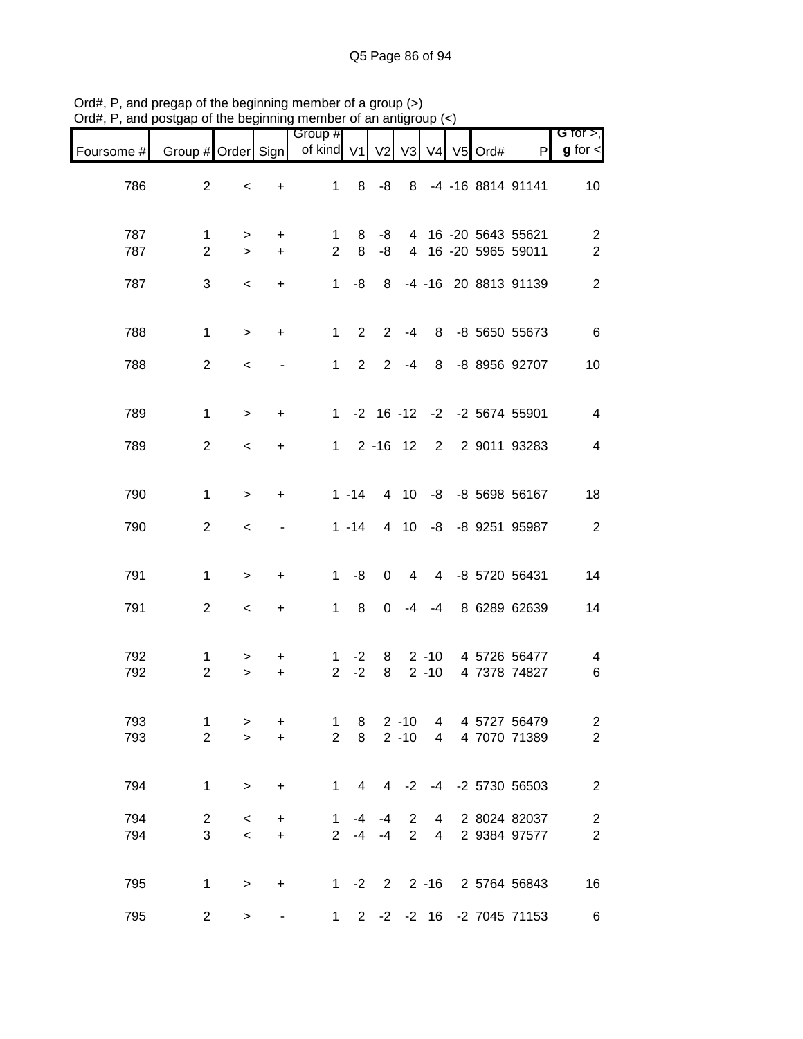| Foursome # | Group # Order Sign            |                          |                          | Group #<br>of kind V1          |                | V <sub>2</sub>   | V <sub>3</sub>                   | V <sub>4</sub>       | V5 Ord# | $\mathsf{P}$                               | G for $>$ ,<br>$g$ for $\leq$      |
|------------|-------------------------------|--------------------------|--------------------------|--------------------------------|----------------|------------------|----------------------------------|----------------------|---------|--------------------------------------------|------------------------------------|
| 786        | $\overline{2}$                | $\,<$                    | $\ddot{}$                | $\mathbf{1}$                   |                | $8 - 8$          | 8                                |                      |         | -4 -16 8814 91141                          | 10                                 |
| 787<br>787 | 1<br>$\overline{2}$           | $\geq$<br>$\geq$         | $+$<br>$+$               | 1<br>$\overline{2}$            | 8<br>8         | -8<br>-8         |                                  |                      |         | 4 16 -20 5643 55621<br>4 16 -20 5965 59011 | $\overline{c}$<br>$\boldsymbol{2}$ |
| 787        | 3                             | $\,<$                    | $\ddot{}$                | 1                              | -8             |                  |                                  |                      |         | 8 -4 -16 20 8813 91139                     | $\sqrt{2}$                         |
| 788        | $\mathbf{1}$                  | $\,>$                    | $+$                      | $1 -$                          | $2^{\circ}$    | $2^{\circ}$      | $-4$                             |                      |         | 8 -8 5650 55673                            | $6\phantom{1}6$                    |
| 788        | 2                             | $\,<$                    |                          | $1 \quad$                      | $2^{\circ}$    |                  | $2 - 4$                          | 8                    |         | -8 8956 92707                              | 10                                 |
| 789        | $\mathbf{1}$                  | $\,>$                    | $\ddot{}$                |                                |                |                  |                                  |                      |         | 1 -2 16 -12 -2 -2 5674 55901               | $\overline{\mathbf{4}}$            |
| 789        | $\overline{2}$                | $\prec$                  | $\ddot{}$                | $1 \quad$                      |                | $2 - 16$ 12      |                                  |                      |         | 2 2 9011 93283                             | $\overline{\mathbf{4}}$            |
| 790        | $\mathbf{1}$                  | $\,>$                    | +                        |                                | $1 - 14$       |                  | 4 10                             |                      |         | -8 -8 5698 56167                           | 18                                 |
| 790        | $\overline{2}$                | $\overline{\phantom{a}}$ | $\overline{\phantom{a}}$ |                                | $1 - 14$       |                  | 4 10                             |                      |         | -8 -8 9251 95987                           | $\sqrt{2}$                         |
| 791        | $\mathbf{1}$                  | $\geq$                   | $\ddot{}$                | 1                              | -8             | $\pmb{0}$        | $\overline{4}$                   |                      |         | 4 -8 5720 56431                            | 14                                 |
| 791        | $\overline{2}$                | $\,<$                    | $+$                      | $1 \quad$                      | 8              | $\mathbf 0$      | -4                               | -4                   |         | 8 6289 62639                               | 14                                 |
| 792<br>792 | 1<br>$\overline{2}$           | ><br>$\geq$              | +<br>$+$                 | 1<br>$\overline{2}$            | $-2$<br>$-2$   | 8<br>8           |                                  | $2 - 10$<br>$2 - 10$ |         | 4 5726 56477<br>4 7378 74827               | 4<br>$\,6$                         |
| 793<br>793 | $\mathbf 1$<br>$\overline{2}$ | ><br>$\geq$              | +<br>$\ddot{}$           | $\mathbf{1}$<br>$\overline{2}$ | 8<br>8         |                  | $2 - 10$<br>$2 - 10$             | 4<br>$4\overline{ }$ |         | 4 5727 56479<br>4 7070 71389               | $\overline{c}$<br>$\overline{c}$   |
| 794        | $\mathbf{1}$                  | $\,>$                    | $\ddot{}$                | $\mathbf{1}$                   | $\overline{4}$ |                  | $4 -2$                           |                      |         | -4 -2 5730 56503                           | $\overline{2}$                     |
| 794<br>794 | $\overline{2}$<br>3           | $\,<\,$<br>$\prec$       | +<br>$+$                 | $\mathbf 1$<br>$2^{\circ}$     | -4             | $-4$<br>$-4 - 4$ | $\overline{2}$<br>$\overline{2}$ | 4<br>$\overline{4}$  |         | 2 8024 82037<br>2 9384 97577               | $\overline{c}$<br>$\boldsymbol{2}$ |
| 795        | $\mathbf{1}$                  | $\, > \,$                | $\ddot{}$                |                                | $1 -2$         |                  |                                  |                      |         | 2 2 -16 2 5764 56843                       | 16                                 |
| 795        | $\overline{2}$                | $\, > \,$                |                          | $1 \quad$                      |                |                  |                                  |                      |         | 2 -2 -2 16 -2 7045 71153                   | 6                                  |

Ord#, P, and pregap of the beginning member of a group (>) Ord#, P, and postgap of the beginning member of an antigroup (<)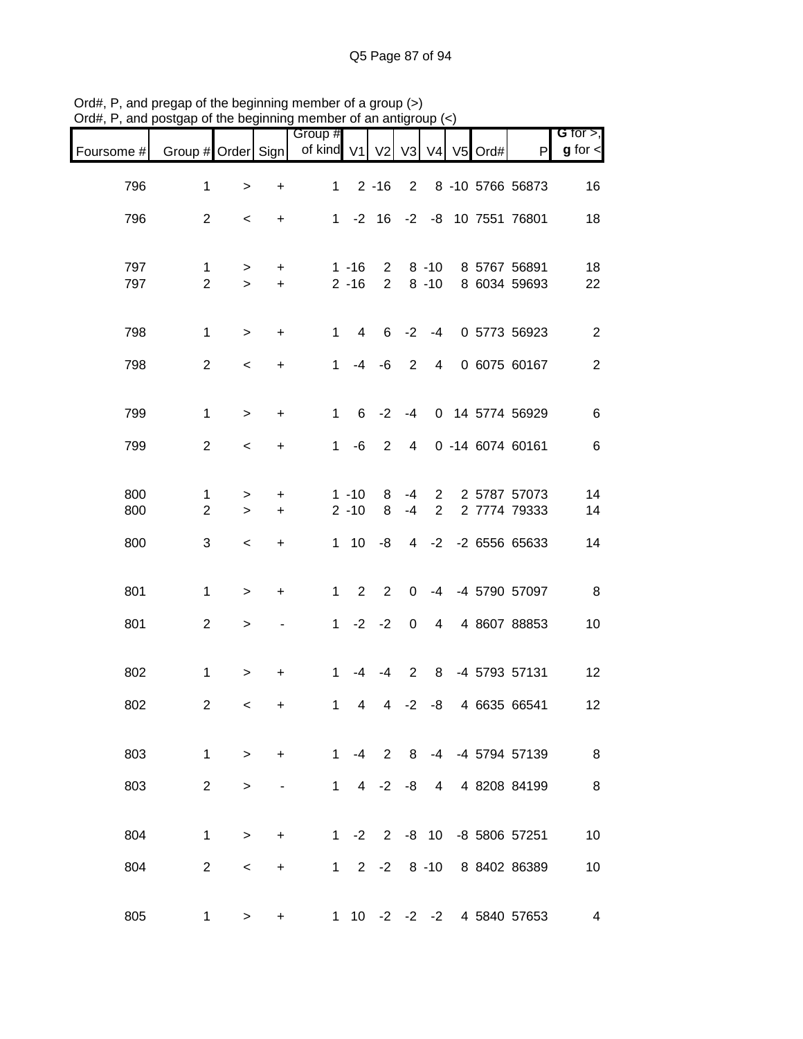| $O(d\theta, r)$ , and posigap or the beginning member or an antigroup $(\leq)$ |                                |                    |                  |                                        |                      |                            |                          |                               |  |                              |                              |
|--------------------------------------------------------------------------------|--------------------------------|--------------------|------------------|----------------------------------------|----------------------|----------------------------|--------------------------|-------------------------------|--|------------------------------|------------------------------|
| Foursome #                                                                     | Group # Order Sign             |                    |                  | Group #<br>of kind V1 V2 V3 V4 V5 Ord# |                      |                            |                          |                               |  | $\mathsf{P}$                 | G for $>$ ,<br>$g$ for $\lt$ |
| 796                                                                            | 1                              | $\,>$              | $\ddot{}$        | $\mathbf{1}$                           |                      | $2 - 16$                   | $\overline{2}$           |                               |  | 8 -10 5766 56873             | 16                           |
| 796                                                                            | $\overline{2}$                 | $\,<\,$            | $\ddot{}$        |                                        |                      |                            |                          |                               |  | 1 -2 16 -2 -8 10 7551 76801  | 18                           |
| 797<br>797                                                                     | $\mathbf{1}$<br>$\overline{2}$ | $\geq$<br>$\geq$   | $\ddot{}$<br>$+$ |                                        | $1 - 16$<br>$2 - 16$ | $2^{\circ}$<br>$2^{\circ}$ |                          | $8 - 10$<br>$8 - 10$          |  | 8 5767 56891<br>8 6034 59693 | 18<br>22                     |
| 798                                                                            | $\mathbf 1$                    | $\,>$              | $\ddot{}$        | $\mathbf{1}$                           | $\overline{4}$       |                            | $6 -2$                   | $-4$                          |  | 0 5773 56923                 | $\overline{c}$               |
| 798                                                                            | $\overline{2}$                 | $\,<\,$            | $\ddot{}$        | $\mathbf{1}$                           | $-4$                 | $-6$                       | 2                        | 4                             |  | 0 6075 60167                 | $\mathbf{2}$                 |
| 799                                                                            | $\mathbf{1}$                   | $\geq$             | +                | $\mathbf{1}$                           | 6                    | $-2$                       | -4                       |                               |  | 0 14 5774 56929              | 6                            |
| 799                                                                            | $\overline{2}$                 | $\,<\,$            | $\ddot{}$        | $\mathbf{1}$                           | -6                   | $\overline{2}$             | $\overline{4}$           |                               |  | 0 -14 6074 60161             | 6                            |
| 800<br>800                                                                     | 1<br>$\overline{2}$            | $\, > \,$<br>$\,>$ | +<br>$\ddot{}$   |                                        | $1 - 10$<br>$2 - 10$ | 8<br>8                     | -4<br>$-4$               | $2^{\circ}$<br>$\overline{2}$ |  | 2 5787 57073<br>2 7774 79333 | 14<br>14                     |
| 800                                                                            | 3                              | $\,<$              | $\ddot{}$        |                                        |                      | $1 \t10 \t -8$             |                          |                               |  | 4 -2 -2 6556 65633           | 14                           |
| 801                                                                            | $\mathbf{1}$                   | $\, > \,$          | $\ddot{}$        |                                        | $1\quad 2$           | $\overline{2}$             | 0                        |                               |  | -4 -4 5790 57097             | 8                            |
| 801                                                                            | $\overline{2}$                 | $\, > \,$          |                  |                                        |                      | $1 -2 -2$                  | $\mathbf 0$              | $\overline{4}$                |  | 4 8607 88853                 | 10                           |
| 802                                                                            | $\mathbf 1$                    | $\, > \,$          | +                | $\mathbf{1}$                           |                      | $-4 - 4$                   | $\overline{\phantom{0}}$ | 8                             |  | -4 5793 57131                | 12                           |
| 802                                                                            | 2                              | $\lt$              | ÷.               |                                        |                      |                            |                          |                               |  | 1 4 4 -2 -8 4 6635 66541     | 12                           |
| 803                                                                            | $\mathbf{1}$                   | $\,>$              | $\ddot{}$        | 1                                      |                      |                            |                          |                               |  | -4 2 8 -4 -4 5794 57139      | $\bf 8$                      |
| 803                                                                            | $\overline{2}$                 | $\, >$             |                  | $1 \quad$                              |                      | $4 -2 -8$                  |                          |                               |  | 4 4 8208 84199               | $\,8\,$                      |
| 804                                                                            | $\mathbf{1}$                   | $\, > \,$          | $\ddot{}$        |                                        |                      |                            |                          |                               |  | 1 -2 2 -8 10 -8 5806 57251   | 10                           |
| 804                                                                            | $\overline{2}$                 | $\,<$              | $\ddot{}$        |                                        |                      |                            |                          |                               |  | 1 2 -2 8 -10 8 8402 86389    | 10                           |
|                                                                                |                                |                    |                  |                                        |                      |                            |                          |                               |  |                              |                              |
| 805                                                                            | 1                              | $\, > \,$          | +                |                                        |                      |                            |                          |                               |  | 1 10 -2 -2 -2 4 5840 57653   | $\overline{\mathbf{4}}$      |

Ord#, P, and pregap of the beginning member of a group (>) Ord#, P, and postgap of the beginning member of an antigroup (<)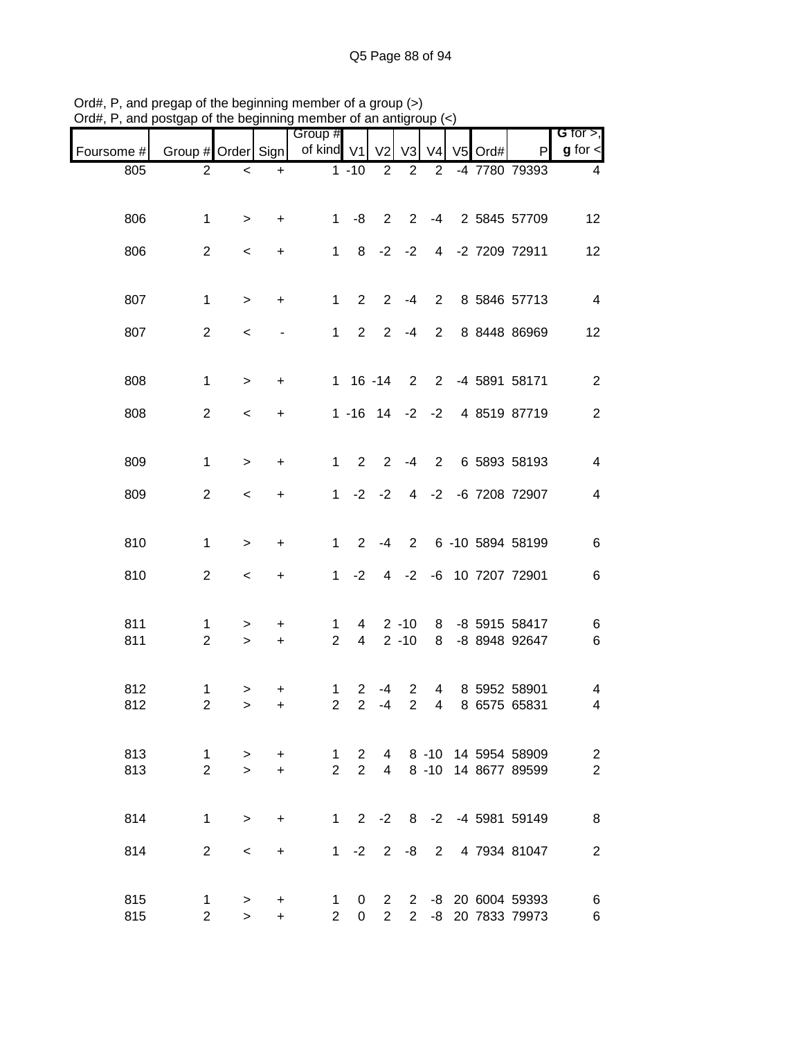| $J$ ıu $\pi,$ ı | , and posigap or the beginning member or an antigroup $(\leq)$ |                 |                          |                                  |                                        |                                         |                      |                                  |           |                                              |                                           |
|-----------------|----------------------------------------------------------------|-----------------|--------------------------|----------------------------------|----------------------------------------|-----------------------------------------|----------------------|----------------------------------|-----------|----------------------------------------------|-------------------------------------------|
| Foursome #      | Group # Order Sign                                             |                 |                          | Group #<br>of kind $V1$          |                                        | V <sub>2</sub>                          | V3                   | V <sub>4</sub>                   | $V5$ Ord# | $\mathsf{P}$                                 | G for $>$ ,<br>$g$ for $\lt$              |
| 805             | $\overline{2}$                                                 | $\,<$           | $\ddot{}$                |                                  | $1 - 10$                               | $\overline{2}$                          | $\overline{2}$       | 2                                |           | -4 7780 79393                                | 4                                         |
| 806             | 1                                                              | $\geq$          | $\ddot{}$                | $1 \quad$                        | -8                                     | $\overline{2}$                          |                      |                                  |           | 2 -4 2 5845 57709                            | 12                                        |
| 806             | $\overline{2}$                                                 | $\,<\,$         | $\ddot{}$                | 1                                | 8                                      | $-2$                                    | $-2$                 |                                  |           | 4 -2 7209 72911                              | 12                                        |
| 807             | $\mathbf{1}$                                                   | $\geq$          | $\ddot{}$                | 1                                | $\overline{2}$                         | $\overline{2}$                          | $-4$                 | $\overline{2}$                   |           | 8 5846 57713                                 | $\overline{4}$                            |
| 807             | $\overline{2}$                                                 | $\,<$           | $\overline{\phantom{a}}$ | 1                                | $\overline{2}$                         | $\overline{2}$                          | $-4$                 | $\overline{2}$                   |           | 8 8448 86969                                 | 12                                        |
| 808             | $\mathbf 1$                                                    | $\geq$          | +                        |                                  | $1 16 - 14$                            |                                         | 2                    | $2^{\circ}$                      |           | -4 5891 58171                                | $\overline{c}$                            |
| 808             | $\overline{2}$                                                 | $\,<$           | $\ddot{}$                |                                  | $1 - 16$ $14$ $-2$ $-2$                |                                         |                      |                                  |           | 4 8519 87719                                 | $\mathbf{2}$                              |
| 809             | 1                                                              | $\, > \,$       | +                        | $\mathbf{1}$                     | 2                                      | 2                                       | $-4$                 | $\overline{2}$                   |           | 6 5893 58193                                 | $\overline{\mathbf{4}}$                   |
| 809             | $\overline{c}$                                                 | $\,<\,$         | $\ddot{}$                | 1                                |                                        | $-2 -2$                                 |                      |                                  |           | 4 -2 -6 7208 72907                           | $\overline{\mathcal{A}}$                  |
| 810             | $\mathbf{1}$                                                   | $\, > \,$       | +                        | $\mathbf{1}$                     | 2                                      | -4                                      |                      |                                  |           | 2 6 -10 5894 58199                           | $\,6$                                     |
| 810             | $\overline{2}$                                                 | $\,<$           | $\ddot{}$                | $\mathbf{1}$                     | $-2$                                   | $\overline{4}$                          |                      |                                  |           | -2 -6 10 7207 72901                          | $\,6$                                     |
| 811<br>811      | 1<br>$\overline{2}$                                            | ><br>$\geq$     | +<br>$\ddot{}$           | 1<br>$\overline{2}$              | $\overline{4}$<br>$\overline{4}$       |                                         | $2 - 10$<br>$2 - 10$ | 8<br>8                           |           | -8 5915 58417<br>-8 8948 92647               | 6<br>$\,6$                                |
| 812<br>812      | 1<br>$\overline{2}$                                            | ><br>>          | +<br>+                   | $\mathbf{1}$<br>2 <sup>1</sup>   | $\overline{2}$<br>$\mathbf{2}$         | $-4$<br>-4                              | 2<br>$2^{\circ}$     | $\overline{4}$<br>$\overline{4}$ |           | 8 5952 58901<br>8 6575 65831                 | 4<br>4                                    |
| 813<br>813      | $\mathbf{1}$<br>$\overline{2}$                                 | $\,>$<br>$\geq$ | +<br>$+$                 | $\overline{1}$<br>$\overline{2}$ | $\mathbf{2}^{\circ}$<br>$\overline{2}$ | $\overline{4}$                          |                      |                                  |           | 4 8 -10 14 5954 58909<br>8 -10 14 8677 89599 | $\overline{\mathbf{c}}$<br>$\overline{2}$ |
| 814             | $\mathbf{1}$                                                   | $\, > \,$       | $\ddot{}$                | 1                                |                                        | $2 -2$                                  |                      |                                  |           | 8 -2 -4 5981 59149                           | 8                                         |
| 814             | $\overline{2}$                                                 | $\,<$           | $\ddot{}$                | 1                                | $-2$                                   | $2^{\circ}$                             | -8                   | $\overline{2}$                   |           | 4 7934 81047                                 | $\overline{2}$                            |
| 815<br>815      | $\mathbf 1$<br>$\overline{2}$                                  | ><br>$\geq$     | +<br>$\ddot{}$           | $\mathbf{1}$<br>$\overline{2}$   | $\mathbf{0}$<br>$\overline{0}$         | $\mathbf{2}^{\prime}$<br>$\overline{2}$ |                      |                                  |           | 2 -8 20 6004 59393<br>2 -8 20 7833 79973     | 6<br>$\,6$                                |

Ord#, P, and pregap of the beginning member of a group (>) Ord#, P, and postgap of the beginning member of an antigroup (<)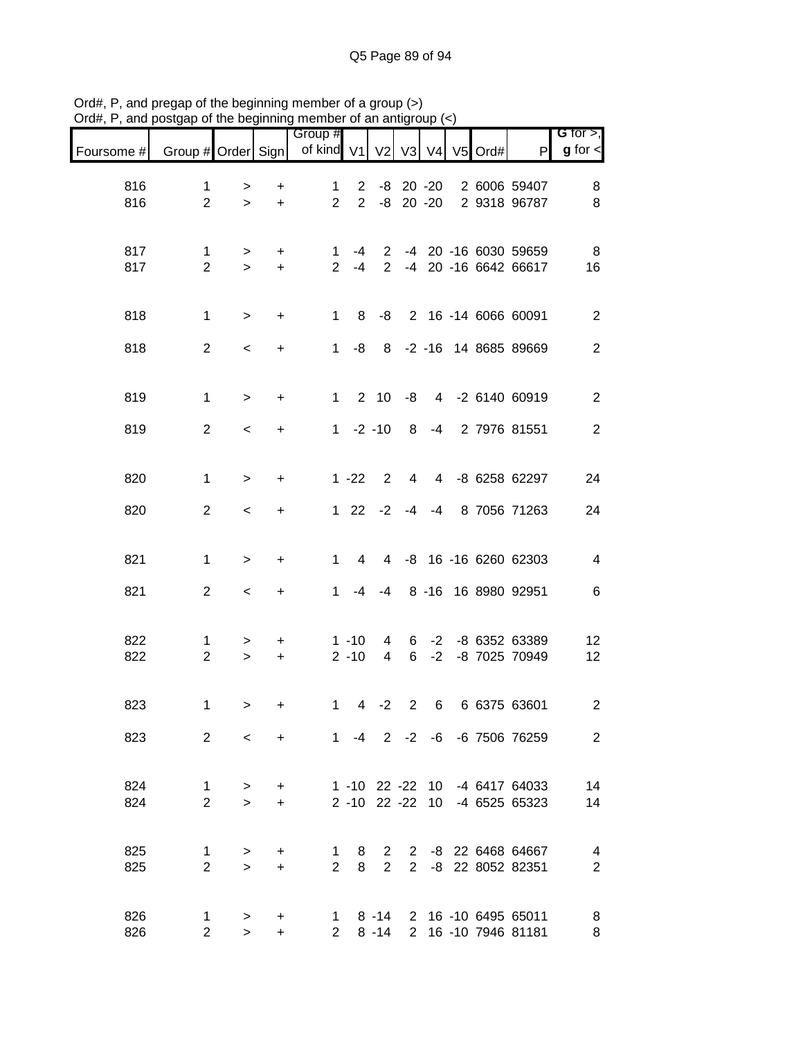|                               |                                |                      |                        | Group #                       |                               |                                  |                |                |         |                                                                | G for $>$ ,              |
|-------------------------------|--------------------------------|----------------------|------------------------|-------------------------------|-------------------------------|----------------------------------|----------------|----------------|---------|----------------------------------------------------------------|--------------------------|
| Foursome # Group # Order Sign |                                |                      |                        | of kind V1                    |                               | V <sub>2</sub>                   | V3 V4          |                | V5 Ord# | P                                                              | $g$ for $\textsf{I}$     |
| 816<br>816                    | 1<br>$\overline{2}$            | ><br>$\geq$          | +<br>$\ddot{}$         | $\mathbf 1$<br>$\overline{2}$ | $2^{\circ}$<br>$\overline{2}$ |                                  | $-8$ 20 $-20$  |                |         | -8 20 -20 2 6006 59407<br>2 9318 96787                         | 8<br>8                   |
| 817<br>817                    | $\mathbf{1}$<br>$\overline{2}$ | ><br>$\geq$          | $\ddot{}$<br>$+$       | 1.<br>$\overline{2}$          | -4<br>$-4$                    | $\overline{2}$<br>$\overline{2}$ |                |                |         | -4 20 -16 6030 59659<br>-4 20 -16 6642 66617                   | 8<br>16                  |
| 818                           | $\mathbf{1}$                   | $\, >$               | $\ddot{}$              | 1                             | 8                             | -8                               |                |                |         | 2 16 -14 6066 60091                                            | $\mathbf{2}$             |
| 818                           | $\overline{2}$                 | $\,<$                | $\ddot{}$              | 1                             | -8                            |                                  |                |                |         | 8 -2 -16 14 8685 89669                                         | $\overline{2}$           |
| 819                           | $\mathbf{1}$                   | $\geq$               | $\ddot{}$              | 1                             |                               | $2 \t10$                         | -8             |                |         | 4 -2 6140 60919                                                | $\overline{2}$           |
| 819                           | $\overline{2}$                 | $\,<\,$              | $\ddot{}$              |                               | $1 -2 -10$                    |                                  | 8              | $-4$           |         | 2 7976 81551                                                   | $\overline{2}$           |
| 820                           | $\mathbf{1}$                   | $\geq$               | $\ddot{}$              |                               | $1 - 22$                      | 2                                | $\overline{4}$ | $\overline{4}$ |         | -8 6258 62297                                                  | 24                       |
| 820                           | $\overline{2}$                 | $\,<\,$              | +                      |                               | $122$                         | $-2$                             | $-4$           | -4             |         | 8 7056 71263                                                   | 24                       |
| 821                           | $\mathbf{1}$                   | $\,>$                | $\ddot{}$              | $\mathbf{1}$                  | 4                             | $\overline{4}$                   |                |                |         | -8 16 -16 6260 62303                                           | $\overline{\mathcal{A}}$ |
| 821                           | $\overline{2}$                 | $\,<\,$              | $\ddot{}$              | 1.                            | -4                            | $-4$                             |                |                |         | 8 -16 16 8980 92951                                            | 6                        |
| 822<br>822                    | 1<br>$\overline{2}$            | $\, > \,$<br>$\,>$   | $\ddot{}$<br>$\ddot{}$ |                               | $1 - 10$<br>$2 - 10$          | 4<br>4                           | 6<br>6         | $-2$<br>$-2$   |         | -8 6352 63389<br>-8 7025 70949                                 | 12<br>12                 |
| 823                           | 1                              | $\, > \,$            | $\ddot{}$              | $\mathbf{1}$                  |                               | $4 -2$                           | $\overline{2}$ | 6              |         | 6 6375 63601                                                   | $\overline{c}$           |
| 823                           |                                | $2^{\circ}$<br>$\lt$ |                        | + 1 -4 2 -2 -6 -6 7506 76259  |                               |                                  |                |                |         |                                                                | $\overline{2}$           |
| 824<br>824                    | $\mathbf{1}$<br>$\overline{2}$ | $\geq$<br>$\geq$     | $\ddot{}$<br>$+$       |                               |                               |                                  |                |                |         | 1 -10 22 -22 10 -4 6417 64033<br>2 -10 22 -22 10 -4 6525 65323 | 14<br>14                 |
| 825<br>825                    | $\mathbf 1$<br>$\overline{2}$  | $\, > \,$<br>$\geq$  | $\ddot{}$<br>$+$       | $\mathbf 1$<br>$\overline{2}$ | 8<br>8                        | $\overline{2}$                   |                |                |         | 2 2 -8 22 6468 64667<br>2 -8 22 8052 82351                     | 4<br>$\overline{2}$      |
| 826<br>826                    | 1<br>2 <sup>1</sup>            | $\geq$<br>$\,>$      | $\ddot{}$<br>$+$       | $\mathbf{2}$                  |                               | $8 - 14$                         |                |                |         | 1 8 -14 2 16 -10 6495 65011<br>2 16 -10 7946 81181             | 8<br>8                   |

Ord#, P, and pregap of the beginning member of a group (>) Ord#, P, and postgap of the beginning member of an antigroup (<)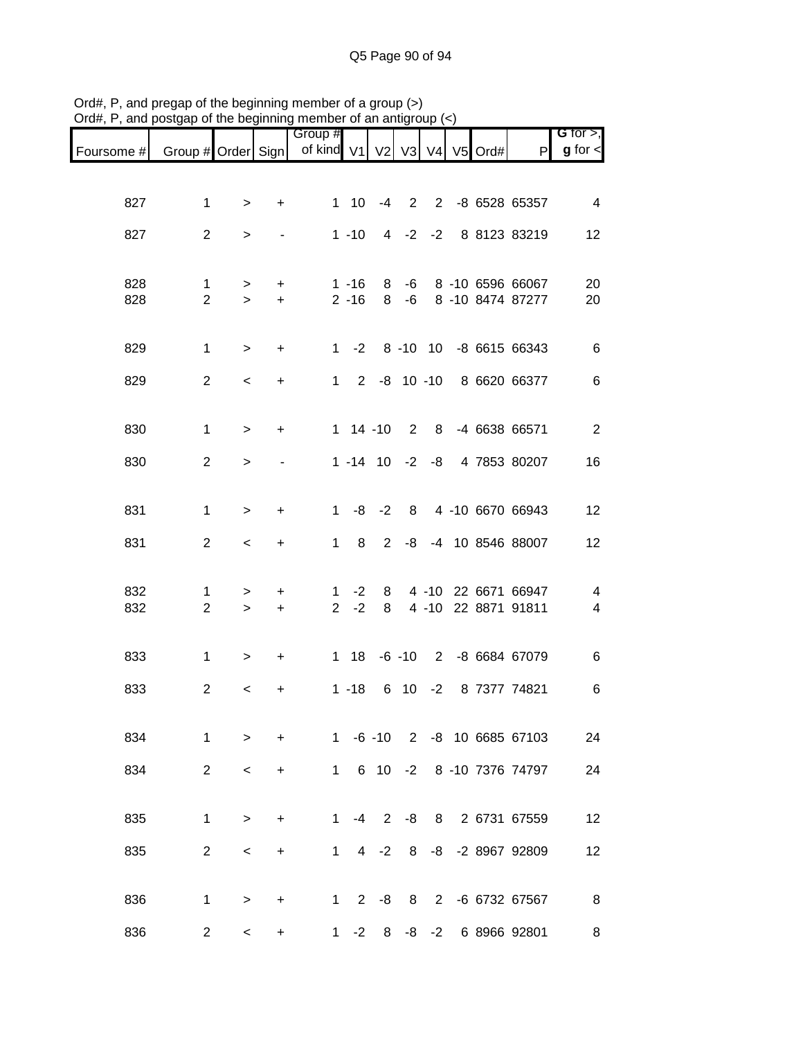|                                                  |                                |              |                        | Group #        |                      |                |             |             |            |                                      | G for $>$ ,    |
|--------------------------------------------------|--------------------------------|--------------|------------------------|----------------|----------------------|----------------|-------------|-------------|------------|--------------------------------------|----------------|
| Foursome # Group # Order Sign   of kind V1 V2 V3 |                                |              |                        |                |                      |                |             |             | V4 V5 Ord# | P                                    | $g$ for $\lt$  |
|                                                  |                                |              |                        |                |                      |                |             |             |            |                                      |                |
| 827                                              | $\mathbf{1}$                   | $\mathbf{I}$ | $\ddot{}$              |                | $1 \quad 10$         | $-4$           | 2           |             |            | 2 -8 6528 65357                      | $\overline{4}$ |
| 827                                              | $\overline{2}$                 | >            |                        |                | $1 - 10$             | $\overline{4}$ | $-2$        | $-2$        |            | 8 8123 83219                         | 12             |
|                                                  |                                |              |                        |                |                      |                |             |             |            |                                      |                |
| 828<br>828                                       | $\mathbf{1}$<br>$\overline{2}$ | ><br>$\geq$  | $\ddot{}$<br>$\ddot{}$ |                | $1 - 16$<br>$2 - 16$ | 8<br>8         | -6<br>-6    |             |            | 8 -10 6596 66067<br>8 -10 8474 87277 | 20<br>20       |
|                                                  |                                |              |                        |                |                      |                |             |             |            |                                      |                |
| 829                                              | $\mathbf{1}$                   | $\,>$        | $\ddot{}$              |                |                      |                |             |             |            | 1 -2 8 -10 10 -8 6615 66343          | 6              |
| 829                                              | $\overline{2}$                 | $\,<\,$      | $\ddot{}$              |                |                      |                |             |             |            | 1 2 -8 10 -10 8 6620 66377           | $\,6$          |
|                                                  |                                |              |                        |                |                      |                |             |             |            |                                      |                |
| 830                                              | $\mathbf{1}$                   | $\geq$       | $\ddot{}$              |                | $1 14 - 10$          |                | $2^{\circ}$ |             |            | 8 -4 6638 66571                      | $\overline{2}$ |
| 830                                              | $\overline{2}$                 | $\geq$       |                        |                | $1 - 14$ 10 $-2$     |                |             | -8          |            | 4 7853 80207                         | 16             |
|                                                  |                                |              |                        |                |                      |                |             |             |            |                                      |                |
| 831                                              | $\mathbf{1}$                   | $\,>$        | $\ddot{}$              | 1              | -8                   | $-2$           | 8           |             |            | 4 -10 6670 66943                     | 12             |
| 831                                              | $\overline{2}$                 | $\,<$        | $\ddot{}$              | 1              | 8                    | $\overline{2}$ | -8          |             |            | -4 10 8546 88007                     | 12             |
| 832                                              | 1                              | >            | $\ddot{}$              | 1              | $-2$                 | 8              |             |             |            | 4 -10 22 6671 66947                  | 4              |
| 832                                              | $\overline{2}$                 | $\geq$       | $\pm$                  | 2 <sup>1</sup> | $-2$                 | 8              |             |             |            | 4 -10 22 8871 91811                  | 4              |
|                                                  |                                |              |                        |                |                      |                |             |             |            |                                      |                |
| 833                                              | $\mathbf{1}$                   | >            | $\ddot{}$              |                | 1 18                 |                |             |             |            | -6 -10 2 -8 6684 67079               | 6              |
| 833                                              | $\overline{2}$                 | $\,<$        | +                      |                | $1 - 18$             |                | 6 10        | $-2$        |            | 8 7377 74821                         | 6              |
| 834                                              | 1                              | $\geq$       | $\ddot{}$              |                | $1 - 6 - 10$         |                |             |             |            | 2 -8 10 6685 67103                   | 24             |
| 834                                              | $\overline{2}$                 | $\,<\,$      | $\ddot{}$              | 1              |                      | 6 10           | $-2$        |             |            | 8 -10 7376 74797                     | 24             |
|                                                  |                                |              |                        |                |                      |                |             |             |            |                                      |                |
| 835                                              | $\mathbf 1$                    | >            | $\ddot{}$              | 1              | -4                   | $\overline{2}$ | -8          |             |            | 8 2 6731 67559                       | 12             |
| 835                                              | $\overline{2}$                 | $\,<\,$      | +                      | $\mathbf{1}$   | 4                    | $-2$           | 8           | -8          |            | -2 8967 92809                        | 12             |
|                                                  |                                |              |                        |                |                      |                |             |             |            |                                      |                |
| 836                                              | $\mathbf 1$                    | >            | +                      | 1              | 2                    | -8             | 8           | $2^{\circ}$ |            | -6 6732 67567                        | 8              |
| 836                                              | $\overline{2}$                 | $\,<\,$      | $\ddot{}$              | 1              | $-2$                 | 8              | -8          | $-2$        |            | 6 8966 92801                         | 8              |

Ord#, P, and pregap of the beginning member of a group (>) Ord#, P, and postgap of the beginning member of an antigroup (<)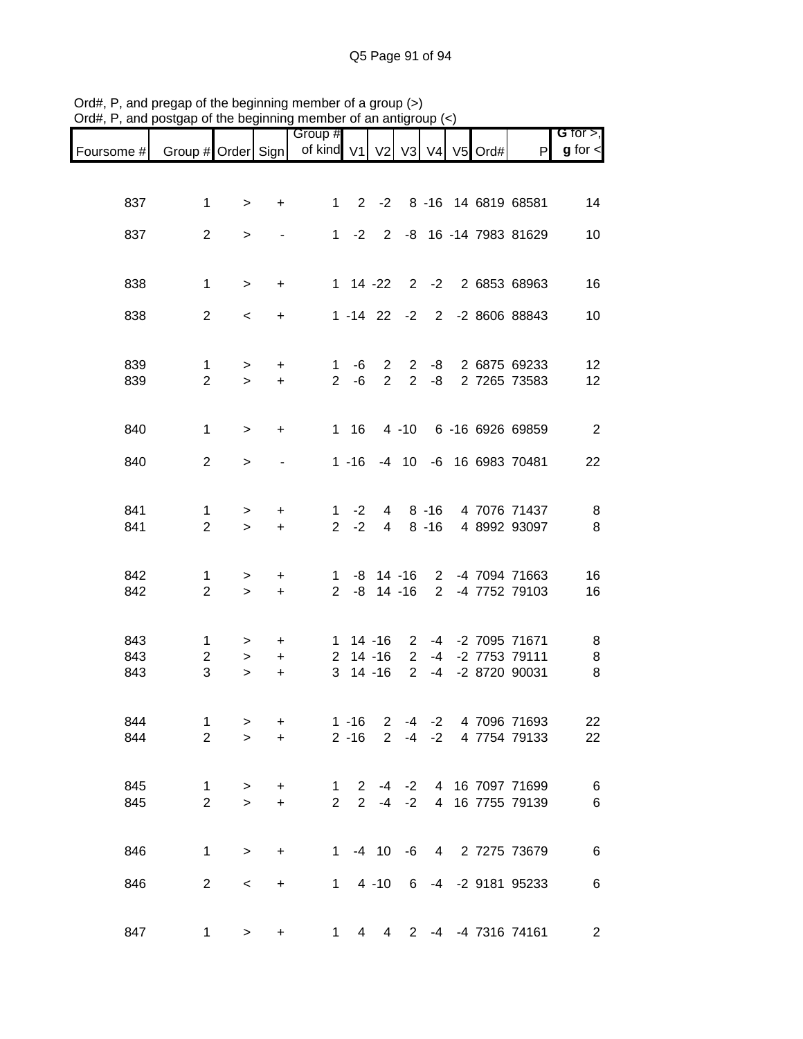| Foursome # | Group # Order Sign             |                     |                | Group #<br>of kind V1       |                             | V <sub>2</sub>                   | V3                            | V4                   | V5 Ord# | P                                          | G for $>$ ,<br>$g$ for $\leq$ |
|------------|--------------------------------|---------------------|----------------|-----------------------------|-----------------------------|----------------------------------|-------------------------------|----------------------|---------|--------------------------------------------|-------------------------------|
|            |                                |                     |                |                             |                             |                                  |                               |                      |         |                                            |                               |
| 837        | 1                              | $\geq$              | $\ddot{}$      | $1 \quad$                   |                             | $2 -2$                           |                               |                      |         | 8 -16 14 6819 68581                        | 14                            |
| 837        | $\overline{2}$                 | $\, > \,$           |                |                             |                             | $1 -2 2$                         |                               |                      |         | -8 16 -14 7983 81629                       | 10                            |
| 838        | $\mathbf{1}$                   | $\geq$              | $\ddot{}$      |                             |                             | $1 \t14 -22$                     |                               |                      |         | 2 -2 2 6853 68963                          | 16                            |
| 838        | $\overline{2}$                 | $\,<$               | $\ddot{}$      |                             |                             |                                  |                               |                      |         | 1 -14 22 -2 2 -2 8606 88843                | 10                            |
|            |                                |                     |                |                             |                             |                                  |                               |                      |         |                                            |                               |
| 839<br>839 | $\mathbf{1}$<br>$\overline{2}$ | $\geq$<br>$\geq$    | $+$<br>$+$     | $\overline{2}$              | $1 - 6$<br>-6               | $\overline{2}$<br>$\overline{2}$ |                               | $2 - 8$              |         | 2 -8 2 6875 69233<br>2 7265 73583          | 12                            |
|            |                                |                     |                |                             |                             |                                  |                               |                      |         |                                            | 12                            |
| 840        | $\mathbf{1}$                   | $\geq$              | $\ddot{}$      |                             | $1 \t16$                    |                                  |                               |                      |         | 4 -10 6 -16 6926 69859                     | $\overline{2}$                |
| 840        | $\overline{2}$                 | $\geq$              |                |                             | $1 - 16$                    |                                  |                               |                      |         | -4 10 -6 16 6983 70481                     | 22                            |
|            |                                |                     |                |                             |                             |                                  |                               |                      |         |                                            |                               |
| 841<br>841 | 1<br>$\overline{2}$            | ><br>$\geq$         | +<br>$+$       | $\mathbf{1}$<br>$2^{\circ}$ | $-2$<br>$-2$                | $4\overline{ }$                  |                               | 4 8 - 16<br>$8 - 16$ |         | 4 7076 71437<br>4 8992 93097               | 8<br>8                        |
|            |                                |                     |                |                             |                             |                                  |                               |                      |         |                                            |                               |
| 842<br>842 | 1<br>$\overline{2}$            | $\, > \,$<br>$\, >$ | +<br>$\ddot{}$ | $1 \quad$<br>2 <sup>1</sup> |                             | $-8$ 14 $-16$                    |                               | $\overline{2}$       |         | -8 14 -16 2 -4 7094 71663<br>-4 7752 79103 | 16<br>16                      |
|            |                                |                     |                |                             |                             |                                  |                               |                      |         |                                            |                               |
| 843<br>843 | $\mathbf{1}$<br>$\overline{2}$ | ><br>$\, > \,$      | $\pm$<br>$+$   |                             | $1 \t14 - 16$<br>$2$ 14 -16 |                                  | $2^{\circ}$<br>$\overline{2}$ |                      |         | -4 -2 7095 71671<br>-4 -2 7753 79111       | 8<br>8                        |
| 843        | 3                              | $\geq$              | $\ddot{}$      |                             | $3$ 14 -16                  |                                  | $\overline{2}$                | $-4$                 |         | -2 8720 90031                              | 8                             |
| 844        | $\mathbf{1}$                   | $\, > \,$           | +              |                             | $1 - 16$                    | $\overline{2}$                   |                               |                      |         | -4 -2 4 7096 71693                         | 22                            |
| 844        | $\overline{2}$                 | $\geq$              | $+$            |                             | $2 - 16$                    | $\overline{2}$                   |                               | $-4$ $-2$            |         | 4 7754 79133                               | 22                            |
| 845        | 1                              | $\, > \,$           | $\ddot{}$      | $\mathbf{1}$                | 2                           |                                  |                               |                      |         | -4 -2 4 16 7097 71699                      | $\,6$                         |
| 845        | $\overline{2}$                 | $\geq$              | $\ddot{}$      | $2^{\circ}$                 |                             |                                  |                               |                      |         | 2 -4 -2 4 16 7755 79139                    | $\,6$                         |
| 846        | $\mathbf{1}$                   | $\geq$              | $\ddot{}$      | $1 -$                       |                             | $-4$ 10                          |                               |                      |         | -6 4 2 7275 73679                          | $\,6$                         |
|            |                                |                     |                |                             |                             |                                  |                               |                      |         |                                            |                               |
| 846        | $\overline{2}$                 | $\,<$               | $+$            |                             | $1 \quad$                   | $4 - 10$                         |                               |                      |         | 6 -4 -2 9181 95233                         | 6                             |
| 847        | $\mathbf 1$                    | $\, > \,$           | +              | $\mathbf{1}$                | 4                           | 4                                |                               |                      |         | 2 -4 -4 7316 74161                         | $\overline{2}$                |

Ord#, P, and pregap of the beginning member of a group (>) Ord#, P, and postgap of the beginning member of an antigroup (<)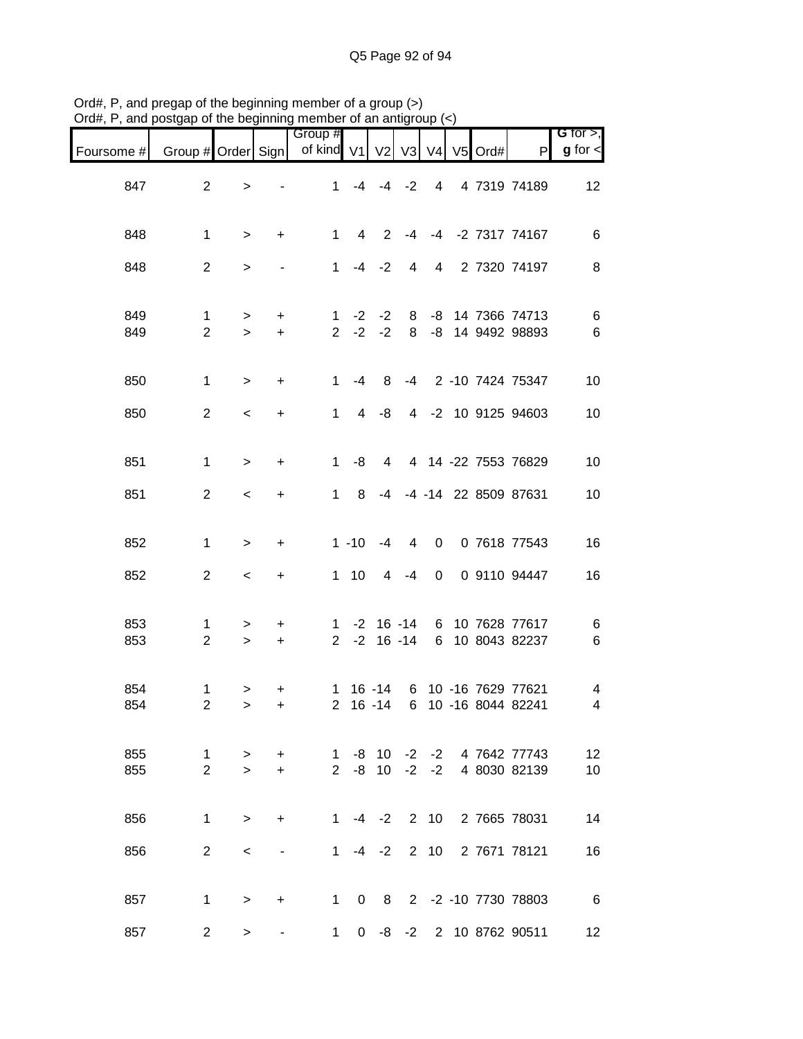| Foursome # | Group # Order Sign            |                  |                          | Group #<br>of kind V1          |                | V <sub>2</sub>                 |        |                | V3 V4 V5 | Ord# | P                                         | G for $>$ ,<br>$g$ for $\leq$ |
|------------|-------------------------------|------------------|--------------------------|--------------------------------|----------------|--------------------------------|--------|----------------|----------|------|-------------------------------------------|-------------------------------|
| 847        | $\overline{2}$                | $\, >$           |                          | $\mathbf{1}$                   |                | $-4$ $-4$ $-2$                 |        | $\overline{4}$ |          |      | 4 7319 74189                              | 12                            |
| 848        | $\mathbf{1}$                  | $\, >$           | +                        | $\mathbf{1}$                   | $\overline{4}$ | 2                              | $-4$   |                |          |      | -4 -2 7317 74167                          | $\,6$                         |
| 848        | $\overline{2}$                | $\, >$           |                          | $\mathbf{1}$                   |                | $-4 -2$                        | 4      | $\overline{4}$ |          |      | 2 7320 74197                              | $\, 8$                        |
| 849<br>849 | 1<br>$\overline{2}$           | $\, >$<br>$\geq$ | $+$<br>$+$               | 1<br>$\overline{2}$            | $-2$<br>$-2$   | $-2$<br>$-2$                   | 8<br>8 |                |          |      | -8 14 7366 74713<br>-8 14 9492 98893      | 6<br>$\,6$                    |
| 850        | $\mathbf{1}$                  | $\geq$           | $\ddot{}$                | $\mathbf{1}$                   | $-4$           | 8                              | -4     |                |          |      | 2 -10 7424 75347                          | 10                            |
| 850        | $\overline{2}$                | $\,<$            | +                        | $\mathbf{1}$                   | $\overline{4}$ | -8                             |        |                |          |      | 4 -2 10 9125 94603                        | 10                            |
| 851        | $\mathbf{1}$                  | $\,>$            | $\ddot{}$                | $\mathbf{1}$                   | -8             | 4                              |        |                |          |      | 4 14 -22 7553 76829                       | 10                            |
| 851        | $\overline{2}$                | $\,<$            | +                        | $\mathbf{1}$                   | 8              | $-4$                           |        |                |          |      | -4 -14 22 8509 87631                      | $10$                          |
| 852        | $\mathbf{1}$                  | $\geq$           | +                        |                                | $1 - 10$       | $-4$                           | 4      | 0              |          |      | 0 7618 77543                              | 16                            |
| 852        | $\overline{2}$                | $\,<$            | +                        |                                | $1 \quad 10$   | $\overline{4}$                 | $-4$   | $\mathbf 0$    |          |      | 0 9110 94447                              | 16                            |
| 853<br>853 | 1<br>$\overline{2}$           | $\, >$<br>$\geq$ | +<br>$\ddot{}$           | $\mathbf{1}$<br>$\overline{2}$ |                | $-2$ 16 $-14$<br>$-2$ 16 $-14$ |        | 6<br>6         |          |      | 10 7628 77617<br>10 8043 82237            | 6<br>$\,6$                    |
| 854<br>854 | 1<br>$\overline{c}$           | ><br>$\geq$      | +<br>+                   | $\mathbf{1}$<br>$\overline{2}$ |                | $16 - 14$<br>$16 - 14$         | 6      |                |          |      | 10 -16 7629 77621<br>6 10 -16 8044 82241  | $\overline{\mathcal{A}}$<br>4 |
| 855<br>855 | $\mathbf 1$<br>$\overline{2}$ | $\geq$<br>$\geq$ | $+$<br>$+$               | 1<br>$\overline{2}$            | -8             | 10<br>$-8$ 10                  | $-2$   |                |          |      | $-2$ $-2$ 4 7642 77743<br>-2 4 8030 82139 | 12<br>10                      |
| 856        | $\mathbf{1}$                  | $\geq$           | $+$                      | $\mathbf{1}$                   |                | $-4$ $-2$ 2 10                 |        |                |          |      | 2 7665 78031                              | 14                            |
| 856        | $\overline{2}$                | $\,<\,$          | $\overline{\phantom{a}}$ | $\mathbf 1$                    |                | $-4 -2$                        |        | $2 \quad 10$   |          |      | 2 7671 78121                              | 16                            |
| 857        | $\mathbf{1}$                  | $\geq$           | $+$                      |                                |                |                                |        |                |          |      | 1 0 8 2 -2 -10 7730 78803                 | $6\overline{6}$               |
| 857        | $\overline{2}$                | >                |                          | 1                              |                |                                |        |                |          |      | 0 -8 -2 2 10 8762 90511                   | 12 <sub>2</sub>               |

Ord#, P, and pregap of the beginning member of a group (>) Ord#, P, and postgap of the beginning member of an antigroup (<)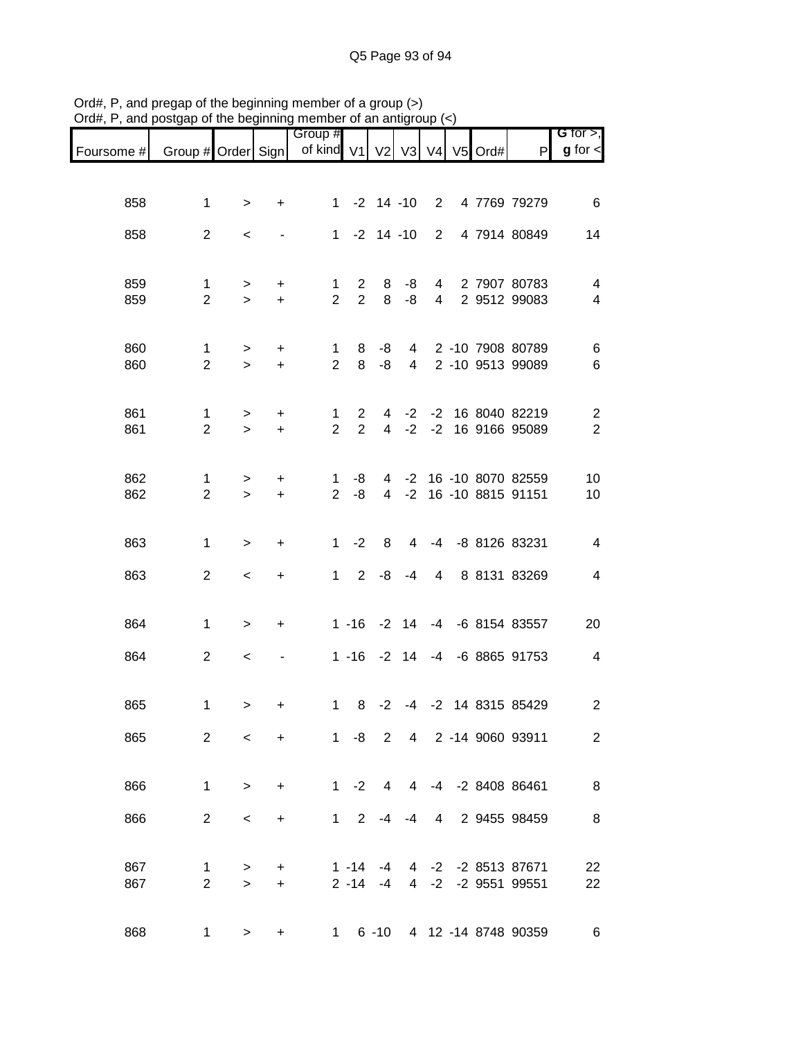| G for $>$ ,              |                                        |            |                 |              |                |                 | Group #                       |                        |                          |                                |            |
|--------------------------|----------------------------------------|------------|-----------------|--------------|----------------|-----------------|-------------------------------|------------------------|--------------------------|--------------------------------|------------|
| $g$ for $\lt$            | P                                      | V4 V5 Ord# |                 |              |                |                 | of kind V1 V2 V3              |                        |                          | Group # Order Sign             | Foursome # |
|                          |                                        |            |                 |              |                |                 |                               |                        |                          |                                |            |
| $6\phantom{1}6$          | 4 7769 79279                           |            | $2^{\circ}$     |              | $-2$ 14 $-10$  |                 | $\mathbf{1}$                  | $\ddot{}$              | $\,>$                    | $\mathbf{1}$                   | 858        |
| 14                       | 4 7914 80849                           |            | $\overline{2}$  |              |                | $1 - 2 14 - 10$ |                               |                        | $\,<$                    | $\overline{2}$                 | 858        |
|                          |                                        |            |                 |              |                |                 |                               |                        |                          |                                |            |
| $\overline{4}$           | 2 7907 80783                           |            | $4\overline{ }$ | -8           | 8              | $\mathbf{2}$    | 1                             | $\ddot{}$              | >                        | 1                              | 859        |
| $\overline{\mathcal{A}}$ | 2 9512 99083                           |            | $\overline{4}$  | -8           | 8              | $\overline{2}$  | $\overline{2}$                | $+$                    | $\geq$                   | $\overline{2}$                 | 859        |
|                          |                                        |            |                 |              |                |                 |                               |                        |                          |                                |            |
| 6<br>6                   | 4 2 -10 7908 80789<br>2 -10 9513 99089 |            |                 | 4            | -8<br>-8       | 8<br>8          | $\mathbf 1$<br>$\overline{2}$ | $\ddot{}$<br>$\ddot{}$ | $\, > \,$<br>$\,>$       | $\mathbf{1}$<br>$\overline{2}$ | 860<br>860 |
|                          |                                        |            |                 |              |                |                 |                               |                        |                          |                                |            |
| $\overline{2}$           | -2 -2 16 8040 82219                    |            |                 |              | 4              | $\overline{2}$  | $\mathbf 1$                   | $\ddot{}$              | $\, > \,$                | $\mathbf{1}$                   | 861        |
| $\overline{2}$           | -2 16 9166 95089                       |            |                 | $-2$         | $\overline{4}$ | 2               | $\overline{2}$                | $\ddot{}$              | $\geq$                   | $\overline{2}$                 | 861        |
| 10                       | -2 16 -10 8070 82559                   |            |                 |              | 4              | -8              | $\mathbf{1}$                  | $\ddot{}$              | $\, >$                   | $\mathbf{1}$                   | 862        |
| 10                       | 16 -10 8815 91151                      |            |                 | $-2$         | $\overline{4}$ | -8              | $\overline{2}$                | $\ddot{}$              | $\geq$                   | $\overline{2}$                 | 862        |
|                          |                                        |            |                 |              |                |                 |                               |                        |                          |                                |            |
| $\overline{4}$           | -8 8126 83231                          |            | $-4$            | 4            | 8              | $-2$            | 1                             | $\ddot{}$              | $\,>$                    | $\mathbf{1}$                   | 863        |
| $\overline{\mathcal{A}}$ | 8 8131 83269                           |            | 4               | $-4$         | -8             | $\overline{2}$  | $1 \quad$                     | +                      | $\,<$                    | $\overline{2}$                 | 863        |
|                          |                                        |            |                 |              |                |                 |                               |                        |                          |                                |            |
| 20                       | -6 8154 83557                          |            |                 | $-2$ 14 $-4$ |                | $1 - 16$        |                               | +                      | $\,>$                    | 1                              | 864        |
| $\overline{\mathbf{4}}$  | -4 -6 8865 91753                       |            |                 | 14           | $-2$           | $1 - 16$        |                               |                        | $\,<$                    | $\overline{c}$                 | 864        |
|                          |                                        |            |                 |              |                |                 |                               |                        |                          |                                |            |
| $\overline{c}$           | -4 -2 14 8315 85429                    |            |                 |              | $-2$           | $1 \quad 8$     |                               | +                      | $\, > \,$                | 1                              | 865        |
| $\overline{2}$           | 4 2 -14 9060 93911                     |            |                 |              |                | $1 - 8$ 2       |                               | $\ddot{}$              | $\overline{\phantom{0}}$ | $\overline{2}$                 | 865        |
|                          |                                        |            |                 |              |                |                 |                               |                        |                          |                                |            |
| 8                        | 4 -4 -2 8408 86461                     |            |                 |              | 4              | $1 -2$          |                               | $\ddot{}$              | $\geq$                   | 1                              | 866        |
| 8                        | 2 9455 98459                           |            | $\overline{4}$  | -4           | $-4$           | 2               | $1 \quad$                     | $\ddot{}$              | $\,<$                    | $\overline{2}$                 | 866        |
|                          |                                        |            |                 |              |                |                 |                               |                        |                          |                                |            |
| 22                       | 4 -2 -2 8513 87671                     |            |                 |              | $-4$           | $1 - 14$        |                               | +                      | >                        | 1                              | 867        |
| 22                       | 4 -2 -2 9551 99551                     |            |                 |              | $-4$           | $2 - 14$        |                               | $+$                    | $\geq$                   | $\overline{2}$                 | 867        |
| 6                        | 6 -10 4 12 -14 8748 90359              |            |                 |              |                | $1 \quad$       |                               | +                      | $\, > \,$                | 1                              | 868        |
|                          |                                        |            |                 |              |                |                 |                               |                        |                          |                                |            |

Ord#, P, and pregap of the beginning member of a group (>) Ord#, P, and postgap of the beginning member of an antigroup (<)